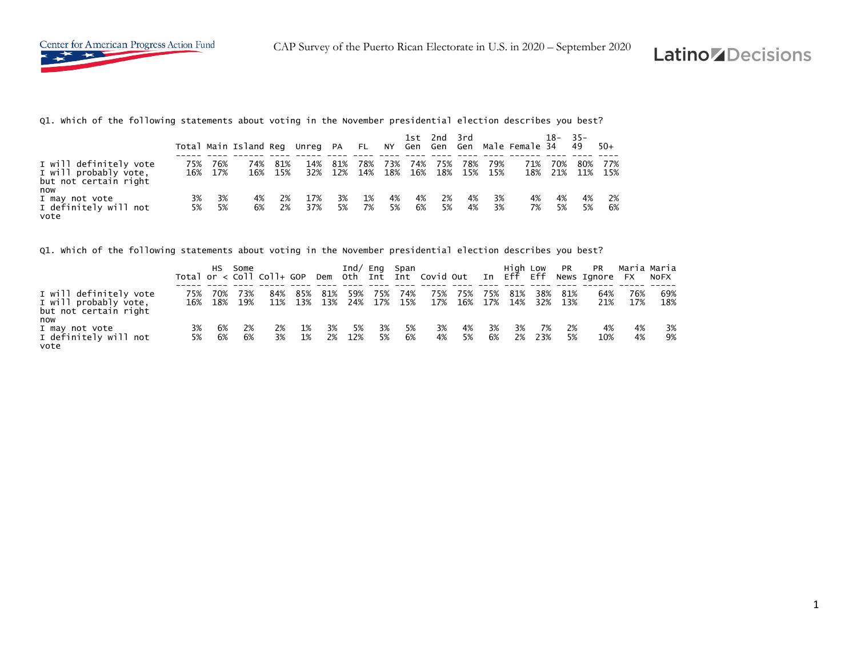

Q1. Which of the following statements about voting in the November presidential election describes you best?

|                                                                                 |          |                | Total Main Island Reg Unreg PA |            |            |            | $\uparrow$ FL $\downarrow$ |            |            | 1st 2nd 3rd |          |                    | NY Gen Gen Gen Male-Female-34 | 18-        | $-35-$<br>49 | $50+$      |
|---------------------------------------------------------------------------------|----------|----------------|--------------------------------|------------|------------|------------|----------------------------|------------|------------|-------------|----------|--------------------|-------------------------------|------------|--------------|------------|
| I will definitely vote<br>I will probably vote,<br>but not certain right<br>now | 75%      | 76%<br>16% 17% | 74%<br>16%                     | 81%<br>15% | 14%<br>32% | 81%<br>12% | 78%<br>14%                 | 73%<br>18% | 74%<br>16% | 75%         | 78%      | 79%<br>18% 15% 15% | 71%<br>18%                    | 70%<br>21% | 80%<br>11%   | 77%<br>15% |
| I may not vote<br>I definitely will not<br>vote                                 | 3%<br>5% | 3%<br>5%       | 4%<br>6%                       | 2%<br>2%   | 17%<br>37% | 3%<br>5%   | 1%<br>7%                   | 4%<br>5%   | 4%<br>6%   | 2%<br>5%    | 4%<br>4% | 3%<br>3%           | 4%<br>7%                      | 4%<br>5%   | 4%<br>5%     | 2%<br>6%   |

Q1. Which of the following statements about voting in the November presidential election describes you best?

|                                                                          |          | HS.      | Some               |          |                                |          |             | Ind/ Eng Span |          |          |                |            |              | High Low PR |            | <b>PR</b>                                                                     |            | Maria Maria |
|--------------------------------------------------------------------------|----------|----------|--------------------|----------|--------------------------------|----------|-------------|---------------|----------|----------|----------------|------------|--------------|-------------|------------|-------------------------------------------------------------------------------|------------|-------------|
|                                                                          |          |          |                    |          |                                |          |             |               |          |          |                |            |              |             |            | Total or < Coll Coll+ GOP Dem Oth Int Int Covid Out In Eff Eff News Ignore FX |            | NOFX        |
| I will definitely vote<br>I will probably vote,<br>but not certain right | 75%      | 70%      | 73%<br>16% 18% 19% | 84%      | 85%<br>11% 13% 13% 24% 17% 15% | 81%      | 59%         | 75%           | 74%      | 75%      | 75%<br>17% 16% | 75%<br>17% | 81%<br>- 14% | 38%<br>32%  | 81%<br>13% | 64%<br>21%                                                                    | 76%<br>17% | 69%<br>18%  |
| now<br>I may not vote<br>I definitely will not<br>vote                   | 3%<br>5% | 6%<br>6% | -2%<br>6%          | 2%<br>3% | 1%<br>1%                       | 3%<br>2% | - 5%<br>12% | 3%<br>5%      | 5%<br>6% | 3%<br>4% | 4%<br>5%       | 3%<br>6%   | 3%<br>2%     | 7%<br>23%   | 2%<br>5%   | 4%<br>10%                                                                     | 4%<br>4%   | 3%<br>9%    |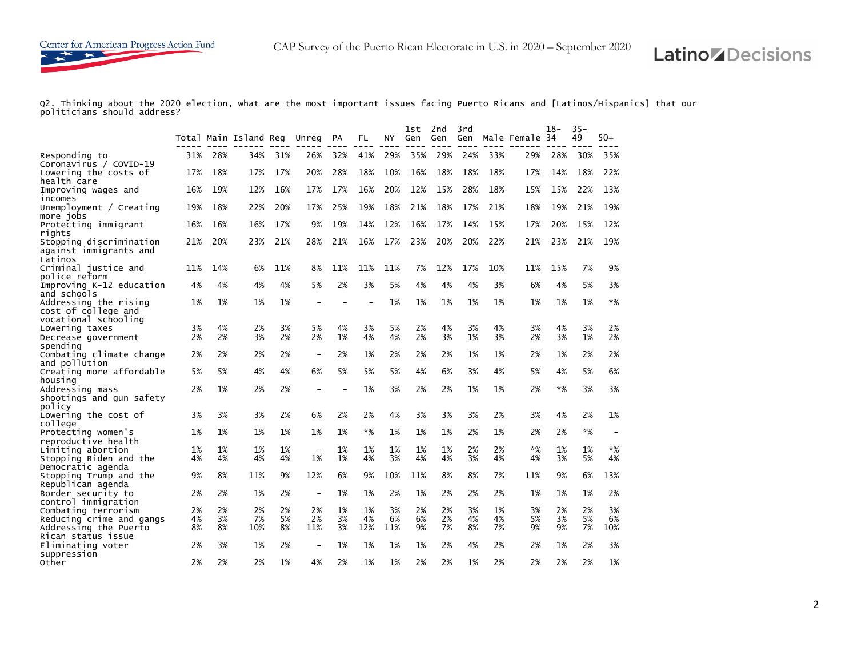Q2. Thinking about the 2020 election, what are the most important issues facing Puerto Ricans and [Latinos/Hispanics] that our politicians should address?

|                                             |     |     | Total Main Island Reg Unreg |     |                          | PA  | FL                       | ΝY  | 1st<br>Gen | 2nd<br>Gen | 3rd<br>Gen |     | Male Female 34 | 18- | $35 -$<br>49 | 50+                      |
|---------------------------------------------|-----|-----|-----------------------------|-----|--------------------------|-----|--------------------------|-----|------------|------------|------------|-----|----------------|-----|--------------|--------------------------|
| Responding to                               | 31% | 28% | 34%                         | 31% | 26%                      | 32% | 41%                      | 29% | 35%        | 29%        | 24%        | 33% | 29%            | 28% | 30%          | 35%                      |
| Coronavirus / COVID-19                      |     |     |                             |     |                          |     |                          |     |            |            |            |     |                |     |              |                          |
| Lowering the costs of                       | 17% | 18% | 17%                         | 17% | 20%                      | 28% | 18%                      | 10% | 16%        | 18%        | 18%        | 18% | 17%            | 14% | 18%          | 22%                      |
| health care                                 |     |     |                             |     |                          |     |                          |     |            |            |            |     |                |     |              |                          |
| Improving wages and                         | 16% | 19% | 12%                         | 16% | 17%                      | 17% | 16%                      | 20% | 12%        | 15%        | 28%        | 18% | 15%            | 15% | 22%          | 13%                      |
| incomes                                     |     |     |                             |     |                          |     |                          |     |            |            |            |     |                |     |              |                          |
| Unemployment / $Creating$                   | 19% | 18% | 22%                         | 20% | 17%                      | 25% | 19%                      | 18% | 21%        | 18%        | 17%        | 21% | 18%            | 19% | 21%          | 19%                      |
| more jobs                                   |     |     |                             |     |                          |     |                          |     |            |            |            |     |                |     |              |                          |
| Protecting immigrant                        | 16% | 16% | 16%                         | 17% | 9%                       | 19% | 14%                      | 12% | 16%        | 17%        | 14%        | 15% | 17%            | 20% | 15%          | 12%                      |
| rights                                      |     |     |                             |     |                          |     |                          |     |            |            |            |     |                |     |              |                          |
| Stopping discrimination                     | 21% | 20% | 23%                         | 21% | 28%                      | 21% | 16%                      | 17% | 23%        | 20%        | 20%        | 22% | 21%            | 23% | 21%          | 19%                      |
| against immigrants and                      |     |     |                             |     |                          |     |                          |     |            |            |            |     |                |     |              |                          |
| Latinos                                     |     |     |                             |     |                          |     |                          |     |            |            |            |     |                |     |              |                          |
| Criminal justice and                        | 11% | 14% | 6%                          | 11% | 8%                       | 11% | 11%                      | 11% | 7%         | 12%        | 17%        | 10% | 11%            | 15% | 7%           | 9%                       |
| police reform                               |     |     |                             |     |                          |     |                          |     |            |            |            |     |                |     |              |                          |
| Improving K-12 education                    | 4%  | 4%  | 4%                          | 4%  | 5%                       | 2%  | 3%                       | 5%  | 4%         | 4%         | 4%         | 3%  | 6%             | 4%  | 5%           | 3%                       |
| and schools                                 |     |     |                             |     |                          |     |                          |     |            |            |            |     |                |     |              |                          |
| Addressing the rising                       | 1%  | 1%  | 1%                          | 1%  |                          |     | $\overline{\phantom{0}}$ | 1%  | 1%         | 1%         | 1%         | 1%  | 1%             | 1%  | 1%           | $*%$                     |
| cost of college and                         |     |     |                             |     |                          |     |                          |     |            |            |            |     |                |     |              |                          |
| vocational schooling                        |     |     |                             |     |                          |     |                          |     |            |            |            |     |                |     |              |                          |
| Lowering taxes                              | 3%  | 4%  | 2%                          | 3%  | 5%                       | 4%  | 3%                       | 5%  | 2%         | 4%         | 3%         | 4%  | 3%             | 4%  | 3%           | 2%                       |
| Decrease government                         | 2%  | 2%  | 3%                          | 2%  | 2%                       | 1%  | 4%                       | 4%  | 2%         | 3%         | 1%         | 3%  | 2%             | 3%  | 1%           | 2%                       |
| spending                                    |     |     |                             |     |                          |     |                          |     |            |            |            |     |                |     |              |                          |
| Combating climate change                    | 2%  | 2%  | 2%                          | 2%  |                          | 2%  | 1%                       | 2%  | 2%         | 2%         | 1%         | 1%  | 2%             | 1%  | 2%           | 2%                       |
| and pollution                               |     |     |                             |     |                          |     |                          |     |            |            |            |     |                |     |              |                          |
| Creating more affordable                    | 5%  | 5%  | 4%                          | 4%  | 6%                       | 5%  | 5%                       | 5%  | 4%         | 6%         | 3%         | 4%  | 5%             | 4%  | 5%           | 6%                       |
| housing                                     | 2%  | 1%  | 2%                          | 2%  |                          |     | 1%                       | 3%  | 2%         | 2%         | 1%         | 1%  | 2%             | *%  | 3%           | 3%                       |
| Addressing mass<br>shootings and gun safety |     |     |                             |     |                          |     |                          |     |            |            |            |     |                |     |              |                          |
| policy                                      |     |     |                             |     |                          |     |                          |     |            |            |            |     |                |     |              |                          |
| Lowering the cost of                        | 3%  | 3%  | 3%                          | 2%  | 6%                       | 2%  | 2%                       | 4%  | 3%         | 3%         | 3%         | 2%  | 3%             | 4%  | 2%           | 1%                       |
| college                                     |     |     |                             |     |                          |     |                          |     |            |            |            |     |                |     |              |                          |
| Protecting women's                          | 1%  | 1%  | 1%                          | 1%  | 1%                       | 1%  | *%                       | 1%  | 1%         | 1%         | 2%         | 1%  | 2%             | 2%  | *%           | $\overline{\phantom{a}}$ |
| reproductive health                         |     |     |                             |     |                          |     |                          |     |            |            |            |     |                |     |              |                          |
| Limiting abortion                           | 1%  | 1%  | 1%                          | 1%  | $\overline{\phantom{0}}$ | 1%  | 1%                       | 1%  | 1%         | 1%         | 2%         | 2%  | $*%$           | 1%  | 1%           | $*%$                     |
| Stopping Biden and the                      | 4%  | 4%  | 4%                          | 4%  | 1%                       | 1%  | 4%                       | 3%  | 4%         | 4%         | 3%         | 4%  | 4%             | 3%  | 5%           | 4%                       |
| Democratic agenda                           |     |     |                             |     |                          |     |                          |     |            |            |            |     |                |     |              |                          |
| Stopping Trump and the                      | 9%  | 8%  | 11%                         | 9%  | 12%                      | 6%  | 9%                       | 10% | 11%        | 8%         | 8%         | 7%  | 11%            | 9%  | 6%           | 13%                      |
| Republican agenda                           |     |     |                             |     |                          |     |                          |     |            |            |            |     |                |     |              |                          |
| Border security to                          | 2%  | 2%  | 1%                          | 2%  | $\overline{\phantom{0}}$ | 1%  | 1%                       | 2%  | 1%         | 2%         | 2%         | 2%  | 1%             | 1%  | 1%           | 2%                       |
| control immigration                         |     |     |                             |     |                          |     |                          |     |            |            |            |     |                |     |              |                          |
| Combating terrorism                         | 2%  | 2%  | 2%                          | 2%  | 2%                       | 1%  | 1%                       | 3%  | 2%         | 2%         | 3%         | 1%  | 3%             | 2%  | 2%           | 3%                       |
| Reducing crime and gangs                    | 4%  | 3%  | 7%                          | 5%  | 2%                       | 3%  | 4%                       | 6%  | 6%         | 2%         | 4%         | 4%  | 5%             | 3%  | 5%           | 6%                       |
| Addressing the Puerto                       | 8%  | 8%  | 10%                         | 8%  | 11%                      | 3%  | 12%                      | 11% | 9%         | 7%         | 8%         | 7%  | 9%             | 9%  | 7%           | 10%                      |
| Rican status issue                          |     |     |                             |     |                          |     |                          |     |            |            |            |     |                |     |              |                          |
| Eliminating voter                           | 2%  | 3%  | 1%                          | 2%  |                          | 1%  | 1%                       | 1%  | 1%         | 2%         | 4%         | 2%  | 2%             | 1%  | 2%           | 3%                       |
| suppression                                 |     |     |                             |     |                          |     |                          |     |            |            |            |     |                |     |              |                          |
| Other                                       | 2%  | 2%  | 2%                          | 1%  | 4%                       | 2%  | 1%                       | 1%  | 2%         | 2%         | 1%         | 2%  | 2%             | 2%  | 2%           | 1%                       |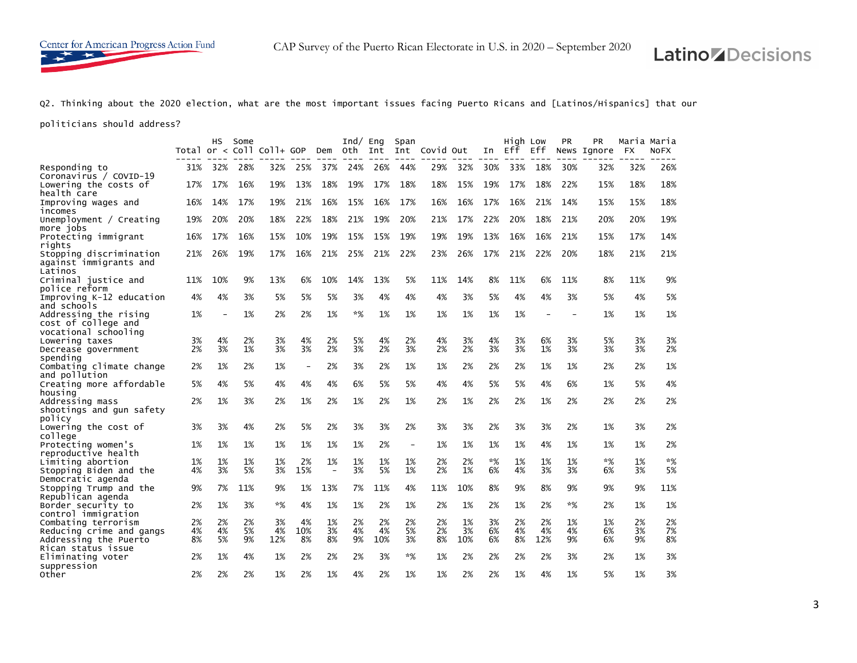Q2. Thinking about the 2020 election, what are the most important issues facing Puerto Ricans and [Latinos/Hispanics] that our

politicians should address?

|                                           |          | нs       | Some     | Total or $<$ Coll Coll+ GOP |                          | Dem                      | $Ind/$ Eng<br>oth | Int      | Span<br>Int              | Covid Out |          | In       | High Low<br>Eff | Eff      | <b>PR</b> | <b>PR</b><br>News Ignore | <b>FX</b> | Maria Maria<br>NOFX |
|-------------------------------------------|----------|----------|----------|-----------------------------|--------------------------|--------------------------|-------------------|----------|--------------------------|-----------|----------|----------|-----------------|----------|-----------|--------------------------|-----------|---------------------|
|                                           |          |          |          |                             |                          |                          |                   |          |                          |           |          |          |                 |          |           |                          |           |                     |
| Responding to<br>Coronavirus / COVID-19   | 31%      | 32%      | 28%      | 32%                         | 25%                      | 37%                      | 24%               | 26%      | 44%                      | 29%       | 32%      | 30%      | 33%             | 18%      | 30%       | 32%                      | 32%       | 26%                 |
| Lowering the costs of                     | 17%      | 17%      | 16%      | 19%                         | 13%                      | 18%                      | 19%               | 17%      | 18%                      | 18%       | 15%      | 19%      | 17%             | 18%      | 22%       | 15%                      | 18%       | 18%                 |
| health care                               |          |          |          |                             |                          |                          |                   |          |                          |           |          |          |                 |          |           |                          |           |                     |
| Improving wages and                       | 16%      | 14%      | 17%      | 19%                         | 21%                      | 16%                      | 15%               | 16%      | 17%                      | 16%       | 16%      | 17%      | 16%             | 21%      | 14%       | 15%                      | 15%       | 18%                 |
| incomes                                   |          |          |          |                             |                          |                          |                   |          |                          |           |          |          |                 |          |           |                          |           |                     |
| Unemployment / $Creating$                 | 19%      | 20%      | 20%      | 18%                         | 22%                      | 18%                      | 21%               | 19%      | 20%                      | 21%       | 17%      | 22%      | 20%             | 18%      | 21%       | 20%                      | 20%       | 19%                 |
| more jobs                                 |          |          |          |                             |                          |                          |                   |          |                          |           |          |          |                 |          |           |                          |           |                     |
| Protecting immigrant                      | 16%      | 17%      | 16%      | 15%                         | 10%                      | 19%                      | 15%               | 15%      | 19%                      | 19%       | 19%      | 13%      | 16%             | 16%      | 21%       | 15%                      | 17%       | 14%                 |
| rights                                    |          |          |          |                             |                          |                          |                   |          |                          |           |          |          |                 |          |           |                          |           |                     |
| Stopping discrimination                   | 21%      | 26%      | 19%      | 17%                         | 16%                      | 21%                      | 25%               | 21%      | 22%                      | 23%       | 26%      | 17%      | 21%             | 22%      | 20%       | 18%                      | 21%       | 21%                 |
| against immigrants and                    |          |          |          |                             |                          |                          |                   |          |                          |           |          |          |                 |          |           |                          |           |                     |
| Latinos                                   |          |          |          |                             |                          |                          |                   |          |                          |           |          |          |                 |          |           |                          |           |                     |
| Criminal justice and                      | 11%      | 10%      | 9%       | 13%                         | 6%                       | 10%                      | 14%               | 13%      | 5%                       | 11%       | 14%      | 8%       | 11%             | 6%       | 11%       | 8%                       | 11%       | 9%                  |
| police reform                             |          |          |          |                             |                          |                          |                   |          |                          |           |          |          |                 |          |           |                          |           |                     |
| Improving K-12 education                  | 4%       | 4%       | 3%       | 5%                          | 5%                       | 5%                       | 3%                | 4%       | 4%                       | 4%        | 3%       | 5%       | 4%              | 4%       | 3%        | 5%                       | 4%        | 5%                  |
| and schools                               |          |          |          |                             |                          |                          |                   |          |                          |           |          |          |                 |          |           |                          |           |                     |
| Addressing the rising                     | 1%       |          | 1%       | 2%                          | 2%                       | 1%                       | $*%$              | 1%       | 1%                       | 1%        | 1%       | 1%       | 1%              |          |           | 1%                       | 1%        | 1%                  |
| cost of college and                       |          |          |          |                             |                          |                          |                   |          |                          |           |          |          |                 |          |           |                          |           |                     |
| vocational schooling                      |          |          |          |                             |                          |                          |                   |          |                          |           |          |          |                 |          |           |                          |           |                     |
| Lowering taxes                            | 3%<br>2% | 4%<br>3% | 2%<br>1% | 3%<br>3%                    | 4%<br>3%                 | 2%<br>2%                 | 5%<br>3%          | 4%<br>2% | 2%<br>3%                 | 4%<br>2%  | 3%<br>2% | 4%<br>3% | 3%<br>3%        | 6%<br>1% | 3%<br>3%  | 5%<br>3%                 | 3%<br>3%  | 3%<br>2%            |
| Decrease government<br>spending           |          |          |          |                             |                          |                          |                   |          |                          |           |          |          |                 |          |           |                          |           |                     |
| Combating climate change                  | 2%       | 1%       | 2%       | 1%                          | $\overline{\phantom{a}}$ | 2%                       | 3%                | 2%       | 1%                       | 1%        | 2%       | 2%       | 2%              | 1%       | 1%        | 2%                       | 2%        | 1%                  |
| and pollution                             |          |          |          |                             |                          |                          |                   |          |                          |           |          |          |                 |          |           |                          |           |                     |
| Creating more affordable                  | 5%       | 4%       | 5%       | 4%                          | 4%                       | 4%                       | 6%                | 5%       | 5%                       | 4%        | 4%       | 5%       | 5%              | 4%       | 6%        | 1%                       | 5%        | 4%                  |
| housing                                   |          |          |          |                             |                          |                          |                   |          |                          |           |          |          |                 |          |           |                          |           |                     |
| Addressing mass                           | 2%       | 1%       | 3%       | 2%                          | 1%                       | 2%                       | 1%                | 2%       | 1%                       | 2%        | 1%       | 2%       | 2%              | 1%       | 2%        | 2%                       | 2%        | 2%                  |
| shootings and gun safety                  |          |          |          |                             |                          |                          |                   |          |                          |           |          |          |                 |          |           |                          |           |                     |
| policy                                    |          |          |          |                             |                          |                          |                   |          |                          |           |          |          |                 |          |           |                          |           |                     |
| Lowering the cost of                      | 3%       | 3%       | 4%       | 2%                          | 5%                       | 2%                       | 3%                | 3%       | 2%                       | 3%        | 3%       | 2%       | 3%              | 3%       | 2%        | 1%                       | 3%        | 2%                  |
| college                                   |          |          |          |                             |                          |                          |                   |          |                          |           |          |          |                 |          |           |                          |           |                     |
| Protecting women's                        | 1%       | 1%       | 1%       | 1%                          | 1%                       | 1%                       | 1%                | 2%       | $\overline{\phantom{0}}$ | 1%        | 1%       | 1%       | 1%              | 4%       | 1%        | 1%                       | 1%        | 2%                  |
| reproductive health                       |          |          |          |                             |                          |                          |                   |          |                          |           |          |          |                 |          |           |                          |           |                     |
| Limiting abortion                         | 1%       | 1%       | 1%       | 1%                          | 2%                       | 1%                       | 1%                | 1%       | 1%                       | 2%        | 2%       | $*%$     | 1%              | 1%       | 1%        | *%                       | 1%        | $*%$                |
| Stopping Biden and the                    | 4%       | 3%       | 5%       | 3%                          | 15%                      | $\overline{\phantom{a}}$ | 3%                | 5%       | 1%                       | 2%        | 1%       | 6%       | 4%              | 3%       | 3%        | 6%                       | 3%        | 5%                  |
| Democratic agenda                         |          |          |          |                             |                          |                          |                   |          |                          |           |          |          |                 |          |           |                          |           |                     |
| Stopping Trump and the                    | 9%       | 7%       | 11%      | 9%                          | 1%                       | 13%                      | 7%                | 11%      | 4%                       | 11%       | 10%      | 8%       | 9%              | 8%       | 9%        | 9%                       | 9%        | 11%                 |
| Republican agenda                         | 2%       | 1%       | 3%       | $*%$                        | 4%                       | 1%                       | 1%                | 2%       | 1%                       | 2%        | 1%       | 2%       | 1%              | 2%       | $*%$      | 2%                       | 1%        | 1%                  |
| Border security to<br>control immigration |          |          |          |                             |                          |                          |                   |          |                          |           |          |          |                 |          |           |                          |           |                     |
| Combating terrorism                       | 2%       | 2%       | 2%       | 3%                          | 4%                       | 1%                       | 2%                | 2%       | 2%                       | 2%        | 1%       | 3%       | 2%              | 2%       | 1%        | 1%                       | 2%        | 2%                  |
| Reducing crime and gangs                  | 4%       | 4%       | 5%       | 4%                          | 10%                      | 3%                       | 4%                | 4%       | 5%                       | 2%        | 3%       | 6%       | 4%              | 4%       | 4%        | 6%                       | 3%        | 7%                  |
| Addressing the Puerto                     | 8%       | 5%       | 9%       | 12%                         | 8%                       | 8%                       | 9%                | 10%      | 3%                       | 8%        | 10%      | 6%       | 8%              | 12%      | 9%        | 6%                       | 9%        | 8%                  |
| Rican status issue                        |          |          |          |                             |                          |                          |                   |          |                          |           |          |          |                 |          |           |                          |           |                     |
| Eliminating voter                         | 2%       | 1%       | 4%       | 1%                          | 2%                       | 2%                       | 2%                | 3%       | $*%$                     | 1%        | 2%       | 2%       | 2%              | 2%       | 3%        | 2%                       | 1%        | 3%                  |
| suppression                               |          |          |          |                             |                          |                          |                   |          |                          |           |          |          |                 |          |           |                          |           |                     |
| Other                                     | 2%       | 2%       | 2%       | 1%                          | 2%                       | 1%                       | 4%                | 2%       | 1%                       | 1%        | 2%       | 2%       | 1%              | 4%       | 1%        | 5%                       | 1%        | 3%                  |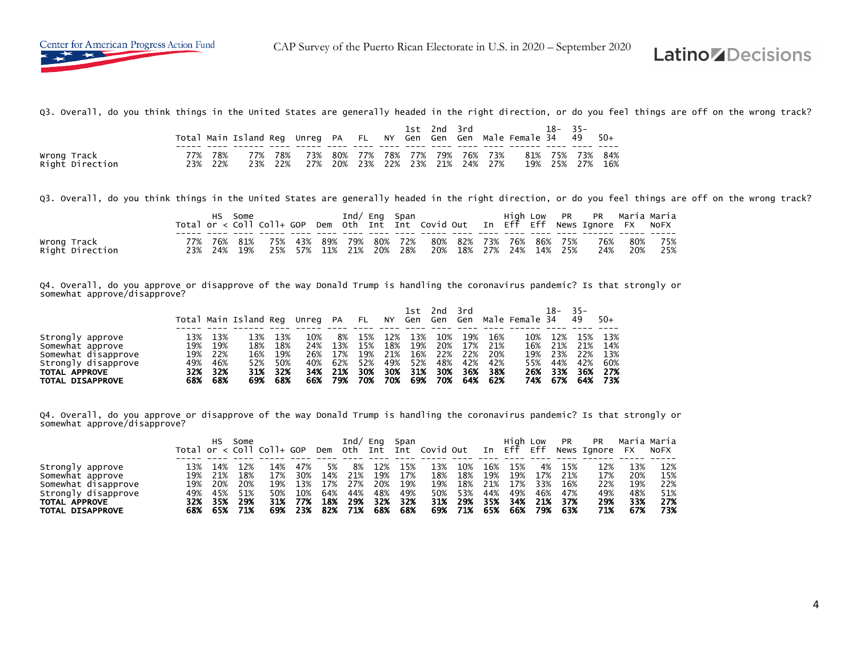Q3. Overall, do you think things in the United States are generally headed in the right direction, or do you feel things are off on the wrong track?

|                                |       |            | Total Main Island Reg Unreg PA FL NY Gen Gen Gen Male Female 34 49 |            |            |     |                                    | 1st | 2nd | 3rd |                |            | 18– | $35 -$             | $50+$ |
|--------------------------------|-------|------------|--------------------------------------------------------------------|------------|------------|-----|------------------------------------|-----|-----|-----|----------------|------------|-----|--------------------|-------|
| Wrong Track<br>Right Direction | ว ว % | 78%<br>22% | 77%<br>23%                                                         | 78%<br>22% | 73%<br>27% | 20% | 80% 77% 78% 77% 79% 76%<br>23% 22% | 23% | 21% |     | 73%<br>24% 27% | 81%<br>19% | 25% | 75% 73% 84%<br>27% | 16%   |

Q3. Overall, do you think things in the United States are generally headed in the right direction, or do you feel things are off on the wrong track?

|                 |     |     | Some |     |  | Ind/ Eng Span       |  |                                                         |  |  | High Low PR PR Maria Maria                                                         |             |     |
|-----------------|-----|-----|------|-----|--|---------------------|--|---------------------------------------------------------|--|--|------------------------------------------------------------------------------------|-------------|-----|
|                 |     |     |      |     |  |                     |  |                                                         |  |  | Total or < Coll Coll+ GOP Dem Oth Int Int Covid Out In Eff Eff News Ignore FX NoFX |             |     |
|                 |     |     |      |     |  |                     |  |                                                         |  |  |                                                                                    |             |     |
| Wrong Track     | 77% |     |      |     |  |                     |  | 76% 81% 75% 43% 89% 79% 80% 72% 80% 82% 73% 76% 86% 75% |  |  |                                                                                    | 76% 80% 75% |     |
| Right Direction | 23% | 24% | 19%  | 25% |  | 57% 11% 21% 20% 28% |  | 20% 18% 27% 24% 14% 25%                                 |  |  | 24%                                                                                | 20%         | 25% |

Q4. Overall, do you approve or disapprove of the way Donald Trump is handling the coronavirus pandemic? Is that strongly or somewhat approve/disapprove?

|                                                                                                                         |                                        |                                        | Total Main Island Reg Unreg PA         |                                        |                                        |                                       | <b>FL</b>                              | ΝY                              | 1st<br>Gen Gen                         | 2nd                                    | 3rd                             |                                            | Gen  Male Female 34                    | 18-                                    | $35 -$<br>49                           | $50+$                                  |
|-------------------------------------------------------------------------------------------------------------------------|----------------------------------------|----------------------------------------|----------------------------------------|----------------------------------------|----------------------------------------|---------------------------------------|----------------------------------------|---------------------------------|----------------------------------------|----------------------------------------|---------------------------------|--------------------------------------------|----------------------------------------|----------------------------------------|----------------------------------------|----------------------------------------|
| Strongly approve<br>Somewhat approve<br>Somewhat disapprove<br>Strongly disapprove<br>TOTAL APPROVE<br>TOTAL DISAPPROVE | 13%<br>19%<br>19%<br>49%<br>32%<br>68% | 13%<br>19%<br>22%<br>46%<br>32%<br>68% | 13%<br>18%<br>16%<br>52%<br>31%<br>69% | ւ3%<br>18%<br>19%<br>50%<br>32%<br>68% | 10%<br>24%<br>26%<br>40%<br>34%<br>66% | 8%<br>13%<br>17%<br>62%<br>21%<br>79% | 15%<br>15%<br>19%<br>52%<br>30%<br>70% | 18%<br>21%<br>49%<br>30%<br>70% | 13%<br>19%<br>16%<br>52%<br>31%<br>69% | 10%<br>20%<br>22%<br>48%<br>30%<br>70% | 19%<br>22%<br>42%<br>36%<br>64% | 16%<br>17% 21%<br>20%<br>42%<br>38%<br>62% | 10%<br>16%<br>19%<br>55%<br>26%<br>74% | 12%<br>21%<br>23%<br>44%<br>33%<br>67% | 15%<br>21%<br>22%<br>42%<br>36%<br>64% | 13%<br>14%<br>13%<br>60%<br>27%<br>73% |

Q4. Overall, do you approve or disapprove of the way Donald Trump is handling the coronavirus pandemic? Is that strongly or somewhat approve/disapprove?

|                     |     | нs  | Some |                                   |     |     | Ind/ | Eng | Span |                   |     |     | Hiah | Low | <b>PR</b> | <b>PR</b>   |     | Maria Maria |
|---------------------|-----|-----|------|-----------------------------------|-----|-----|------|-----|------|-------------------|-----|-----|------|-----|-----------|-------------|-----|-------------|
|                     |     |     |      | Total or $\langle$ Coll Coll+ GOP |     | Dem | oth  |     |      | Int Int Covid Out |     | In  | Eff  | Eff |           | News Ignore | FX. | <b>NOFX</b> |
|                     |     |     |      |                                   |     |     |      |     |      |                   |     |     |      |     |           |             |     |             |
| Strongly approve    |     | 14% |      | 14%                               | 47% | 5%  | 8%   | 12% | 15%  | 13%               | 10% | 16% | 15%  | 4%  | 15%       |             | 13% | 12%         |
| Somewhat approve    | 19% | 21% | 18%  | 17%                               | 30% | 14% | 21%  | 19% | 17%  | 18%               | 18% | 19% | 19%  | 17% | 21%       | 17%         | 20% | 15%         |
| Somewhat disapprove | 19% | 20% | 20%  | 19%                               | 13% | 17% | 27%  | 20% | 19%  | 19%               | 18% | 21% | 17%  | 33% | 16%       | 22%         | 19% | 22%         |
| Strongly disapprove | 49% | 45% | 51%  | 50%                               | 10% | 64% | 44%  | 48% | 49%  | 50%               | 53% | 44% | 49%  | 46% | 47%       | 49%         | 48% | 51%         |
| TOTAL APPROVE       | 32% | 35% | 29%  | 31%                               | 77% | 18% | 29%  | 32% | 32%  | 31%               | 29% | 35% | 34%  | 21% | 37%       | 29%         | 33% | 27%         |
| TOTAL DISAPPROVE    | 68% | 65% | 71%  | 69%                               | 23% | 82% | 71%  | 68% | 68%  | 69%               | 71% | 65% | 66%  | 79% | 63%       | 71%         | 67% | 73%         |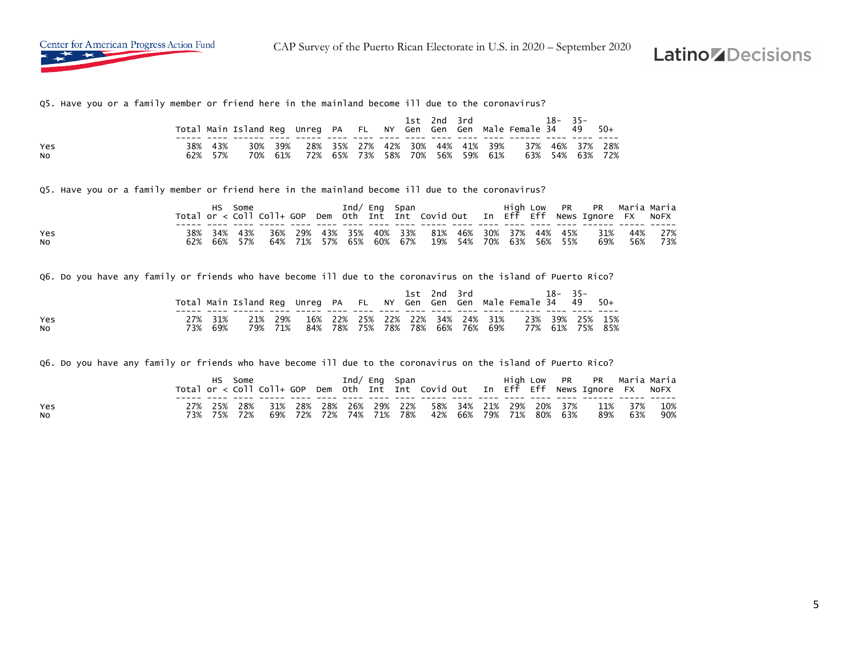Q5. Have you or a family member or friend here in the mainland become ill due to the coronavirus?

|            |     |            | Total Main Island Reg Unreg PA FL NY Gen Gen Gen Male Female 34 49 50+ |            |     |     |         | lst | 2nd 3rd |                                            |     | $18 - 35 -$ |                            |       |
|------------|-----|------------|------------------------------------------------------------------------|------------|-----|-----|---------|-----|---------|--------------------------------------------|-----|-------------|----------------------------|-------|
| Yes<br>NO. | 38% | 43%<br>57% | 30%<br>70%                                                             | 39%<br>61% | 72% | 65% | 73% 58% |     | 70% 56% | 28% 35% 27% 42% 30% 44% 41% 39%<br>59% 61% | 63% |             | 37% 46% 37% 28%<br>54% 63% | - 72% |

Q5. Have you or a family member or friend here in the mainland become ill due to the coronavirus?

|                  |  | Some    |                                                             |  | Ind/ Eng Span |  |                                                  |  |  | High Low PR PR Maria-Maria<br>Total or < Coll Coll+ GOP Dem Oth Int Int Covid Out In Eff Eff News Ignore FX NoFX |     |                |
|------------------|--|---------|-------------------------------------------------------------|--|---------------|--|--------------------------------------------------|--|--|------------------------------------------------------------------------------------------------------------------|-----|----------------|
| Yes<br><b>NO</b> |  | 66% 57% | 38% 34% 43% 36% 29% 43% 35% 40% 33% 81% 46% 30% 37% 44% 45% |  |               |  | 64% 71% 57% 65% 60% 67%  19% 54% 70% 63% 56% 55% |  |  | 31%<br>69%                                                                                                       | 56% | 44% 27%<br>73% |

Q6. Do you have any family or friends who have become ill due to the coronavirus on the island of Puerto Rico?

|           |     |                | Total Main Island Reg Unreg PA FL NY Gen Gen Gen Male Female 34 49 50+ |                    |  |                                 |  | 1st 2nd 3rd |  |                                                 | $18 - 35 -$ |                 |  |
|-----------|-----|----------------|------------------------------------------------------------------------|--------------------|--|---------------------------------|--|-------------|--|-------------------------------------------------|-------------|-----------------|--|
| Yes<br>No | 73% | 27% 31%<br>69% |                                                                        | 21% 29%<br>79% 71% |  | 84% 78% 75% 78% 78% 66% 76% 69% |  |             |  | 16% 22% 25% 22% 22% 34% 24% 31% 23% 39% 25% 15% |             | 77% 61% 75% 85% |  |

Q6. Do you have any family or friends who have become ill due to the coronavirus on the island of Puerto Rico?

|                  |     | Some    |  | Ind/ Eng Span |  |                                                 |  |  | High Low PR PR Maria-Maria<br>Total or < Coll Coll+ GOP Dem Oth Int Int Covid Out In Eff Eff News Ignore FX NoFX |         |            |
|------------------|-----|---------|--|---------------|--|-------------------------------------------------|--|--|------------------------------------------------------------------------------------------------------------------|---------|------------|
| Yes<br><b>NO</b> | 73% | 75% 72% |  |               |  | 69% 72% 72% 74% 71% 78% 42% 66% 79% 71% 80% 63% |  |  | 27% 25% 28% 31% 28% 28% 26% 29% 22% 58% 34% 21% 29% 20% 37% 11% 37%                                              | 89% 63% | 10%<br>90% |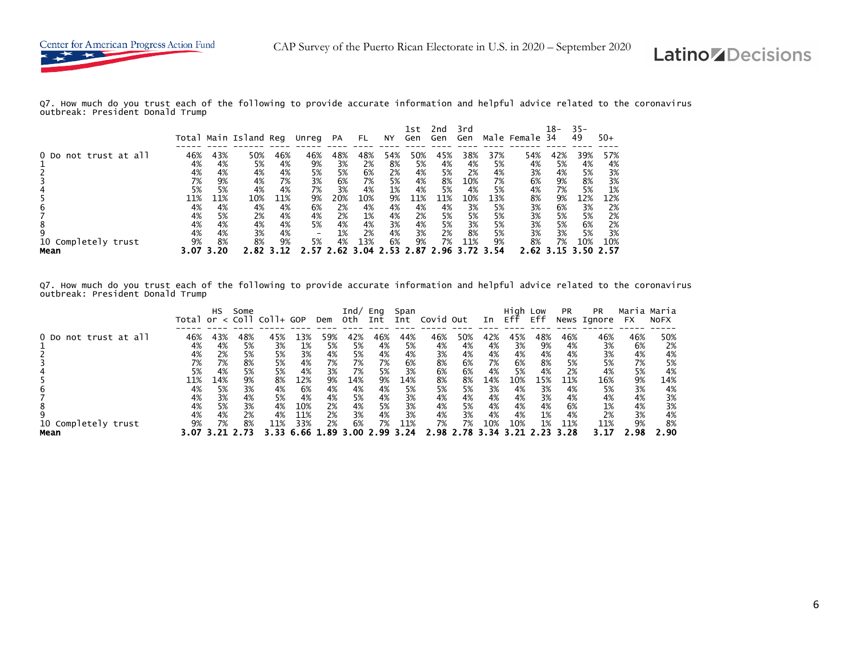

Q7. How much do you trust each of the following to provide accurate information and helpful advice related to the coronavirus outbreak: President Donald Trump

|                       |     |     | Total Main Island Reg |     | Unreg | <b>PA</b> | FL.  | NY. | 1st<br>Gen | 2nd<br>Gen | 3rd<br>Gen |      | Male Female | 18-<br>34 | $35 -$<br>49 | $50+$ |
|-----------------------|-----|-----|-----------------------|-----|-------|-----------|------|-----|------------|------------|------------|------|-------------|-----------|--------------|-------|
| 0 Do not trust at all | 46% | 43% | 50%                   | 46% | 46%   | 48%       | 48%  | 54% | 50%        | 45%        | 38%        | 37%  | 54%         | 42%       | 39%          | 57%   |
|                       | 4%  | 4%  | 5%                    | 4%  | 9%    | 3%        | 2%   | 8%  | 5%         | 4%         | 4%         | 5%   | 4%          | 5%        | 4%           | 4%    |
|                       | 4%  | 4%  | 4%                    | 4%  | 5%    | 5%        | 6%   | 2%  | 4%         | 5%         | 2%         | 4%   | 3%          | 4%        | 5%           | 3%    |
|                       | 7%  | 9%  | 4%                    | 7%  | 3%    | 6%        | 7%   | 5%  | 4%         | 8%         | 10%        | 7%   | 6%          | 9%        | 8%           | 3%    |
|                       | 5%  | 5%  | 4%                    | 4%  | 7%    | 3%        | 4%   | 1%  | 4%         | 5%         | 4%         | 5%   | 4%          | 7%        | 5%           | 1%    |
|                       | 11% | 11% | 10%                   | 11% | 9%    | 20%       | 10%  | 9%  | 11%        | 11%        | 10%        | 13%  | 8%          | 9%        | 12%          | 12%   |
| b                     | 4%  | 4%  | 4%                    | 4%  | 6%    | 2%        | 4%   | 4%  | 4%         | 4%         | 3%         | 5%   | 3%          | 6%        | 3%           | 2%    |
|                       | 4%  | 5%  | 2%                    | 4%  | 4%    | 2%        | 1%   | 4%  | 2%         | 5%         | 5%         | 5%   | 3%          | 5%        | 5%           | 2%    |
|                       | 4%  | 4%  | 4%                    | 4%  | 5%    | 4%        | 4%   | 3%  | 4%         | 5%         | 3%         | 5%   | 3%          | 5%        | 6%           | 2%    |
|                       | 4%  | 4%  | 3%                    | 4%  |       | 1%        | 2%   | 4%  | 3%         | 2%         | 8%         | 5%   | 3%          | 3%        | 5%           | 3%    |
| 10 Completely trust   | 9%  | 8%  | 8%                    | 9%  | 5%    | 4%        | 13%  | 6%  | 9%         | 7%         | 11%        | 9%   | 8%          | 7%        | 10%          | 10%   |
| Mean                  |     | 20  |                       |     |       |           | . ೧4 |     | .87        |            |            | 3.54 | 2.62        |           |              |       |

Q7. How much do you trust each of the following to provide accurate information and helpful advice related to the coronavirus outbreak: President Donald Trump

|                             |                             | HS                          | Some                        | Total or $\langle$ Coll Coll+ GOP |                             | Dem                         | Ind/<br>0th.                | Eng<br>Int                  | Span<br>Int                 | Covid Out                   |                             | In                          | Hiah<br>Eff                 | Low<br>Eff                  | <b>PR</b>                   | <b>PR</b><br>News Ignore    | Maria Maria<br>FX           | <b>NOFX</b>                 |
|-----------------------------|-----------------------------|-----------------------------|-----------------------------|-----------------------------------|-----------------------------|-----------------------------|-----------------------------|-----------------------------|-----------------------------|-----------------------------|-----------------------------|-----------------------------|-----------------------------|-----------------------------|-----------------------------|-----------------------------|-----------------------------|-----------------------------|
| 0 Do not trust at all       | 46%<br>4%<br>4%<br>7%<br>5% | 43%<br>4%<br>2%<br>7%<br>4% | 48%<br>5%<br>5%<br>8%<br>5% | 45%<br>3%<br>5%<br>5%<br>5%       | 13%<br>1%<br>3%<br>4%<br>4% | 59%<br>5%<br>4%<br>7%<br>3% | 42%<br>5%<br>5%<br>7%<br>7% | 46%<br>4%<br>4%<br>7%<br>5% | 44%<br>5%<br>4%<br>6%<br>3% | 46%<br>4%<br>3%<br>8%<br>6% | 50%<br>4%<br>4%<br>6%<br>6% | 42%<br>4%<br>4%<br>7%<br>4% | 45%<br>3%<br>4%<br>6%<br>5% | 48%<br>9%<br>4%<br>8%<br>4% | 46%<br>4%<br>4%<br>5%<br>2% | 46%<br>3%<br>3%<br>5%<br>4% | 46%<br>6%<br>4%<br>7%<br>5% | 50%<br>2%<br>4%<br>5%<br>4% |
| 6<br>8                      | 11%<br>4%<br>4%<br>4%       | 14%<br>5%<br>3%<br>5%       | 9%<br>3%<br>4%<br>3%        | 8%<br>4%<br>5%<br>4%              | 12%<br>6%<br>4%<br>10%      | 9%<br>4%<br>4%<br>2%        | 14%<br>4%<br>5%<br>4%       | 9%<br>4%<br>4%<br>5%        | 14%<br>5%<br>3%<br>3%       | 8%<br>5%<br>4%<br>4%        | 8%<br>5%<br>4%<br>5%        | 14%<br>3%<br>4%<br>4%       | 10%<br>4%<br>4%<br>4%       | 15%<br>3%<br>3%<br>4%       | 11%<br>4%<br>4%<br>6%       | 16%<br>5%<br>4%<br>1%       | 9%<br>3%<br>4%<br>4%        | 14%<br>4%<br>3%<br>3%       |
| 10 Completely trust<br>Mean | 4%<br>9%<br>3.07            | 4%<br>7%                    | 2%<br>8%                    | 4%<br>11%                         | 11%<br>33%<br>66            | 2%<br>2%<br>. 89            | 3%<br>6%<br>3.00            | 4%<br>7%<br>. . 99          | 3%<br>11%<br>-24            | 4%<br>7%<br>2.98            | 3%<br>7%<br>2.78 3.34 3.    | 4%<br>10%                   | 4%<br>10%                   | 1%<br>1%                    | 4%<br>11%<br>3.28           | 2%<br>11%<br>3.17           | 3%<br>9%<br>. 98            | 4%<br>8%<br>2.90            |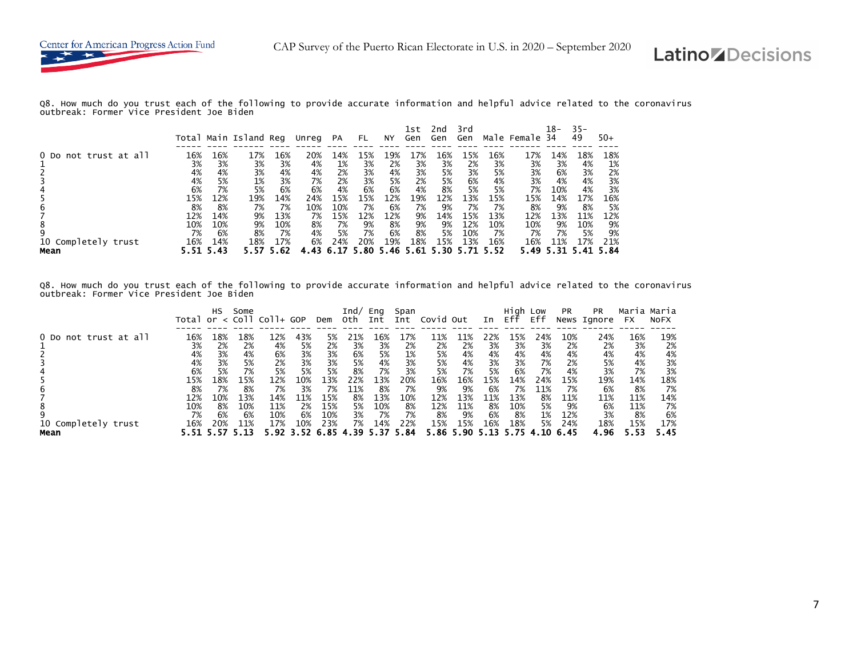

Q8. How much do you trust each of the following to provide accurate information and helpful advice related to the coronavirus outbreak: Former Vice President Joe Biden

|                             |     |             | Total Main Island Reg |             | Unreg | PA  | FL.        | NY.         | 1st<br>Gen  | 2nd<br>Gen  | 3rd<br>Gen |             | Male Female | 18-<br>34   | $35 -$<br>49 | $50+$       |
|-----------------------------|-----|-------------|-----------------------|-------------|-------|-----|------------|-------------|-------------|-------------|------------|-------------|-------------|-------------|--------------|-------------|
| 0 Do not trust at all       | 16% | 16%         | 17%                   | 16%         | 20%   | 14% | 15%        | 19%         | 17%         | 16%         | 15%        | 16%         | 17%         | 14%         | 18%          | 18%         |
|                             | 3%  | 3%          | 3%                    | 3%          | 4%    | 1%  | 3%         | 2%          | 3%          | 3%          | 2%         | 3%          | 3%          | 3%          | 4%           | 1%          |
|                             | 4%  | 4%          | 3%                    | 4%          | 4%    | 2%  | 3%         | 4%          | 3%          | 5%          | 3%         | 5%          | 3%          | 6%          | 3%           | 2%          |
|                             | 4%  | 5%          | 1%                    | 3%          | 7%    | 2%  | 3%         | 5%          | 2%          | 5%          | 6%         | 4%          | 3%          | 4%          | 4%           | 3%          |
|                             | 6%  | 7%          | 5%                    | 6%          | 6%    | 4%  | 6%         | 6%          | 4%          | 8%          | 5%         | 5%          | 7%          | 10%         | 4%           | 3%          |
| b                           | 15% | 12%         | 19%                   | 14%         | 24%   | 15% | 15%        | 12%         | 19%         | 12%         | 13%        | 15%         | 15%         | 14%         | 17%          | 16%         |
|                             | 8%  | 8%          | 7%                    | 7%          | 10%   | 10% | 7%         | 6%          | 7%          | 9%          | 7%         | 7%          | 8%          | 9%          | 8%           | 5%          |
|                             | 12% | 14%         | 9%                    | 13%         | 7%    | 15% | 12%        | 12%         | 9%          | 14%         | 15%        | 13%         | 12%         | 13%         | 11%          | 12%         |
| 8                           | 10% | 10%         | 9%                    | 10%         | 8%    | 7%  | 9%         | 8%          | 9%          | 9%          | 12%        | 10%         | 10%         | 9%          | 10%          | 9%          |
| 9                           | 7%  | 6%          | 8%                    | 7%          | 4%    | 5%  | 7%         | 6%          | 8%          | 5%          | 10%        | 7%          | 7%          | 7%          | 5%           | 9%          |
| 10 Completely trust<br>Mean | 16% | 14%<br>5.43 | 18%                   | 17%<br>- 62 | 6%    | 24% | 20%<br>-80 | 19%<br>5.46 | 18%<br>5.61 | 15%<br>5.30 | 13%        | 16%<br>5.52 | 16%<br>5.49 | 11%<br>5.31 | 17%          | 21%<br>- 84 |

Q8. How much do you trust each of the following to provide accurate information and helpful advice related to the coronavirus outbreak: Former Vice President Joe Biden

|                       |                                            | <b>HS</b>                           | Some                                 | Total or $\lt$ Coll Coll+ GOP         |                                     | Dem                                   | Ind/<br>0th                        | Eng<br>Int                           | Span<br>Int                         | Covid Out                            |                                      | In                                  | High Low<br>Eff                      | Eff                                | <b>PR</b>                            | <b>PR</b><br>News Ignore            | Maria<br>FX                          | Maria<br><b>NOFX</b>                |
|-----------------------|--------------------------------------------|-------------------------------------|--------------------------------------|---------------------------------------|-------------------------------------|---------------------------------------|------------------------------------|--------------------------------------|-------------------------------------|--------------------------------------|--------------------------------------|-------------------------------------|--------------------------------------|------------------------------------|--------------------------------------|-------------------------------------|--------------------------------------|-------------------------------------|
| 0 Do not trust at all | 16%<br>3%<br>4%<br>4%                      | $18\%$<br>2%<br>3%<br>3%<br>5%      | 18%<br>2%<br>4%<br>5%<br>7%          | 12%<br>4%<br>6%<br>2%<br>5%           | 43%<br>5%<br>3%<br>3%<br>5%         | 5%<br>2%<br>3%<br>3%<br>5%            | 21%<br>3%<br>6%<br>5%<br>8%        | 16%<br>3%<br>5%<br>4%<br>7%          | L7%<br>2%<br>1%<br>3%<br>3%         | 11%<br>2%<br>5%<br>5%<br>5%          | L1%<br>2%<br>4%<br>4%<br>7%          | 22%<br>3%<br>4%<br>3%<br>5%         | 15%<br>3%<br>4%<br>3%<br>6%          | 24%<br>3%<br>4%<br>7%<br>7%        | 10%<br>2%<br>4%<br>2%<br>4%          | 24%<br>2%<br>4%<br>5%<br>3%         | 16%<br>3%<br>4%<br>4%<br>7%          | 19%<br>2%<br>4%<br>3%<br>3%         |
| 10 Completely trust   | 6%<br>15%<br>8%<br>12%<br>10%<br>7%<br>16% | 18%<br>7%<br>10%<br>8%<br>6%<br>20% | 15%<br>8%<br>13%<br>10%<br>6%<br>11% | 12%<br>7%<br>14%<br>11%<br>10%<br>17% | 10%<br>3%<br>11%<br>2%<br>6%<br>10% | 13%<br>7%<br>15%<br>15%<br>10%<br>23% | 22%<br>11%<br>8%<br>5%<br>3%<br>7% | 13%<br>8%<br>13%<br>10%<br>7%<br>14% | 20%<br>7%<br>10%<br>8%<br>7%<br>22% | 16%<br>9%<br>12%<br>12%<br>8%<br>15% | 16%<br>9%<br>13%<br>11%<br>9%<br>15% | 15%<br>6%<br>11%<br>8%<br>6%<br>16% | 14%<br>7%<br>13%<br>10%<br>8%<br>18% | 24%<br>11%<br>8%<br>5%<br>1%<br>5% | 15%<br>7%<br>11%<br>9%<br>12%<br>24% | 19%<br>6%<br>11%<br>6%<br>3%<br>18% | 14%<br>8%<br>11%<br>11%<br>8%<br>15% | 18%<br>7%<br>14%<br>7%<br>6%<br>17% |
| Mean                  | 5.51                                       |                                     | 5.13                                 | 5.92                                  | 3.52                                | 6.85 4.39                             |                                    |                                      | . 84                                |                                      | 5.86 5.90                            | 5.13                                |                                      |                                    | 6.45                                 | 4.96                                |                                      | 5.45                                |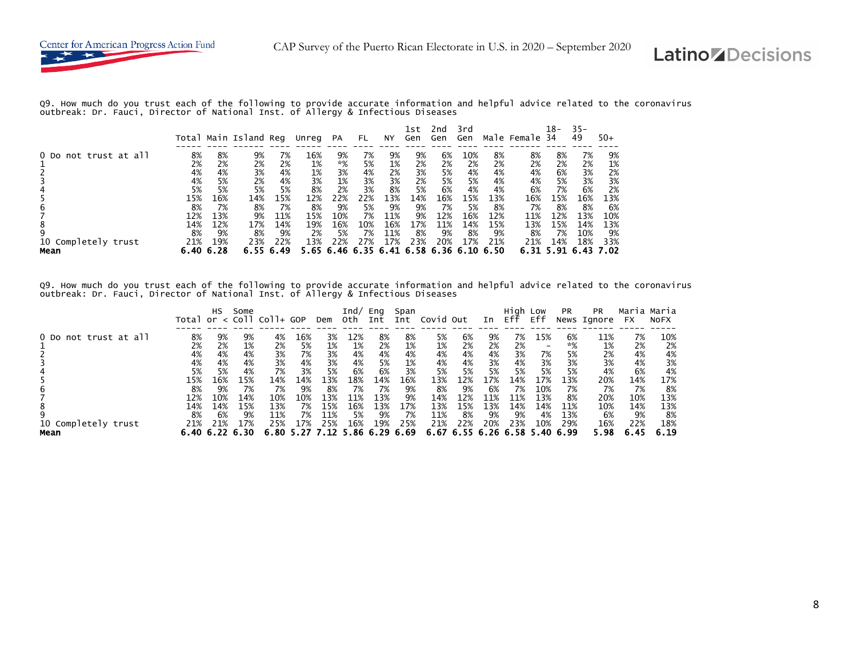Q9. How much do you trust each of the following to provide accurate information and helpful advice related to the coronavirus<br>outbreak: Dr. Fauci, Director of National Inst. of Allergy & Infectious Diseases

|                             |                        |           | Total Main Island Reg |                        | Unreg     | <b>PA</b>         | FL.       | NY         | lst<br>Gen        | 2nd<br>Gen        | 3rd<br>Gen        |                   | Male Female            | 18-<br>34 | $35 -$<br>49 | $50+$             |
|-----------------------------|------------------------|-----------|-----------------------|------------------------|-----------|-------------------|-----------|------------|-------------------|-------------------|-------------------|-------------------|------------------------|-----------|--------------|-------------------|
| 0 Do not trust at all       | 8%<br>2%               | 8%<br>2%  | 9%<br>2%              | 7%<br>2%               | 16%<br>1% | 9%<br>*%          | 7%<br>5%  | 9%<br>1%   | 9%<br>2%          | 6%<br>2%          | 10%<br>2%         | 8%<br>2%          | 8%<br>2%               | 8%<br>2%  | 7%<br>2%     | 9%<br>1%          |
|                             | 4%<br>4%               | 4%<br>5%  | 3%<br>2%              | 4%<br>4%               | 1%<br>3%  | 3%<br>1%          | 4%<br>3%  | 2%<br>3%   | 3%<br>2%          | 5%<br>5%          | 4%<br>5%          | 4%<br>4%          | 4%<br>4%               | 6%<br>5%  | 3%<br>3%     | 2%<br>3%          |
|                             | 5%<br>15%              | 5%<br>16% | 5%<br>14%             | 5%<br>15%              | 8%<br>12% | 2%<br>22%         | 3%<br>22% | 8%<br>13%  | 5%<br>14%         | 6%<br>16%         | 4%<br>15%         | 4%<br>13%         | 6%<br>16%              | 7%<br>15% | 6%<br>16%    | 2%<br>13%         |
|                             | 8%<br>12%              | 7%<br>13% | 8%                    | 7%<br>11%              | 8%<br>15% | 9%<br>10%         | 5%<br>7%  | 9%<br>11%  | 9%<br>9%          | 7%<br>12%         | 5%<br>16%         | 8%<br>12%         | 7%<br>11%              | 8%<br>12% | 8%<br>13%    | 6%<br>10%         |
| 8                           | 14%                    | 12%       | 9%<br>17%             | 14%                    | 19%       | 16%               | 10%       | 16%        | 17%               | 11%               | 14%               | 15%               | 13%                    | 15%       | 14%          | 13%               |
| 10 Completely trust<br>Mean | 8%<br>21%<br>6.40 6.28 | 9%<br>19% | 8%<br>23%             | 9%<br>22%<br>6.55 6.49 | 2%<br>13% | 5%<br>22%<br>6.46 | 7%<br>27% | 11%<br>17% | 8%<br>23%<br>6.58 | 9%<br>20%<br>6.36 | 8%<br>17%<br>6.10 | 9%<br>21%<br>6.50 | 8%<br>21%<br>6.31 5.91 | 7%<br>14% | 10%<br>18%   | 9%<br>33%<br>- 02 |

Q9. How much do you trust each of the following to provide accurate information and helpful advice related to the coronavirus<br>outbreak: Dr. Fauci, Director of National Inst. of Allergy & Infectious Diseases

|                                       | Total                                | НS                                   | Some                                                       | $or < col1 col1+ GOP$                 |                                     | Dem                                                                    | Ind/<br>0th.                         | Eng<br>Int                           | Span<br>Int                         | Covid Out                             |                                                                  | In                                   | High Low<br>Eff                      | Eff                                   | <b>PR</b>                                    | <b>PR</b><br>News Ignore                     | Maria<br><b>FX</b>                           | Maria<br><b>NOFX</b>                         |
|---------------------------------------|--------------------------------------|--------------------------------------|------------------------------------------------------------|---------------------------------------|-------------------------------------|------------------------------------------------------------------------|--------------------------------------|--------------------------------------|-------------------------------------|---------------------------------------|------------------------------------------------------------------|--------------------------------------|--------------------------------------|---------------------------------------|----------------------------------------------|----------------------------------------------|----------------------------------------------|----------------------------------------------|
| 0 Do not trust at all                 | 8%<br>2%<br>4%<br>4%<br>5%           | 9%<br>2%<br>4%<br>4%<br>5%           | 9%<br>1%<br>4%<br>4%<br>4%                                 | 4%<br>2%<br>3%<br>3%<br>7%            | 16%<br>5%<br>7%<br>4%<br>3%         | 3%<br>1%<br>3%<br>3%<br>5%                                             | 12%<br>1%<br>4%<br>4%<br>6%          | 8%<br>2%<br>4%<br>5%<br>6%           | 8%<br>1%<br>4%<br>1%<br>3%          | 5%<br>1%<br>4%<br>4%<br>5%            | 6%<br>2%<br>4%<br>4%<br>5%                                       | 9%<br>2%<br>4%<br>3%<br>5%           | 7%<br>2%<br>3%<br>4%<br>5%           | 15%<br>7%<br>3%<br>5%                 | 6%<br>$*%$<br>5%<br>3%<br>5%                 | 11%<br>1%<br>2%<br>3%<br>4%                  | 7%<br>2%<br>4%<br>4%<br>6%                   | 10%<br>2%<br>4%<br>3%<br>4%                  |
| b<br>8<br>10 Completely trust<br>Mean | 15%<br>8%<br>12%<br>14%<br>8%<br>21% | 16%<br>9%<br>10%<br>14%<br>6%<br>21% | 15%<br>7%<br>14%<br>15%<br>9%<br>17%<br>$6.40\,6.22\,6.30$ | 14%<br>7%<br>10%<br>13%<br>11%<br>25% | 14%<br>9%<br>10%<br>7%<br>7%<br>17% | 13%<br>8%<br>13%<br>15%<br>11%<br>25%<br>6.80 5.27 7.12 5.86 6.29 6.69 | 18%<br>7%<br>11%<br>16%<br>5%<br>16% | 14%<br>7%<br>13%<br>13%<br>9%<br>19% | 16%<br>9%<br>9%<br>17%<br>7%<br>25% | 13%<br>8%<br>14%<br>13%<br>11%<br>21% | 12%<br>9%<br>12%<br>15%<br>8%<br>22%<br>6.67 6.55 6.26 6.58 5.40 | 17%<br>6%<br>11%<br>13%<br>9%<br>20% | 14%<br>7%<br>11%<br>14%<br>9%<br>23% | 17%<br>10%<br>13%<br>14%<br>4%<br>10% | 13%<br>7%<br>8%<br>11%<br>13%<br>29%<br>6.99 | 20%<br>7%<br>20%<br>10%<br>6%<br>16%<br>5.98 | 14%<br>7%<br>10%<br>14%<br>9%<br>22%<br>6.45 | 17%<br>8%<br>13%<br>13%<br>8%<br>18%<br>6.19 |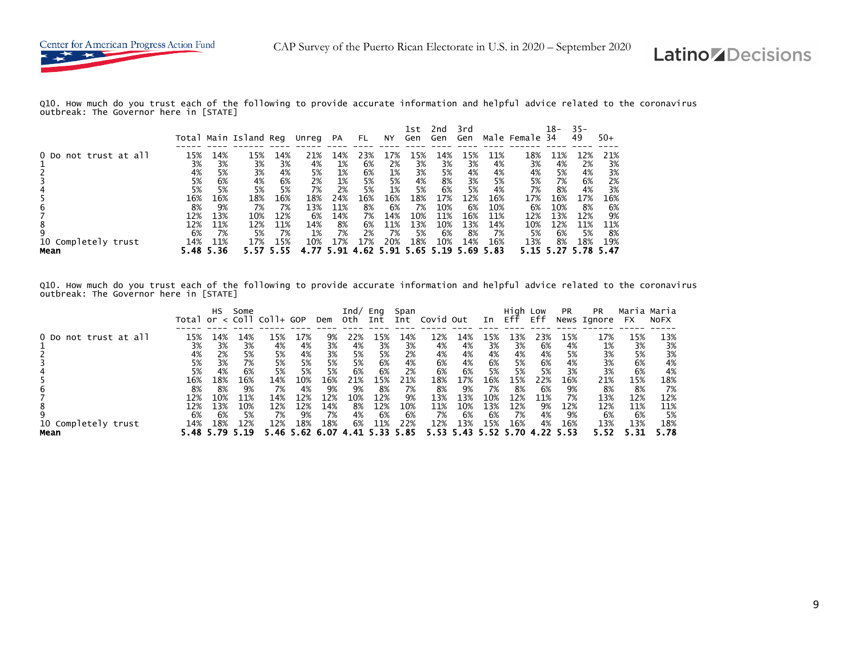

Q10. How much do you trust each of the following to provide accurate information and helpful advice related to the coronavirus outbreak: The Governor here in [STATE]

|                       |          |          | Total Main Island Reg |          | Unreg    | PA       | FL.      | NY.      | 1st<br>Gen | 2nd<br>Gen | 3rd<br>Gen |          | Male Female | 18-<br>-34 | $35 -$<br>49 | $50+$    |
|-----------------------|----------|----------|-----------------------|----------|----------|----------|----------|----------|------------|------------|------------|----------|-------------|------------|--------------|----------|
| 0 Do not trust at all | 15%      | L4%      | 15%                   | 14%      | 21%      | 14%      | 23%      | 7%       | 15%        | 14%        | L5%        | 11%      | 18%         | 11%        | 12%          | 21%      |
|                       | 3%       | 3%       | 3%                    | 3%       | 4%       | 1%       | 6%       | 2%       | 3%         | 3%         | 3%         | 4%       | 3%          | 4%         | 2%           | 3%       |
|                       | 4%<br>5% | 5%<br>6% | 3%<br>4%              | 4%<br>6% | 5%<br>2% | 1%<br>1% | 6%<br>5% | 1%<br>5% | 3%<br>4%   | 5%<br>8%   | 4%<br>3%   | 4%<br>5% | 4%<br>5%    | 5%<br>7%   | 4%<br>6%     | 3%<br>2% |
|                       | 5%       | 5%       | 5%                    | 5%       | 7%       | 2%       | 5%       | 1%       | 5%         | 6%         | 5%         | 4%       | 7%          | 8%         | 4%           | 3%       |
|                       | 16%      | 16%      | 18%                   | 16%      | 18%      | 24%      | 16%      | 16%      | 18%        | 17%        | 12%        | 16%      | 17%         | 16%        | 17%          | 16%      |
| b                     | 8%       | 9%       | 7%                    | 7%       | 13%      | 11%      | 8%       | 6%       | 7%         | 10%        | 6%         | 10%      | 6%          | 10%        | 8%           | 6%       |
|                       | 12%      | 13%      | 10%                   | 12%      | 6%       | 14%      | 7%       | 14%      | 10%        | 11%        | 16%        | 11%      | 12%         | 13%        | 12%          | 9%       |
| 8                     | 12%      | 11%      | 12%                   | 11%      | 14%      | 8%       | 6%       | 11%      | 13%        | 10%        | 13%        | 14%      | 10%         | 12%        | 11%          | 11%      |
| 9                     | 6%       | 7%       | 5%                    | 7%       | 1%       | 7%       | 2%       | 7%       | 5%         | 6%         | 8%         | 7%       | 5%          | 6%         | 5%           | 8%       |
| 10 Completely trust   | 14%      | 11%      | 17%                   | 15%      | 10%      | 17%      | 17%      | 20%      | 18%        | 10%        | 14%        | 16%      | 13%         | 8%         | 18%          | 19%      |
| Mean                  | 5.48     | 5.36     |                       |          |          | . 91     |          | 5.91     | . 65       | 19         |            | 5.83     |             |            |              |          |

Q10. How much do you trust each of the following to provide accurate information and helpful advice related to the coronavirus outbreak: The Governor here in [STATE]

|                                       |                                      | НS                                                | Some                                         | Total or $<$ Coll Coll+ GOP          |                                                   | Dem                                          | Ind/<br>oth                        | Eng<br>Int                                        | Span<br>Int                                 | Covid Out                                    |                                                        | In                                   | Hiah<br>Eff                          | Low<br>Eff                                 | <b>PR</b>                           | <b>PR</b><br>News Ignore                     | Maria Maria<br>FX                    | <b>NOFX</b>                                  |
|---------------------------------------|--------------------------------------|---------------------------------------------------|----------------------------------------------|--------------------------------------|---------------------------------------------------|----------------------------------------------|------------------------------------|---------------------------------------------------|---------------------------------------------|----------------------------------------------|--------------------------------------------------------|--------------------------------------|--------------------------------------|--------------------------------------------|-------------------------------------|----------------------------------------------|--------------------------------------|----------------------------------------------|
| 0 Do not trust at all                 | 15%<br>3%<br>4%<br>5%<br>5%          | 14%<br>3%<br>2%<br>3%<br>4%                       | 14%<br>3%<br>5%<br>7%<br>6%                  | 15%<br>4%<br>5%<br>5%<br>5%          | L7%<br>4%<br>4%<br>5%<br>5%                       | 9%<br>3%<br>3%<br>5%<br>5%                   | 22%<br>4%<br>5%<br>5%<br>6%        | 15%<br>3%<br>5%<br>6%<br>6%                       | 14%<br>3%<br>2%<br>4%<br>2%                 | 12%<br>4%<br>4%<br>6%<br>6%                  | 14%<br>4%<br>4%<br>4%<br>6%                            | L5%<br>3%<br>4%<br>6%<br>5%          | 13%<br>3%<br>4%<br>5%<br>5%          | 23%<br>6%<br>4%<br>6%<br>5%                | 15%<br>4%<br>5%<br>4%<br>3%         | 17%<br>1%<br>3%<br>3%<br>3%                  | 15%<br>3%<br>5%<br>6%<br>6%          | 13%<br>3%<br>3%<br>4%<br>4%                  |
| h<br>8<br>10 Completely trust<br>Mean | 16%<br>8%<br>12%<br>12%<br>6%<br>14% | 18%<br>8%<br>10%<br>13%<br>6%<br>18%<br>5.48 5.79 | 16%<br>9%<br>11%<br>10%<br>5%<br>12%<br>5.19 | 14%<br>7%<br>14%<br>12%<br>7%<br>12% | 10%<br>4%<br>12%<br>12%<br>9%<br>18%<br>5.46 5.62 | 16%<br>9%<br>12%<br>14%<br>7%<br>18%<br>6.07 | 21%<br>9%<br>10%<br>8%<br>4%<br>6% | 15%<br>8%<br>12%<br>12%<br>6%<br>11%<br>4.41 5.33 | 21%<br>7%<br>9%<br>10%<br>6%<br>22%<br>- 85 | 18%<br>8%<br>13%<br>11%<br>7%<br>12%<br>5.53 | 17%<br>9%<br>13%<br>10%<br>6%<br>13%<br>5.43 5.52 5.70 | 16%<br>7%<br>10%<br>13%<br>6%<br>15% | 15%<br>8%<br>12%<br>12%<br>7%<br>16% | 22%<br>6%<br>11%<br>9%<br>4%<br>4%<br>4.22 | 16%<br>9%<br>7%<br>12%<br>9%<br>16% | 21%<br>8%<br>13%<br>12%<br>6%<br>13%<br>5.52 | 15%<br>8%<br>12%<br>11%<br>6%<br>13% | 18%<br>7%<br>12%<br>11%<br>5%<br>18%<br>5.78 |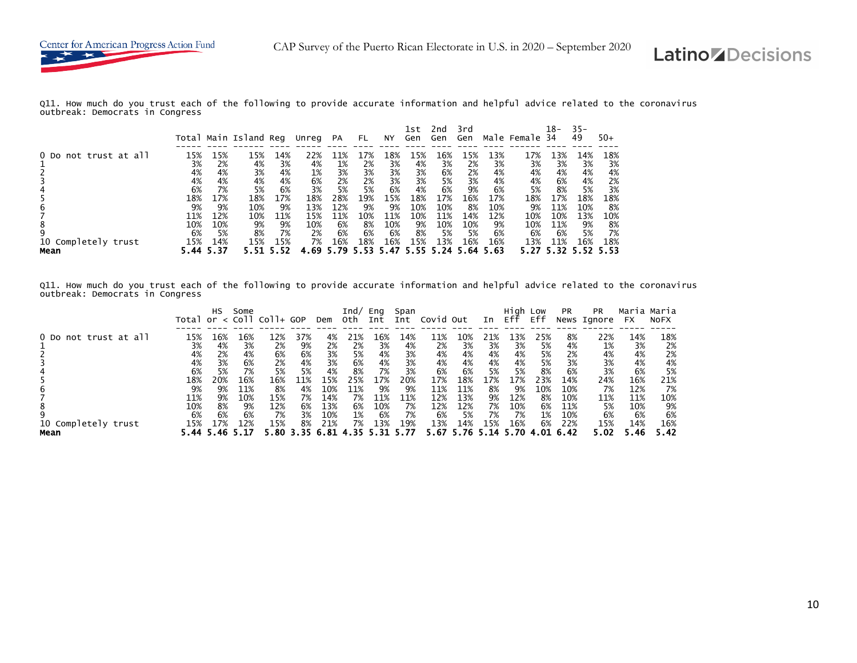

Q11. How much do you trust each of the following to provide accurate information and helpful advice related to the coronavirus outbreak: Democrats in Congress

|                             |             |             | Total Main Island Reg |             | Unreg      | <b>PA</b>   | FL. | ΝY  | 1st<br>Gen  | 2nd<br>Gen | 3rd<br>Gen       |             | Male Female 34 | 18-            | $35 -$<br>49 | $50+$ |
|-----------------------------|-------------|-------------|-----------------------|-------------|------------|-------------|-----|-----|-------------|------------|------------------|-------------|----------------|----------------|--------------|-------|
| 0 Do not trust at all       | 15%         | L5%         | 15%                   | 14%         | 22%        | 11%         | L7% | L8% | 15%         | 16%        | L5%              | 13%         | 17%            | 13%            | 14%          | 18%   |
|                             | 3%          | 2%          | 4%                    | 3%          | 4%         | 1%          | 2%  | 3%  | 4%          | 3%         | 2%               | 3%          | 3%             | 3%             | 3%           | 3%    |
|                             | 4%          | 4%          | 3%                    | 4%          | 1%         | 3%          | 3%  | 3%  | 3%          | 6%         | 2%               | 4%          | 4%             | 4%             | 4%           | 4%    |
|                             | 4%          | 4%          | 4%                    | 4%          | 6%         | 2%          | 2%  | 3%  | 3%          | 5%         | 3%               | 4%          | 4%             | 6%             | 4%           | 2%    |
|                             | 6%          | 7%          | 5%                    | 6%          | 3%         | 5%          | 5%  | 6%  | 4%          | 6%         | 9%               | 6%          | 5%             | 8%             | 5%           | 3%    |
|                             | 18%         | 17%         | 18%                   | 17%         | 18%        | 28%         | 19% | 15% | 18%         | 17%        | 16%              | 17%         | 18%            | 17%            | 18%          | 18%   |
|                             | 9%          | 9%          | 10%                   | 9%          | 13%        | 12%         | 9%  | 9%  | 10%         | 10%        | 8%               | 10%         | 9%             | 11%            | 10%          | 8%    |
| b                           | 11%         | 12%         | 10%                   | 11%         | 15%        | 11%         | 10% | 11% | 10%         | 11%        | 14%              | 12%         | 10%            | 10%            | 13%          | 10%   |
| 8                           | 10%         | 10%         | 9%                    | 9%          | 10%        | 6%          | 8%  | 10% | 9%          | 10%        | 10%              | 9%          | 10%            | 11%            | 9%           | 8%    |
| 9                           | 6%          | 5%          | 8%                    | 7%          | 2%         | 6%          | 6%  | 6%  | 8%          | 5%         | 5%               | 6%          | 6%             | 6%             | 5%           | 7%    |
| 10 Completely trust<br>Mean | 15%<br>5.44 | 14%<br>5.37 | 15%                   | 15%<br>5.52 | 7%<br>4.69 | 16%<br>5.79 | 18% | 16% | 15%<br>5.55 | 13%        | 16%<br>5.24 5.64 | 16%<br>5.63 | 13%            | 11%<br>5.32.5. | 16%          | 18%   |

Q11. How much do you trust each of the following to provide accurate information and helpful advice related to the coronavirus outbreak: Democrats in Congress

|                                       |                                      | НS                                                   | Some                                 | Total or $<$ Coll Coll+ GOP                  |                                               | Dem                                    | Ind/<br>oth                                     | Eng<br>Int                           | Span<br>Int                         | Covid Out                                     |                                                         | In                                 | Hiah<br>Eff                          | Low<br>Eff                                  | <b>PR</b>                                      | <b>PR</b><br>News Ignore                    | Maria Maria<br><b>FX</b>                      | <b>NOFX</b>                                 |
|---------------------------------------|--------------------------------------|------------------------------------------------------|--------------------------------------|----------------------------------------------|-----------------------------------------------|----------------------------------------|-------------------------------------------------|--------------------------------------|-------------------------------------|-----------------------------------------------|---------------------------------------------------------|------------------------------------|--------------------------------------|---------------------------------------------|------------------------------------------------|---------------------------------------------|-----------------------------------------------|---------------------------------------------|
| 0 Do not trust at all                 | 15%<br>3%<br>4%<br>4%<br>6%          | −6%<br>4%<br>2%<br>3%<br>5%                          | 16%<br>3%<br>4%<br>6%<br>7%          | 12%<br>2%<br>6%<br>2%<br>5%                  | 37%<br>9%<br>6%<br>4%<br>5%                   | 4%<br>2%<br>3%<br>3%<br>4%             | 21%<br>2%<br>5%<br>6%<br>8%                     | 16%<br>3%<br>4%<br>4%<br>7%          | 14%<br>4%<br>3%<br>3%<br>3%         | 11%<br>2%<br>4%<br>4%<br>6%                   | 10%<br>3%<br>4%<br>4%<br>6%                             | 21%<br>3%<br>4%<br>4%<br>5%        | 13%<br>3%<br>4%<br>4%<br>5%          | 25%<br>5%<br>5%<br>5%<br>8%                 | 8%<br>4%<br>2%<br>3%<br>6%                     | 22%<br>1%<br>4%<br>3%<br>3%                 | 14%<br>3%<br>4%<br>4%<br>6%                   | 18%<br>2%<br>2%<br>4%<br>5%                 |
| h<br>8<br>10 Completely trust<br>Mean | 18%<br>9%<br>11%<br>10%<br>6%<br>15% | 20%<br>9%<br>9%<br>8%<br>6%<br>17%<br>5.44 5.46 5.17 | 16%<br>11%<br>10%<br>9%<br>6%<br>12% | 16%<br>8%<br>15%<br>12%<br>7%<br>15%<br>5.80 | 1%<br>4%<br>7%<br>6%<br>3%<br>8%<br>3.35 6.81 | 15%<br>10%<br>14%<br>13%<br>10%<br>21% | 25%<br>11%<br>7%<br>6%<br>1%<br>7%<br>4.35 5.31 | 17%<br>9%<br>11%<br>10%<br>6%<br>13% | 20%<br>9%<br>11%<br>7%<br>7%<br>19% | 17%<br>11%<br>12%<br>12%<br>6%<br>13%<br>5.67 | 18%<br>11%<br>13%<br>12%<br>5%<br>14%<br>5.76 5.14 5.70 | 17%<br>8%<br>9%<br>7%<br>7%<br>15% | 17%<br>9%<br>12%<br>10%<br>7%<br>16% | 23%<br>10%<br>8%<br>6%<br>1%<br>6%<br>-4.01 | 14%<br>10%<br>10%<br>11%<br>10%<br>22%<br>6.42 | 24%<br>7%<br>11%<br>5%<br>6%<br>15%<br>5.02 | 16%<br>12%<br>11%<br>10%<br>6%<br>14%<br>5.46 | 21%<br>7%<br>10%<br>9%<br>6%<br>16%<br>5.42 |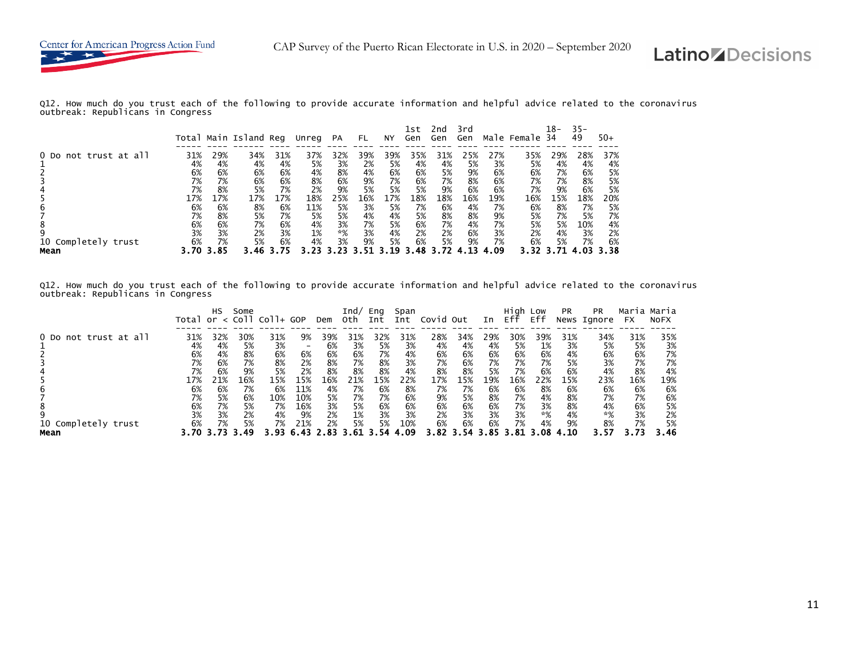

Q12. How much do you trust each of the following to provide accurate information and helpful advice related to the coronavirus outbreak: Republicans in Congress

|                       |     |      | Total Main Island Reg |     | Unreg | <b>PA</b> | FL. | ΝY  | 1st<br>Gen | 2nd<br>Gen | 3rd<br>Gen |      | Male Female 34 | 18- | $35 -$<br>49 | $50+$ |
|-----------------------|-----|------|-----------------------|-----|-------|-----------|-----|-----|------------|------------|------------|------|----------------|-----|--------------|-------|
| 0 Do not trust at all | 31% | 29%  | 34%                   | 31% | 37%   | 32%       | 39% | 39% | 35%        | 31%        | 25%        | 27%  | 35%            | 29% | 28%          | 37%   |
|                       | 4%  | 4%   | 4%                    | 4%  | 5%    | 3%        | 2%  | 5%  | 4%         | 4%         | 5%         | 3%   | 5%             | 4%  | 4%           | 4%    |
|                       | 6%  | 6%   | 6%                    | 6%  | 4%    | 8%        | 4%  | 6%  | 6%         | 5%         | 9%         | 6%   | 6%             | 7%  | 6%           | 5%    |
|                       | 7%  | 7%   | 6%                    | 6%  | 8%    | 6%        | 9%  | 7%  | 6%         | 7%         | 8%         | 6%   | 7%             | 7%  | 8%           | 5%    |
|                       | 7%  | 8%   | 5%                    | 7%  | 2%    | 9%        | 5%  | 5%  | 5%         | 9%         | 6%         | 6%   | 7%             | 9%  | 6%           | 5%    |
|                       | 17% | 17%  | 17%                   | 17% | 18%   | 25%       | 16% | 17% | 18%        | 18%        | 16%        | 19%  | 16%            | 15% | 18%          | 20%   |
| b                     | 6%  | 6%   | 8%                    | 6%  | 11%   | 5%        | 3%  | 5%  | 7%         | 6%         | 4%         | 7%   | 6%             | 8%  | 7%           | 5%    |
|                       | 7%  | 8%   | 5%                    | 7%  | 5%    | 5%        | 4%  | 4%  | 5%         | 8%         | 8%         | 9%   | 5%             | 7%  | 5%           | 7%    |
|                       | 6%  | 6%   | 7%                    | 6%  | 4%    | 3%        | 7%  | 5%  | 6%         | 7%         | 4%         | 7%   | 5%             | 5%  | 10%          | 4%    |
| 9                     | 3%  | 3%   | 2%                    | 3%  | 1%    | *%        | 3%  | 4%  | 2%         | 2%         | 6%         | 3%   | 2%             | 4%  | 3%           | 2%    |
| 10 Completely trust   | 6%  | 7%   | 5%                    | 6%  | 4%    | 3%        | 9%  | 5%  | 6%         | 5%         | 9%         | 7%   | 6%             | 5%  | 7%           | 6%    |
| Mean                  |     | 3.85 |                       |     |       |           |     |     |            |            |            | 4.09 |                |     |              | - 38  |

Q12. How much do you trust each of the following to provide accurate information and helpful advice related to the coronavirus outbreak: Republicans in Congress

|                             | Total | HS  | Some      | $or < col1 col1+ GOP$ |                 | Dem | Ind/<br>0th. | Eng<br>Int | Span<br>Int | Covid Out  |            | In  | High Low<br>Eff | Eff | <b>PR</b> | <b>PR</b><br>News Ignore | Maria<br><b>FX</b> | Maria<br><b>NOFX</b> |
|-----------------------------|-------|-----|-----------|-----------------------|-----------------|-----|--------------|------------|-------------|------------|------------|-----|-----------------|-----|-----------|--------------------------|--------------------|----------------------|
| 0 Do not trust at all       | 31%   | 32% | 30%       | 31%                   | 9%              | 39% | 31%          | 32%        | 31%         | 28%        | 34%        | 29% | 30%             | 39% | 31%       | 34%                      | 31%                | 35%                  |
|                             | 4%    | 4%  | 5%        | 3%                    | $\qquad \qquad$ | 6%  | 3%           | 5%         | 3%          | 4%         | 4%         | 4%  | 5%              | 1%  | 3%        | 5%                       | 5%                 | 3%                   |
|                             | 6%    | 4%  | 8%        | 6%                    | 6%              | 6%  | 6%           | 7%         | 4%          | 6%         | 6%         | 6%  | 6%              | 6%  | 4%        | 6%                       | 6%                 | 7%                   |
|                             | 7%    | 6%  | 7%        | 8%                    | 2%              | 8%  | 7%           | 8%         | 3%          | 7%         | 6%         | 7%  | 7%              | 7%  | 5%        | 3%                       | 7%                 | 7%                   |
|                             | 7%    | 6%  | 9%        | 5%                    | 2%              | 8%  | 8%           | 8%         | 4%          | 8%         | 8%         | 5%  | 7%              | 6%  | 6%        | 4%                       | 8%                 | 4%                   |
|                             | 17%   | 21% | 16%       | 15%                   | 15%             | 16% | 21%          | 15%        | 22%         | 17%        | 15%        | 19% | 16%             | 22% | 15%       | 23%                      | 16%                | 19%                  |
|                             | 6%    | 6%  | 7%        | 6%                    | 11%             | 4%  | 7%           | 6%         | 8%          | 7%         | 7%         | 6%  | 6%              | 8%  | 6%        | 6%                       | 6%                 | 6%                   |
|                             | 7%    | 5%  | 6%        | 10%                   | 10%             | 5%  | 7%           | 7%         | 6%          | 9%         | 5%         | 8%  | 7%              | 4%  | 8%        | 7%                       | 7%                 | 6%                   |
| 8                           | 6%    | 7%  | 5%        | 7%                    | 16%             | 3%  | 5%           | 6%         | 6%          | 6%         | 6%         | 6%  | 7%              | 3%  | 8%        | 4%                       | 6%                 | 5%                   |
|                             | 3%    | 3%  | 2%        | 4%                    | 9%              | 2%  | 1%           | 3%         | 3%          | 2%         | 3%         | 3%  | 3%              | *%  | 4%        | *%                       | 3%                 | 2%                   |
| 10 Completely trust<br>Mean | 6%    | 7%  | 5%<br>.49 | 7%                    | 21%             | 2%  | 5%           | 5%         | 10%<br>.09  | 6%<br>3.82 | 6%<br>3.54 | 6%  | 7%              | 4%  | 9%        | 8%                       | 7%                 | 5%<br>3.46           |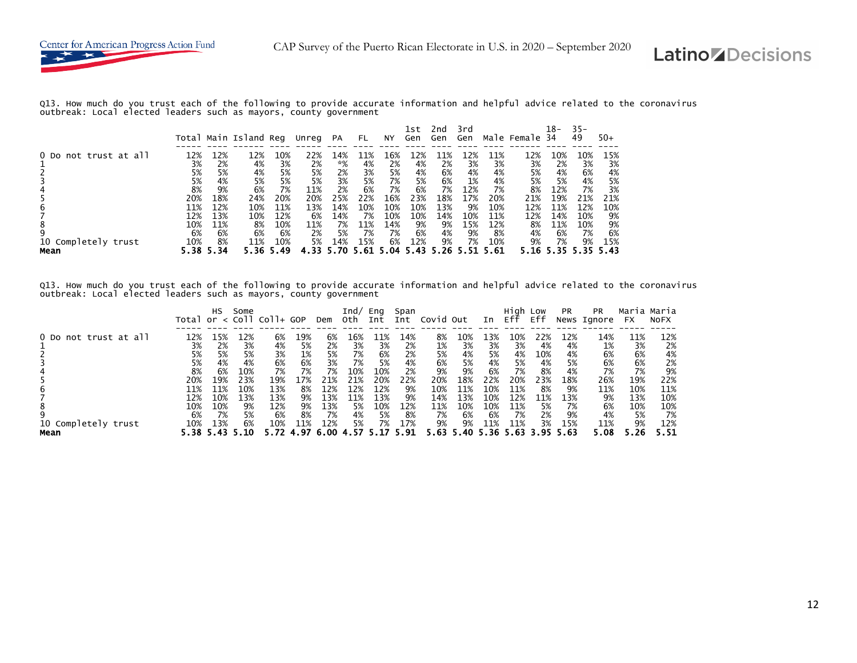Q13. How much do you trust each of the following to provide accurate information and helpful advice related to the coronavirus outbreak: Local elected leaders such as mayors, county government

|                       |      |      | Total Main Island Reg |      | Unreg | <b>PA</b> | FL. | NY  | lst<br>Gen | znd<br>Gen | 3rd<br>Gen |      | Male Female | 18-<br>34 | $35 -$<br>49 | $50+$ |
|-----------------------|------|------|-----------------------|------|-------|-----------|-----|-----|------------|------------|------------|------|-------------|-----------|--------------|-------|
| 0 Do not trust at all | 12%  | 12%  | 12%                   | 10%  | 22%   | 14%       | 11% | L6% | 12%        | 11%        | .2%        | 11%  | 12%         | 10%       | 10%          | 15%   |
|                       | 3%   | 2%   | 4%                    | 3%   | 2%    | *%        | 4%  | 2%  | 4%         | 2%         | 3%         | 3%   | 3%          | 2%        | 3%           | 3%    |
|                       | 5%   | 5%   | 4%                    | 5%   | 5%    | 2%        | 3%  | 5%  | 4%         | 6%         | 4%         | 4%   | 5%          | 4%        | 6%           | 4%    |
|                       | 5%   | 4%   | 5%                    | 5%   | 5%    | 3%        | 5%  | 7%  | 5%         | 6%         | 1%         | 4%   | 5%          | 5%        | 4%           | 5%    |
|                       | 8%   | 9%   | 6%                    | 7%   | 11%   | 2%        | 6%  | 7%  | 6%         | 7%         | 12%        | 7%   | 8%          | 12%       | 7%           | 3%    |
|                       | 20%  | 18%  | 24%                   | 20%  | 20%   | 25%       | 22% | 16% | 23%        | 18%        | 17%        | 20%  | 21%         | 19%       | 21%          | 21%   |
|                       | 11%  | 12%  | 10%                   | 11%  | 13%   | 14%       | 10% | 10% | 10%        | 13%        | 9%         | 10%  | 12%         | 11%       | 12%          | 10%   |
|                       | 12%  | 13%  | 10%                   | 12%  | 6%    | 14%       | 7%  | 10% | 10%        | 14%        | 10%        | 11%  | 12%         | 14%       | 10%          | 9%    |
|                       | 10%  | 11%  | 8%                    | 10%  | 11%   | 7%        | 11% | 14% | 9%         | 9%         | 15%        | 12%  | 8%          | 11%       | 10%          | 9%    |
|                       | 6%   | 6%   | 6%                    | 6%   | 2%    | 5%        | 7%  | 7%  | 6%         | 4%         | 9%         | 8%   | 4%          | 6%        | 7%           | 6%    |
| 10 Completely trust   | 10%  | 8%   | 11%                   | 10%  | 5%    | 14%       | 15% | 6%  | 12%        | 9%         | 7%         | 10%  | 9%          | 7%        | 9%           | 15%   |
| Mean                  | 5.38 | 5.34 |                       | . 49 | 4.33  |           |     | .04 | 5.43       |            |            | 5.61 |             |           |              | -43   |

Q13. How much do you trust each of the following to provide accurate information and helpful advice related to the coronavirus outbreak: Local elected leaders such as mayors, county government

|                       |                                             | <b>HS</b>                             | Some                                | Total or $\lt$ Coll Coll+ GOP         |                                    | Dem                                   | Ind/<br>oth                         | Eng<br>Int                           | Span<br>Int                         | Covid Out                            |                                      | In                                    | Hiah<br>Eff                           | Low<br>Eff                         | <b>PR</b>                           | <b>PR</b><br>News Ignore            | Maria Maria<br>FX                    | <b>NOFX</b>                           |
|-----------------------|---------------------------------------------|---------------------------------------|-------------------------------------|---------------------------------------|------------------------------------|---------------------------------------|-------------------------------------|--------------------------------------|-------------------------------------|--------------------------------------|--------------------------------------|---------------------------------------|---------------------------------------|------------------------------------|-------------------------------------|-------------------------------------|--------------------------------------|---------------------------------------|
| 0 Do not trust at all | 12%<br>3%<br>5%<br>5%                       | 15%<br>2%<br>5%<br>4%<br>6%           | 12%<br>3%<br>5%<br>4%<br>10%        | 6%<br>4%<br>3%<br>6%<br>7%            | 19%<br>5%<br>1%<br>6%<br>7%        | 6%<br>2%<br>5%<br>3%<br>7%            | 16%<br>3%<br>7%<br>7%<br>10%        | 11%<br>3%<br>6%<br>5%<br>10%         | 14%<br>2%<br>2%<br>4%<br>2%         | 8%<br>1%<br>5%<br>6%<br>9%           | 10%<br>3%<br>4%<br>5%<br>9%          | 13%<br>3%<br>5%<br>4%<br>6%           | 10%<br>3%<br>4%<br>5%<br>7%           | 22%<br>4%<br>10%<br>4%<br>8%       | 12%<br>4%<br>4%<br>5%<br>4%         | 14%<br>1%<br>6%<br>6%<br>7%         | 11%<br>3%<br>6%<br>6%<br>7%          | 12%<br>2%<br>4%<br>2%<br>9%           |
| 10 Completely trust   | 8%<br>20%<br>11%<br>12%<br>10%<br>6%<br>10% | 19%<br>11%<br>10%<br>10%<br>7%<br>13% | 23%<br>10%<br>13%<br>9%<br>5%<br>6% | 19%<br>13%<br>13%<br>12%<br>6%<br>10% | 17%<br>8%<br>9%<br>9%<br>8%<br>11% | 21%<br>12%<br>13%<br>13%<br>7%<br>12% | 21%<br>12%<br>11%<br>5%<br>4%<br>5% | 20%<br>12%<br>13%<br>10%<br>5%<br>7% | 22%<br>9%<br>9%<br>12%<br>8%<br>17% | 20%<br>10%<br>14%<br>11%<br>7%<br>9% | 18%<br>11%<br>13%<br>10%<br>6%<br>9% | 22%<br>10%<br>10%<br>10%<br>6%<br>11% | 20%<br>11%<br>12%<br>11%<br>7%<br>11% | 23%<br>8%<br>11%<br>5%<br>2%<br>3% | 18%<br>9%<br>13%<br>7%<br>9%<br>15% | 26%<br>11%<br>9%<br>6%<br>4%<br>11% | 19%<br>10%<br>13%<br>10%<br>5%<br>9% | 22%<br>11%<br>10%<br>10%<br>7%<br>12% |
| Mean                  |                                             | 5.38 5.43                             | - 10                                |                                       | 4.97                               | 6.00                                  |                                     |                                      | 5.91                                | 5.63                                 | 5.40 5.36 5.63 3.95                  |                                       |                                       |                                    | 5.63                                | 5.08                                | . 26                                 | 5.51                                  |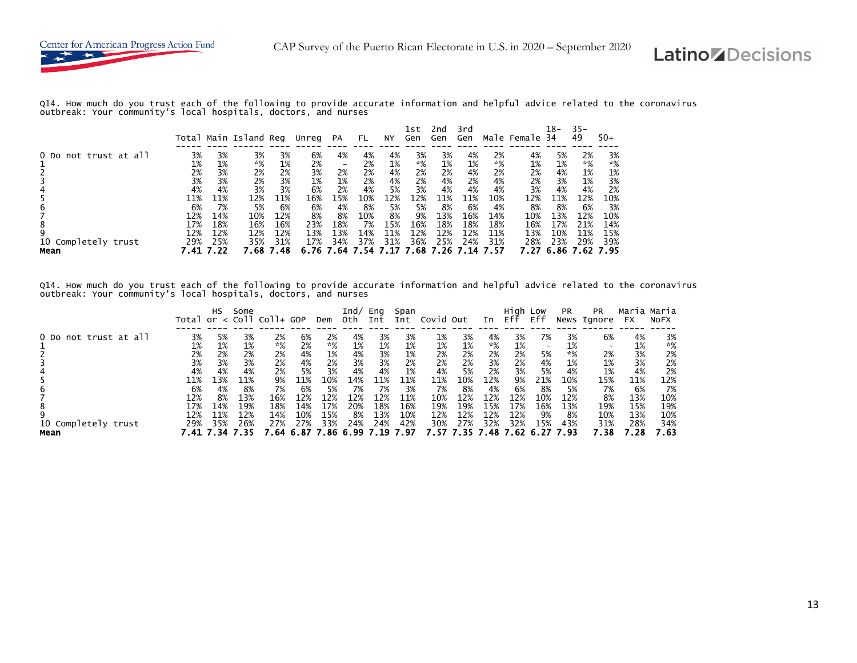

Q14. How much do you trust each of the following to provide accurate information and helpful advice related to the coronavirus outbreak: Your community's local hospitals, doctors, and nurses

|                       |          |          | Total Main Island Reg |          | Unreg    | <b>PA</b> | FL.      | NY       | lst<br>Gen | 2nd<br>Gen | 3rd<br>Gen |          | Male Female | 18-<br>-34 | $35 -$<br>49 | $50+$    |
|-----------------------|----------|----------|-----------------------|----------|----------|-----------|----------|----------|------------|------------|------------|----------|-------------|------------|--------------|----------|
| 0 Do not trust at all | 3%       | 3%       | 3%                    | 3%       | 6%       | 4%        | 4%       | 4%       | 3%         | 3%         | 4%         | 2%       | 4%          | 5%         | 2%           | 3%       |
|                       | 1%       | 1%       | *%                    | 1%       | 2%       |           | 2%       | 1%       | *%         | 1%         | 1%         | $*%$     | 1%          | 1%         | *%           | $*%$     |
|                       | 2%<br>3% | 3%<br>3% | 2%<br>2%              | 2%<br>3% | 3%<br>1% | 2%<br>1%  | 2%<br>2% | 4%<br>4% | 2%<br>2%   | 2%<br>4%   | 4%<br>2%   | 2%<br>4% | 2%<br>2%    | 4%<br>3%   | 1%<br>1%     | 1%<br>3% |
|                       | 4%       | 4%       | 3%                    | 3%       | 6%       | 2%        | 4%       | 5%       | 3%         | 4%         | 4%         | 4%       | 3%          | 4%         | 4%           | 2%       |
|                       | 11%      | 11%      | 12%                   | 11%      | 16%      | 15%       | 10%      | ! 2%     | 12%        | 11%        | 11%        | 10%      | 12%         | 11%        | 12%          | 10%      |
| b                     | 6%       | 7%       | 5%                    | 6%       | 6%       | 4%        | 8%       | 5%       | 5%         | 8%         | 6%         | 4%       | 8%          | 8%         | 6%           | 3%       |
|                       | 12%      | 14%      | 10%                   | 12%      | 8%       | 8%        | 10%      | 8%       | 9%         | 13%        | 16%        | 14%      | 10%         | 13%        | 12%          | 10%      |
| 8                     | 17%      | 18%      | 16%                   | 16%      | 23%      | 18%       | 7%       | 15%      | 16%        | 18%        | 18%        | 18%      | 16%         | 17%        | 21%          | 14%      |
| 9                     | 12%      | 12%      | 12%                   | 12%      | 13%      | 13%       | 14%      | 11%      | 12%        | 12%        | 12%        | 11%      | 13%         | 10%        | 11%          | 15%      |
| 10 Completely trust   | 29%      | 25%      | 35%                   | 31%      | 17%      | 34%       | 37%      | 31%      | 36%        | 25%        | 24%        | 31%      | 28%         | 23%        | 29%          | 39%      |
| Mean                  |          |          | - 68                  | .48      |          | . 64      |          |          | .68        |            |            | ' 57     |             | 6.86       |              | '. 95    |

Q14. How much do you trust each of the following to provide accurate information and helpful advice related to the coronavirus outbreak: Your community's local hospitals, doctors, and nurses

|                                  | Total             | НS                                  | Some              | $or < col1 col1+ GOP$ |                                | Dem                            | Ind/<br>0th      | Eng<br>Int                | Span<br>Int               | Covid Out                 |                                     | In                | High Low<br>Eff   | Eff                      | <b>PR</b>                 | <b>PR</b><br>News Ignore  | Maria<br><b>FX</b>       | Maria<br><b>NOFX</b>        |
|----------------------------------|-------------------|-------------------------------------|-------------------|-----------------------|--------------------------------|--------------------------------|------------------|---------------------------|---------------------------|---------------------------|-------------------------------------|-------------------|-------------------|--------------------------|---------------------------|---------------------------|--------------------------|-----------------------------|
| 0 Do not trust at all            | 3%                | 5%                                  | 3%                | 2%                    | 6%                             | 2%                             | 4%               | 3%                        | 3%                        | 1%                        | 3%                                  | 4%                | 3%                | 7%                       | 3%                        | 6%                        | 4%                       | 3%                          |
|                                  | 1%                | 1%                                  | 1%                | $*%$                  | 2%                             | $*%$                           | 1%               | 1%                        | 1%                        | 1%                        | 1%                                  | *%                | 1%                | $\overline{\phantom{a}}$ | 1%                        | $\overline{\phantom{0}}$  | 1%                       | *%                          |
|                                  | 2%                | 2%                                  | 2%                | 2%                    | 4%                             | 1%                             | 4%               | 3%                        | 1%                        | 2%                        | 2%                                  | 2%                | 2%                | 5%                       | *%                        | 2%                        | 3%                       | 2%                          |
|                                  | 3%                | 3%                                  | 3%                | 2%                    | 4%                             | 2%                             | 3%               | 3%                        | 2%                        | 2%                        | 2%                                  | 3%                | 2%                | 4%                       | 1%                        | 1%                        | 3%                       | 2%                          |
|                                  | 4%                | 4%                                  | 4%                | 2%                    | 5%                             | 3%                             | 4%               | 4%                        | 1%                        | 4%                        | 5%                                  | 2%                | 3%                | 5%                       | 4%                        | 1%                        | 4%                       | 2%                          |
|                                  | 11%               | <b>3%</b>                           | 11%               | 9%                    | 11%                            | 10%                            | 14%              | 11%                       | L1%                       | 11%                       | 10%                                 | 12%               | 9%                | 21%                      | 10%                       | 15%                       | 11%                      | 12%                         |
| b                                | 6%                | 4%                                  | 8%                | 7%                    | 6%                             | 5%                             | 7%               | 7%                        | 3%                        | 7%                        | 8%                                  | 4%                | 6%                | 8%                       | 5%                        | 7%                        | 6%                       | 7%                          |
|                                  | 12%               | 8%                                  | 13%               | 16%                   | 12%                            | 12%                            | 12%              | 12%                       | 11%                       | 10%                       | 12%                                 | 12%               | 12%               | 10%                      | 12%                       | 8%                        | 13%                      | 10%                         |
| 8<br>10 Completely trust<br>Mean | 17%<br>12%<br>29% | 14%<br>L1%<br>35%<br>7.41 7.34 7.35 | 19%<br>12%<br>26% | 18%<br>14%<br>27%     | 14%<br>10%<br>27%<br>7.64 6.87 | 17%<br>15%<br>33%<br>7.86 6.99 | 20%<br>8%<br>24% | 18%<br>13%<br>24%<br>7.19 | 16%<br>10%<br>42%<br>. 97 | 19%<br>12%<br>30%<br>7.57 | 19%<br>12%<br>27%<br>7.35 7.48 7.62 | 15%<br>12%<br>32% | 17%<br>12%<br>32% | 16%<br>9%<br>15%<br>6.27 | 13%<br>8%<br>43%<br>-7.93 | 19%<br>10%<br>31%<br>7.38 | 15%<br>13%<br>28%<br>.28 | 19%<br>10%<br>34%<br>' . 63 |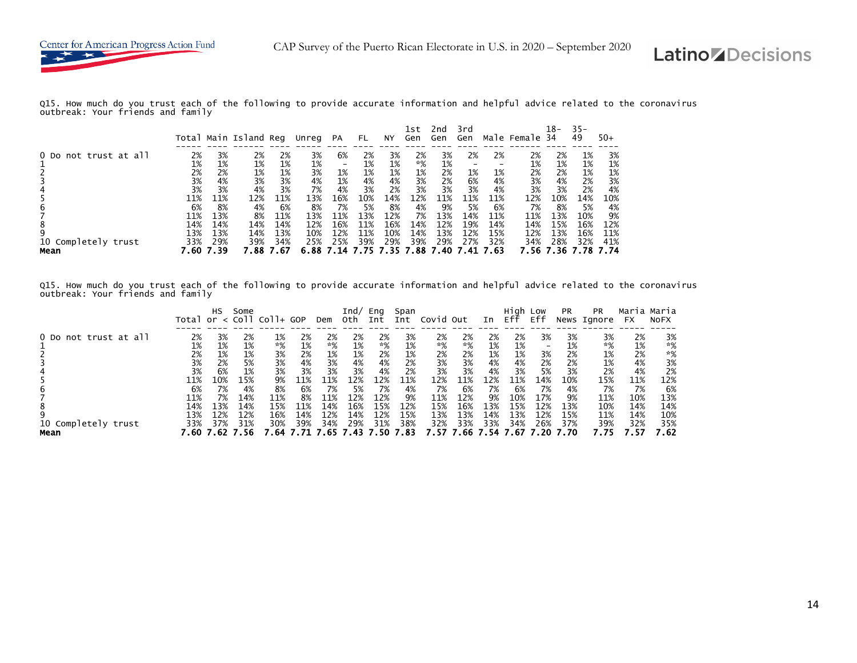

Q15. How much do you trust each of the following to provide accurate information and helpful advice related to the coronavirus outbreak: Your friends and family

|                       |      |      | Total Main Island Reg |      | Unreg | PA              | FL. | ΝY  | 1st<br>Gen | 2nd<br>Gen | 3rd<br>Gen |      | Male Female 34 | 18-  | $35 -$<br>49 | $50+$ |
|-----------------------|------|------|-----------------------|------|-------|-----------------|-----|-----|------------|------------|------------|------|----------------|------|--------------|-------|
| 0 Do not trust at all | 2%   | 3%   | 2%                    | 2%   | 3%    | 6%              | 2%  | 3%  | 2%         | 3%         | 2%         | 2%   | 2%             | 2%   | 1%           | 3%    |
|                       | 1%   | 1%   | 1%                    | 1%   | 1%    | $\qquad \qquad$ | 1%  | 1%  | $*%$       | 1%         |            |      | 1%             | 1%   | 1%           | 1%    |
|                       | 2%   | 2%   | 1%                    | 1%   | 3%    | 1%              | 1%  | 1%  | 1%         | 2%         | 1%         | 1%   | 2%             | 2%   | 1%           | 1%    |
|                       | 3%   | 4%   | 3%                    | 3%   | 4%    | 1%              | 4%  | 4%  | 3%         | 2%         | 6%         | 4%   | 3%             | 4%   | 2%           | 3%    |
|                       | 3%   | 3%   | 4%                    | 3%   | 7%    | 4%              | 3%  | 2%  | 3%         | 3%         | 3%         | 4%   | 3%             | 3%   | 2%           | 4%    |
|                       | 11%  | 11%  | 12%                   | 11%  | 13%   | 16%             | 10% | 14% | 12%        | 11%        | 11%        | 11%  | 12%            | 10%  | 14%          | 10%   |
| b                     | 6%   | 8%   | 4%                    | 6%   | 8%    | 7%              | 5%  | 8%  | 4%         | 9%         | 5%         | 6%   | 7%             | 8%   | 5%           | 4%    |
|                       | 11%  | 13%  | 8%                    | 11%  | 13%   | 11%             | 13% | 12% | 7%         | 13%        | 14%        | 11%  | 11%            | 13%  | 10%          | 9%    |
| 8                     | 14%  | 14%  | 14%                   | 14%  | 12%   | 16%             | 11% | 16% | 14%        | 12%        | 19%        | 14%  | 14%            | 15%  | 16%          | 12%   |
| 9                     | 13%  | 13%  | 14%                   | 13%  | 10%   | 12%             | 11% | 10% | 14%        | 13%        | 12%        | 15%  | 12%            | 13%  | 16%          | 11%   |
| 10 Completely trust   | 33%  | 29%  | 39%                   | 34%  | 25%   | 25%             | 39% | 29% | 39%        | 29%        | 27%        | 32%  | 34%            | 28%  | 32%          | 41%   |
| Mean                  | 50 - | 7.39 | 7.88                  | - 67 | 6.88  | 7.14            |     |     | . 88       | 40         |            | 7.63 | 7.56           | 7.36 |              | - 74  |

Q15. How much do you trust each of the following to provide accurate information and helpful advice related to the coronavirus outbreak: Your friends and family

|                               |                          | нs                      | Some                     | Total or $\lt$ Coll Coll+ GOP |                         | Dem                      | Ind/<br>0th              | Eng<br>Int               | Span<br>Int             | Covid Out                |                          | In                      | High Low<br>Eff          | Eff                                        | <b>PR</b>               | <b>PR</b><br>News Ignore | Maria Maria<br><b>FX</b> | <b>NOFX</b>              |
|-------------------------------|--------------------------|-------------------------|--------------------------|-------------------------------|-------------------------|--------------------------|--------------------------|--------------------------|-------------------------|--------------------------|--------------------------|-------------------------|--------------------------|--------------------------------------------|-------------------------|--------------------------|--------------------------|--------------------------|
| 0 Do not trust at all         | 2%<br>1%<br>2%<br>3%     | 3%<br>1%<br>1%<br>2%    | 2%<br>1%<br>1%<br>5%     | 1%<br>$*%$<br>3%<br>3%        | 2%<br>1%<br>2%<br>4%    | 2%<br>*%<br>1%<br>3%     | 2%<br>1%<br>1%<br>4%     | 2%<br>*%<br>2%<br>4%     | 3%<br>1%<br>1%<br>2%    | 2%<br>*%<br>2%<br>3%     | 2%<br>$*%$<br>2%<br>3%   | 2%<br>1%<br>1%<br>4%    | 2%<br>1%<br>1%<br>4%     | 3%<br>$\overline{\phantom{0}}$<br>3%<br>2% | 3%<br>1%<br>2%<br>2%    | 3%<br>$*%$<br>1%<br>1%   | 2%<br>1%<br>2%<br>4%     | 3%<br>*%<br>*%<br>3%     |
| 6                             | 3%<br>11%<br>6%          | 6%<br>10%<br>7%         | 1%<br>15%<br>4%          | 3%<br>9%<br>8%                | 3%<br>11%<br>6%         | 3%<br>11%<br>7%          | 3%<br>12%<br>5%          | 4%<br>12%<br>7%          | 2%<br>11%<br>4%         | 3%<br>12%<br>7%          | 3%<br>11%<br>6%          | 4%<br>12%<br>7%         | 3%<br>11%<br>6%          | 5%<br>14%<br>7%                            | 3%<br>10%<br>4%         | 2%<br>15%<br>7%          | 4%<br>11%<br>7%          | 2%<br>12%<br>6%          |
| 8<br>9<br>10 Completely trust | 11%<br>14%<br>13%<br>33% | 7%<br>13%<br>12%<br>37% | 14%<br>14%<br>12%<br>31% | 11%<br>15%<br>16%<br>30%      | 8%<br>11%<br>14%<br>39% | 11%<br>14%<br>12%<br>34% | 12%<br>16%<br>14%<br>29% | 12%<br>15%<br>12%<br>31% | 9%<br>12%<br>15%<br>38% | 11%<br>15%<br>13%<br>32% | 12%<br>16%<br>13%<br>33% | 9%<br>13%<br>14%<br>33% | 10%<br>15%<br>13%<br>34% | 17%<br>12%<br>12%<br>26%                   | 9%<br>13%<br>15%<br>37% | 11%<br>10%<br>11%<br>39% | 10%<br>14%<br>14%<br>32% | 13%<br>14%<br>10%<br>35% |
| Mean                          | 7.60                     | 7.62                    | 7.56                     | 7.64 7.                       |                         | 7.65 7.43 7.50           |                          |                          | . 83                    | 7.57                     |                          |                         | '.66 7.54 7.67           | -7.20                                      | 7.70                    | 7.75                     | - 57                     | 7.62                     |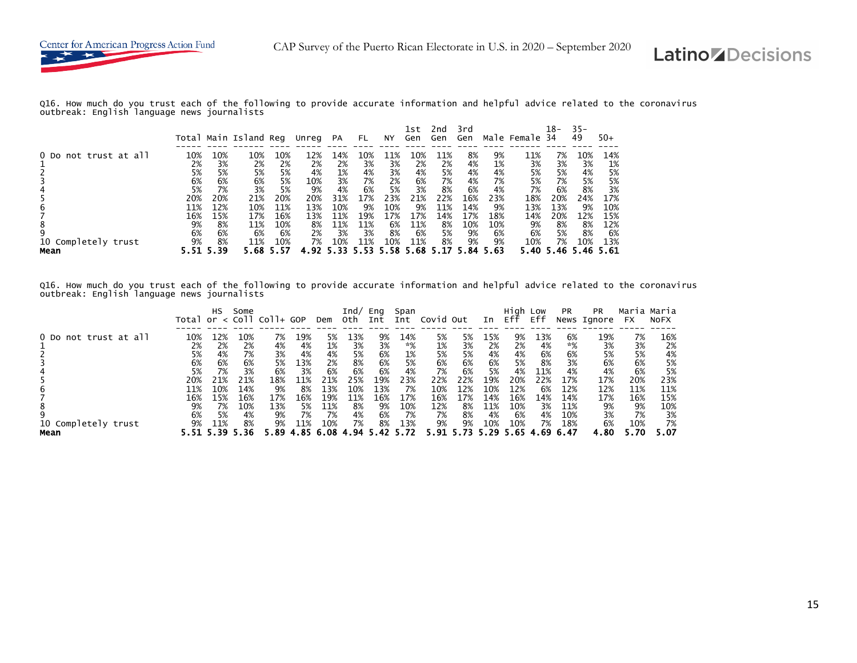

Q16. How much do you trust each of the following to provide accurate information and helpful advice related to the coronavirus outbreak: English language news journalists

|                       |          |          | Total Main Island Reg |          | Unreg     | <b>PA</b> | FL.      | NY.      | 1st<br>Gen | 2nd<br>Gen | 3rd<br>Gen |          | Male Female | 18-<br>-34 | $35 -$<br>49 | $50+$    |
|-----------------------|----------|----------|-----------------------|----------|-----------|-----------|----------|----------|------------|------------|------------|----------|-------------|------------|--------------|----------|
| 0 Do not trust at all | 10%      | 10%      | 10%                   | 10%      | 12%       | 14%       | 10%      | L1%      | 10%        | 11%        | 8%         | 9%       | 11%         | 7%         | 10%          | 14%      |
|                       | 2%       | 3%       | 2%                    | 2%       | 2%        | 2%        | 3%       | 3%       | 2%         | 2%         | 4%         | 1%       | 3%          | 3%         | 3%           | 1%       |
|                       | 5%<br>6% | 5%<br>6% | 5%<br>6%              | 5%<br>5% | 4%<br>10% | 1%<br>3%  | 4%<br>7% | 3%<br>2% | 4%<br>6%   | 5%<br>7%   | 4%<br>4%   | 4%<br>7% | 5%<br>5%    | 5%<br>7%   | 4%<br>5%     | 5%<br>5% |
|                       | 5%       | 7%       | 3%                    | 5%       | 9%        | 4%        | 6%       | 5%       | 3%         | 8%         | 6%         | 4%       | 7%          | 6%         | 8%           | 3%       |
|                       | 20%      | 20%      | 21%                   | 20%      | 20%       | 31%       | 17%      | 23%      | 21%        | 22%        | 16%        | 23%      | 18%         | 20%        | 24%          | 17%      |
| b                     | 11%      | 12%      | 10%                   | 11%      | 13%       | 10%       | 9%       | 10%      | 9%         | 11%        | 14%        | 9%       | 13%         | 13%        | 9%           | 10%      |
|                       | 16%      | 15%      | 17%                   | 16%      | 13%       | 11%       | 19%      | 7% ا     | 17%        | 14%        | 17%        | 18%      | 14%         | 20%        | 12%          | 15%      |
| 8                     | 9%       | 8%       | 11%                   | 10%      | 8%        | 11%       | 11%      | 6%       | 11%        | 8%         | 10%        | 10%      | 9%          | 8%         | 8%           | 12%      |
| 9                     | 6%       | 6%       | 6%                    | 6%       | 2%        | 3%        | 3%       | 8%       | 6%         | 5%         | 9%         | 6%       | 6%          | 5%         | 8%           | 6%       |
| 10 Completely trust   | 9%       | 8%       | 11%                   | 10%      | 7%        | 10%       | 11%      | 10%      | 11%        | 8%         | 9%         | 9%       | 10%         | 7%         | 10%          | 13%      |
| Mean                  |          | 5.39     |                       | 5.57     |           | 5.33      |          | 58.      | 5.68       |            |            | 5.63     | 5.40        | 5.46       | 5.46         | - 61     |

Q16. How much do you trust each of the following to provide accurate information and helpful advice related to the coronavirus outbreak: English language news journalists

|                                       |                                             | НS                                           | Some                                         | Total or $\lt$ Coll Coll+ GOP               |                                    | Dem                                           | Ind/<br>oth                                 | Eng<br>Int                                 | Span<br>Int                          | Covid Out                                    |                                            | In                                            | Hiah<br>Eff                                   | Low<br>Eff                                 | <b>PR</b>                                      | <b>PR</b><br>News Ignore                    | Maria Maria<br><b>FX</b>                     | <b>NOFX</b>                                  |
|---------------------------------------|---------------------------------------------|----------------------------------------------|----------------------------------------------|---------------------------------------------|------------------------------------|-----------------------------------------------|---------------------------------------------|--------------------------------------------|--------------------------------------|----------------------------------------------|--------------------------------------------|-----------------------------------------------|-----------------------------------------------|--------------------------------------------|------------------------------------------------|---------------------------------------------|----------------------------------------------|----------------------------------------------|
| 0 Do not trust at all                 | 10%<br>2%<br>5%<br>6%<br>5%                 | ⊥2%<br>2%<br>4%<br>6%<br>7%                  | 10%<br>2%<br>7%<br>6%<br>3%                  | 7%<br>4%<br>3%<br>5%<br>6%                  | 19%<br>4%<br>4%<br>13%<br>3%       | 5%<br>1%<br>4%<br>2%<br>6%                    | 13%<br>3%<br>5%<br>8%<br>6%                 | 9%<br>3%<br>6%<br>6%<br>6%                 | 14%<br>*%<br>1%<br>5%<br>4%          | 5%<br>1%<br>5%<br>6%<br>7%                   | 5%<br>3%<br>5%<br>6%<br>6%                 | 15%<br>2%<br>4%<br>6%<br>5%                   | 9%<br>2%<br>4%<br>5%<br>4%                    | 13%<br>4%<br>6%<br>8%<br>11%               | 6%<br>*%<br>6%<br>3%<br>4%                     | 19%<br>3%<br>5%<br>6%<br>4%                 | 7%<br>3%<br>5%<br>6%<br>6%                   | 16%<br>2%<br>4%<br>5%<br>5%                  |
| b<br>8<br>10 Completely trust<br>Mean | 20%<br>11%<br>16%<br>9%<br>6%<br>9%<br>5.51 | 21%<br>10%<br>L5%<br>7%<br>5%<br>11%<br>5.39 | 21%<br>14%<br>16%<br>10%<br>4%<br>8%<br>. 36 | 18%<br>9%<br>17%<br>13%<br>9%<br>9%<br>5.89 | 1%<br>8%<br>16%<br>5%<br>7%<br>11% | 21%<br>13%<br>19%<br>11%<br>7%<br>10%<br>6.08 | 25%<br>10%<br>11%<br>8%<br>4%<br>7%<br>. 94 | 19%<br>13%<br>16%<br>9%<br>6%<br>8%<br>.42 | 23%<br>7%<br>17%<br>10%<br>7%<br>13% | 22%<br>10%<br>16%<br>12%<br>7%<br>9%<br>5.91 | 22%<br>12%<br>17%<br>8%<br>8%<br>9%<br>.73 | 19%<br>10%<br>14%<br>11%<br>4%<br>10%<br>5.29 | 20%<br>12%<br>16%<br>10%<br>6%<br>10%<br>5.65 | 22%<br>6%<br>14%<br>3%<br>4%<br>7%<br>4.69 | 17%<br>12%<br>14%<br>11%<br>10%<br>18%<br>6.47 | 17%<br>12%<br>17%<br>9%<br>3%<br>6%<br>4.80 | 20%<br>11%<br>16%<br>9%<br>7%<br>10%<br>5.70 | 23%<br>11%<br>15%<br>10%<br>3%<br>7%<br>5.07 |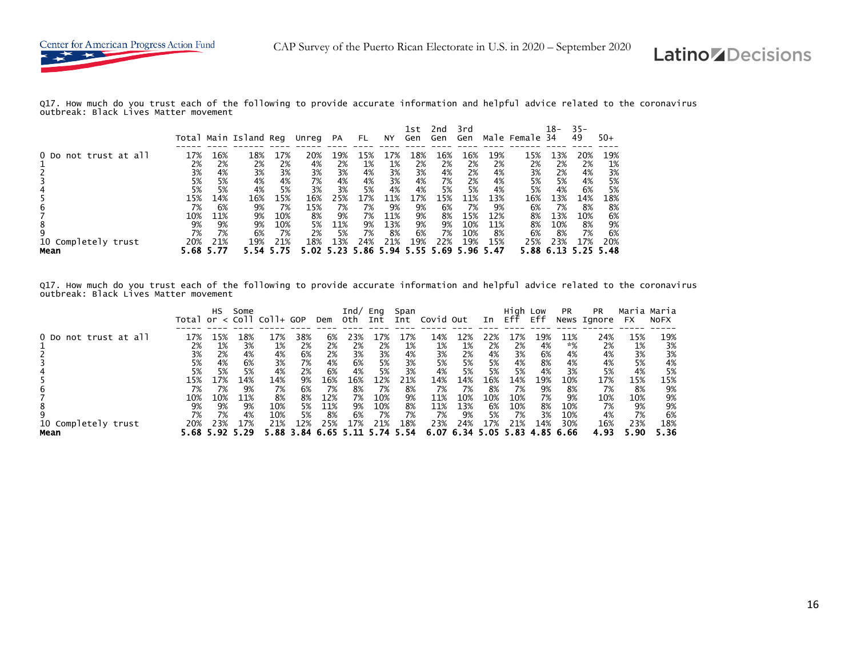

Q17. How much do you trust each of the following to provide accurate information and helpful advice related to the coronavirus outbreak: Black Lives Matter movement

|                             |             |             | Total Main Island Reg |            | Unreg     | <b>PA</b> | FL.       | NY.         | 1st<br>Gen | 2nd<br>Gen  | 3rd<br>Gen |             | Male Female | 18-<br>-34 | $35 -$<br>49 | $50+$      |
|-----------------------------|-------------|-------------|-----------------------|------------|-----------|-----------|-----------|-------------|------------|-------------|------------|-------------|-------------|------------|--------------|------------|
| 0 Do not trust at all       | 17%         | 16%         | 18%                   | 17%        | 20%       | 19%       | 15%       | -7%         | 18%        | 16%         | 16%        | 19%         | 15%         | 13%        | 20%          | 19%        |
|                             | 2%<br>3%    | 2%<br>4%    | 2%<br>3%              | 2%<br>3%   | 4%<br>3%  | 2%<br>3%  | 1%<br>4%  | 1%<br>3%    | 2%<br>3%   | 2%<br>4%    | 2%<br>2%   | 2%<br>4%    | 2%<br>3%    | 2%<br>2%   | 2%<br>4%     | 1%<br>3%   |
|                             | 5%          | 5%          | 4%                    | 4%         | 7%        | 4%        | 4%        | 3%          | 4%         | 7%          | 2%         | 4%          | 5%          | 5%         | 4%           | 5%         |
|                             | 5%<br>15%   | 5%<br>14%   | 4%<br>16%             | 5%<br>15%  | 3%<br>16% | 3%<br>25% | 5%<br>17% | 4%<br>'.1%  | 4%<br>17%  | 5%<br>15%   | 5%<br>11%  | 4%<br>13%   | 5%<br>16%   | 4%<br>13%  | 6%<br>14%    | 5%<br>18%  |
| b                           | 7%          | 6%          | 9%                    | 7%         | 15%       | 7%<br>9%  | 7%        | 9%          | 9%         | 6%          | 7%         | 9%          | 6%          | 7%         | 8%           | 8%         |
| 8                           | 10%<br>9%   | 11%<br>9%   | 9%<br>9%              | 10%<br>10% | 8%<br>5%  | 11%       | 7%<br>9%  | 11%<br>13%  | 9%<br>9%   | 8%<br>9%    | 15%<br>10% | 12%<br>11%  | 8%<br>8%    | 13%<br>10% | 10%<br>8%    | 6%<br>9%   |
| 9                           | 7%          | 7%          | 6%                    | 7%         | 2%        | 5%<br>13% | 7%<br>24% | 8%          | 6%<br>19%  | 7%          | 10%        | 8%          | 6%<br>25%   | 8%<br>23%  | 7%           | 6%         |
| 10 Completely trust<br>Mean | 20%<br>5.68 | 21%<br>5.77 | 19%                   | 21%        | 18%       |           | .86       | 21%<br>5.94 | 5.55       | 22%<br>5.69 | 19%        | 15%<br>5.47 | 5.88        | 6.13       | 17%          | 20%<br>-48 |

Q17. How much do you trust each of the following to provide accurate information and helpful advice related to the coronavirus outbreak: Black Lives Matter movement

|                             |                                     | <b>HS</b>                                             | Some                                | Total or $\lt$ Coll Coll+ GOP                |                                   | Dem                                                    | Ind/<br>oth                        | Eng<br>Int                           | Span<br>Int                                     | Covid Out                                    |                                                        | In                                  | Hiah<br>Eff                          | Low<br>Eff                                 | <b>PR</b>                                    | <b>PR</b><br>News Ignore                    | Maria Maria<br><b>FX</b>                    | <b>NOFX</b>                                |
|-----------------------------|-------------------------------------|-------------------------------------------------------|-------------------------------------|----------------------------------------------|-----------------------------------|--------------------------------------------------------|------------------------------------|--------------------------------------|-------------------------------------------------|----------------------------------------------|--------------------------------------------------------|-------------------------------------|--------------------------------------|--------------------------------------------|----------------------------------------------|---------------------------------------------|---------------------------------------------|--------------------------------------------|
| 0 Do not trust at all       | 17%<br>2%<br>3%<br>5%<br>5%         | 15%<br>1%<br>2%<br>4%<br>5%                           | 18%<br>3%<br>4%<br>6%<br>5%         | 17%<br>1%<br>4%<br>3%<br>4%                  | 38%<br>2%<br>6%<br>7%<br>2%       | 6%<br>2%<br>2%<br>4%<br>6%                             | 23%<br>2%<br>3%<br>6%<br>4%        | 17%<br>2%<br>3%<br>5%<br>5%          | ⊥7%<br>1%<br>4%<br>3%<br>3%                     | 14%<br>1%<br>3%<br>5%<br>4%                  | L2%<br>1%<br>2%<br>5%<br>5%                            | 22%<br>2%<br>4%<br>5%<br>5%         | 17%<br>2%<br>3%<br>4%<br>5%          | 19%<br>4%<br>6%<br>8%<br>4%                | 11%<br>*%<br>4%<br>4%<br>3%                  | 24%<br>2%<br>4%<br>4%<br>5%                 | 15%<br>1%<br>3%<br>5%<br>4%                 | 19%<br>3%<br>3%<br>4%<br>5%                |
| 10 Completely trust<br>Mean | 15%<br>7%<br>10%<br>9%<br>7%<br>20% | 17%<br>7%<br>10%<br>9%<br>7%<br>23%<br>5.68 5.92 5.29 | 14%<br>9%<br>11%<br>9%<br>4%<br>17% | 14%<br>7%<br>8%<br>10%<br>10%<br>21%<br>5.88 | 9%<br>6%<br>8%<br>5%<br>5%<br>12% | 16%<br>7%<br>12%<br>11%<br>8%<br>25%<br>3.84 6.65 5.11 | 16%<br>8%<br>7%<br>9%<br>6%<br>17% | 12%<br>7%<br>10%<br>10%<br>7%<br>21% | 21%<br>8%<br>9%<br>8%<br>7%<br>18%<br>5.74 5.54 | 14%<br>7%<br>11%<br>11%<br>7%<br>23%<br>6.07 | 14%<br>7%<br>10%<br>13%<br>9%<br>24%<br>6.34 5.05 5.83 | 16%<br>8%<br>10%<br>6%<br>5%<br>17% | 14%<br>7%<br>10%<br>10%<br>7%<br>21% | 19%<br>9%<br>7%<br>8%<br>3%<br>14%<br>4.85 | 10%<br>8%<br>9%<br>10%<br>10%<br>30%<br>6.66 | 17%<br>7%<br>10%<br>7%<br>4%<br>16%<br>4.93 | 15%<br>8%<br>10%<br>9%<br>7%<br>23%<br>5.90 | 15%<br>9%<br>9%<br>9%<br>6%<br>18%<br>5.36 |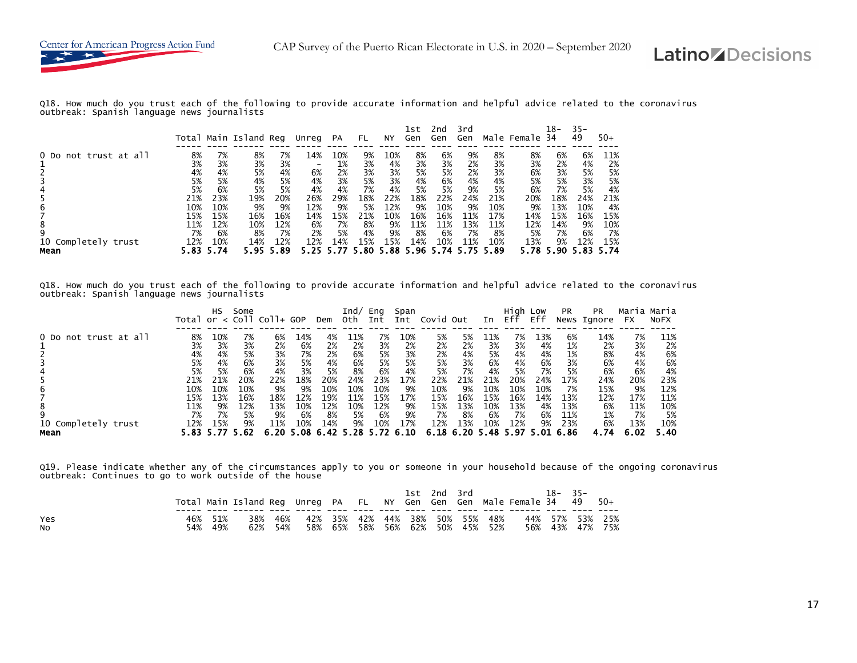

Q18. How much do you trust each of the following to provide accurate information and helpful advice related to the coronavirus outbreak: Spanish language news journalists

|                       |      |      | Total Main Island Reg |      | Unreg | <b>PA</b> | FL.  | NY.  | 1st<br>Gen | 2nd<br>Gen | 3rd<br>Gen |      | Male Female | 18-<br>-34 | $35 -$<br>49 | $50+$ |
|-----------------------|------|------|-----------------------|------|-------|-----------|------|------|------------|------------|------------|------|-------------|------------|--------------|-------|
| 0 Do not trust at all | 8%   | 7%   | 8%                    | 7%   | 14%   | 10%       | 9%   | 10%  | 8%         | 6%         | 9%         | 8%   | 8%          | 6%         | 6%           | 11%   |
|                       | 3%   | 3%   | 3%                    | 3%   |       | 1%        | 3%   | 4%   | 3%         | 3%         | 2%         | 3%   | 3%          | 2%         | 4%           | 2%    |
|                       | 4%   | 4%   | 5%                    | 4%   | 6%    | 2%        | 3%   | 3%   | 5%         | 5%         | 2%         | 3%   | 6%          | 3%         | 5%           | 5%    |
|                       | 5%   | 5%   | 4%                    | 5%   | 4%    | 3%        | 5%   | 3%   | 4%         | 6%         | 4%         | 4%   | 5%          | 5%         | 3%           | 5%    |
|                       | 5%   | 6%   | 5%                    | 5%   | 4%    | 4%        | 7%   | 4%   | 5%         | 5%         | 9%         | 5%   | 6%          | 7%         | 5%           | 4%    |
|                       | 21%  | 23%  | 19%                   | 20%  | 26%   | 29%       | 18%  | 22%  | 18%        | 22%        | 24%        | 21%  | 20%         | 18%        | 24%          | 21%   |
| b                     | 10%  | 10%  | 9%                    | 9%   | 12%   | 9%        | 5%   | 12%  | 9%         | 10%        | 9%         | 10%  | 9%          | 13%        | 10%          | 4%    |
|                       | 15%  | 15%  | 16%                   | 16%  | 14%   | 15%       | 21%  | 10%  | 16%        | 16%        | 11%        | 17%  | 14%         | 15%        | 16%          | 15%   |
| 8                     | 11%  | 12%  | 10%                   | 12%  | 6%    | 7%        | 8%   | 9%   | 11%        | 11%        | 13%        | 11%  | 12%         | 14%        | 9%           | 10%   |
| 9                     | 7%   | 6%   | 8%                    | 7%   | 2%    | 5%        | 4%   | 9%   | 8%         | 6%         | 7%         | 8%   | 5%          | 7%         | 6%           | 7%    |
| 10 Completely trust   | 12%  | 10%  | 14%                   | 12%  | 12%   | 14%       | 15%  | 15%  | 14%        | 10%        | 11%        | 10%  | 13%         | 9%         | 12%          | 15%   |
| Mean                  | 5.83 | 5.74 |                       | 5.89 |       |           | . 80 | 5.88 | 5.96       | 5.74       |            | 5.89 |             | 5.90       |              | - 74  |

Q18. How much do you trust each of the following to provide accurate information and helpful advice related to the coronavirus outbreak: Spanish language news journalists

|                       | Total or | HS        | Some | < Coll Coll+ GOP |     | Dem                           | Ind/<br>Oth | Eng<br>Int | Span<br>Int | Covid Out |                          | In  | High Low<br>Eff | Eff | <b>PR</b> | <b>PR</b><br>News Ignore | Maria Maria<br>FX | <b>NOFX</b> |
|-----------------------|----------|-----------|------|------------------|-----|-------------------------------|-------------|------------|-------------|-----------|--------------------------|-----|-----------------|-----|-----------|--------------------------|-------------------|-------------|
|                       |          |           |      |                  |     |                               |             |            |             |           |                          |     |                 |     |           |                          |                   |             |
| 0 Do not trust at all | 8%       | 10%       | 7%   | 6%               | 14% | 4%                            | 11%         | 7%         | 10%         | 5%        | 5%                       | 11% | 7%              | 13% | 6%        | 14%                      | 7%                | 11%         |
|                       | 3%       | 3%        | 3%   | 2%               | 6%  | 2%                            | 2%          | 3%         | 2%          | 2%        | 2%                       | 3%  | 3%              | 4%  | 1%        | 2%                       | 3%                | 2%          |
|                       | 4%       | 4%        | 5%   | 3%               | 7%  | 2%                            | 6%          | 5%         | 3%          | 2%        | 4%                       | 5%  | 4%              | 4%  | 1%        | 8%                       | 4%                | 6%          |
|                       | 5%       | 4%        | 6%   | 3%               | 5%  | 4%                            | 6%          | 5%         | 5%          | 5%        | 3%                       | 6%  | 4%              | 6%  | 3%        | 6%                       | 4%                | 6%          |
|                       | 5%       | 5%        | 6%   | 4%               | 3%  | 5%                            | 8%          | 6%         | 4%          | 5%        | 7%                       | 4%  | 5%              | 7%  | 5%        | 6%                       | 6%                | 4%          |
|                       | 21%      | 21%       | 20%  | 22%              | 18% | 20%                           | 24%         | 23%        | 17%         | 22%       | 21%                      | 21% | 20%             | 24% | 17%       | 24%                      | 20%               | 23%         |
| 6                     | 10%      | 10%       | 10%  | 9%               | 9%  | 10%                           | 10%         | 10%        | 9%          | 10%       | 9%                       | 10% | 10%             | 10% | 7%        | 15%                      | 9%                | 12%         |
|                       | 15%      | 13%       | 16%  | 18%              | 12% | 19%                           | 11%         | 15%        | 17%         | 15%       | 16%                      | 15% | 16%             | 14% | 13%       | 12%                      | 17%               | 11%         |
| 8                     | 11%      | 9%        | 12%  | 13%              | 10% | 12%                           | 10%         | 12%        | 9%          | 15%       | 13%                      | 10% | 13%             | 4%  | 13%       | 6%                       | 11%               | 10%         |
|                       | 7%       | 7%        | 5%   | 9%               | 6%  | 8%                            | 5%          | 6%         | 9%          | 7%        | 8%                       | 6%  | 7%              | 6%  | 11%       | 1%                       | 7%                | 5%          |
| 10 Completely trust   | 12%      | 15%       | 9%   | 11%              | 10% | 14%                           | 9%          | 10%        | 17%         | 12%       | 13%                      | 10% | 12%             | 9%  | 23%       | 6%                       | 13%               | 10%         |
| Mean                  |          | 5.83 5.77 | 5.62 |                  |     | 6.20 5.08 6.42 5.28 5.72 6.10 |             |            |             |           | 6.18 6.20 5.48 5.97 5.01 |     |                 |     | 6.86      | 4.74                     | 6.02              | 5.40        |

Q19. Please indicate whether any of the circumstances apply to you or someone in your household because of the ongoing coronavirus outbreak: Continues to go to work outside of the house

|           |     |                | Total Main Island Req Unreq PA FL NY Gen Gen Gen Male Female 34 49 50+ |                    |                                 |                                 |  | 1st 2nd 3rd |  | $18 - 35 -$ |                                    |  |
|-----------|-----|----------------|------------------------------------------------------------------------|--------------------|---------------------------------|---------------------------------|--|-------------|--|-------------|------------------------------------|--|
| Yes<br>NO | 54% | 46% 51%<br>49% |                                                                        | 38% 46%<br>62% 54% | 42% 35% 42% 44% 38% 50% 55% 48% | 58% 65% 58% 56% 62% 50% 45% 52% |  |             |  |             | 44% 57% 53% 25%<br>56% 43% 47% 75% |  |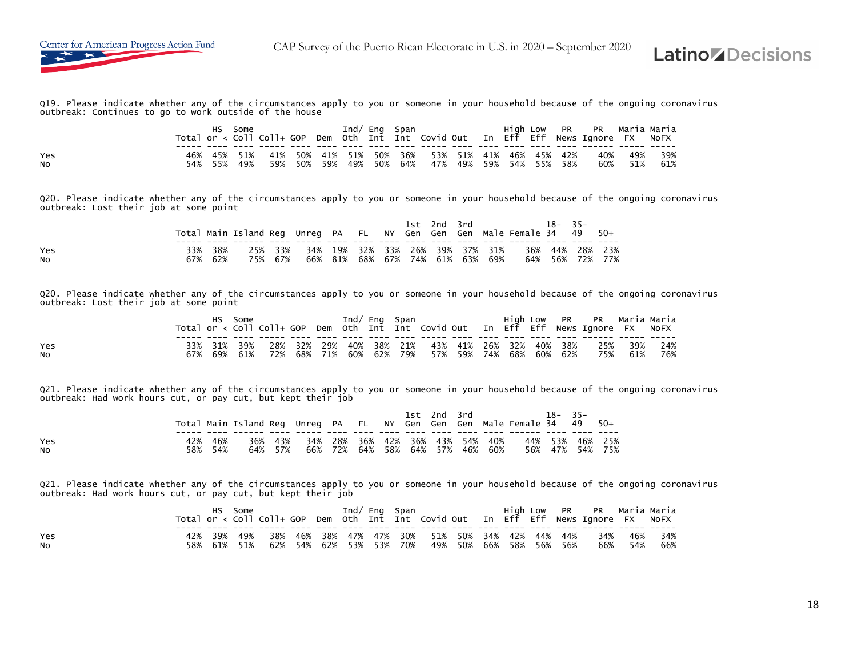



Q19. Please indicate whether any of the circumstances apply to you or someone in your household because of the ongoing coronavirus outbreak: Continues to go to work outside of the house

|           |            | HS. | Some           |         |  | Ind/ Eng Span |                                                                                            |  |  | High Low PR PR Maria Maria<br>Total or < Coll Coll+ GOP Dem Oth Int Int Covid Out In Eff Eff News Ignore FX NoFX |                    |
|-----------|------------|-----|----------------|---------|--|---------------|--------------------------------------------------------------------------------------------|--|--|------------------------------------------------------------------------------------------------------------------|--------------------|
| Yes<br>No | 46%<br>54% | 55% | 45% 51%<br>49% | 59% 50% |  |               | 41% 50% 41% 51% 50% 36% 53% 51% 41% 46% 45% 42%<br>59% 49% 50% 64% 47% 49% 59% 54% 55% 58% |  |  | 40%<br>60%                                                                                                       | 49% 39%<br>51% 61% |

Q20. Please indicate whether any of the circumstances apply to you or someone in your household because of the ongoing coronavirus outbreak: Lost their job at some point

|           |                |                    |  |  | 1st 2nd 3rd |                                                                    | Total Main Island Reg Unreg PA FL NY Gen Gen Gen Male Female 34 49 50+ | $18 - 35 -$     |                 |
|-----------|----------------|--------------------|--|--|-------------|--------------------------------------------------------------------|------------------------------------------------------------------------|-----------------|-----------------|
| Yes<br>NO | 38%<br>67% 62% | 25% 33%<br>75% 67% |  |  |             | 34% 19% 32% 33% 26% 39% 37% 31%<br>66% 81% 68% 67% 74% 61% 63% 69% |                                                                        | 64% 56% 72% 77% | 36% 44% 28% 23% |

Q20. Please indicate whether any of the circumstances apply to you or someone in your household because of the ongoing coronavirus outbreak: Lost their job at some point

|           |     | HS. | Some |                                                         |  | Ind/ Eng Span |  |  |  | High Low PR PR Maria Maria                                                         |         |     |
|-----------|-----|-----|------|---------------------------------------------------------|--|---------------|--|--|--|------------------------------------------------------------------------------------|---------|-----|
|           |     |     |      |                                                         |  |               |  |  |  | Total or < Coll Coll+ GOP Dem Oth Int Int Covid Out In Eff Eff News Ignore FX NoFX |         |     |
|           |     |     |      |                                                         |  |               |  |  |  |                                                                                    |         |     |
| Yes       |     |     |      |                                                         |  |               |  |  |  | 33% 31% 39% 28% 32% 29% 40% 38% 21% 43% 41% 26% 32% 40% 38% 25% 39% 24%            |         |     |
| <b>NO</b> | 67% |     |      | 69% 61% 72% 68% 71% 60% 62% 79% 57% 59% 74% 68% 60% 62% |  |               |  |  |  |                                                                                    | 75% 61% | 76% |

Q21. Please indicate whether any of the circumstances apply to you or someone in your household because of the ongoing coronavirus outbreak: Had work hours cut, or pay cut, but kept their job

|                  |     |             | Total Main Island Req Unreq PA FL NY Gen Gen Gen Male Female 34 49 50+ |                |         |                                                            |  | 1st 2nd 3rd |  | $18-$ | $35 -$ |                                    |
|------------------|-----|-------------|------------------------------------------------------------------------|----------------|---------|------------------------------------------------------------|--|-------------|--|-------|--------|------------------------------------|
| Yes<br><b>NO</b> | 58% | 46%<br>-54% | 36%                                                                    | 43%<br>64% 57% | 66% 72% | 34% 28% 36% 42% 36% 43% 54% 40%<br>64% 58% 64% 57% 46% 60% |  |             |  |       |        | 44% 53% 46% 25%<br>56% 47% 54% 75% |

Q21. Please indicate whether any of the circumstances apply to you or someone in your household because of the ongoing coronavirus outbreak: Had work hours cut, or pay cut, but kept their job

|           |     |         | Some |     |  |  | Ind/ Eng Span           |                                             |  |  | High Low PR PR Maria-Maria                                                         |     |         |
|-----------|-----|---------|------|-----|--|--|-------------------------|---------------------------------------------|--|--|------------------------------------------------------------------------------------|-----|---------|
|           |     |         |      |     |  |  |                         |                                             |  |  | Total or < Coll Coll+ GOP Dem oth Int Int Covid Out In Eff Eff News Ignore FX NOFX |     |         |
|           |     |         |      |     |  |  |                         |                                             |  |  |                                                                                    |     |         |
| Yes       |     | 39%     | 49%  | 38% |  |  |                         | 46% 38% 47% 47% 30% 51% 50% 34% 42% 44% 44% |  |  | 34%                                                                                |     | 46% 34% |
| <b>NO</b> | 58% | 61% 51% |      |     |  |  | 62% 54% 62% 53% 53% 70% | 49% 50% 66% 58% 56% 56%                     |  |  | 66%                                                                                | 54% | - 66%   |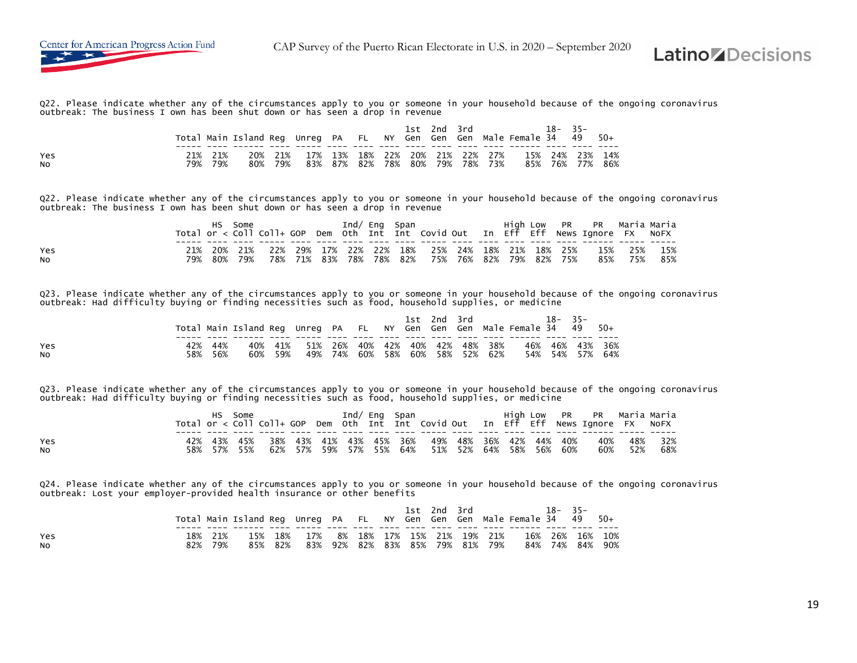

Q22. Please indicate whether any of the circumstances apply to you or someone in your household because of the ongoing coronavirus outbreak: The business I own has been shut down or has seen a drop in revenue

|                       |                    | Total Main Island Req Unreq PA FL NY Gen Gen Gen Male Female 34 49 50+ |                                         |  |  | 1st 2nd 3rd |  |                                                         | 18-35- |                 |  |
|-----------------------|--------------------|------------------------------------------------------------------------|-----------------------------------------|--|--|-------------|--|---------------------------------------------------------|--------|-----------------|--|
| Yes<br>N <sub>O</sub> | 21% 21%<br>79% 79% |                                                                        | 80% 79% 83% 87% 82% 78% 80% 79% 78% 73% |  |  |             |  | 20% 21% 17% 13% 18% 22% 20% 21% 22% 27% 15% 24% 23% 14% |        | 85% 76% 77% 86% |  |

Q22. Please indicate whether any of the circumstances apply to you or someone in your household because of the ongoing coronavirus outbreak: The business I own has been shut down or has seen a drop in revenue

|           |     |     | Some |     |     |                 | Ind/ Eng Span |                                                 |         |     |         | High Low PR PR Maria-Maria<br>Total or < Coll Coll+ GOP Dem Oth Int Int Covid Out In Eff Eff News Ignore FX NoFX |     |     |
|-----------|-----|-----|------|-----|-----|-----------------|---------------|-------------------------------------------------|---------|-----|---------|------------------------------------------------------------------------------------------------------------------|-----|-----|
|           |     |     |      |     |     |                 |               |                                                 |         |     |         |                                                                                                                  |     |     |
| Yes       |     | 20% | 21%  |     |     |                 |               | 22% 29% 17% 22% 22% 18% 25% 24% 18% 21% 18% 25% |         |     |         | 15%                                                                                                              | 25% | 15% |
| <b>NO</b> | 79% | 80% | 79%  | 78% | 71% | 83% 78% 78% 82% |               | 75%                                             | 76% 82% | 79% | 82% 75% | 85%                                                                                                              | 75% | 85% |

Q23. Please indicate whether any of the circumstances apply to you or someone in your household because of the ongoing coronavirus<br>outbreak: Had difficulty buying or finding necessities such as food, household supplies, or

|           |         |                                                                        |         |                                         |  |  | 1st 2nd 3rd |                                 | 18–35– |                 |  |
|-----------|---------|------------------------------------------------------------------------|---------|-----------------------------------------|--|--|-------------|---------------------------------|--------|-----------------|--|
|           |         | Total Main Island Reg Unreg PA FL NY Gen Gen Gen Male Female 34 49 50+ |         |                                         |  |  |             |                                 |        |                 |  |
|           |         |                                                                        |         |                                         |  |  |             |                                 |        |                 |  |
| Yes       | 44%     |                                                                        |         | 40% 41% 51% 26% 40% 42% 40% 42% 48% 38% |  |  |             |                                 |        | 46% 46% 43% 36% |  |
| <b>NO</b> | 58% 56% |                                                                        | 60% 59% |                                         |  |  |             | 49% 74% 60% 58% 60% 58% 52% 62% |        | 54% 54% 57% 64% |  |

Q23. Please indicate whether any of the circumstances apply to you or someone in your household because of the ongoing coronavirus outbreak: Had difficulty buying or finding necessities such as food, household supplies, or medicine

|           | HS. | Some |  | Ind/ Eng Span |  |                                                             |  |  | High Low PR PR Maria Maria<br>Total or < Coll Coll+ GOP Dem Oth Int Int Covid Out In Eff Eff News Ignore FX NoFX |         |             |
|-----------|-----|------|--|---------------|--|-------------------------------------------------------------|--|--|------------------------------------------------------------------------------------------------------------------|---------|-------------|
|           |     |      |  |               |  |                                                             |  |  |                                                                                                                  |         |             |
| Yes       |     |      |  |               |  | 42% 43% 45% 38% 43% 41% 43% 45% 36% 49% 48% 36% 42% 44% 40% |  |  |                                                                                                                  |         | 40% 48% 32% |
| <b>NO</b> |     |      |  |               |  | 58% 57% 55% 62% 57% 59% 57% 55% 64% 51% 52% 64% 58% 56% 60% |  |  |                                                                                                                  | 60% 52% | 68%         |

Q24. Please indicate whether any of the circumstances apply to you or someone in your household because of the ongoing coronavirus outbreak: Lost your employer-provided health insurance or other benefits

|                  |            |            | Total Main Island Req Unreq PA FL NY Gen Gen Gen Male Female 34 49 50+ |         |                                    |                             |  | 1st 2nd 3rd |     | $18 - 35 -$ |                                    |  |
|------------------|------------|------------|------------------------------------------------------------------------|---------|------------------------------------|-----------------------------|--|-------------|-----|-------------|------------------------------------|--|
| Yes<br><b>NO</b> | 18%<br>82% | 21%<br>79% | 15%                                                                    | 85% 82% | 18% 17% 8% 18% 17% 15% 21% 19% 21% | 83% 92% 82% 83% 85% 79% 81% |  |             | 79% |             | 16% 26% 16% 10%<br>84% 74% 84% 90% |  |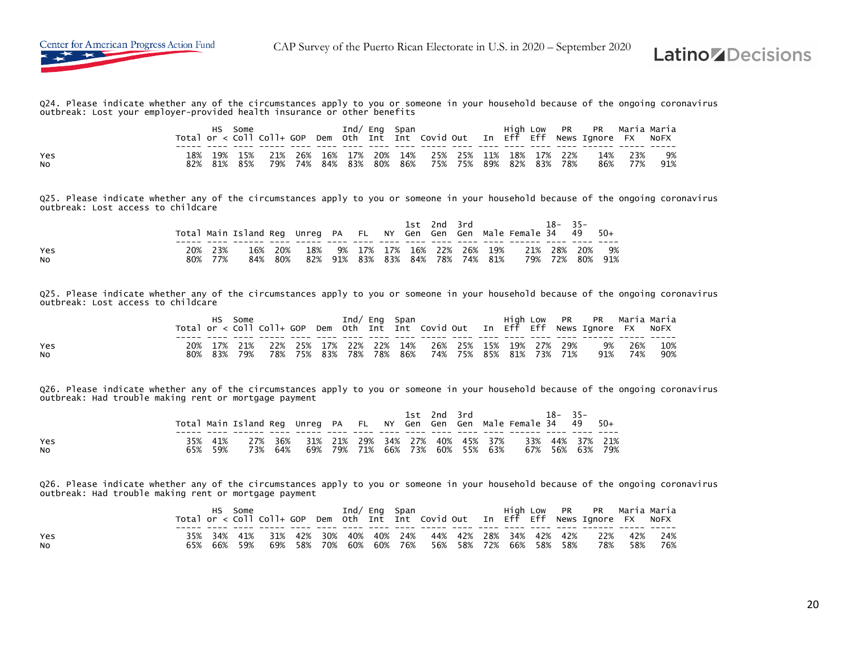

Q24. Please indicate whether any of the circumstances apply to you or someone in your household because of the ongoing coronavirus outbreak: Lost your employer-provided health insurance or other benefits

|           |               | нs         | Some       |            |            | Ind/ Ena           |       | Span    |                                                    |  | High Low | <b>PR</b> | PR – Maria Maria<br>Total or < Coll Coll+ GOP Dem Oth Int Int Covid Out In Eff Eff News Ignore FX |            | NOFX      |
|-----------|---------------|------------|------------|------------|------------|--------------------|-------|---------|----------------------------------------------------|--|----------|-----------|---------------------------------------------------------------------------------------------------|------------|-----------|
| Yes<br>No | $18\%$<br>82% | 19%<br>81% | 15%<br>85% | 21%<br>79% | 26%<br>74% | 16% 17%<br>84% 83% | - 20% | 80% 86% | 14% 25% 25% 11% 18% 17% 22%<br>75% 75% 89% 82% 83% |  |          | 78%       | 14%<br>86%                                                                                        | 23%<br>77% | 9%<br>91% |

Q25. Please indicate whether any of the circumstances apply to you or someone in your household because of the ongoing coronavirus outbreak: Lost access to childcare

|           |     |            | Total Main Island Reg Unreg PA FL NY Gen Gen Gen Male Female 34 49 50+ |             |            |  |  | 1st 2nd 3rd         |                                       | $18 - 35 -$                |           |
|-----------|-----|------------|------------------------------------------------------------------------|-------------|------------|--|--|---------------------|---------------------------------------|----------------------------|-----------|
| Yes<br>No | 80% | 23%<br>77% | 16%<br>84%                                                             | -20%<br>80% | 18%<br>82% |  |  | 91% 83% 83% 84% 78% | 9% 17% 17% 16% 22% 26% 19%<br>74% 81% | 21% 28% 20%<br>79% 72% 80% | 9%<br>91% |

Q25. Please indicate whether any of the circumstances apply to you or someone in your household because of the ongoing coronavirus outbreak: Lost access to childcare

|     |             | Some |                                                             |  |  | Ind/ Eng Span       |                         |  |  | High Low PR PR Maria-Maria                                                         |        |     |
|-----|-------------|------|-------------------------------------------------------------|--|--|---------------------|-------------------------|--|--|------------------------------------------------------------------------------------|--------|-----|
|     |             |      |                                                             |  |  |                     |                         |  |  | Total or < Coll Coll+ GOP Dem Oth Int Int Covid Out In Eff Eff News Ignore FX NoFX |        |     |
|     |             |      |                                                             |  |  |                     |                         |  |  |                                                                                    |        |     |
| Yes |             |      | 20% 17% 21% 22% 25% 17% 22% 22% 14% 26% 25% 15% 19% 27% 29% |  |  |                     |                         |  |  |                                                                                    | 9% 26% | 10% |
| NO. | 80% 83% 79% |      | 78%                                                         |  |  | 75% 83% 78% 78% 86% | 74% 75% 85% 81% 73% 71% |  |  | 91%                                                                                | 74%    | 90% |

Q26. Please indicate whether any of the circumstances apply to you or someone in your household because of the ongoing coronavirus outbreak: Had trouble making rent or mortgage payment

|                  |                    | Total Main Island Req Unreq PA FL NY Gen Gen Gen Male Female 34 49 50+ |                                         |  |  | 1st 2nd 3rd |  |                                                         | $18 - 35 -$ |                 |
|------------------|--------------------|------------------------------------------------------------------------|-----------------------------------------|--|--|-------------|--|---------------------------------------------------------|-------------|-----------------|
| Yes<br><b>NO</b> | 35% 41%<br>65% 59% |                                                                        | 73% 64% 69% 79% 71% 66% 73% 60% 55% 63% |  |  |             |  | 27% 36% 31% 21% 29% 34% 27% 40% 45% 37% 33% 44% 37% 21% |             | 67% 56% 63% 79% |

Q26. Please indicate whether any of the circumstances apply to you or someone in your household because of the ongoing coronavirus outbreak: Had trouble making rent or mortgage payment

|           |     | нs      | Some    |  |                 |  | Ind/ Eng Span |                                                 |  |  | High Low PR PR Maria Maria<br>Total or < Coll Coll+ GOP Dem Oth Int Int Covid Out In Eff Eff News Ignore FX NoFX |             |     |
|-----------|-----|---------|---------|--|-----------------|--|---------------|-------------------------------------------------|--|--|------------------------------------------------------------------------------------------------------------------|-------------|-----|
| Yes       |     |         | 34% 41% |  |                 |  |               | 31% 42% 30% 40% 40% 24% 44% 42% 28% 34% 42% 42% |  |  |                                                                                                                  | 22% 42% 24% |     |
| <b>NO</b> | 65% | 66% 59% |         |  | 69% 58% 70% 60% |  |               | 60% 76% 56% 58% 72% 66% 58% 58%                 |  |  | 78%                                                                                                              | 58%         | 76% |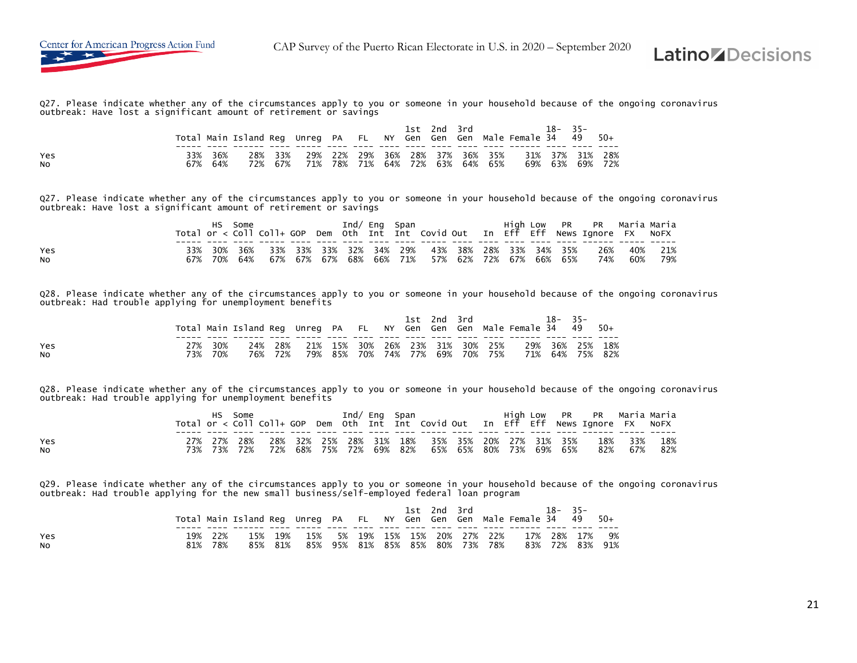

Q27. Please indicate whether any of the circumstances apply to you or someone in your household because of the ongoing coronavirus outbreak: Have lost a significant amount of retirement or savings

|                       |            |              | Total Main Island Req Unreq PA FL NY Gen Gen Gen Male Female 34 49 50+ |                |  |                                                                    |  | 1st 2nd 3rd |  |                 | $18 - 35 -$ |                 |  |
|-----------------------|------------|--------------|------------------------------------------------------------------------|----------------|--|--------------------------------------------------------------------|--|-------------|--|-----------------|-------------|-----------------|--|
| Yes<br>N <sub>O</sub> | 33%<br>67% | - 36%<br>64% | 72%                                                                    | 28% 33%<br>67% |  | 29% 22% 29% 36% 28% 37% 36% 35%<br>71% 78% 71% 64% 72% 63% 64% 65% |  |             |  | 31% 37% 31% 28% |             | 69% 63% 69% 72% |  |

Q27. Please indicate whether any of the circumstances apply to you or someone in your household because of the ongoing coronavirus outbreak: Have lost a significant amount of retirement or savings

|           |     | Some    |  |                 | Ind/ Eng Span |                                                     |  |  | High Low PR PR Maria-Maria<br>Total or < Coll Coll+ GOP Dem Oth Int Int Covid Out In Eff Eff News Ignore FX NoFX |     |     |
|-----------|-----|---------|--|-----------------|---------------|-----------------------------------------------------|--|--|------------------------------------------------------------------------------------------------------------------|-----|-----|
| Yes       | 30% |         |  |                 |               | 36% 33% 33% 33% 32% 34% 29% 43% 38% 28% 33% 34% 35% |  |  | 26%                                                                                                              | 40% | 21% |
| <b>NO</b> |     | 70% 64% |  | 67% 67% 67% 68% |               | 66% 71% 57% 62% 72% 67% 66% 65%                     |  |  | 74%                                                                                                              | 60% | 79% |

Q28. Please indicate whether any of the circumstances apply to you or someone in your household because of the ongoing coronavirus outbreak: Had trouble applying for unemployment benefits

|           |     |     |                                                                        |         |                                         |  |  | 1st 2nd 3rd             |         | $18 - 35 -$ |                 |
|-----------|-----|-----|------------------------------------------------------------------------|---------|-----------------------------------------|--|--|-------------------------|---------|-------------|-----------------|
|           |     |     | Total Main Island Req Unreq PA FL NY Gen Gen Gen Male Female 34 49 50+ |         |                                         |  |  |                         |         |             |                 |
|           |     |     |                                                                        |         |                                         |  |  |                         |         |             |                 |
| Yes       |     | 30% |                                                                        |         | 24% 28% 21% 15% 30% 26% 23% 31% 30% 25% |  |  |                         |         |             | 29% 36% 25% 18% |
| <b>NO</b> | 73% | 70% |                                                                        | 76% 72% |                                         |  |  | 79% 85% 70% 74% 77% 69% | 70% 75% |             | 71% 64% 75% 82% |

Q28. Please indicate whether any of the circumstances apply to you or someone in your household because of the ongoing coronavirus outbreak: Had trouble applying for unemployment benefits

|           |  | Some |  |  | Ind/ Eng Span |                                                             |  |  | High Low PR PR Maria Maria<br>Total or < Coll Coll+ GOP Dem Oth Int Int Covid Out In Eff Eff News Ignore FX NoFX |     |       |
|-----------|--|------|--|--|---------------|-------------------------------------------------------------|--|--|------------------------------------------------------------------------------------------------------------------|-----|-------|
| Yes       |  |      |  |  |               |                                                             |  |  | 27% 27% 28% 28% 32% 25% 28% 31% 18% 35% 35% 20% 27% 31% 35% 18% 33%                                              |     | 18%   |
| <b>NO</b> |  |      |  |  |               | 73% 73% 72% 72% 68% 75% 72% 69% 82% 65% 65% 80% 73% 69% 65% |  |  | 82%                                                                                                              | 67% | - 82% |

Q29. Please indicate whether any of the circumstances apply to you or someone in your household because of the ongoing coronavirus outbreak: Had trouble applying for the new small business/self-employed federal loan program

|            |     |             | Total Main Island Reg Unreg PA FL NY Gen Gen Gen Male Female 34 49 50+ |                |     |  |  | 1st 2nd 3rd |                                                               | $18 - 35 -$ |                                   |  |
|------------|-----|-------------|------------------------------------------------------------------------|----------------|-----|--|--|-------------|---------------------------------------------------------------|-------------|-----------------------------------|--|
| Yes<br>NO. | 81% | -22%<br>78% | 15%                                                                    | 19%<br>85% 81% | 85% |  |  |             | 15% 5% 19% 15% 15% 20% 27% 22%<br>95% 81% 85% 85% 80% 73% 78% |             | 17% 28% 17% 9%<br>83% 72% 83% 91% |  |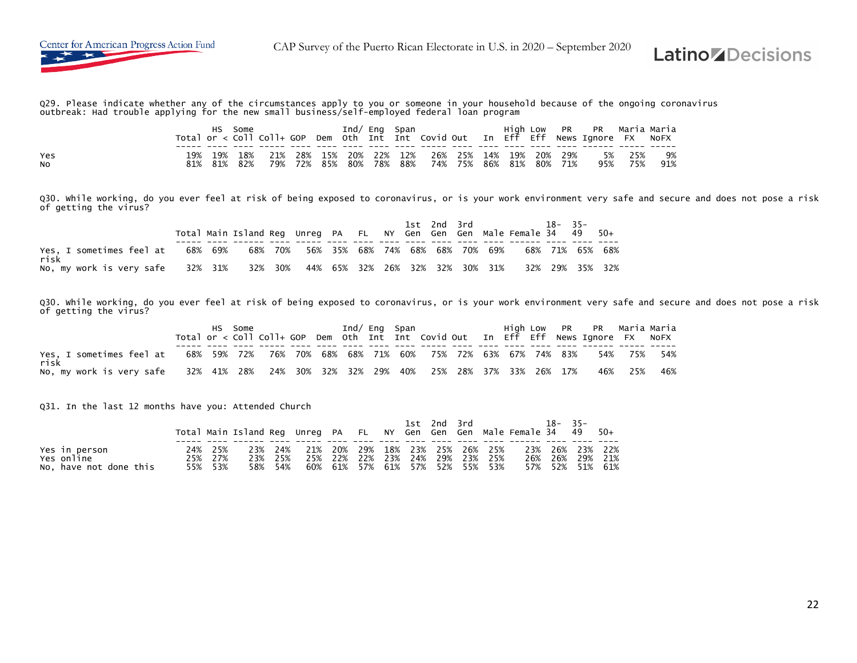



Q29. Please indicate whether any of the circumstances apply to you or someone in your household because of the ongoing coronavirus<br>outbreak: Had trouble applying for the new small business/self-employed federal loan progra

|           |            | нs         | Some       |            |     |     | Ind/ Ena               |     | Span       |                                            |  | High Low | <b>PR</b> | PR – Maria Maria<br>Total or < Coll Coll+ GOP Dem Oth Int Int Covid Out In Eff Eff News Ignore FX |            | NOFX      |
|-----------|------------|------------|------------|------------|-----|-----|------------------------|-----|------------|--------------------------------------------|--|----------|-----------|---------------------------------------------------------------------------------------------------|------------|-----------|
| Yes<br>No | 19%<br>81% | 19%<br>81% | 18%<br>82% | 21%<br>79% | 72% | 85% | 28% 15% 20% 22%<br>80% | 78% | 12%<br>88% | 26% 25% 14% 19% 20% 29%<br>74% 75% 86% 81% |  |          | 80% 71%   | 5%<br>95%                                                                                         | 25%<br>75% | 9%<br>91% |

Q30. While working, do you ever feel at risk of being exposed to coronavirus, or is your work environment very safe and secure and does not pose a risk of getting the virus?

|                                                                                          |  | Total Main Island Reg Unreg PA FL NY Gen Gen Gen Male Female 34 49 50+ |  |  |  |  | 1st 2nd 3rd 18-35- |  |  |
|------------------------------------------------------------------------------------------|--|------------------------------------------------------------------------|--|--|--|--|--------------------|--|--|
| Yes, I sometimes feel at 68% 69% 68% 70% 56% 35% 68% 74% 68% 68% 70% 69%<br>risk         |  |                                                                        |  |  |  |  | 68% 71% 65% 68%    |  |  |
| No. my work is very safe 32% 31% 32% 30% 44% 65% 32% 26% 32% 32% 30% 31% 32% 29% 35% 32% |  |                                                                        |  |  |  |  |                    |  |  |

Q30. While working, do you ever feel at risk of being exposed to coronavirus, or is your work environment very safe and secure and does not pose a risk of getting the virus?

| Yes, I sometimes feel at 68% 59% 72% 76% 70% 68% 68% 71% 60% 75% 72% 63% 67% 74% 83% 54% 75% 54%<br>risk |  |  |  |  |  |  |  |  |  |
|----------------------------------------------------------------------------------------------------------|--|--|--|--|--|--|--|--|--|
| No, my work is very safe 32% 41% 28% 24% 30% 32% 32% 29% 40% 25% 28% 37% 33% 26% 17% 46% 25% 46%         |  |  |  |  |  |  |  |  |  |

Q31. In the last 12 months have you: Attended Church

|                        |         |         |                                 |  | 1st 2nd 3rd |  | Total Main Island Reg Unreg PA FL NY Gen Gen Gen Male Female 34 49 50+ | $18 - 35 -$     |  |
|------------------------|---------|---------|---------------------------------|--|-------------|--|------------------------------------------------------------------------|-----------------|--|
|                        |         |         |                                 |  |             |  |                                                                        |                 |  |
| Yes in person          | 24% 25% | 23% 24% | 21% 20% 29% 18% 23% 25% 26% 25% |  |             |  |                                                                        | 23% 26% 23% 22% |  |
| Yes online             | 25% 27% | 23% 25% | 25% 22% 22% 23% 24% 29% 23% 25% |  |             |  |                                                                        | 26% 26% 29% 21% |  |
| No, have not done this | 55% 53% | 58% 54% | 60% 61% 57% 61% 57% 52% 55% 53% |  |             |  |                                                                        | 57% 52% 51% 61% |  |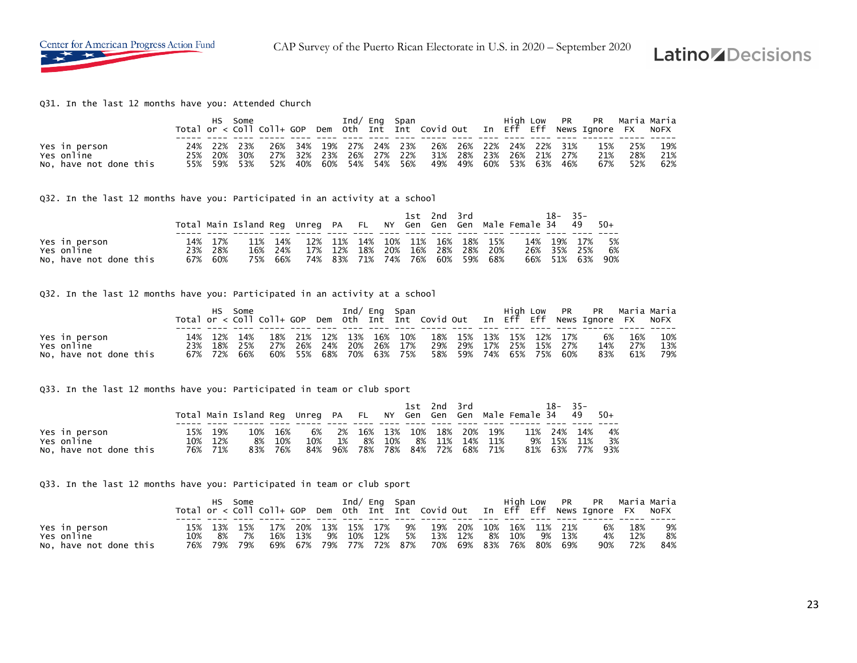

#### Q31. In the last 12 months have you: Attended Church

|                                                       |     |                            | HS Some |     |  | Ind/ Eng Span |  |                                                                                                                                                   |  |  | High Low PR PR Maria-Maria<br>Total or < Coll Coll+ GOP Dem Oth Int Int Covid Out In Eff Eff News Ignore FX NoFX |                           |                   |
|-------------------------------------------------------|-----|----------------------------|---------|-----|--|---------------|--|---------------------------------------------------------------------------------------------------------------------------------------------------|--|--|------------------------------------------------------------------------------------------------------------------|---------------------------|-------------------|
| Yes in person<br>Yes online<br>No, have not done this | 25% | 24% 22% 23%<br>55% 59% 53% | 20% 30% | 52% |  |               |  | 26% 34% 19% 27% 24% 23% 26% 26% 22% 24% 22% 31%<br>27% 32% 23% 26% 27% 22% 31% 28% 23% 26% 21% 27%<br>40% 60% 54% 54% 56% 49% 49% 60% 53% 63% 46% |  |  | 21%                                                                                                              | 15% 25%<br>28%<br>67% 52% | 19%<br>21%<br>62% |

#### Q32. In the last 12 months have you: Participated in an activity at a school

|                        |         |         |         |     |  | 1st 2nd 3rd |                                 | Total Main Island Req Unreq PA FL NY Gen Gen Gen Male Female 34 49 50+ | $18 - 35 -$ |      |
|------------------------|---------|---------|---------|-----|--|-------------|---------------------------------|------------------------------------------------------------------------|-------------|------|
| Yes in person          | 14% 17% | 11% 14% |         |     |  |             | 12% 11% 14% 10% 11% 16% 18% 15% |                                                                        | 14% 19% 17% | - 5% |
| Yes online             | 23% 28% | 16% 24% | 17% 12% | 18% |  |             | 20% 16% 28% 28% 20%             |                                                                        | 26% 35% 25% | 6%   |
| No, have not done this | 67% 60% | 75% 66% |         |     |  |             | 74% 83% 71% 74% 76% 60% 59% 68% |                                                                        | 66% 51% 63% | 90%  |

#### Q32. In the last 12 months have you: Participated in an activity at a school

|                             | HS. | Some        |                                                             |  |  | Ind/ Eng Span |                                                 |  |  | High Low PR PR Maria-Maria<br>Total or < Coll Coll+ GOP Dem Oth Int Int Covid Out In Eff Eff News Ignore FX NoFX |         |     |
|-----------------------------|-----|-------------|-------------------------------------------------------------|--|--|---------------|-------------------------------------------------|--|--|------------------------------------------------------------------------------------------------------------------|---------|-----|
|                             |     |             |                                                             |  |  |               |                                                 |  |  |                                                                                                                  |         |     |
| Yes in person<br>Yes online |     | 14% 12% 14% |                                                             |  |  |               | 18% 21% 12% 13% 16% 10% 18% 15% 13% 15% 12% 17% |  |  |                                                                                                                  | 6% 16%  | 10% |
|                             |     |             | 23% 18% 25% 27% 26% 24% 20% 26% 17% 29% 29% 17% 25% 15% 27% |  |  |               |                                                 |  |  |                                                                                                                  | 14% 27% | 13% |
| No, have not done this      |     | 67% 72% 66% |                                                             |  |  |               | 60% 55% 68% 70% 63% 75% 58% 59% 74% 65% 75% 60% |  |  |                                                                                                                  | 83% 61% | 79% |

Q33. In the last 12 months have you: Participated in team or club sport

|                        |     |         | Total Main Island Reg Unreg PA FL NY Gen Gen Gen Male Female 34 49 50+ |         |     |    |             |     |    | 1st 2nd 3rd |                 | 18-     | $35-$      |                 |
|------------------------|-----|---------|------------------------------------------------------------------------|---------|-----|----|-------------|-----|----|-------------|-----------------|---------|------------|-----------------|
|                        |     |         |                                                                        |         |     |    |             |     |    |             |                 |         |            |                 |
| Yes in person          | 15% | 19%     | 10%                                                                    | 16%     | 6%  |    | 2% 16% 13%  |     |    | 10% 18% 20% | 19%             | 11% 24% | 14%        | 4%              |
| Yes online             |     | 10% 12% | 8%                                                                     | 10%     | 10% | 1% | 8%          | 10% | 8% | 11%         | 14% 11%         |         | 9% 15% 11% | 3%              |
| No, have not done this |     | 76% 71% |                                                                        | 83% 76% | 84% |    | 96% 78% 78% |     |    |             | 84% 72% 68% 71% |         |            | 81% 63% 77% 93% |

Q33. In the last 12 months have you: Participated in team or club sport

|                        |     |             | Some |     |     |    |  | Ind/ Eng Span           |                            |     |        |                 | High Low PR PR Maria Maria                                                         |     |     |
|------------------------|-----|-------------|------|-----|-----|----|--|-------------------------|----------------------------|-----|--------|-----------------|------------------------------------------------------------------------------------|-----|-----|
|                        |     |             |      |     |     |    |  |                         |                            |     |        |                 | Total or < Coll Coll+ GOP Dem Oth Int Int Covid Out In Eff Eff News Ignore FX NoFX |     |     |
|                        |     |             |      |     |     |    |  |                         |                            |     |        |                 |                                                                                    |     |     |
| Yes in person          |     | 15% 13%     | 15%  | 17% |     |    |  |                         | 20% 13% 15% 17% 9% 19% 20% |     |        | 10% 16% 11% 21% | 6%                                                                                 | 18% | 9%  |
| Yes online             | 10% | 8%          | - 7% | 16% | 13% | 9% |  | 10% 12% 5%              | 13%                        | 12% | 8% 10% | 9% 13%          | 4%                                                                                 | 12% | 8%  |
| No, have not done this |     | 76% 79% 79% |      |     |     |    |  | 69% 67% 79% 77% 72% 87% | 70% 69% 83% 76% 80% 69%    |     |        |                 | 90%                                                                                | 72% | 84% |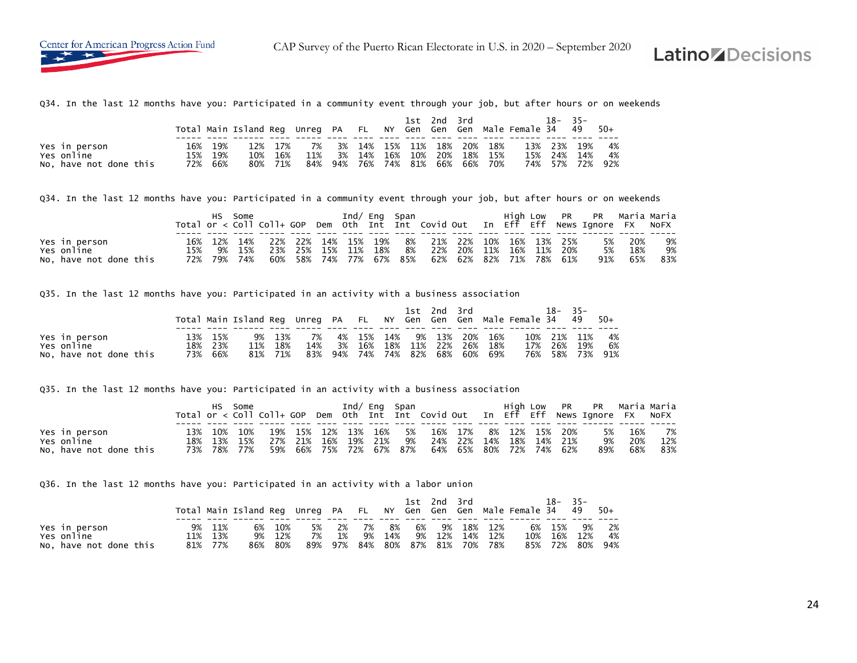

Q34. In the last 12 months have you: Participated in a community event through your job, but after hours or on weekends

|                        |     |         | Total Main Island Reg Unreg PA FL NY Gen Gen Gen Male Female 34 49 |         |     |     |                        |     |         | 1st 2nd 3rd |             |     | 18-         | $-35-$ | - 50+ |
|------------------------|-----|---------|--------------------------------------------------------------------|---------|-----|-----|------------------------|-----|---------|-------------|-------------|-----|-------------|--------|-------|
|                        |     |         |                                                                    |         |     |     |                        |     |         |             |             |     |             |        |       |
| Yes in person          | 16% | 19%     |                                                                    | 12% 17% | 7%  |     | 3% 14% 15% 11% 18% 20% |     |         |             | 18%         |     | 13% 23% 19% |        | 4%    |
| Yes online             | 15% | 19%     | 10%                                                                | 16%     | 11% | 3%  | 14%                    | 16% | 10%     | - 20%       | 18% 15%     | 15% | 24%         | 14%    | 4%    |
| No, have not done this |     | 72% 66% | 80%                                                                | 71%     | 84% | 94% | $76\%$                 |     | 74% 81% |             | 66% 66% 70% |     | 74% 57% 72% |        | 92%   |

Q34. In the last 12 months have you: Participated in a community event through your job, but after hours or on weekends

|                        |     | HS. | Some        |     |     |     |     | Ind/ Eng Span |    |                                                            |     |                 |  | High Low PR PR Maria Maria<br>Total or < Coll Coll+ GOP Dem Oth Int Int Covid Out In Eff Eff News Ignore FX NoFX |        |     |
|------------------------|-----|-----|-------------|-----|-----|-----|-----|---------------|----|------------------------------------------------------------|-----|-----------------|--|------------------------------------------------------------------------------------------------------------------|--------|-----|
| Yes in person          |     |     |             |     |     |     |     |               |    | 16% 12% 14% 22% 22% 14% 15% 19% 8% 21% 22% 10% 16% 13% 25% |     |                 |  |                                                                                                                  | 5% 20% | 9%  |
| Yes online             | 15% |     | 9% 15%      | 23% | 25% | 15% | 11% | 18%           | 8% | 22%                                                        | 20% | 11% 16% 11% 20% |  | 5%                                                                                                               | 18%    | 9%  |
| No, have not done this |     |     | 72% 79% 74% | 60% |     |     |     |               |    | 58% 74% 77% 67% 85% 62% 62% 82% 71% 78% 61%                |     |                 |  | 91%                                                                                                              | 65%    | 83% |

Q35. In the last 12 months have you: Participated in an activity with a business association

|                                      |                    |                    |                              |  |  | 1st 2nd 3rd |                                                                   | Total Main Island Req Unreq PA FL NY Gen Gen Gen Male Female 34 49 50+ | $18 - 35 -$                       |  |
|--------------------------------------|--------------------|--------------------|------------------------------|--|--|-------------|-------------------------------------------------------------------|------------------------------------------------------------------------|-----------------------------------|--|
| Yes in person                        | 13% 15%            | 9% 13%             | 7% 4% 15% 14% 9% 13% 20% 16% |  |  |             |                                                                   |                                                                        | 10% 21% 11% 4%                    |  |
| Yes online<br>No, have not done this | 18% 23%<br>73% 66% | 11% 18%<br>81% 71% |                              |  |  |             | 14% 3% 16% 18% 11% 22% 26% 18%<br>83% 94% 74% 74% 82% 68% 60% 69% |                                                                        | 17% 26% 19% 6%<br>76% 58% 73% 91% |  |

Q35. In the last 12 months have you: Participated in an activity with a business association

|                             |  | HS Some                    |     |  | Ind/ Eng Span |  |                                                                                       |  |  |         | High Low PR PR Maria-Maria<br>Total or < Coll Coll+ GOP Dem Oth Int Int Covid Out In Eff Eff News Ignore FX NoFX |              |           |
|-----------------------------|--|----------------------------|-----|--|---------------|--|---------------------------------------------------------------------------------------|--|--|---------|------------------------------------------------------------------------------------------------------------------|--------------|-----------|
| Yes in person<br>Yes online |  | 13% 10% 10%<br>18% 13% 15% | 19% |  |               |  | , 15% 12% 13% 16% 5% 16% 17% 8% 12% 15% 20%<br>27% 21% 16% 19% 21% 9% 24% 22% 14% 18% |  |  | 14% 21% | 5%<br>9%                                                                                                         | 16%<br>- 20% | 7%<br>12% |
| No, have not done this      |  | 73% 78% 77%                |     |  |               |  | 59% 66% 75% 72% 67% 87% 64% 65% 80% 72% 74% 62%                                       |  |  |         | 89%                                                                                                              | 68%          | 83%       |

Q36. In the last 12 months have you: Participated in an activity with a labor union

|                        |         |    |         |    |    |          |     |    | 1st 2nd 3rd |                                 | Total Main Island Req Unreq PA FL NY Gen Gen Gen Male Female 34 49 50+ | 18–         | $-35-$ |       |
|------------------------|---------|----|---------|----|----|----------|-----|----|-------------|---------------------------------|------------------------------------------------------------------------|-------------|--------|-------|
| Yes in person          | 9% 11%  | 6% | 10%     | 5% |    | 2% 7% 8% |     | 6% |             | 9% 18% 12%                      |                                                                        | 6% 15%      |        | 9% 2% |
| Yes online             | 11% 13% |    | 9% 12%  | 7% | 1% | 9%       | 14% |    |             | 9% 12% 14% 12%                  |                                                                        | 10% 16% 12% |        | 4%    |
| No, have not done this | 81% 77% |    | 86% 80% |    |    |          |     |    |             | 89% 97% 84% 80% 87% 81% 70% 78% |                                                                        | 85% 72% 80% |        | 94%   |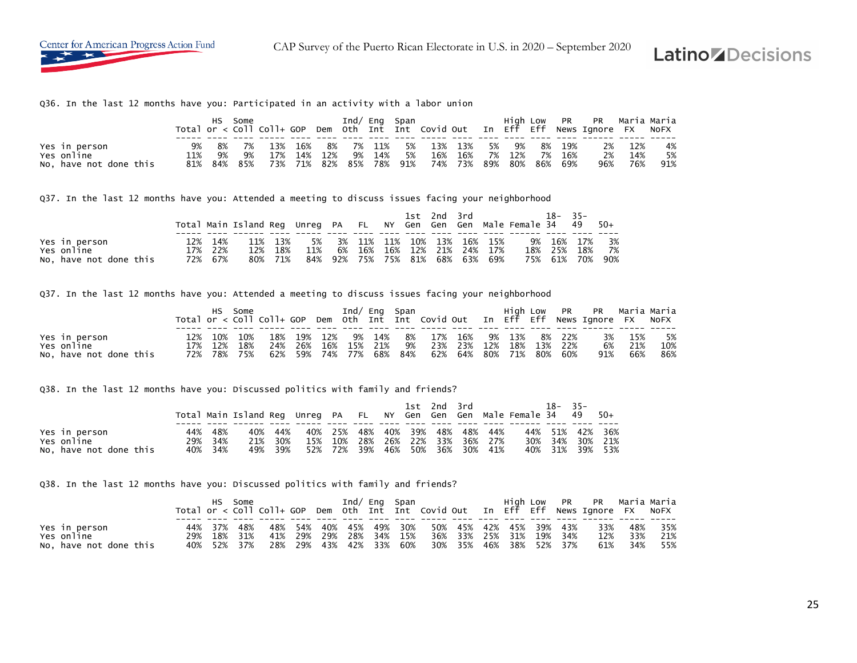

CAP Survey of the Puerto Rican Electorate in U.S. in 2020 – September 2020

### **Latino** *Z* Decisions

Q36. In the last 12 months have you: Participated in an activity with a labor union

|                        |     |             | Some |     |     |               |      |         | Ind/ Eng Span |         |     |       |       |        | High Low PR PR Maria Maria<br>Total or < Coll Coll+ GOP Dem Oth Int Int Covid Out In Eff Eff News Ignore FX NoFX |     |     |
|------------------------|-----|-------------|------|-----|-----|---------------|------|---------|---------------|---------|-----|-------|-------|--------|------------------------------------------------------------------------------------------------------------------|-----|-----|
|                        |     |             |      |     |     |               |      |         |               |         |     |       |       |        |                                                                                                                  |     |     |
| Yes in person          | 9%  | 8%          | 7%   | 13% |     | 16% 8% 7% 11% |      |         | 5%            | 13% 13% |     | 5% 9% |       | 8% 19% | 2%                                                                                                               | 12% | 4%  |
| Yes online             | 11% | 9%          | - 9% | 17% |     | 14% 12%       | - 9% | 14%     | - 5%          | 16% 16% | 7%  | 12%   | 7%    | 16%    | 2%                                                                                                               | 14% | 5%  |
| No, have not done this |     | 81% 84% 85% |      | 73% | 71% | - 82%         |      | 85% 78% | 91%           | 74% 73% | 89% | - 80% | - 86% | 69%    | 96%                                                                                                              | 76% | 91% |

Q37. In the last 12 months have you: Attended a meeting to discuss issues facing your neighborhood

|                        |     |         |                                                                        |         |     |    |     |  | 1st 2nd 3rd |                             | $18 - 35 -$ |     |     |
|------------------------|-----|---------|------------------------------------------------------------------------|---------|-----|----|-----|--|-------------|-----------------------------|-------------|-----|-----|
|                        |     |         | Total Main Island Reg Unreg PA FL NY Gen Gen Gen Male Female 34 49 50+ |         |     |    |     |  |             |                             |             |     |     |
|                        |     |         |                                                                        |         |     |    |     |  |             |                             |             |     |     |
| Yes in person          | 12% | 14%     |                                                                        | 11% 13% | 5%  |    |     |  |             | 3% 11% 11% 10% 13% 16% 15%  | 9% 16% 17%  |     | 3%  |
| Yes online             |     | 17% 22% | 12%                                                                    | 18%     | 11% | 6% | 16% |  |             | 16% 12% 21% 24% 17%         | 18% 25%     | 18% | 7%  |
| No, have not done this |     | 72% 67% | 80%                                                                    | 71%     | 84% |    |     |  |             | 92% 75% 75% 81% 68% 63% 69% | 75% 61% 70% |     | 90% |

Q37. In the last 12 months have you: Attended a meeting to discuss issues facing your neighborhood

|                        |  | HS Some     |                                                             |  |  | Ind/ Eng Span                                  |  |  | High Low PR PR Maria Maria<br>Total or < Coll Coll+ GOP Dem Oth Int Int Covid Out In Eff Eff News Ignore FX NOFX |         |     |
|------------------------|--|-------------|-------------------------------------------------------------|--|--|------------------------------------------------|--|--|------------------------------------------------------------------------------------------------------------------|---------|-----|
| Yes in person          |  | 12% 10% 10% |                                                             |  |  | 18% 19% 12% 9% 14% 8% 17% 16% 9% 13% 8% 22%    |  |  |                                                                                                                  | 3% 15%  | 5%  |
| Yes online             |  | 17% 12% 18% |                                                             |  |  | 24% 26% 16% 15% 21% 9% 23% 23% 12% 18% 13% 22% |  |  |                                                                                                                  | 6% 21%  | 10% |
| No, have not done this |  |             | 72% 78% 75% 62% 59% 74% 77% 68% 84% 62% 64% 80% 71% 80% 60% |  |  |                                                |  |  |                                                                                                                  | 91% 66% | 86% |

Q38. In the last 12 months have you: Discussed politics with family and friends?

|                                                       |     |                           |            |                       |  |                                                                                                       |  | 1st 2nd 3rd |  | Total Main Island Req Unreq PA FL NY Gen Gen Gen Male Female 34 49 50+ | 18- | $-35-$ |                                                       |
|-------------------------------------------------------|-----|---------------------------|------------|-----------------------|--|-------------------------------------------------------------------------------------------------------|--|-------------|--|------------------------------------------------------------------------|-----|--------|-------------------------------------------------------|
| Yes in person<br>Yes online<br>No, have not done this | 44% | 48%<br>29% 34%<br>40% 34% | 40%<br>21% | 44%<br>30%<br>49% 39% |  | 40% 25% 48% 40% 39% 48% 48% 44%<br>15% 10% 28% 26% 22% 33% 36% 27%<br>52% 72% 39% 46% 50% 36% 30% 41% |  |             |  |                                                                        |     |        | 44% 51% 42% 36%<br>30% 34% 30% 21%<br>40% 31% 39% 53% |

Q38. In the last 12 months have you: Discussed politics with family and friends?

|                        |     |             | Some |  |  | Ind/ Eng Span |                                                 |  |  | High Low PR PR Maria Maria                                                         |     |         |
|------------------------|-----|-------------|------|--|--|---------------|-------------------------------------------------|--|--|------------------------------------------------------------------------------------|-----|---------|
|                        |     |             |      |  |  |               |                                                 |  |  | Total or < Coll Coll+ GOP Dem Oth Int Int Covid Out In Eff Eff News Ignore FX NoFX |     |         |
|                        |     |             |      |  |  |               |                                                 |  |  |                                                                                    |     |         |
| Yes in person          |     | 44% 37% 48% |      |  |  |               | 48% 54% 40% 45% 49% 30% 50% 45% 42% 45% 39% 43% |  |  | 33%                                                                                |     | 48% 35% |
| Yes online             | 29% | 18% 31%     |      |  |  |               | 41% 29% 29% 28% 34% 15% 36% 33% 25% 31% 19% 34% |  |  | 12%                                                                                | 33% | 21%     |
| No, have not done this |     | 40% 52% 37% |      |  |  |               | 28% 29% 43% 42% 33% 60% 30% 35% 46% 38% 52% 37% |  |  | 61%                                                                                | 34% | 55%     |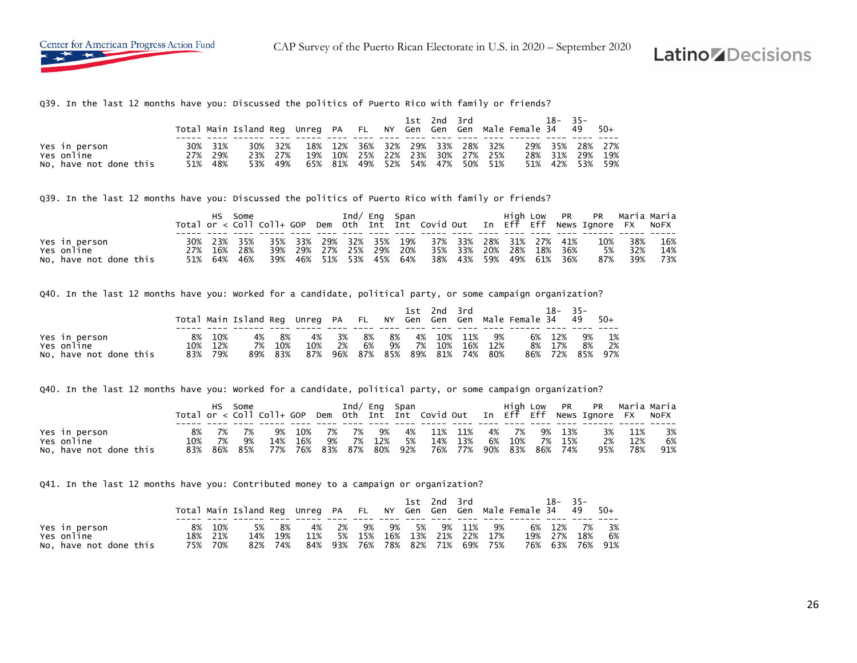Q39. In the last 12 months have you: Discussed the politics of Puerto Rico with family or friends?

|                             |                    |     |                |            |         |                     |  | 1st 2nd 3rd |                                                | Total Main Island Req Unreq PA FL NY Gen Gen Gen Male Female 34 49 50+ | 18–                    | $35 -$  |       |
|-----------------------------|--------------------|-----|----------------|------------|---------|---------------------|--|-------------|------------------------------------------------|------------------------------------------------------------------------|------------------------|---------|-------|
| Yes in person<br>Yes online | 30% 31%<br>27% 29% | 23% | 30% 32%<br>27% | 18%<br>19% |         | 10% 25% 22%         |  |             | 12% 36% 32% 29% 33% 28% 32%<br>23% 30% 27% 25% | 28%                                                                    | 29% 35% 28% 27%<br>31% | 29%     | 19%   |
| No, have not done this      | 51% 48%            | 53% | 49%            |            | 65% 81% | 49% 52% 54% 47% 50% |  |             | 51%                                            | 51%                                                                    |                        | 42% 53% | - 59% |

Q39. In the last 12 months have you: Discussed the politics of Puerto Rico with family or friends?

|                        | HS -        | Some |                                                             |  | Ind/ Eng Span |                                                 |  |  | High Low PR PR Maria Maria<br>Total or < Coll Coll+ GOP Dem Oth Int Int Covid Out In Eff Eff News Ignore FX NoFX |          |     |
|------------------------|-------------|------|-------------------------------------------------------------|--|---------------|-------------------------------------------------|--|--|------------------------------------------------------------------------------------------------------------------|----------|-----|
| Yes in person          |             |      | 30% 23% 35% 35% 33% 29% 32% 35% 19% 37% 33% 28% 31% 27% 41% |  |               |                                                 |  |  | 10%                                                                                                              | 38%      | 16% |
| Yes online             | 27% 16% 28% |      |                                                             |  |               | 39% 29% 27% 25% 29% 20% 35% 33% 20% 28% 18% 36% |  |  | 5%                                                                                                               | 32%      | 14% |
| No, have not done this | 51% 64% 46% |      |                                                             |  |               | 39% 46% 51% 53% 45% 64% 38% 43% 59% 49% 61% 36% |  |  |                                                                                                                  | 87%  39% | 73% |

Q40. In the last 12 months have you: Worked for a candidate, political party, or some campaign organization?

|                        |    |         |                                                                        |         |     |    |      |           | 1st 2nd 3rd |            |                             | 18–    | - 35 –          |    |
|------------------------|----|---------|------------------------------------------------------------------------|---------|-----|----|------|-----------|-------------|------------|-----------------------------|--------|-----------------|----|
|                        |    |         | Total Main Island Req Unreq PA FL NY Gen Gen Gen Male Female 34 49 50+ |         |     |    |      |           |             |            |                             |        |                 |    |
|                        |    |         |                                                                        |         |     |    |      |           |             |            |                             |        |                 |    |
| Yes in person          | 8% | 10%     | 4%                                                                     | - 8%    | 4%  | 3% | - 8% | $\sim$ 8% |             | 4% 10% 11% | 9%                          | 6% 12% | 9%              | 1% |
| Yes online             |    | 10% 12% | 7%                                                                     | 10%     | 10% | 2% | 6%   |           |             |            | 9% 7% 10% 16% 12%           | 8% 17% | - 8%            | 2% |
| No, have not done this |    | 83% 79% |                                                                        | 89% 83% | 87% |    |      |           |             |            | 96% 87% 85% 89% 81% 74% 80% |        | 86% 72% 85% 97% |    |

Q40. In the last 12 months have you: Worked for a candidate, political party, or some campaign organization?

|                        |     |    | Some    |     |     |     |        |         | Ind/ Eng Span |     |         |    |         | High Low PR |     | PR   Maria Maria<br>Total or < Coll Coll+ GOP Dem Oth Int Int Covid Out In Eff Eff News Ignore FX NoFX |     |     |
|------------------------|-----|----|---------|-----|-----|-----|--------|---------|---------------|-----|---------|----|---------|-------------|-----|--------------------------------------------------------------------------------------------------------|-----|-----|
| Yes in person          | 8%  | 7% | 7%      | 9%  | 10% | 7%  | . 7% ک | 9%      | 4%            | 11% | 11%     | 4% | 7%      | 9%          | 13% | 3%                                                                                                     | 11% | 3%  |
| Yes online             | 10% | 7% | 9%      | 14% | 16% | 9%  |        | 7% 12%  | 5%            | 14% | 13%     | 6% | 10%     | 7%          | 15% | 2%                                                                                                     | 12% | 6%  |
| No, have not done this | 83% |    | 86% 85% | 77% | 76% | 83% |        | 87% 80% | 92%           |     | 76% 77% |    | 90% 83% | 86%         | 74% | 95%                                                                                                    | 78% | 91% |

Q41. In the last 12 months have you: Contributed money to a campaign or organization?

|                        |    |         |     |         |     |    |                                 |  | 1st 2nd 3rd     |                     | Total Main Island Req Unreq PA FL NY Gen Gen Gen Male Female 34 49 50+ | $18 - 35 -$ |                 |      |
|------------------------|----|---------|-----|---------|-----|----|---------------------------------|--|-----------------|---------------------|------------------------------------------------------------------------|-------------|-----------------|------|
| Yes in person          | 8% | 10%     | 5%  | - 8%    | 4%  | 2% |                                 |  | 9% 9% 5% 9% 11% | 9%                  |                                                                        |             | 6% 12% 7% 3%    |      |
| Yes online             |    | 18% 21% | 14% | 19%     | 11% | 5% | 15%                             |  |                 | 16% 13% 21% 22% 17% |                                                                        |             | 19% 27% 18%     | - 6% |
| No, have not done this |    | 75% 70% |     | 82% 74% |     |    | 84% 93% 76% 78% 82% 71% 69% 75% |  |                 |                     |                                                                        |             | 76% 63% 76% 91% |      |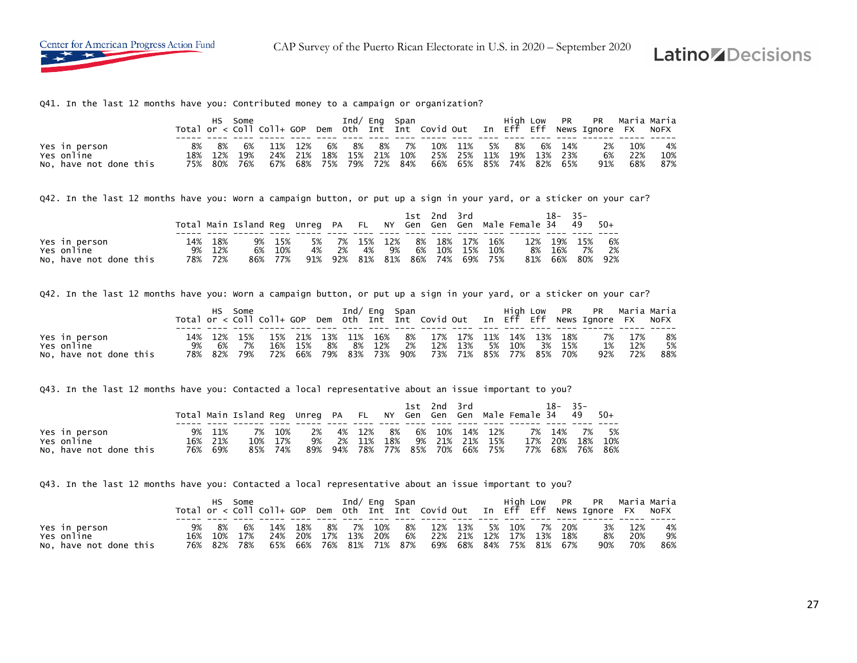

Q41. In the last 12 months have you: Contributed money to a campaign or organization?

|                        |     |             | Some |     |     |                     | Ind/ Eng Span |                         |                         |       |         | High Low PR PR Maria Maria<br>Total or $\lt$ Coll Coll+ GOP Dem Oth Int Int Covid Out In Eff Eff News Ignore FX NoFX |      |     |
|------------------------|-----|-------------|------|-----|-----|---------------------|---------------|-------------------------|-------------------------|-------|---------|----------------------------------------------------------------------------------------------------------------------|------|-----|
|                        |     |             |      |     |     |                     |               |                         |                         |       |         |                                                                                                                      |      |     |
| Yes in person          | 8%  | 8%          | 6%   |     |     | 11% 12% 6%          | 8% 8% 7%      |                         | 10% 11%                 | 5% 8% | 6% 14%  | 2%                                                                                                                   | 10%  | 4%  |
| Yes online             | 18% | 12%         | 19%  | 24% | 21% | 18%                 |               | 15% 21% 10% 25% 25% 11% |                         | 19%   | 13% 23% | 6%                                                                                                                   | -22% | 10% |
| No, have not done this |     | 75% 80% 76% |      | 67% |     | 68% 75% 79% 72% 84% |               |                         | 66% 65% 85% 74% 82% 65% |       |         | 91%                                                                                                                  | 68%  | 87% |

Q42. In the last 12 months have you: Worn a campaign button, or put up a sign in your yard, or a sticker on your car?

|                        |     |     |                                                                    |     |     |    |            |              |     | $1st$ 2nd 3rd |            |         |     | $18 -$  | $35 -$ |       |
|------------------------|-----|-----|--------------------------------------------------------------------|-----|-----|----|------------|--------------|-----|---------------|------------|---------|-----|---------|--------|-------|
|                        |     |     | Total Main Island Reg Unreg PA FL NY Gen Gen Gen Male Female 34 49 |     |     |    |            |              |     |               |            |         |     |         |        | - 50+ |
|                        |     |     |                                                                    |     |     |    |            |              |     |               |            |         |     |         |        |       |
| Yes in person          | 14% | 18% | 9%                                                                 | 15% | 5%  |    | 7% 15% 12% |              |     |               | 8% 18% 17% | 16%     | 12% | 19%     | - 15%  | 6%    |
| Yes online             | 9%  | 12% | 6%                                                                 | 10% | 4%  | 2% | 4%         | 9%           | 6%  | 10%           |            | 15% 10% |     | 8% 16%  | 7%     | 2%    |
| No, have not done this | 78% | 72% | 86%                                                                | 77% | 91% |    | 92% 81%    | $\sim$ 81% . | 86% | 74%           |            | 69% 75% |     | 81% 66% | 80%    | 92%   |

Q42. In the last 12 months have you: Worn a campaign button, or put up a sign in your yard, or a sticker on your car?

|                             |          | HS Some |                                                             |  |  | Ind/ Eng Span |                                            |  |  | High Low PR PR Maria-Maria<br>Total or < Coll Coll+ GOP Dem Oth Int Int Covid Out In Eff Eff News Ignore FX NOFX |          |     |
|-----------------------------|----------|---------|-------------------------------------------------------------|--|--|---------------|--------------------------------------------|--|--|------------------------------------------------------------------------------------------------------------------|----------|-----|
|                             |          |         |                                                             |  |  |               |                                            |  |  |                                                                                                                  |          |     |
| Yes in person<br>Yes online |          |         | 14% 12% 15% 15% 21% 13% 11% 16% 8% 17% 17% 11% 14% 13% 18%  |  |  |               |                                            |  |  |                                                                                                                  | 7% 17%   | 8%  |
|                             | 9% 6% 7% |         |                                                             |  |  |               | 16% 15% 8% 8% 12% 2% 12% 13% 5% 10% 3% 15% |  |  | 1%                                                                                                               | 12%      | 5%  |
| No, have not done this      |          |         | 78% 82% 79% 72% 66% 79% 83% 73% 90% 73% 71% 85% 77% 85% 70% |  |  |               |                                            |  |  |                                                                                                                  | 92%  72% | 88% |

Q43. In the last 12 months have you: Contacted a local representative about an issue important to you?

|                                      |     |                | Total Main Island Reg Unreg PA FL NY Gen Gen Gen Male Female 34 49 |            |           |           |                        |      | 1st 2nd 3rd |     |                |            | 18-        | $-35-$     | $50+$      |
|--------------------------------------|-----|----------------|--------------------------------------------------------------------|------------|-----------|-----------|------------------------|------|-------------|-----|----------------|------------|------------|------------|------------|
| Yes in person                        | 9%  | 11%            | 7%                                                                 | 10%        | 2%        |           | 4% 12%                 | - 8% |             |     | 6% 10% 14% 12% |            | 7% 14%     | 7%         | 5%         |
| Yes online<br>No, have not done this | 76% | 16% 21%<br>69% | 10%<br>85%                                                         | 17%<br>74% | 9%<br>89% | 2%<br>94% | 11%<br>78% 77% 85% 70% | 18%  | 9% 21%      | 21% | 15%<br>66% 75% | 17%<br>77% | 20%<br>68% | 18%<br>76% | 10%<br>86% |

Q43. In the last 12 months have you: Contacted a local representative about an issue important to you?

|                        |     |         | Some |     |                     |         | Ind/ Eng Span |                         |  |        |         | High Low PR PR Maria-Maria                                                         |     |     |
|------------------------|-----|---------|------|-----|---------------------|---------|---------------|-------------------------|--|--------|---------|------------------------------------------------------------------------------------|-----|-----|
|                        |     |         |      |     |                     |         |               |                         |  |        |         | Total or < Coll Coll+ GOP Dem Oth Int Int Covid Out In Eff Eff News Ignore FX NoFX |     |     |
|                        |     |         |      |     |                     |         |               |                         |  |        |         |                                                                                    |     |     |
| Yes in person          | 9%  | -8%     | 6%   | 14% | , 18% 8% 7% 10%     |         |               | 8% 12% 13%              |  | 5% 10% | 7% 20%  | 3%                                                                                 | 12% | 4%  |
| Yes online             | 16% | 10%     | 17%  | 24% | 20% 17%             | 13% 20% |               | 6% 22% 21% 12% 17%      |  |        | 13% 18% | 8%                                                                                 | 20% | 9%  |
| No. have not done this | 76% | 82% 78% |      | 65% | 66% 76% 81% 71% 87% |         |               | 69% 68% 84% 75% 81% 67% |  |        |         | 90%                                                                                | 70% | 86% |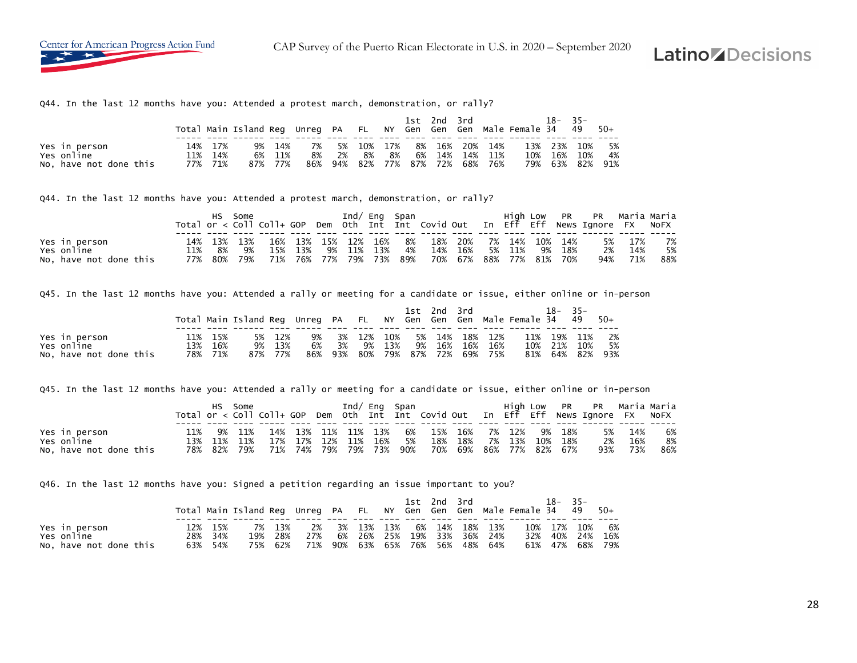Q44. In the last 12 months have you: Attended a protest march, demonstration, or rally?

|                             |     |                |          |            |          |    |                    |      |    | 1st 2nd 3rd                       |     |                | Total Main Island Reg Unreg PA FL NY Gen Gen Gen Male Female 34 49 | 18– | $35 -$                 | - 50+    |
|-----------------------------|-----|----------------|----------|------------|----------|----|--------------------|------|----|-----------------------------------|-----|----------------|--------------------------------------------------------------------|-----|------------------------|----------|
| Yes in person<br>Yes online | 11% | 14% 17%<br>14% | 9%<br>6% | 14%<br>11% | 7%<br>8% | 2% | 5% 10% 17%<br>- 8% | - 8% | 6% | 8% 16% 20%<br>$\cdot$ 14% $\cdot$ |     | 14%<br>14% 11% | 10%                                                                |     | 13% 23% 10%<br>16% 10% | 5%<br>4% |
| No, have not done this      |     | 77% 71%        |          | 87% 77%    | 86%      |    |                    |      |    | 94% 82% 77% 87% 72%               | 68% | 76%            |                                                                    |     | 79% 63% 82%            | 91%      |

Q44. In the last 12 months have you: Attended a protest march, demonstration, or rally?

|                        |     |             | Some |                        | Ind/ Eng Span |    |                                                             |                |  |    |     | High Low PR PR Maria Maria                                                         |         |     |
|------------------------|-----|-------------|------|------------------------|---------------|----|-------------------------------------------------------------|----------------|--|----|-----|------------------------------------------------------------------------------------|---------|-----|
|                        |     |             |      |                        |               |    |                                                             |                |  |    |     | Total or < Coll Coll+ GOP Dem Oth Int Int Covid Out In Eff Eff News Ignore FX NoFX |         |     |
|                        |     |             |      |                        |               |    |                                                             |                |  |    |     |                                                                                    |         |     |
| Yes in person          |     | 14% 13% 13% |      | 16% 13% 15% 12% 16% 8% |               |    | 18% 20% 7% 14% 10% 14%                                      |                |  |    |     |                                                                                    | 5% 17%  | 7%  |
| Yes online             | 11% | 8%          | 9%   | 15% 13%                | 9% 11% 13%    | 4% |                                                             | 14% 16% 5% 11% |  | 9% | 18% | 2%                                                                                 | 14%     | 5%  |
| No, have not done this |     |             |      |                        |               |    | 77% 80% 79% 71% 76% 77% 79% 73% 89% 70% 67% 88% 77% 81% 70% |                |  |    |     |                                                                                    | 94% 71% | 88% |

Q45. In the last 12 months have you: Attended a rally or meeting for a candidate or issue, either online or in-person

|                        |         | Total Main Island Reg Unreg PA FL NY Gen Gen Gen Male Female 34 49 50+ |         |     |     |        |        | 1st 2nd 3rd |                     |     | 18-     | $-35-$  |      |
|------------------------|---------|------------------------------------------------------------------------|---------|-----|-----|--------|--------|-------------|---------------------|-----|---------|---------|------|
|                        |         |                                                                        |         |     |     |        |        |             |                     |     |         |         |      |
| Yes in person          | 15%     | 5%                                                                     | - 12%   | 9%  |     | 3% 12% | 10%    |             | 5% 14% 18% 12%      | 11% | 19%     | 11%     | - 2% |
| Yes online             | 13% 16% |                                                                        | 9% 13%  | 6%  | 3%  |        | 9% 13% | 9% 16%      | 16% 16%             |     | 10% 21% | 10%     | 5%   |
| No, have not done this | 78% 71% |                                                                        | 87% 77% | 86% | 93% | 80%    |        |             | 79% 87% 72% 69% 75% | 81% |         | 64% 82% | 93%  |

Q45. In the last 12 months have you: Attended a rally or meeting for a candidate or issue, either online or in-person

|                                      |            | HS -           | Some |            |            |                 |                        | Ind/ Eng Span |      |     |                                |        |     |     | High Low PR PR Maria-Maria<br>Total or < Coll Coll+ GOP Dem Oth Int Int Covid Out In Eff Eff News Ignore FX NOFX |            |           |
|--------------------------------------|------------|----------------|------|------------|------------|-----------------|------------------------|---------------|------|-----|--------------------------------|--------|-----|-----|------------------------------------------------------------------------------------------------------------------|------------|-----------|
| Yes in person                        | 11%        | 9%             | 11%  | 14%        |            | 13% 11% 11% 13% |                        |               | - 6% | 15% | 16%                            | 7% 12% | 9%  | 18% | 5%                                                                                                               | 14%        | 6%        |
| Yes online<br>No, have not done this | 13%<br>78% | 11%<br>82% 79% | 11%  | 17%<br>71% | 17%<br>74% | 12%             | 11%<br>79% 79% 73% 90% | 16%           | - 5% | 18% | 18%<br>70% 69% 86% 77% 82% 67% | 7% 13% | 10% | 18% | 2%<br>93%                                                                                                        | 16%<br>73% | 8%<br>86% |

Q46. In the last 12 months have you: Signed a petition regarding an issue important to you?

|                        |         |         |                                     |  |  | 1st 2nd 3rd |                                | Total Main Island Req Unreq PA FL NY Gen Gen Gen Male Female 34 49 50+ | 18-35- |                 |       |
|------------------------|---------|---------|-------------------------------------|--|--|-------------|--------------------------------|------------------------------------------------------------------------|--------|-----------------|-------|
| Yes in person          | 12% 15% |         | 7% 13% 2% 3% 13% 13% 6% 14% 18% 13% |  |  |             |                                |                                                                        |        | 10% 17% 10% 6%  |       |
| Yes online             | 28% 34% | 19% 28% |                                     |  |  |             | 27% 6% 26% 25% 19% 33% 36% 24% |                                                                        |        | 32% 40% 24%     | - 16% |
| No, have not done this | 63% 54% | 75% 62% | 71% 90% 63% 65% 76% 56% 48% 64%     |  |  |             |                                |                                                                        |        | 61% 47% 68% 79% |       |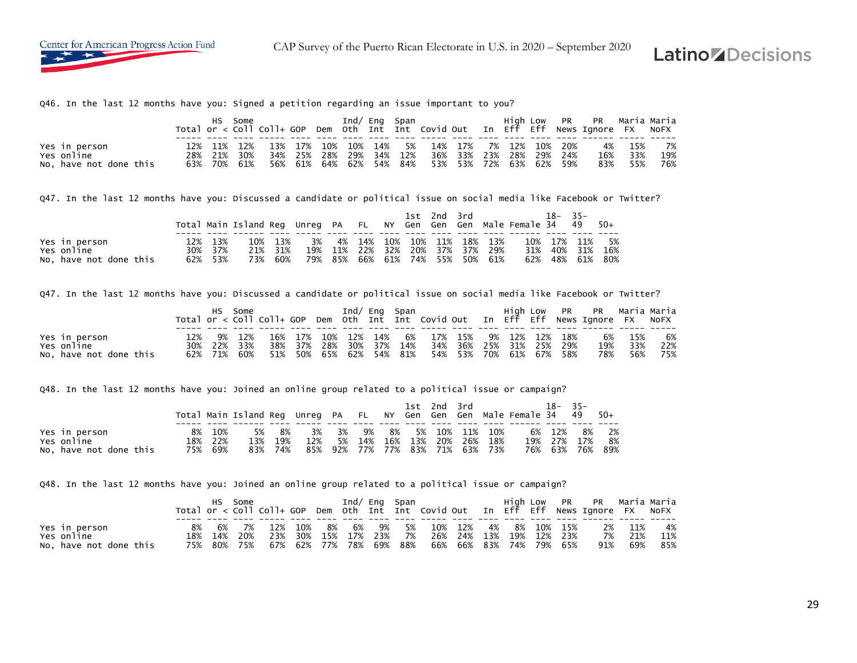

Q46. In the last 12 months have you: Signed a petition regarding an issue important to you?

|                        |             | Some |     |                     |             | Ind/ Eng Span |                                               |                         |  |  | High Low PR PR Maria Maria<br>Total or < Coll Coll+ GOP Dem Oth Int Int Covid Out In Eff Eff News Ignore FX NoFX |        |     |
|------------------------|-------------|------|-----|---------------------|-------------|---------------|-----------------------------------------------|-------------------------|--|--|------------------------------------------------------------------------------------------------------------------|--------|-----|
|                        |             |      |     |                     |             |               |                                               |                         |  |  |                                                                                                                  |        |     |
| Yes in person          | 12% 11% 12% |      |     |                     |             |               | 13% 17% 10% 10% 14% 5% 14% 17% 7% 12% 10% 20% |                         |  |  |                                                                                                                  | 4% 15% | 7%  |
| Yes online             | 28% 21%     | 30%  |     | 34% 25% 28%         | 29% 34% 12% |               |                                               | 36% 33% 23% 28% 29% 24% |  |  | 16%                                                                                                              | 33%    | 19% |
| No, have not done this | 63% 70% 61% |      | 56% | 61% 64% 62% 54% 84% |             |               | 53% 53% 72% 63% 62% 59%                       |                         |  |  | 83%                                                                                                              | 55%    | 76% |

Q47. In the last 12 months have you: Discussed a candidate or political issue on social media like Facebook or Twitter?

|                        |         | Total Main Island Reg Unreg PA FL NY Gen Gen Gen Male Female 34 49 |         |     |  |  | 1st 2nd 3rd |                                 | $18 - 35 -$ |             | - 50+           |
|------------------------|---------|--------------------------------------------------------------------|---------|-----|--|--|-------------|---------------------------------|-------------|-------------|-----------------|
|                        |         |                                                                    |         |     |  |  |             |                                 |             |             |                 |
| Yes in person          | 13%     |                                                                    | 10% 13% | 3%  |  |  |             | 4% 14% 10% 10% 11% 18% 13%      |             | 10% 17% 11% | 5%              |
| Yes online             | 30% 37% |                                                                    | 21% 31% |     |  |  |             | 19% 11% 22% 32% 20% 37% 37% 29% |             | 31% 40% 31% | 16%             |
| No, have not done this | 62% 53% | 73%                                                                | 60%     | 79% |  |  |             | 85% 66% 61% 74% 55% 50% 61%     |             |             | 62% 48% 61% 80% |

Q47. In the last 12 months have you: Discussed a candidate or political issue on social media like Facebook or Twitter?

|                        | HS. | Some        |                                                             |  | Ind/ Eng Span |  |                                                 |  |  | High Low PR PR Maria Maria<br>Total or < Coll Coll+ GOP Dem Oth Int Int Covid Out In Eff Eff News Ignore FX NOFX |         |     |
|------------------------|-----|-------------|-------------------------------------------------------------|--|---------------|--|-------------------------------------------------|--|--|------------------------------------------------------------------------------------------------------------------|---------|-----|
|                        |     |             |                                                             |  |               |  |                                                 |  |  |                                                                                                                  |         |     |
| Yes in person          |     | 12% 9% 12%  |                                                             |  |               |  | 16% 17% 10% 12% 14% 6% 17% 15% 9% 12% 12% 18%   |  |  |                                                                                                                  | 6% 15%  | 6%  |
| Yes online             |     | 30% 22% 33% |                                                             |  |               |  | 38% 37% 28% 30% 37% 14% 34% 36% 25% 31% 25% 29% |  |  |                                                                                                                  | 19% 33% | 22% |
| No, have not done this |     |             | 62% 71% 60% 51% 50% 65% 62% 54% 81% 54% 53% 70% 61% 67% 58% |  |               |  |                                                 |  |  | 78%                                                                                                              | 56%     | 75% |

Q48. In the last 12 months have you: Joined an online group related to a political issue or campaign?

|                             |    |                | Total Main Island Reg Unreg PA FL NY Gen Gen Gen Male Female 34 49 |             |           |          |           |           |     | 1st 2nd 3rd |                     |                             | 18-               | $-35-$ | -50+        |
|-----------------------------|----|----------------|--------------------------------------------------------------------|-------------|-----------|----------|-----------|-----------|-----|-------------|---------------------|-----------------------------|-------------------|--------|-------------|
| Yes in person<br>Yes online | 8% | 10%<br>18% 22% | 5%<br>13%                                                          | - 8%<br>19% | 3%<br>12% | 3%<br>5% | 9%<br>14% | 8%<br>16% | 13% | 20%         | 5% 10% 11%<br>- 26% | 10%<br>18%                  | 6% 12%<br>19% 27% | 17%    | 8% 2%<br>8% |
| No, have not done this      |    | 75% 69%        | 83%                                                                | 74%         | 85%       |          |           |           |     |             |                     | 92% 77% 77% 83% 71% 63% 73% | 76% 63% 76%       |        | 89%         |

Q48. In the last 12 months have you: Joined an online group related to a political issue or campaign?

|                        |     |         | Some |     |                         |            | Ind/ Eng Span |                         |                         |  |               | High Low PR PR Maria Maria                                                         |     |     |
|------------------------|-----|---------|------|-----|-------------------------|------------|---------------|-------------------------|-------------------------|--|---------------|------------------------------------------------------------------------------------|-----|-----|
|                        |     |         |      |     |                         |            |               |                         |                         |  |               | Total or < Coll Coll+ GOP Dem Oth Int Int Covid Out In Eff Eff News Ignore FX NoFX |     |     |
|                        |     |         |      |     |                         |            |               |                         |                         |  |               |                                                                                    |     |     |
| Yes in person          | 8%  | 6%.     | 7%   | 12% |                         |            |               | 10% 8% 6% 9% 5% 10% 12% |                         |  | 4% 8% 10% 15% | 2%                                                                                 | 11% | 4%  |
| Yes online             | 18% | 14% 20% |      | 23% | 30% 15%                 | 47% 23% 7% |               |                         | 26% 24% 13%             |  | 19% 12% 23%   | 7%                                                                                 | 21% | 11% |
| No, have not done this | 75% | 80% 75% |      |     | 67% 62% 77% 78% 69% 88% |            |               |                         | 66% 66% 83% 74% 79% 65% |  |               | 91%                                                                                | 69% | 85% |

**Latino** *Z* Decisions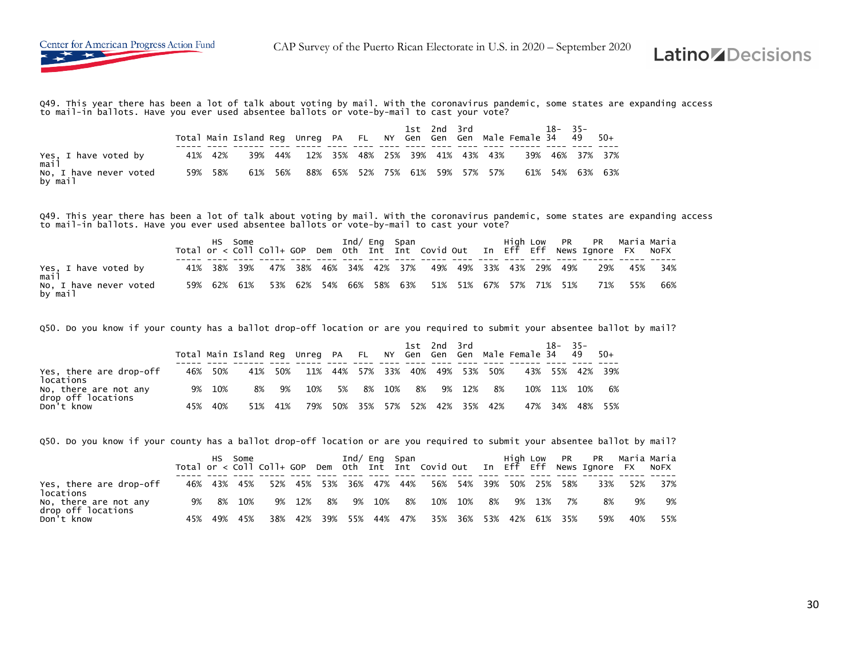

Q49. This year there has been a lot of talk about voting by mail. With the coronavirus pandemic, some states are expanding access to mail-in ballots. Have you ever used absentee ballots or vote-by-mail to cast your vote?

|                                   |         | Total Main Island Req Unreq PA FL NY Gen Gen Gen Male Female 34 49 50+ |     |                                         |                                 |  |  |  | 1st 2nd 3rd 18- 35- |  |                 |
|-----------------------------------|---------|------------------------------------------------------------------------|-----|-----------------------------------------|---------------------------------|--|--|--|---------------------|--|-----------------|
| Yes, I have voted by<br>mail      | 41% 42% |                                                                        |     | 39% 44% 12% 35% 48% 25% 39% 41% 43% 43% |                                 |  |  |  |                     |  | 39% 46% 37% 37% |
| No, I have never voted<br>by mail | 59% 58% | 61%                                                                    | 56% |                                         | 88% 65% 52% 75% 61% 59% 57% 57% |  |  |  |                     |  | 61% 54% 63% 63% |

Q49. This year there has been a lot of talk about voting by mail. With the coronavirus pandemic, some states are expanding access<br>to mail-in ballots. Have you ever used absentee ballots or vote-by-mail to cast your vote?

| Yes, I have voted by<br>mail      |  |  |  |  |  |  |  | 41% 38% 39% 47% 38% 46% 34% 42% 37% 49% 49% 33% 43% 29% 49% 29% 45% 34% |  |
|-----------------------------------|--|--|--|--|--|--|--|-------------------------------------------------------------------------|--|
| No, I have never voted<br>by mail |  |  |  |  |  |  |  | 59% 62% 61% 53% 62% 54% 66% 58% 63% 51% 51% 67% 57% 71% 51% 71% 55% 66% |  |

Q50. Do you know if your county has a ballot drop-off location or are you required to submit your absentee ballot by mail?

|                                             |     |     | Total Main Island Reg Unreg PA FL NY Gen Gen Gen Male Female 34 |     |     |    |             |     |     | 1st 2nd 3rd |         |     |     | $18 - 35 -$ | 49  | $50+$   |
|---------------------------------------------|-----|-----|-----------------------------------------------------------------|-----|-----|----|-------------|-----|-----|-------------|---------|-----|-----|-------------|-----|---------|
| Yes, there are drop-off<br>locations        | 46% | 50% | 41%                                                             | 50% | 11% |    | 44% 57% 33% |     |     | 40% 49% 53% |         | 50% | 43% | 55%         |     | 42% 39% |
| No, there are not any<br>drop off locations | 9%  | 10% | 8%                                                              | 9%  | 10% | 5% | 8%          | 10% | 8%  | 9%          | 12%     | 8%  | 10% | 11%         | 10% | 6%      |
| Don't know                                  | 45% | 40% | 51%                                                             | 41% | 79% |    | 50% 35%     | 57% | 52% |             | 42% 35% | 42% | 47% | 34%         | 48% | 55%     |

Q50. Do you know if your county has a ballot drop-off location or are you required to submit your absentee ballot by mail?

|                                             |    |     | HS Some     |     |     |                         |             |    | Ind/ Eng Span |                         |      |        |             | High Low PR PR Maria Maria<br>Total or < Coll Coll+ GOP Dem Oth Int Int Covid Out In Eff Eff News Ignore FX |     | NOFX |
|---------------------------------------------|----|-----|-------------|-----|-----|-------------------------|-------------|----|---------------|-------------------------|------|--------|-------------|-------------------------------------------------------------------------------------------------------------|-----|------|
| Yes, there are drop-off<br>locations        |    |     | 46% 43% 45% |     |     | 52% 45% 53% 36% 47% 44% |             |    |               | 56% 54% 39% 50% 25% 58% |      |        |             | 33%                                                                                                         | 52% | 37%  |
| No, there are not any<br>drop off locations | 9% | 8%  | 10%         | 9%  | 12% | 8%                      | 9% 10%      | 8% |               | 10% 10%                 | - 8% | 9% 13% | - 7%        | 8%                                                                                                          | 9%  | 9%   |
| Don't know                                  |    | 49% | 45%         | 38% |     | 42% 39%                 | 55% 44% 47% |    |               | 35% 36% 53%             |      |        | 42% 61% 35% | 59%                                                                                                         | 40% | 55%  |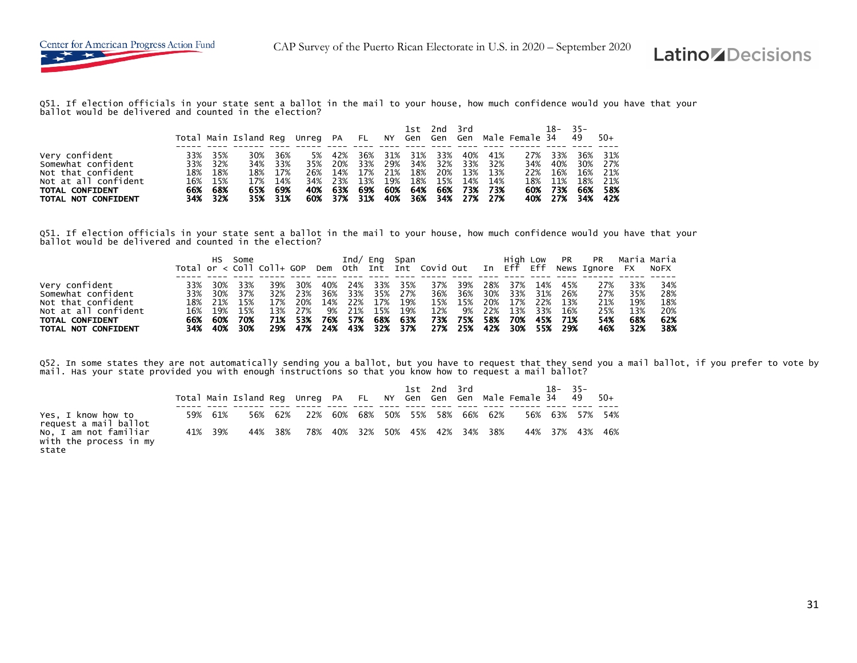

Q51. If election officials in your state sent a ballot in the mail to your house, how much confidence would you have that your<br>ballot would be delivered and counted in the election?

|                                                                                                                              |     |                                                            | Total Main Island Reg Unreg PA FL NY Gen Gen Gen Male Female 34 49 |                                                        |           |                |                               |     |         |     | 1st 2nd 3rd |                                                                                                                                                    | 18-                                                 | $-35-$                                             | -50+                               |
|------------------------------------------------------------------------------------------------------------------------------|-----|------------------------------------------------------------|--------------------------------------------------------------------|--------------------------------------------------------|-----------|----------------|-------------------------------|-----|---------|-----|-------------|----------------------------------------------------------------------------------------------------------------------------------------------------|-----------------------------------------------------|----------------------------------------------------|------------------------------------|
| Very confident<br>Somewhat confident<br>Not that confident<br>Not at all confident<br>TOTAL CONFIDENT<br>TOTAL NOT CONFIDENT | 33% | 35%<br>33% 32%<br>18% 18%<br>16% 15%<br>66% 68%<br>34% 32% | 30%<br>17%                                                         | 36%<br>34% 33%<br>18% 17%<br>14%<br>65% 69%<br>35% 31% | 5%<br>40% | 42%<br>35% 20% | 36%<br>34% 23% 13%<br>63% 69% | 19% | 31% 31% | 33% |             | 40% 41%<br>33% 29% 34% 32% 33% 32%<br>26% 14% 17% 21% 18% 20% 13% 13%<br>18% 15% 14% 14%<br>60% 64% 66% 73% 73%<br>60% 37% 31% 40% 36% 34% 27% 27% | 27% 33%<br>22% 16%<br>18% 11%<br>60% 73%<br>40% 27% | 36%<br>34% 40% 30% 27%<br>16%<br>18%<br>66%<br>34% | 31%<br>21%<br>21%<br>-58%<br>- 42% |

Q51. If election officials in your state sent a ballot in the mail to your house, how much confidence would you have that your<br>ballot would be delivered and counted in the election?

|                      |     | HS -    | Some  |     |     |     |       |     | Ind/ Eng Span |     |         |     | High Low    |     |       | PR PR Maria-Maria                                                                  |     |     |
|----------------------|-----|---------|-------|-----|-----|-----|-------|-----|---------------|-----|---------|-----|-------------|-----|-------|------------------------------------------------------------------------------------|-----|-----|
|                      |     |         |       |     |     |     |       |     |               |     |         |     |             |     |       | Total or < Coll Coll+ GOP Dem Oth Int Int Covid Out In Eff Eff News Ignore FX NoFX |     |     |
|                      |     |         |       |     |     |     |       |     |               |     |         |     |             |     |       |                                                                                    |     |     |
| Very confident       | 33% | 30%     | 33%   | 39% | 30% | 40% | 24%   | 33% | 35%           | 37% | 39%     | 28% | 37%         | 14% | 45%   | 27%                                                                                | 33% | 34% |
| Somewhat confident   |     | 33% 30% | 37%   | 32% | 23% | 36% | 33%   | 35% | 27%           |     | 36% 36% |     | 30% 33% 31% |     | 26%   | 27%                                                                                | 35% | 28% |
| Not that confident   |     | 18% 21% | - 15% | 17% | 20% | 14% | 22%   | 17% | 19%           | 15% | 15%     | 20% | 17%         | 22% | 13%   | 21%                                                                                | 19% | 18% |
| Not at all confident |     | 16% 19% | - 15% | 13% | 27% | 9%  | 21%   | 15% | 19%           | 12% | 9%      | 22% | 13%         | 33% | - 16% | 25%                                                                                | 13% | 20% |
| TOTAL CONFIDENT      |     | 66% 60% | 70%   | 71% | 53% | 76% | - 57% | 68% | - 63%         | 73% | 75%     | 58% | 70%         | 45% | - 71% | 54%                                                                                | 68% | 62% |
| TOTAL NOT CONFIDENT  |     | 34% 40% | 30%   | 29% | 47% | 24% | - 43% |     | 32% 37%       |     | 27% 25% |     | 42% 30% 55% |     | - 29% | 46%                                                                                | 32% | 38% |

Q52. In some states they are not automatically sending you a ballot, but you have to request that they send you a mail ballot, if you prefer to vote by<br>mail. Has your state provided you with enough instructions so that you

|                                                          |         | Total Main Island Reg Unreg PA FL NY Gen Gen Gen Male Female 34 49 |         |     |                         | 1st 2nd 3rd |  |                             | $18 - 35 -$     | - 50+ |
|----------------------------------------------------------|---------|--------------------------------------------------------------------|---------|-----|-------------------------|-------------|--|-----------------------------|-----------------|-------|
| Yes, I know how to<br>request a mail ballot              | 59% 61% |                                                                    | 56% 62% | 22% |                         |             |  | 60% 68% 50% 55% 58% 66% 62% | 56% 63% 57% 54% |       |
| No, I am not familiar<br>with the process in my<br>state | 41% 39% | 44%                                                                | 38%     | 78% | 40% 32% 50% 45% 42% 34% |             |  | 38%                         | 44% 37% 43%     | 46%   |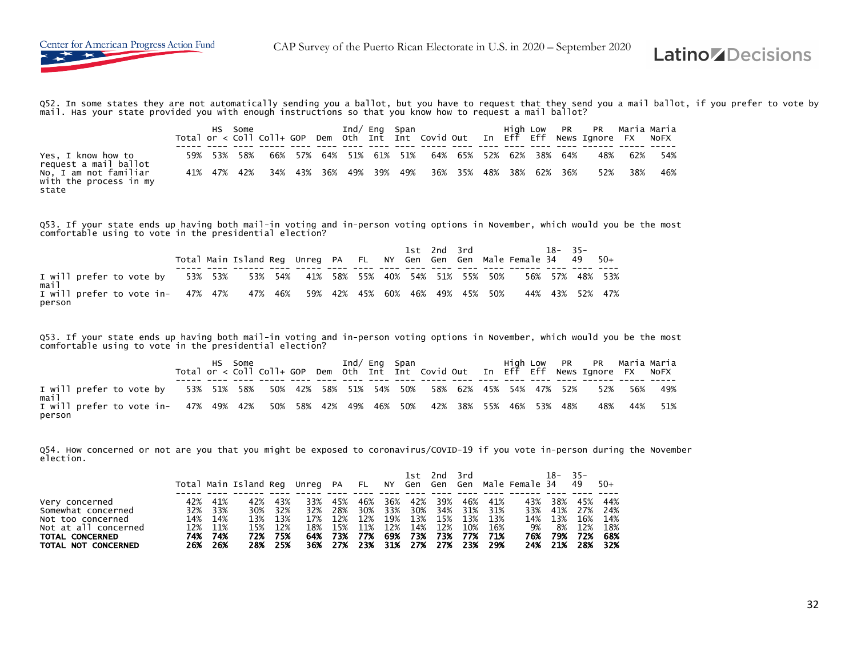Q52. In some states they are not automatically sending you a ballot, but you have to request that they send you a mail ballot, if you prefer to vote by mail. Has your state provided you with enough instructions so that you know how to request a mail ballot?

| Yes, I know how to<br>request a mail ballot              | 59% 53% 58% |  |  |  | 66% 57% 64% 51% 61% 51% 64% 65% 52% 62% 38% 64% |  |  |     | 48% 62% | - 54% |
|----------------------------------------------------------|-------------|--|--|--|-------------------------------------------------|--|--|-----|---------|-------|
| No, I am not familiar<br>with the process in my<br>state | 41% 47% 42% |  |  |  | 34% 43% 36% 49% 39% 49% 36% 35% 48% 38% 62% 36% |  |  | 52% | 38%     | 46%   |

Q53. If your state ends up having both mail-in voting and in-person voting options in November, which would you be the most comfortable using to vote in the presidential election?

|                                                                                     |  | Total Main Island Reg Unreg PA FL NY Gen Gen Gen Male Female 34 49 50+ |  |  |  | 1st 2nd 3rd | $18 - 35 -$ |  |                 |
|-------------------------------------------------------------------------------------|--|------------------------------------------------------------------------|--|--|--|-------------|-------------|--|-----------------|
| I will prefer to vote by 53% 53% 53% 54% 41% 58% 55% 40% 54% 51% 55% 50%<br>mail    |  |                                                                        |  |  |  |             |             |  | 56% 57% 48% 53% |
| I will prefer to vote in- 47% 47% 47% 46% 59% 42% 45% 60% 46% 49% 45% 50%<br>person |  |                                                                        |  |  |  |             |             |  | 44% 43% 52% 47% |

Q53. If your state ends up having both mail-in voting and in-person voting options in November, which would you be the most comfortable using to vote in the presidential election?

| I will prefer to vote by<br>mail                                                                |  |  |  |  |  |  |  | 53% 51% 58% 50% 42% 58% 51% 54% 50% 58% 62% 45% 54% 47% 52% 52% 56% |             | 49% |
|-------------------------------------------------------------------------------------------------|--|--|--|--|--|--|--|---------------------------------------------------------------------|-------------|-----|
| I will prefer to vote in- 47% 49% 42% 50% 58% 42% 49% 46% 50% 42% 38% 55% 46% 53% 48%<br>person |  |  |  |  |  |  |  |                                                                     | 48% 44% 51% |     |

Q54. How concerned or not are you that you might be exposed to coronavirus/COVID-19 if you vote in-person during the November election.

|                      |     |         | Total Main Island Reg Unreg PA FL NY Gen Gen Gen Male Female 34 |         |     |         |                                 |     |         | 1st 2nd 3rd |     |         |     | 18-     | $-35-$<br>49 | $50+$ |
|----------------------|-----|---------|-----------------------------------------------------------------|---------|-----|---------|---------------------------------|-----|---------|-------------|-----|---------|-----|---------|--------------|-------|
|                      |     |         |                                                                 |         |     |         |                                 |     |         |             |     |         |     |         |              |       |
| Very concerned       | 42% | 41%     | 42%                                                             | 43%     | 33% | 45%     | 46%                             | 36% | 42%     | 39%         | 46% | 41%     | 43% | 38%     | 45%          | 44%   |
| Somewhat concerned   | 32% | 33%     | 30%                                                             | 32%     | 32% | 28%     | 30%                             | 33% | 30%     | 34%         |     | 31% 31% | 33% | 41%     | 27%          | 24%   |
| Not too concerned    |     | 14% 14% |                                                                 | 13% 13% |     | 17% 12% | 12%                             |     | 19% 13% | 15%         |     | 13% 13% |     | 14% 13% | 16%          | 14%   |
| Not at all concerned |     | 12% 11% | 15%                                                             | 12%     | 18% | 15%     | 11%                             | 12% | 14%     | 12%         | 10% | 16%     | 9%  | 8%      | 12%          | 18%   |
| TOTAL CONCERNED      | 74% | - 74%   | 72%                                                             | 75%     |     | 64% 73% | 77%                             |     | 69% 73% | - 73%       | 77% | 71%     | 76% | 79%     | 72%          | 68%   |
| TOTAL NOT CONCERNED  |     | 26% 26% | 28%                                                             | 25%     |     |         | 36% 27% 23% 31% 27% 27% 23% 29% |     |         |             |     |         |     | 24% 21% | 28%          | - 32% |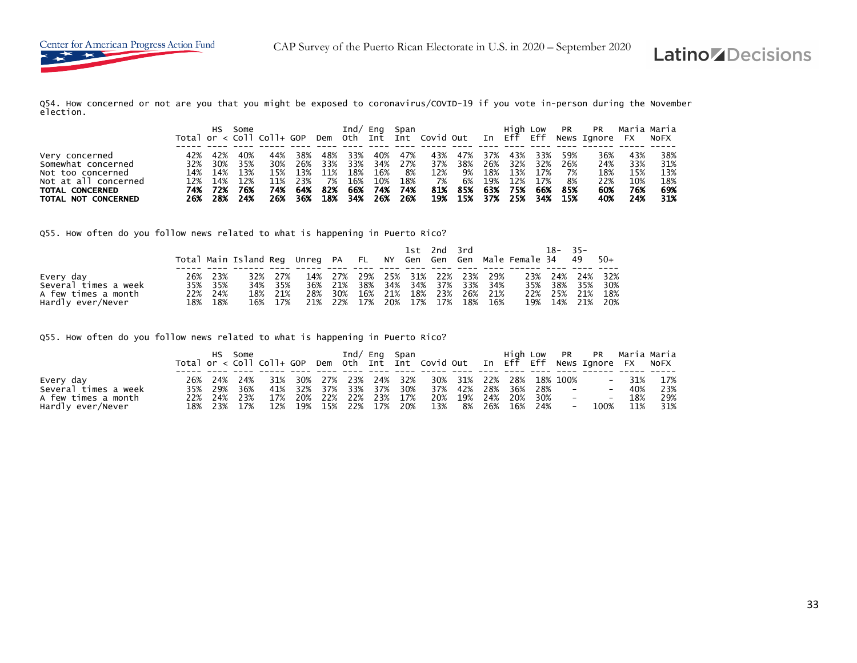Q54. How concerned or not are you that you might be exposed to coronavirus/COVID-19 if you vote in-person during the November election.

|                      |     | HS. | Some | Total or $\langle$ Coll Coll+ GOP |     |     | Ind/ | Ena | Span |     |     |     | Hiah Low |     | PR  | PR<br>Dem Oth Int Int Covid Out In Eff Eff News Ignore FX NoFX | Maria Maria |     |
|----------------------|-----|-----|------|-----------------------------------|-----|-----|------|-----|------|-----|-----|-----|----------|-----|-----|----------------------------------------------------------------|-------------|-----|
|                      |     |     |      |                                   |     |     |      |     |      |     |     |     |          |     |     |                                                                |             |     |
| Very concerned       | 42% | 42% | 40%  | 44%                               | 38% | 48% | 33%  | 40% | 47%  | 43% | 47% | 37% | 43%      | 33% | 59% | 36%                                                            | 43%         | 38% |
| Somewhat concerned   | 32% | 30% | 35%  | 30%                               | 26% | 33% | 33%  | 34% | 27%  | 37% | 38% | 26% | 32%      | 32% | 26% | 24%                                                            | 33%         | 31% |
| Not too concerned    | 14% | 14% | 13%  | 15%                               | 13% | 11% | 18%  | 16% | 8%   | 12% | 9%  | 18% | 13%      | 17% | 7%  | 18%                                                            | 15%         | 13% |
| Not at all concerned | 12% | 14% | 12%  | 11%                               | 23% | 7%  | 16%  | 10% | 18%  | 7%  | 6%  | 19% | 12%      | 17% | 8%  | 22%                                                            | 10%         | 18% |
| TOTAL CONCERNED      | 74% | 72% | 76%  | 74%                               | 64% | 82% | 66%  | 74% | 74%  | 81% | 85% | 63% | 75%      | 66% | 85% | 60%                                                            | 76%         | 69% |
| TOTAL NOT CONCERNED  | 26% | 28% | 24%  | 26%                               | 36% | 18% | 34%  | 26% | 26%  | 19% | 15% | 37% | 25%      | 34% | 15% | 40%                                                            | 24%         | 31% |

Q55. How often do you follow news related to what is happening in Puerto Rico?

|                      |     |         |     |         |     |                                 |         |     | 1st 2nd 3rd |  |                     | Total Main Island Reg Unreg PA FL NY Gen Gen Gen Male Female 34 49 | 18-     | $-35-$ | 50+             |
|----------------------|-----|---------|-----|---------|-----|---------------------------------|---------|-----|-------------|--|---------------------|--------------------------------------------------------------------|---------|--------|-----------------|
| Every day            | 26% | 23%     | 32% | 27%     |     | 14% 27% 29% 25% 31% 22% 23% 29% |         |     |             |  |                     |                                                                    | 23% 24% |        | 24% 32%         |
| Several times a week |     | 35% 35% | 34% | - 35%   |     | 36% 21%                         | 38%     | 34% | 34%         |  | 37% 33% 34%         |                                                                    | 35% 38% | 35%    | 30%             |
| A few times a month  |     | 22% 24% | 18% | 21%     | 28% | 30%                             | 16% 21% |     |             |  | 18% 23% 26% 21%     |                                                                    | 22% 25% |        | 21% 18%         |
| Hardly ever/Never    |     | 18% 18% |     | 16% 17% |     | 21% 22%                         | 17%     |     |             |  | 20% 17% 17% 18% 16% |                                                                    |         |        | 19% 14% 21% 20% |

Q55. How often do you follow news related to what is happening in Puerto Rico?

|                      |  |             | HS Some the control of the state of the state of the state of the state of the state of the state o |  |  |                                               |  |  |        | Total or < Coll Coll+ GOP Dem Oth Int Int Covid Out In Eff Eff News Ignore FX NoFX |         |     |
|----------------------|--|-------------|-----------------------------------------------------------------------------------------------------|--|--|-----------------------------------------------|--|--|--------|------------------------------------------------------------------------------------|---------|-----|
| Every day            |  |             | 26% 24% 24% 31% 30% 27% 23% 24% 32% 30% 31% 22% 28% 18%-100%                                        |  |  |                                               |  |  |        |                                                                                    | $-31\%$ | 17% |
| Several times a week |  | 35% 29% 36% |                                                                                                     |  |  | 41% 32% 37% 33% 37% 30% 37% 42% 28% 36% 28% - |  |  |        |                                                                                    | $-40%$  | 23% |
| A few times a month  |  | 22% 24% 23% |                                                                                                     |  |  | 17% 20% 22% 22% 23% 17% 20% 19% 24% 20% 30% - |  |  |        |                                                                                    | $-18%$  | 29% |
| Hardly ever/Never    |  | 18% 23% 17% |                                                                                                     |  |  | 12% 19% 15% 22% 17% 20% 13% 8% 26% 16% 24%    |  |  | $\sim$ | 100% 11%                                                                           |         | 31% |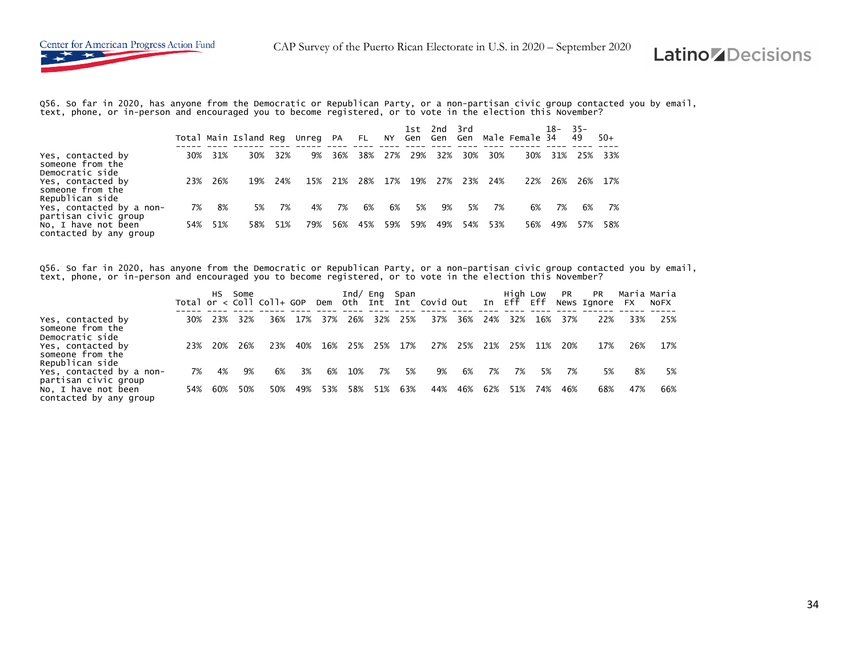Q56. So far in 2020, has anyone from the Democratic or Republican Party, or a non-partisan civic group contacted you by email,<br>text, phone, or in-person and encouraged you to become registered, or to vote in the election t

|                                                                     |     |     | Total Main Island Reg Unreg PA |     |     |     | FL. | NY  | 1st.<br>Gen Gen | 2nd | 3rd<br>Gen |     | Male Female 34 | 18– | - 35-<br>49 | $50+$ |
|---------------------------------------------------------------------|-----|-----|--------------------------------|-----|-----|-----|-----|-----|-----------------|-----|------------|-----|----------------|-----|-------------|-------|
| Yes, contacted by<br>someone from the                               | 30% | 31% | 30%                            | 32% | 9%  | 36% | 38% | 27% | 29%             | 32% | 30%        | 30% | 30%            | 31% | 25%         | -33%  |
| Democratic side<br>Yes, contacted by<br>someone from the            | 23% | 26% | 19%                            | 24% | 15% | 21% | 28% | 17% | 19%             | 27% | 23%        | 24% | 22%            | 26% | 26%         | 17%   |
| Republican side<br>Yes, contacted by a non-<br>partisan civic group | 7%  | 8%  | 5%                             | 7%  | 4%  | 7%  | 6%  | 6%  | 5%              | 9%  | 5%         | 7%  | 6%             | 7%  | 6%          |       |
| No, I have not been<br>contacted by any group                       | 54% | 51% | 58%                            | 51% | 79% | 56% | 45% | 59% | 59%             | 49% | 54%        | 53% | 56%            | 49% | 57%         | 58%   |

Q56. So far in 2020, has anyone from the Democratic or Republican Party, or a non-partisan civic group contacted you by email,<br>text, phone, or in-person and encouraged you to become registered, or to vote in the election t

|                                                                       |     | HS.  | Some | Total or $<$ Coll Coll+ GOP |     |     | Ind/ $Eng$ | Dem Oth Int | Span | Int Covid Out |     |     | High Low<br>In Eff Eff |     | PR  | <b>PR</b><br>News Ignore FX |     | Maria Maria<br><b>NOFX</b> |
|-----------------------------------------------------------------------|-----|------|------|-----------------------------|-----|-----|------------|-------------|------|---------------|-----|-----|------------------------|-----|-----|-----------------------------|-----|----------------------------|
| Yes, contacted by<br>someone from the                                 | 30% | 23%  | 32%  | 36%                         | 17% | 37% | 26%        | 32%         | 25%  | 37%           | 36% | 24% | 32%                    | 16% | 37% | 22%                         | 33% | 25%                        |
| Democratic side<br>Yes, contacted by<br>someone from the              | 23% | -20% | 26%  | 23%                         | 40% | 16% | 25%        | 25%         | 17%  | 27%           | 25% | 21% | 25%                    | 11% | 20% | 17%                         | 26% | 17%                        |
| Republican side<br>Yes, contacted by a non-                           | 7%  | 4%   | 9%   | 6%                          | 3%  | 6%  | 10%        | 7%          | 5%   | 9%            | 6%  | 7%  | 7%                     | 5%  | 7%  | 5%                          | 8%  | 5%                         |
| partisan civic group<br>No, I have not been<br>contacted by any group | 54% | 60%  | 50%  | 50%                         | 49% | 53% | 58%        | 51%         | 63%  | 44%           | 46% | 62% | 51%                    | 74% | 46% | 68%                         | 47% | 66%                        |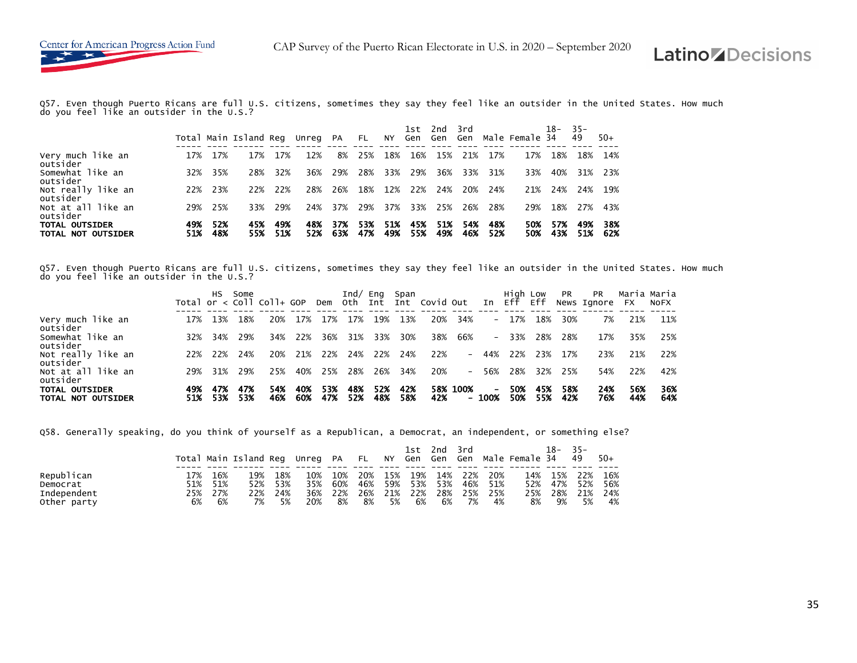Q57. Even though Puerto Ricans are full U.S. citizens, sometimes they say they feel like an outsider in the United States. How much do you feel like an outsider in the U.S.?

|                                             |            |            | Total Main Island Reg Unreg PA |            |            |            | <b>FL</b>  |            | 1st.<br>NY Gen Gen | 2nd        | - 3 rd<br>Gen |            | Male Female 34 | 18-        | $-35-$<br>49 | $50+$      |
|---------------------------------------------|------------|------------|--------------------------------|------------|------------|------------|------------|------------|--------------------|------------|---------------|------------|----------------|------------|--------------|------------|
| Very much like an<br>outsider               | 17%        | 17%        | 17%                            | 17%        | 12%        | 8%         | 25%        | 18%        | 16%                | 15%        | 21%           | 17%        | 17%            | 18%        | 18%          | 14%        |
| Somewhat like an<br>outsider                | 32%        | 35%        | 28%                            | 32%        | 36%        | 29%        | 28%        | 33%        | 29%                | 36%        | 33%           | 31%        | 33%            | 40%        | 31%          | 23%        |
| Not really like an<br>outsider              | 22%        | 23%        | 22%                            | 22%        | 28%        | 26%        | 18%        | 12%        | 22%                | 24%        | 20%           | 24%        | 21%            | 24%        | 24%          | 19%        |
| Not at all like an<br>outsider              | 29%        | 25%        | 33%                            | 29%        | 24%        | 37%        | 29%        | 37%        | 33%                | 25%        | 26%           | 28%        | 29%            | 18%        | 27%          | 43%        |
| <b>TOTAL OUTSIDER</b><br>TOTAL NOT OUTSIDER | 49%<br>51% | 52%<br>48% | 45%<br>55%                     | 49%<br>51% | 48%<br>52% | 37%<br>63% | 53%<br>47% | 51%<br>49% | 45%<br>55%         | 51%<br>49% | 54%<br>46%    | 48%<br>52% | 50%<br>50%     | 57%<br>43% | 49%<br>51%   | 38%<br>62% |

Q57. Even though Puerto Ricans are full U.S. citizens, sometimes they say they feel like an outsider in the United States. How much do you feel like an outsider in the U.S.?

|                                             |     | HS.        | Some       | Total or $\langle$ Coll Coll+ GOP |            |            |            |            | Ind/ Eng Span | Dem Oth Int Int Covid Out |          | In               | High Low<br>Eff | Eff        | <b>PR</b>  | <b>PR</b><br>News Ignore | <b>FX</b>  | Maria Maria<br><b>NOFX</b> |
|---------------------------------------------|-----|------------|------------|-----------------------------------|------------|------------|------------|------------|---------------|---------------------------|----------|------------------|-----------------|------------|------------|--------------------------|------------|----------------------------|
| Very much like an<br>outsider               | 17% | 13%        | 18%        | 20%                               | 17%        | 17%        | 17%        | 19%        | 13%           | 20%                       | 34%      | $-$              | 17%             | 18%        | 30%        | 7%                       | 21%        | 11%                        |
| Somewhat like an<br>outsider                | 32% | 34%        | 29%        | 34%                               | 22%        | 36%        | 31%        | 33%        | 30%           | 38%                       | 66%      |                  | $-33%$          | 28%        | 28%        | 17%                      | 35%        | 25%                        |
| Not really like an<br>outsider              | 22% | 22%        | 24%        | 20%                               | 21%        | 22%        | 24%        | 22%        | 24%           | 22%                       | $-$      | 44%              | 22%             | 23%        | 17%        | 23%                      | 21%        | 22%                        |
| Not at all like an<br>outsider              | 29% | 31%        | 29%        | 25%                               | 40%        | 25%        | 28%        | 26%        | 34%           | 20%                       | $-$      | 56%              | 28%             | 32%        | 25%        | 54%                      | 22%        | 42%                        |
| <b>TOTAL OUTSIDER</b><br>TOTAL NOT OUTSIDER | 49% | 47%<br>53% | 47%<br>53% | 54%<br>46%                        | 40%<br>60% | 53%<br>47% | 48%<br>52% | 52%<br>48% | 42%<br>58%    | 42%                       | 58% 100% | $\sim$<br>- 100% | 50%<br>50%      | 45%<br>55% | 58%<br>42% | 24%<br>76%               | 56%<br>44% | 36%<br>64%                 |

Q58. Generally speaking, do you think of yourself as a Republican, a Democrat, an independent, or something else?

|             |     |     | Total Main Island Reg Unreg PA FL NY Gen Gen Gen Male Female 34 |     |     |     |     |     | 1st | 2nd | 3rd |     |     | $18-$ | $35 -$<br>49 | $50+$ |
|-------------|-----|-----|-----------------------------------------------------------------|-----|-----|-----|-----|-----|-----|-----|-----|-----|-----|-------|--------------|-------|
| Republican  | 17% | 16% | 19%                                                             | 18% | 10% | 10% | 20% | 15% | 19% | 14% | 22% | 20% | 14% | 15%   | 22%          | 16%   |
| Democrat    | 51% | 51% | 52%                                                             | 53% | 35% | 60% | 46% | 59% | 53% | 53% | 46% | 51% | 52% | 47%   | 52%          | 56%   |
| Independent | 25% | 27% | 22%                                                             | 24% | 36% | 22% | 26% | 21% | 22% | 28% | 25% | 25% | 25% | 28%   | 21%          | 24%   |
| Other party | 6%  | 6%  | 7%                                                              | 5%  | 20% | 8%  | 8%  | 5%  | 6%  | 6%  | 7%  | 4%  | 8%  | 9%    | 5%           | 4%    |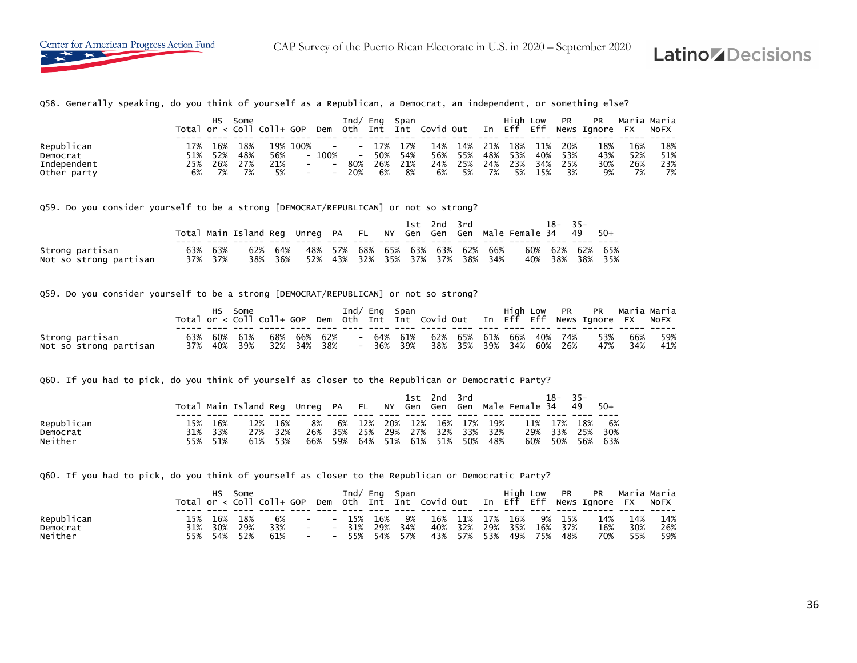Q58. Generally speaking, do you think of yourself as a Republican, a Democrat, an independent, or something else?

|             |     | нs  | Some | Total or $<$ Coll Coll+ GOP |                          | Dem                      | Ind/<br>0th              | Ena<br>Int | Span<br>Int | Covid Out |     | In  | High Low<br>Eff | Eff | PR  | <b>PR</b><br>News Ianore | <b>FX</b> | Maria Maria<br>NOFX |
|-------------|-----|-----|------|-----------------------------|--------------------------|--------------------------|--------------------------|------------|-------------|-----------|-----|-----|-----------------|-----|-----|--------------------------|-----------|---------------------|
|             |     |     |      |                             |                          |                          |                          |            |             |           |     |     |                 |     |     |                          |           |                     |
| Republican  | ۔7% | 16% | 18%  |                             | 19% 100%                 | $-$                      | $\overline{\phantom{a}}$ | 17%        | 17%         | 14%       | 14% | 21% | 18%             | 11% | 20% | 18%                      | 16%       | 18%                 |
| Democrat    | 51% | 52% | 48%  | 56%                         | $\overline{\phantom{0}}$ | 100%                     | $\overline{\phantom{a}}$ | 50%        | 54%         | 56%       | 55% | 48% | 53%             | 40% | 53% | 43%                      | 52%       | 51%                 |
| Independent | 25% | 26% | 27%  | 21%                         | $\overline{\phantom{0}}$ | $\overline{\phantom{a}}$ | 80%                      | 26%        | 21%         | 24%       | 25% | 24% | 23%             | 34% | 25% | 30%                      | 26%       | 23%                 |
| Other party | 6%  | 7%  | 7%   | 5%                          | $\overline{\phantom{a}}$ | $\overline{\phantom{a}}$ | 20%                      | 6%         | 8%          | 6%        | 5%  | 7%  | 5%              | 15% | 3%  | 9%                       | 7%        | 7%                  |

Q59. Do you consider yourself to be a strong [DEMOCRAT/REPUBLICAN] or not so strong?

|                        |         | Total Main Island Reg Unreg PA FL NY Gen Gen Gen Male Female 34 49 50+ |         |  |  |  | 1st 2nd 3rd |                                 | $18 - 35 -$ |                 |
|------------------------|---------|------------------------------------------------------------------------|---------|--|--|--|-------------|---------------------------------|-------------|-----------------|
|                        |         |                                                                        |         |  |  |  |             |                                 |             |                 |
| Strong partisan        | 63% 63% | 62%                                                                    | 64%     |  |  |  |             | 48% 57% 68% 65% 63% 63% 62% 66% |             | 60% 62% 62% 65% |
| Not so strong partisan | 37% 37% |                                                                        | 38% 36% |  |  |  |             | 52% 43% 32% 35% 37% 37% 38% 34% |             | 40% 38% 38% 35% |

Q59. Do you consider yourself to be a strong [DEMOCRAT/REPUBLICAN] or not so strong?

|                                           |     | нs          | Some    |                    |         |                          | Ind/ Eng Span        |                         |                         |  | High Low PR | PR   Maria Maria<br>Total or < Coll Coll+ GOP Dem Oth Int Int Covid Out In Eff Eff News Ignore FX NoFX |                |            |
|-------------------------------------------|-----|-------------|---------|--------------------|---------|--------------------------|----------------------|-------------------------|-------------------------|--|-------------|--------------------------------------------------------------------------------------------------------|----------------|------------|
| Strong partisan<br>Not so strong partisan | 63% | 37% 40% 39% | 60% 61% | 68%<br>32% 34% 38% | 66% 62% | $\overline{\phantom{0}}$ | 64% 61%<br>- 36% 39% | 62% 65% 61% 66% 40% 74% | 38% 35% 39% 34% 60% 26% |  |             | 47%                                                                                                    | 53% 66%<br>34% | 59%<br>41% |

Q60. If you had to pick, do you think of yourself as closer to the Republican or Democratic Party?

|                     |            |            | Total Main Island Reg Unreg PA FL NY Gen |            |            |            |            |            | 1st        | 2nd<br>Gen Gen | 3rd        |            | Male Female 34 | $18-$      | $35 -$<br>49 | $50+$      |
|---------------------|------------|------------|------------------------------------------|------------|------------|------------|------------|------------|------------|----------------|------------|------------|----------------|------------|--------------|------------|
| Republican          | 15%        | 16%        | 2%،                                      | 16%        | 8%         | 6%         | 12%        | 20%        | 12%        | 16%            | 17%        | 19%        | 11%            | 17%        | 18%          | 6%         |
| Democrat<br>Neither | 31%<br>55% | 33%<br>51% | 27%<br>61%                               | 32%<br>53% | 26%<br>66% | 35%<br>59% | 25%<br>64% | 29%<br>51% | 27%<br>61% | 32%<br>51%     | 33%<br>50% | 32%<br>48% | 29%<br>60%     | 33%<br>50% | 25%<br>56%   | 30%<br>63% |

Q60. If you had to pick, do you think of yourself as closer to the Republican or Democratic Party?

|            | <code>Total</code> or $<$ <code>Coll</code> Coll+ <code>GOP</code> |     | Some |     |                          | Dem                      | Ind/<br>0th | Ena<br>Int | Span<br>Int | Covid Out |     | In  | Hiah<br>Eff | LOW<br>Eff | PR  | <b>PR</b><br>News Ignore | Maria Maria<br>FX | NOFX |
|------------|--------------------------------------------------------------------|-----|------|-----|--------------------------|--------------------------|-------------|------------|-------------|-----------|-----|-----|-------------|------------|-----|--------------------------|-------------------|------|
|            |                                                                    |     |      |     |                          |                          |             |            |             |           |     |     |             |            |     |                          |                   |      |
| Republican | 15%                                                                | 16% | 18%  | 6%  | $-$                      | $\overline{\phantom{a}}$ | 15%         | 16%        | 9%          | 16%       | 11% | 17% | 16%         | 9%         | 15% | 14%                      | 14%               | 14%  |
| Democrat   | 31%                                                                | 30% | 29%  | 33% | $\overline{\phantom{0}}$ | $\overline{\phantom{0}}$ | 31%         | 29%        | 34%         | 40%       | 32% | 29% | 35%         | 16%        | 37% | 16%                      | 30%               | 26%  |
| Neither    | 55%                                                                | 54% | 52%  | 61% | $\overline{\phantom{0}}$ | $\overline{\phantom{a}}$ | 55%         | 54%        | 57%         | 43%       | 57% | 53% | 49%         | 75%        | 48% | 70%                      | 55%               | 59%  |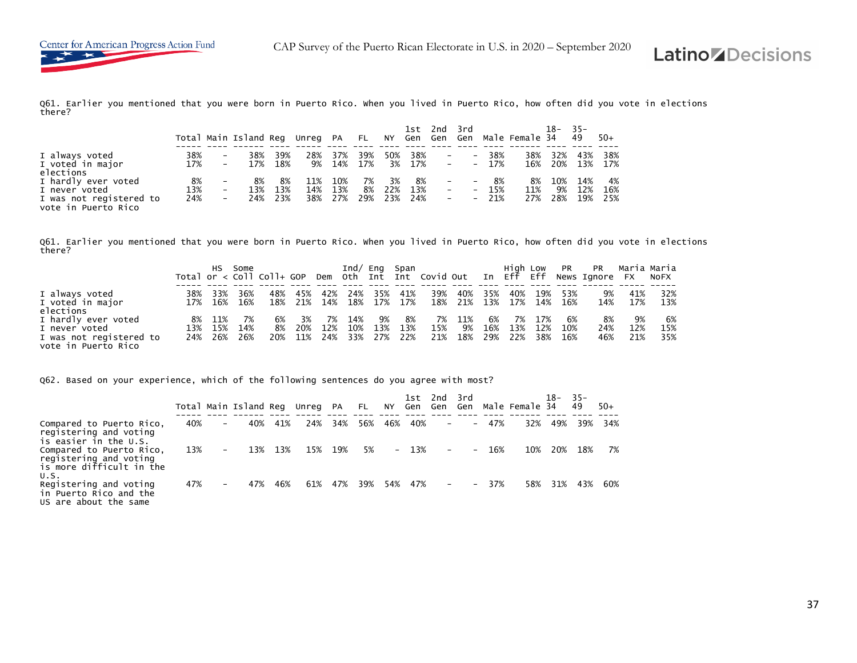Q61. Earlier you mentioned that you were born in Puerto Rico. When you lived in Puerto Rico, how often did you vote in elections there?

|                                                                 |            |                        | Total Main Island Reg |            | Unreg PA   |            | $F = F1$   |            | 1st -      | 2nd 3rd           |                                 |                | NY Gen Gen Gen Male Female 34 | $18 - 35 -$ | 49         | $50+$      |
|-----------------------------------------------------------------|------------|------------------------|-----------------------|------------|------------|------------|------------|------------|------------|-------------------|---------------------------------|----------------|-------------------------------|-------------|------------|------------|
| I always voted<br>I voted in major                              | 38%<br>17% | $-$                    | 38%<br>17%            | 39%<br>18% | 28%<br>9%  | 37%<br>14% | 39%<br>17% | 50%<br>3%  | 38%<br>17% | $-$<br>$\sim$ $-$ | $\overline{\phantom{0}}$        | 38%<br>$-17\%$ | 38%<br>16%                    | 32%<br>20%  | 43%<br>13% | 38%<br>17% |
| elections<br>I hardly ever voted                                | 8%         |                        | 8%                    | 8%         | 11%        | 10%        | 7%         | 3%         | 8%         |                   | <b>Contract Contract</b>        | 8%             | 8%                            | 10%         | 14%        | 4%         |
| I never voted<br>I was not registered to<br>vote in Puerto Rico | 13%<br>24% | $\qquad \qquad -$<br>- | 13%<br>24%            | 13%<br>23% | 14%<br>38% | 13%<br>27% | 8%<br>29%  | 22%<br>23% | 13%<br>24% | $ \,$<br>$\sim$   | $-$<br>$\overline{\phantom{0}}$ | 15%<br>21%     | 11%<br>27%                    | 9%<br>28%   | 12%<br>19% | 16%<br>25% |

Q61. Earlier you mentioned that you were born in Puerto Rico. When you lived in Puerto Rico, how often did you vote in elections there?

|                         |     | HS.     | Some        | Total or $\lt$ Coll Coll+ GOP |     |     | Ind/ $Enq$ |     | Span | Dem Oth Int Int Covid Out |     |     | Hiah Low<br>In Eff Eff |     | <b>PR</b> | <b>PR</b><br>News Ignore FX | Maria Maria | NOFX |
|-------------------------|-----|---------|-------------|-------------------------------|-----|-----|------------|-----|------|---------------------------|-----|-----|------------------------|-----|-----------|-----------------------------|-------------|------|
|                         |     |         |             |                               |     |     |            |     |      |                           |     |     |                        |     |           |                             |             |      |
| I always voted          | 38% | 33%     | 36%         | 48%                           | 45% | 42% | 24%        | 35% | 41%  | 39%                       | 40% | 35% | 40%                    | 19% | 53%       | 9%                          | 41%         | 32%  |
| I voted in major        |     |         | 17% 16% 16% | 18%                           | 21% | 14% | 18%        | 17% | 17%  | 18%                       | 21% |     | 13% 17%                | 14% | 16%       | 14%                         | 17%         | 13%  |
| elections               |     |         |             |                               |     |     |            |     |      |                           |     |     |                        |     |           |                             |             |      |
| I hardly ever voted     | 8%  | 11%     |             | 6%                            | 3%  | 7%  | 14%        | 9%  | 8%   | 7%                        | 11% | 6%  | 7%                     | 17% | 6%        | 8%                          | 9%          | 6%   |
| I never voted           | 13% | 15%     | 14%         | 8%                            | 20% | 12% | 10%        | 13% | 13%  | 15%                       | 9%  | 16% | 13%                    | 12% | 10%       | 24%                         | 12%         | 15%  |
| I was not registered to |     | 24% 26% | 26%         | 20%                           | 11% | 24% | 33%        | 27% | 22%  | 21%                       | 18% | 29% | 22%                    | 38% | 16%       | 46%                         | 21%         | 35%  |
| vote in Puerto Rico     |     |         |             |                               |     |     |            |     |      |                           |     |     |                        |     |           |                             |             |      |

Q62. Based on your experience, which of the following sentences do you agree with most?

|                                                                                        |     |   | Total Main Island Reg Unreg PA |     |     |     | <b>FL</b> | NY  | 1st.<br>Gen | 2nd<br>Gen               | 3rd<br>Gen               |     | Male Female 34 | 18– | $-35-$<br>49 | $50+$ |
|----------------------------------------------------------------------------------------|-----|---|--------------------------------|-----|-----|-----|-----------|-----|-------------|--------------------------|--------------------------|-----|----------------|-----|--------------|-------|
| Compared to Puerto Rico,<br>registering and voting<br>is easier in the U.S.            | 40% | - | 40%                            | 41% | 24% | 34% | 56%       | 46% | 40%         | $\overline{\phantom{a}}$ | $\overline{\phantom{0}}$ | 47% | 32%            | 49% | 39%          | 34%   |
| Compared to Puerto Rico,<br>registering and voting<br>is more difficult in the<br>U.S. | 13% | - | 13%                            | 13% | 15% | 19% | 5%        |     | $-13%$      | $\overline{\phantom{a}}$ | $\overline{\phantom{0}}$ | 16% | 10%            | 20% | 18%          | 7%    |
| Registering and voting<br>in Puerto Rico and the<br>US are about the same              | 47% | - | 47%                            | 46% | 61% | 47% | 39%       | 54% | 47%         | $\overline{\phantom{a}}$ | $-$                      | 37% | 58%            | 31% | 43%          | 60%   |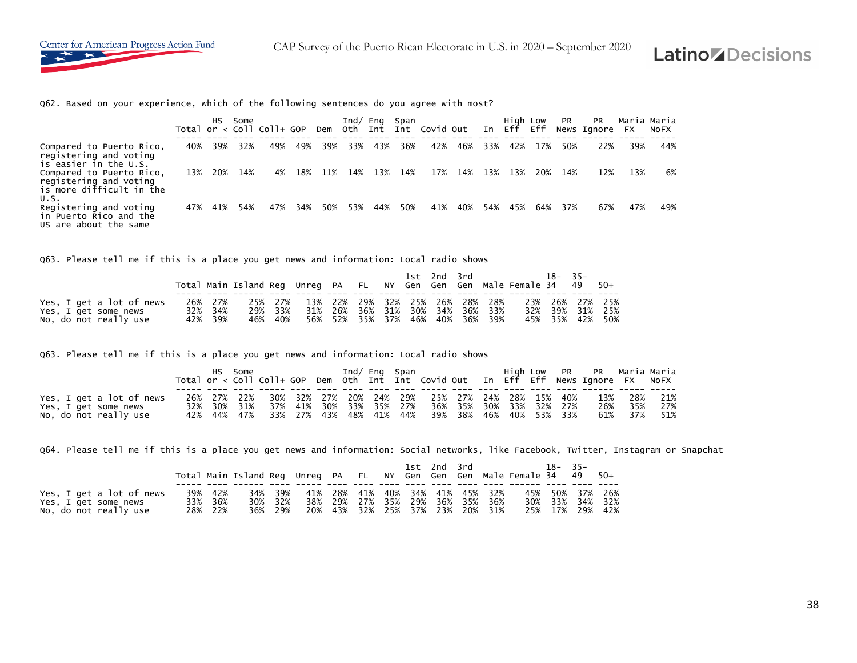

Q62. Based on your experience, which of the following sentences do you agree with most?

|                                                                                   |     | HS. | Some | Total or $\lt$ Coll Coll+ GOP |     |     | Ind/ | Eng | Span | Dem Oth Int Int Covid Out |     |     | Hiah Low<br>In Eff | Eff | <b>PR</b> | <b>PR</b><br>News Ignore | Maria Maria<br>- FX | NOFX |  |
|-----------------------------------------------------------------------------------|-----|-----|------|-------------------------------|-----|-----|------|-----|------|---------------------------|-----|-----|--------------------|-----|-----------|--------------------------|---------------------|------|--|
| Compared to Puerto Rico,<br>registering and voting<br>is easier in the U.S.       | 40% | 39% | 32%  | 49%                           | 49% | 39% | 33%  | 43% | 36%  | 42%                       | 46% | 33% | 42%                | 17% | 50%       | 22%                      | 39%                 | 44%  |  |
| Compared to Puerto Rico,<br>registering and voting<br>is more difficult in the    | 13% | 20% | 14%  | 4%                            | 18% | 11% | 14%  | 13% | 14%  | 17%                       | 14% | 13% | 13%                | 20% | 14%       | 12%                      | 13%                 | 6%   |  |
| U.S.<br>Registering and voting<br>in Puerto Rico and the<br>US are about the same | 47% | 41% | 54%  | 47%                           | 34% | 50% | 53%  | 44% | 50%  | 41%                       | 40% | 54% | 45%                | 64% | 37%       | 67%                      | 47%                 | 49%  |  |

Q63. Please tell me if this is a place you get news and information: Local radio shows

|                          |         |                                         |         |  |  |  | 1st 2nd 3rd |                                 | Total Main Island Req Unreq PA FL NY Gen Gen Gen Male Female 34 49 50+ | $18 - 35 -$     |  |
|--------------------------|---------|-----------------------------------------|---------|--|--|--|-------------|---------------------------------|------------------------------------------------------------------------|-----------------|--|
| Yes, I get a lot of news | 26% 27% | 25% 27% 13% 22% 29% 32% 25% 26% 28% 28% |         |  |  |  |             |                                 |                                                                        | 23% 26% 27% 25% |  |
| Yes, I get some news     | 32% 34% |                                         | 29% 33% |  |  |  |             | 31% 26% 36% 31% 30% 34% 36% 33% |                                                                        | 32% 39% 31% 25% |  |
| No, do not really use    | 42% 39% |                                         | 46% 40% |  |  |  |             | 56% 52% 35% 37% 46% 40% 36% 39% |                                                                        | 45% 35% 42% 50% |  |

Q63. Please tell me if this is a place you get news and information: Local radio shows

|                          |  | HS Some |  |  |  | Ind/ Eng Span                                               |  |  | High Low PR PR Maria-Maria                                                         |         |             |
|--------------------------|--|---------|--|--|--|-------------------------------------------------------------|--|--|------------------------------------------------------------------------------------|---------|-------------|
|                          |  |         |  |  |  |                                                             |  |  | Total or < Coll Coll+ GOP Dem Oth Int Int Covid Out In Eff Eff News Ignore FX NoFX |         |             |
|                          |  |         |  |  |  |                                                             |  |  |                                                                                    |         |             |
| Yes, I get a lot of news |  |         |  |  |  | 26% 27% 22% 30% 32% 27% 20% 24% 29% 25% 27% 24% 28% 15% 40% |  |  |                                                                                    |         | 13% 28% 21% |
| Yes, I get some news     |  |         |  |  |  | 32% 30% 31% 37% 41% 30% 33% 35% 27% 36% 35% 30% 33% 32% 27% |  |  |                                                                                    | 26% 35% | 27%         |
| No, do not really use    |  |         |  |  |  | 42% 44% 47% 33% 27% 43% 48% 41% 44% 39% 38% 46% 40% 53% 33% |  |  |                                                                                    |         | 61% 37% 51% |

Q64. Please tell me if this is a place you get news and information: Social networks, like Facebook, Twitter, Instagram or Snapchat

|                          |         |         |                                         |                                 |  |  | 1st 2nd 3rd | Total Main Island Req Unreq PA FL NY Gen Gen Gen Male Female 34 49 50+ | $18 - 35 -$ |                 |
|--------------------------|---------|---------|-----------------------------------------|---------------------------------|--|--|-------------|------------------------------------------------------------------------|-------------|-----------------|
| Yes, I get a lot of news | 39% 42% |         | 34% 39% 41% 28% 41% 40% 34% 41% 45% 32% |                                 |  |  |             |                                                                        |             | 45% 50% 37% 26% |
| Yes, I get some news     | 33% 36% | 30% 32% | 38% 29% 27% 35% 29% 36% 35% 36%         |                                 |  |  |             |                                                                        |             | 30% 33% 34% 32% |
| No, do not really use    | 28% 22% | 36% 29% |                                         | 20% 43% 32% 25% 37% 23% 20% 31% |  |  |             |                                                                        |             | 25% 17% 29% 42% |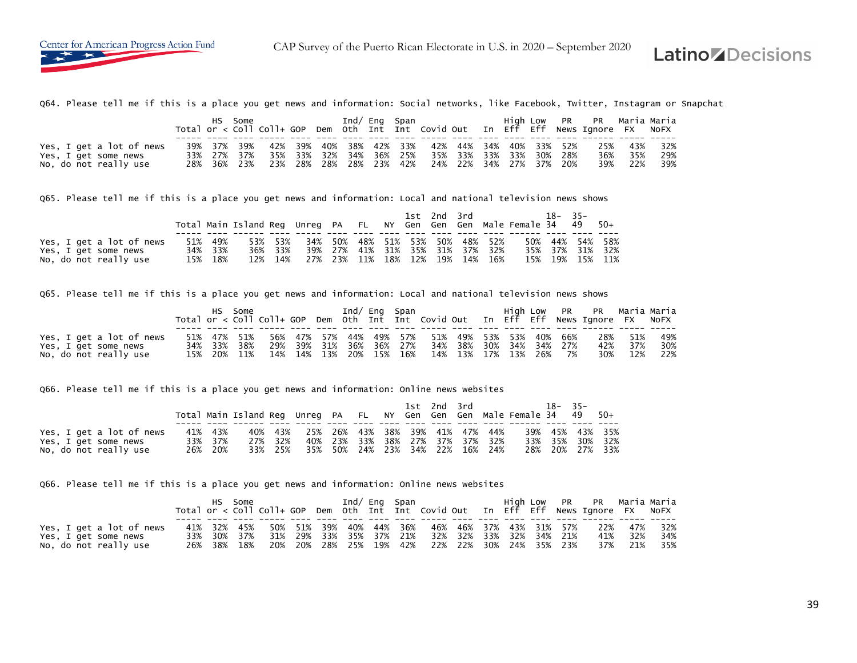

Q64. Please tell me if this is a place you get news and information: Social networks, like Facebook, Twitter, Instagram or Snapchat

|                          |                                                             |  | HS Some the control of the state of the state of the state of the state of the state of the state of the state |  |  | Ind/ Eng Span |  |  | High Low PR PR Maria Maria<br>Total or < Coll Coll+ GOP Dem Oth Int Int Covid Out In Eff Eff News Ignore FX NoFX |     |             |
|--------------------------|-------------------------------------------------------------|--|----------------------------------------------------------------------------------------------------------------|--|--|---------------|--|--|------------------------------------------------------------------------------------------------------------------|-----|-------------|
|                          |                                                             |  |                                                                                                                |  |  |               |  |  |                                                                                                                  |     |             |
| Yes, I get a lot of news | 39% 37% 39% 42% 39% 40% 38% 42% 33% 42% 44% 34% 40% 33% 52% |  |                                                                                                                |  |  |               |  |  | 25%                                                                                                              |     | 43% 32%     |
| Yes, I get some news     |                                                             |  | 33% 27% 37% 35% 33% 32% 34% 36% 25% 35% 33% 33% 30% 20% 28%                                                    |  |  |               |  |  | 36%                                                                                                              | 35% | 29%         |
| No, do not really use    |                                                             |  | 28% 36% 23% 23% 28% 28% 28% 23% 42% 24% 22% 34% 27% 37% 20%                                                    |  |  |               |  |  |                                                                                                                  |     | 39% 22% 39% |

Q65. Please tell me if this is a place you get news and information: Local and national television news shows

|                          |         |                                                                    |         |     |                                 |                             |  | 1st 2nd 3rd |             | $18 - 35 -$ |                 |
|--------------------------|---------|--------------------------------------------------------------------|---------|-----|---------------------------------|-----------------------------|--|-------------|-------------|-------------|-----------------|
|                          |         | Total Main Island Reg Unreg PA FL NY Gen Gen Gen Male Female 34 49 |         |     |                                 |                             |  |             |             |             | -50+            |
|                          |         |                                                                    |         |     |                                 |                             |  |             |             |             |                 |
| Yes, I get a lot of news | 51% 49% |                                                                    | 53% 53% | 34% |                                 | 50% 48% 51% 53% 50% 48% 52% |  |             |             |             | 50% 44% 54% 58% |
| Yes, I get some news     | 34% 33% |                                                                    | 36% 33% |     | 39% 27% 41% 31% 35% 31% 37% 32% |                             |  |             |             | 35% 37%     | 31% 32%         |
| No, do not really use    | 15% 18% | 12%                                                                | 14%     |     | 27% 23%                         | 11% 18% 12%                 |  |             | 19% 14% 16% | 15% 19%     | 15% 11%         |

Q65. Please tell me if this is a place you get news and information: Local and national television news shows

|                          |  | HS Some |                                                             |  | Ind/ Eng Span |  |  |  |  | High Low PR PR Maria Maria                                                         |         |     |
|--------------------------|--|---------|-------------------------------------------------------------|--|---------------|--|--|--|--|------------------------------------------------------------------------------------|---------|-----|
|                          |  |         |                                                             |  |               |  |  |  |  | Total or < Coll Coll+ GOP Dem Oth Int Int Covid Out In Eff Eff News Ignore FX NoFX |         |     |
|                          |  |         |                                                             |  |               |  |  |  |  |                                                                                    |         |     |
| Yes, I get a lot of news |  |         |                                                             |  |               |  |  |  |  | 51% 47% 51% 56% 47% 57% 44% 49% 57% 51% 49% 53% 53% 40% 66% 28% 51%                |         | 49% |
| Yes, I get some news     |  |         | 34% 33% 38% 29% 39% 31% 36% 36% 27% 34% 38% 30% 34% 34% 27% |  |               |  |  |  |  |                                                                                    | 42% 37% | 30% |
| No, do not really use    |  |         | 15% 20% 11% 14% 14% 13% 20% 15% 16% 14% 13% 17% 13% 26% 7%  |  |               |  |  |  |  | 30% 12%                                                                            |         | 22% |

Q66. Please tell me if this is a place you get news and information: Online news websites

|                                                                           |                               |                               |                             |  |  | 1st 2nd 3rd |                                                                           | Total Main Island Reg Unreg PA FL NY Gen Gen Gen Male Female 34 49 50+ | 18-35-  |                                           |     |
|---------------------------------------------------------------------------|-------------------------------|-------------------------------|-----------------------------|--|--|-------------|---------------------------------------------------------------------------|------------------------------------------------------------------------|---------|-------------------------------------------|-----|
| Yes, I get a lot of news<br>Yes, I get some news<br>No, do not really use | 41% 43%<br>33% 37%<br>26% 20% | 40% 43%<br>27% 32%<br>33% 25% | 25% 26% 43% 38% 39% 41% 47% |  |  |             | 44%<br>40% 23% 33% 38% 27% 37% 37% 32%<br>35% 50% 24% 23% 34% 22% 16% 24% |                                                                        | 33% 35% | 39% 45% 43% 35%<br>30%<br>28% 20% 27% 33% | 32% |

Q66. Please tell me if this is a place you get news and information: Online news websites

|                          |  | HS Some |  | Ind/ Eng Span |  |                                                             |  |  | High Low PR PR Maria-Maria                                                         |         |     |
|--------------------------|--|---------|--|---------------|--|-------------------------------------------------------------|--|--|------------------------------------------------------------------------------------|---------|-----|
|                          |  |         |  |               |  |                                                             |  |  | Total or < Coll Coll+ GOP Dem Oth Int Int Covid Out In Eff Eff News Ignore FX NoFX |         |     |
|                          |  |         |  |               |  |                                                             |  |  |                                                                                    |         |     |
| Yes, I get a lot of news |  |         |  |               |  |                                                             |  |  | 41% 32% 45%  50% 51% 39% 40% 44% 36%  46% 46% 37% 43% 31% 57%  22%  47%  32%       |         |     |
| Yes, I get some news     |  |         |  |               |  | 33% 30% 37% 31% 29% 33% 35% 37% 21% 32% 32% 33% 32% 34% 21% |  |  |                                                                                    | 41% 32% | 34% |
| No, do not really use    |  |         |  |               |  | 26% 38% 18% 20% 20% 28% 25% 19% 42% 22% 22% 30% 24% 35% 23% |  |  | 37% 21% 35%                                                                        |         |     |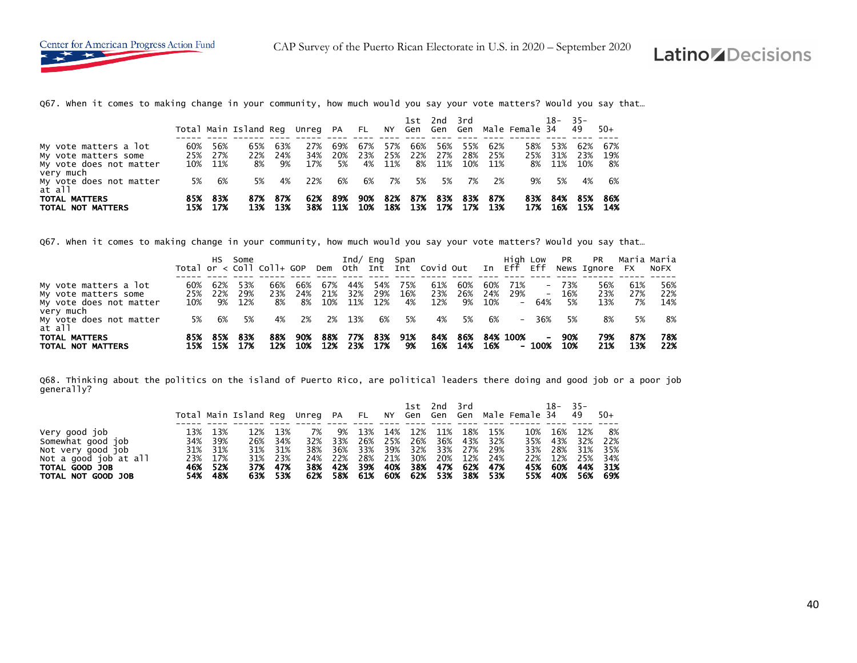Q67. When it comes to making change in your community, how much would you say your vote matters? Would you say that…

|                                                                          |            |                       | Total Main Island Reg Unreg PA FL |                  |                   |                  |                  |                   |                  | 1st 2nd 3rd       |         |                           | NY Gen Gen Gen Male Female 34 | 18-                  | $-35-$<br>49      | $50+$            |
|--------------------------------------------------------------------------|------------|-----------------------|-----------------------------------|------------------|-------------------|------------------|------------------|-------------------|------------------|-------------------|---------|---------------------------|-------------------------------|----------------------|-------------------|------------------|
| My vote matters a lot<br>My vote matters some<br>My vote does not matter | 60%<br>25% | 56%<br>27%<br>10% 11% | 65%<br>22%<br>8%                  | 63%<br>24%<br>9% | 27%<br>34%<br>17% | 69%<br>20%<br>5% | 67%<br>23%<br>4% | 57%<br>25%<br>11% | 66%<br>22%<br>8% | 56%<br>27%<br>11% | 55%     | 62%<br>28% 25%<br>10% 11% | 58%<br>25%                    | 53%<br>31%<br>8% 11% | 62%<br>23%<br>10% | 67%<br>19%<br>8% |
| very much<br>My vote does not matter<br>at all                           | 5%         | 6%                    | 5%                                | 4%               | 22%               | 6%               | 6%               | 7%                | 5%               | 5%                | 7%      | 2%                        | 9%                            | 5%                   | 4%                | 6%               |
| <b>TOTAL MATTERS</b><br>TOTAL NOT MATTERS                                | 85%<br>15% | 83%<br>- 17%          | 87%<br>13%                        | -87%<br>13%      | 62%               | 89%<br>38% 11%   | 90%<br>10%       | 82%<br>18%        | 87%              | 83%<br>13% 17%    | 17% 13% | 83% 87%                   | 83%<br>17%                    | 84%<br>16%           | 85%<br>15%        | 86%<br>-14%      |

Q67. When it comes to making change in your community, how much would you say your vote matters? Would you say that…

|                                                                                       |                   | HS.              | Some              | Total or $\lt$ Coll Coll+ GOP |                  |                   |                   |                   | $Ind/$ Eng Span  | Dem Oth Int Int Covid Out In Eff Eff |                  |                   | Hiah Low          |                  | <b>PR</b>            | <b>PR</b><br>News Ignore FX | Maria Maria      | NOFX              |
|---------------------------------------------------------------------------------------|-------------------|------------------|-------------------|-------------------------------|------------------|-------------------|-------------------|-------------------|------------------|--------------------------------------|------------------|-------------------|-------------------|------------------|----------------------|-----------------------------|------------------|-------------------|
| My vote matters a lot<br>My vote matters some<br>My vote does not matter<br>very much | 60%<br>25%<br>10% | 62%<br>22%<br>9% | 53%<br>29%<br>12% | 66%<br>23%<br>8%              | 66%<br>24%<br>8% | 67%<br>21%<br>10% | 44%<br>32%<br>11% | 54%<br>29%<br>12% | 75%<br>16%<br>4% | 61%<br>23%<br>12%                    | 60%<br>26%<br>9% | 60%<br>24%<br>10% | 71%<br>29%<br>$-$ | 64%              | - 73%<br>- 16%<br>5% | 56%<br>23%<br>13%           | 61%<br>27%<br>7% | 56%<br>22%<br>14% |
| My vote does not matter<br>at all                                                     | 5%                | 6%               | 5%                | 4%                            | 2%               | 2%                | 13%               | 6%                | 5%               | 4%                                   | 5%               | 6%                |                   | $-36%$           | 5%                   | 8%                          | 5%               | -8%               |
| <b>TOTAL MATTERS</b><br>TOTAL NOT MATTERS                                             | 85%<br>15%        | 85%<br>15%       | -83%<br>17%       | 88%<br>12%                    | 90%<br>10%       | 88%<br>12%        | 77%<br>23%        | 83%<br>17%        | 91%<br>9%        | 84%<br>16%                           | 86%<br>14%       | 16%               | 84% 100%          | $\sim$<br>- 100% | 90%<br>10%           | 79%<br>21%                  | 87%<br>13%       | 78%<br>22%        |

Q68. Thinking about the politics on the island of Puerto Rico, are political leaders there doing and good job or a poor job generally?

|                                                                                                                          |            |                                                          | Total Main Island Reg Unreg PA FL NY Gen Gen Gen Male Female 34 49 |                                                      |           |                                                         |                      |     |                                   |       | 1st 2nd 3rd |                                                                                                        |     | $18-$                     | $-35-$                                                          | -50+                         |
|--------------------------------------------------------------------------------------------------------------------------|------------|----------------------------------------------------------|--------------------------------------------------------------------|------------------------------------------------------|-----------|---------------------------------------------------------|----------------------|-----|-----------------------------------|-------|-------------|--------------------------------------------------------------------------------------------------------|-----|---------------------------|-----------------------------------------------------------------|------------------------------|
| Very good job<br>Somewhat good job<br>Not very good job<br>Not a good job at all<br>TOTAL GOOD JOB<br>TOTAL NOT GOOD JOB | 13%<br>54% | 13%<br>34% 39%<br>31% 31%<br>23% 17%<br>46% 52%<br>- 48% | 12%<br>26%<br>37%                                                  | 13%<br>34%<br>31% 31%<br>31% 23%<br>- 47%<br>63% 53% | 7%<br>62% | 32% 33%<br>38% 36% 33%<br>24% 22%<br>38% 42% 39%<br>58% | 9% 13%<br>26%<br>28% | 14% | 12%<br>21% 30% 20%<br>40% 38% 47% | - 11% |             | 18% 15%<br>25% 26% 36% 43% 32%<br>39% 32% 33% 27% 29%<br>12% 24%<br>62% 47%<br>61% 60% 62% 53% 38% 53% | 10% | 16%<br>22% 12%<br>45% 60% | 12%<br>35% 43% 32%<br>33% 28% 31% 35%<br>25%<br>55% 40% 56% 69% | -8%<br>22%<br>34%<br>44% 31% |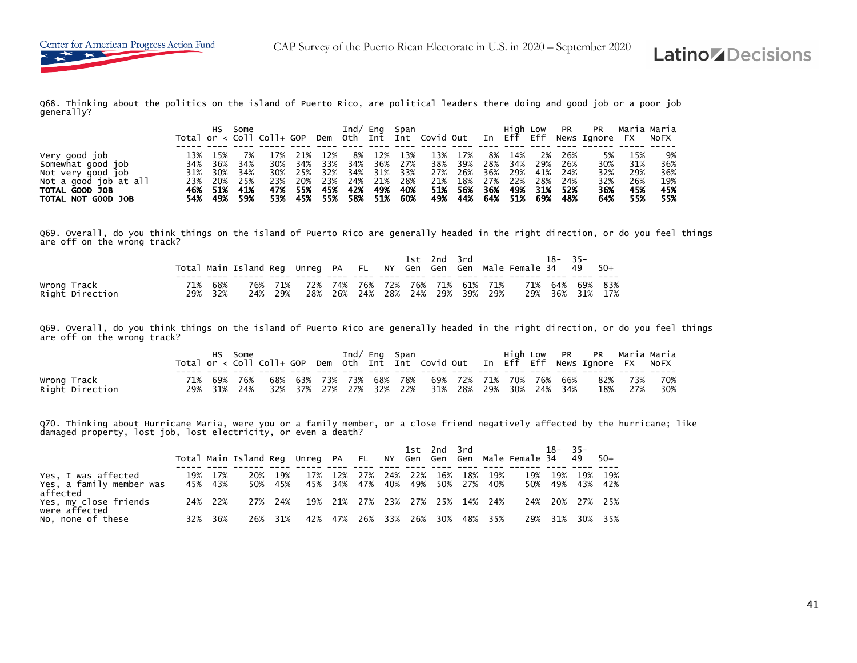Q68. Thinking about the politics on the island of Puerto Rico, are political leaders there doing and good job or a poor job generally?

|                                      |     | HS.            | Some       |            |            |            | Ind $/$    |            | Eng Span     |            |            |     | Hiah Low       |            | <b>PR</b>   | <b>PR</b><br>Total or < Coll Coll+ GOP Dem Oth Int Int Covid Out In Eff Eff News Ignore FX NoFX | Maria Maria |            |
|--------------------------------------|-----|----------------|------------|------------|------------|------------|------------|------------|--------------|------------|------------|-----|----------------|------------|-------------|-------------------------------------------------------------------------------------------------|-------------|------------|
| Very good job                        | 13% | 15%            |            |            | 21%        | 12%        | 8%         | 12%        | 13%          | 13%        | 17%        | 8%  | 14%            | 2%         | 26%         | 5%                                                                                              | 15%         | 9%         |
| Somewhat good job                    | 34% | 36%            | 34%        | 30%        | 34%        | 33%        | 34%        | 36%        | - 27%        | 38%        | 39%        | 28% | 34%            | 29%        | 26%         | 30%                                                                                             | 31%         | 36%        |
| Not very good job                    | 31% | 30%            | 34%        | 30%        | 25%        | 32%        | 34%        | 31%        | 33%          | 27%        | 26%        | 36% | 29%            | 41%        | 24%         | 32%                                                                                             | 29%         | 36%        |
| Not a good job at all                | 23% | 20%            | 25%        | 23%        | 20%        | 23%        | 24%        | 21%        | - 28%        | 21%        | 18%        | 27% | 22%            | 28%        | 24%         | 32%                                                                                             | 26%         | 19%        |
| TOTAL GOOD JOB<br>TOTAL NOT GOOD JOB | 54% | 46% 51%<br>49% | 41%<br>59% | 47%<br>53% | 55%<br>45% | 45%<br>55% | 42%<br>58% | 49%<br>51% | 40%<br>- 60% | 51%<br>49% | 56%<br>44% | 36% | 49%<br>64% 51% | 31%<br>69% | -52%<br>48% | 36%<br>64%                                                                                      | 45%<br>55%  | 45%<br>55% |

Q69. Overall, do you think things on the island of Puerto Rico are generally headed in the right direction, or do you feel things are off on the wrong track?

|                                |     |            | Total Main Island Reg Unreg PA FL NY Gen Gen Gen Male Female 34 |                  |     |                                            | 1st | 2nd 3rd |                     |     | $18 -$ | $35 -$<br>49                   | $50+$ |
|--------------------------------|-----|------------|-----------------------------------------------------------------|------------------|-----|--------------------------------------------|-----|---------|---------------------|-----|--------|--------------------------------|-------|
| Wrong Track<br>Right Direction | 29% | 68%<br>32% | 24%                                                             | 76% 71%<br>- 29% | 28% | 72% 74% 76% 72% 76% 71% 61% 71%<br>26% 24% |     |         | 28% 24% 29% 39% 29% | 29% |        | 71% 64% 69% 83%<br>36% 31% 17% |       |

Q69. Overall, do you think things on the island of Puerto Rico are generally headed in the right direction, or do you feel things are off on the wrong track?

|                                |     |            | Some       |     |         |     |     | Ind/ Eng Span                  |                        |     |  |                            | High Low PR PR Maria-Maria<br>Total or < Coll Coll+ GOP Dem Oth Int Int Covid Out In Eff Eff News Ignore FX NoFX |            |            |
|--------------------------------|-----|------------|------------|-----|---------|-----|-----|--------------------------------|------------------------|-----|--|----------------------------|------------------------------------------------------------------------------------------------------------------|------------|------------|
| Wrong Track<br>Right Direction | 29% | 69%<br>31% | 76%<br>24% | 68% | 32% 37% | 27% | 27% | 63% 73% 73% 68% 78%<br>32% 22% | 69% 72% 71% 70%<br>31% | 28% |  | 76% 66%<br>29% 30% 24% 34% | 82%<br>18%                                                                                                       | 73%<br>27% | 70%<br>30% |

Q70. Thinking about Hurricane Maria, were you or a family member, or a close friend negatively affected by the hurricane; like<br>damaged property, lost job, lost electricity, or even a death?

|                                                             |     |                    | Total Main Island Reg Unreg PA FL |                |     |             |     |         |     | 1st 2nd 3rd |                                            | NY Gen Gen Gen Male-Female-34 49 | $18 - 35 -$ |     | $50+$                      |
|-------------------------------------------------------------|-----|--------------------|-----------------------------------|----------------|-----|-------------|-----|---------|-----|-------------|--------------------------------------------|----------------------------------|-------------|-----|----------------------------|
| Yes, I was affected<br>Yes, a family member was<br>affected |     | 19% 17%<br>45% 43% | 20%                               | 19%<br>50% 45% |     | 17% 12% 27% |     | 24% 22% | 16% |             | 18% 19%<br>45% 34% 47% 40% 49% 50% 27% 40% |                                  | 19% 19%     |     | 19% 19%<br>50% 49% 43% 42% |
| Yes, my close friends<br>were affected                      |     | 24% 22%            | 27%                               | 24%            |     |             |     |         |     |             | 19% 21% 27% 23% 27% 25% 14% 24%            |                                  |             |     | 24% 20% 27% 25%            |
| No, none of these                                           | 32% | 36%                | 26%                               | 31%            | 42% | 47%         | 26% | 33% 26% | 30% |             | 48% 35%                                    | 29%                              | 31%         | 30% | 35%                        |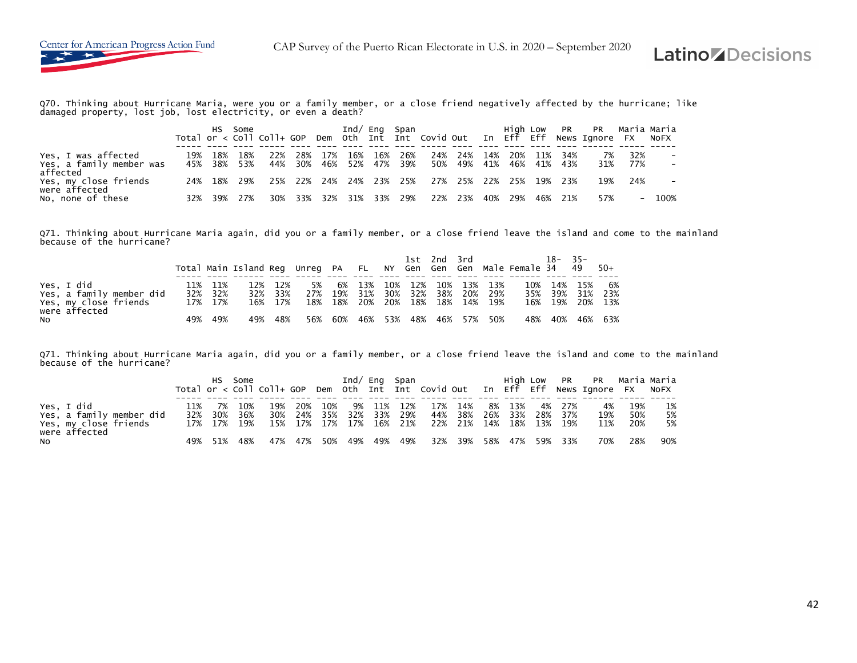

Q70. Thinking about Hurricane Maria, were you or a family member, or a close friend negatively affected by the hurricane; like damaged property, lost job, lost electricity, or even a death?

|                          |  | HS Some     |     |     |                         |             |     | Ind/ Eng Span |                         |         |       |       | High Low PR PR Maria Maria<br>Total or < Coll Coll+ GOP Dem Oth Int Int Covid Out In Eff Eff News Ignore FX NoFX |     |      |
|--------------------------|--|-------------|-----|-----|-------------------------|-------------|-----|---------------|-------------------------|---------|-------|-------|------------------------------------------------------------------------------------------------------------------|-----|------|
|                          |  |             |     |     |                         |             |     |               |                         |         |       |       |                                                                                                                  |     |      |
| Yes, I was affected      |  | 19% 18% 18% | 22% | 28% | 17%                     | 16% 16%     | 26% |               | 24% 24% 14%             | 20%     | . 11% | - 34% | 7%                                                                                                               | 32% |      |
| Yes, a family member was |  | 45% 38% 53% |     |     | 44% 30% 46% 52% 47% 39% |             |     |               | 50% 49% 41% 46% 41% 43% |         |       |       | 31%                                                                                                              | 77% |      |
| affected                 |  |             |     |     |                         |             |     |               |                         |         |       |       |                                                                                                                  |     |      |
| Yes, my close friends    |  | 24% 18% 29% |     |     | 25% 22% 24% 24% 23% 25% |             |     |               | 27% 25% 22% 25% 19% 23% |         |       |       | 19%                                                                                                              | 24% |      |
| were affected            |  |             |     |     |                         |             |     |               |                         |         |       |       |                                                                                                                  |     |      |
| No, none of these        |  | 32% 39% 27% | 30% | 33% | 32%                     | 31% 33% 29% |     |               | 22% 23%                 | 40% 29% | 46%   | 21%   | 57%                                                                                                              | $-$ | 100% |

Q71. Thinking about Hurricane Maria again, did you or a family member, or a close friend leave the island and come to the mainland because of the hurricane?

|                                                                                  |     |                               | Total Main Island Reg Unreg PA FL NY Gen Gen Gen Male Female 34 49 |                               |     |               |                                               |         | 1st 2nd 3rd |                                    | $18 - 35 -$                           |            | - 50+           |
|----------------------------------------------------------------------------------|-----|-------------------------------|--------------------------------------------------------------------|-------------------------------|-----|---------------|-----------------------------------------------|---------|-------------|------------------------------------|---------------------------------------|------------|-----------------|
| Yes, I did<br>Yes, a family member did<br>Yes, my close friends<br>were affected |     | 11% 11%<br>32% 32%<br>17% 17% |                                                                    | 12% 12%<br>32% 33%<br>16% 17% | 5%  | 6%<br>27% 19% | 13%<br>31%<br>18% 18% 20% 20% 18% 18% 14% 19% | 10% 12% |             | 10% 13% 13%<br>30% 32% 38% 20% 29% | 10% 14%<br>35% 39%<br>16% 19% 20% 13% | 15%<br>31% | 6%<br>23%       |
| NO                                                                               | 49% | 49%                           | 49%                                                                | 48%                           | 56% |               | 60% 46% 53%                                   |         | 48% 46% 57% | 50%                                |                                       |            | 48% 40% 46% 63% |

Q71. Thinking about Hurricane Maria again, did you or a family member, or a close friend leave the island and come to the mainland because of the hurricane?

|                                                                                  |                    | HS -              | Some |              |     |     |        |                            | Ind/ Eng Span                                          |                          |        |                   | High Low PR PR Maria-Maria<br>Total or < Coll Coll+ GOP Dem Oth Int Int Covid Out In Eff Eff News Ignore FX NoFX |                   |                |
|----------------------------------------------------------------------------------|--------------------|-------------------|------|--------------|-----|-----|--------|----------------------------|--------------------------------------------------------|--------------------------|--------|-------------------|------------------------------------------------------------------------------------------------------------------|-------------------|----------------|
| Yes, I did<br>Yes, a family member did<br>Yes, my close friends<br>were affected | 11%<br>32% 30% 36% | 7%<br>17% 17% 19% | 10%  | - 19%<br>30% | 20% | 10% | 9% 11% | 12%<br>24% 35% 32% 33% 29% | 17%<br>15% 17% 17% 17% 16% 21% 22% 21% 14% 18% 13% 19% | - 14%<br>44% 38% 26% 33% | 8% 13% | 4% 27%<br>28% 37% | 4%<br>19%<br>11%                                                                                                 | 19%<br>50%<br>20% | 1%<br>5%<br>5% |
| NO.                                                                              |                    | 49% 51%           | 48%  |              |     |     |        | 47% 47% 50% 49% 49% 49%    |                                                        | 32% 39% 58% 47% 59% 33%  |        |                   | 70%                                                                                                              | 28%               | 90%            |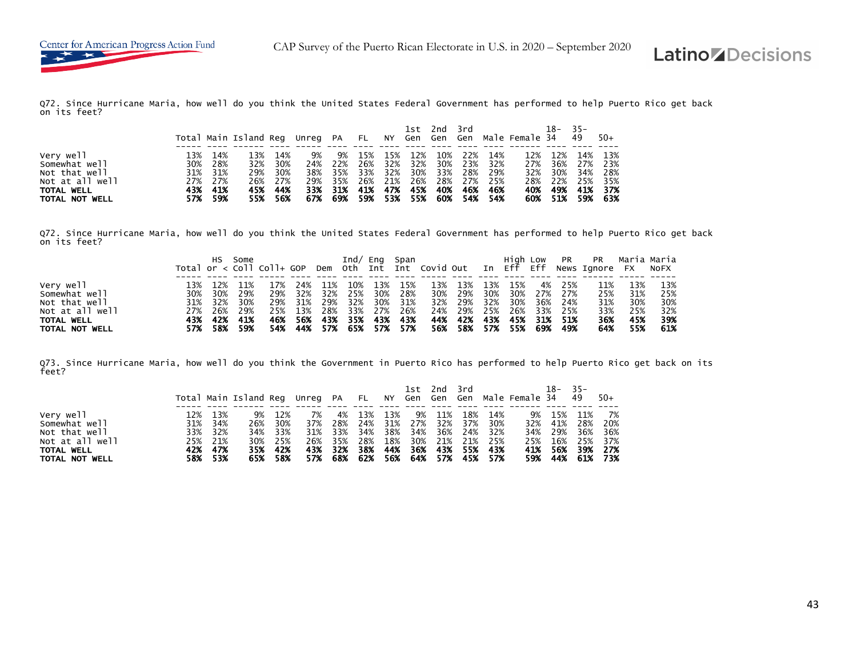Q72. Since Hurricane Maria, how well do you think the United States Federal Government has performed to help Puerto Rico get back on its feet?

|                 |     |         | Total Main Island Reg Unreg PA FL NY Gen Gen Gen Male Female 34 49 |         |    |         |     |     |         |     | 1st 2nd 3rd |                                 | 18–     | $-35-$          | $-50+$  |
|-----------------|-----|---------|--------------------------------------------------------------------|---------|----|---------|-----|-----|---------|-----|-------------|---------------------------------|---------|-----------------|---------|
|                 |     |         |                                                                    |         |    |         |     |     |         |     |             |                                 |         |                 |         |
| Very well       | 13% | 14%     | 13%                                                                | 14%     | 9% | 9%      | 15% | 15% | 12%     | 10% |             | 22% 14%                         | 12% 12% | 14%             | - 13%   |
| Somewhat well   | 30% | 28%     | 32%                                                                | 30%     |    | 24% 22% | 26% |     | 32% 32% |     |             | 30% 23% 32%                     |         | 27% 36% 27% 23% |         |
| Not that well   |     | 31% 31% | 29%                                                                | 30%     |    | 38% 35% |     |     |         |     |             | 33% 32% 30% 33% 28% 29%         | 32% 30% |                 | 34% 28% |
| Not at all well |     | 27% 27% |                                                                    | 26% 27% |    | 29% 35% |     |     |         |     |             | 26% 21% 26% 28% 27% 25%         | 28% 22% |                 | 25% 35% |
| TOTAL WELL      | 43% | - 41%   | 45%                                                                | - 44%   |    | 33% 31% | 41% |     | 47% 45% | 40% |             | 46% 46%                         | 40% 49% | 41%             | 37%     |
| TOTAL NOT WELL  | 57% | - 59%   |                                                                    | 55% 56% |    |         |     |     |         |     |             | 67% 69% 59% 53% 55% 60% 54% 54% |         | 60% 51% 59% 63% |         |

Q72. Since Hurricane Maria, how well do you think the United States Federal Government has performed to help Puerto Rico get back on its feet?

|                            |     | HS -    | Some        |     |         |                         |       |       |         |     |                         |     |     |     |                 |                                                                                    |     |     |
|----------------------------|-----|---------|-------------|-----|---------|-------------------------|-------|-------|---------|-----|-------------------------|-----|-----|-----|-----------------|------------------------------------------------------------------------------------|-----|-----|
|                            |     |         |             |     |         |                         |       |       |         |     |                         |     |     |     |                 | Total or < Coll Coll+ GOP Dem Oth Int Int Covid Out In Eff Eff News Ignore FX NoFX |     |     |
|                            |     |         |             |     |         |                         |       |       |         |     |                         |     |     |     |                 |                                                                                    |     |     |
| Very well<br>Somewhat well |     |         |             | 17% | 24%     | 11%                     | 10%   | 13%   | 15%     | 13% | 13%                     | 13% | 15% | 4%  | 25%             | 11%                                                                                | 13% | 13% |
|                            |     |         | 30% 30% 29% | 29% | 32%     | 32%                     | 25%   |       | 30% 28% | 30% | 29%                     |     |     |     | 30% 30% 27% 27% | 25%                                                                                | 31% | 25% |
| Not that well              |     | 31% 32% | 30%         | 29% | 31%     | 29%                     | 32%   | 30%   | 31%     | 32% | 29%                     | 32% | 30% |     | 36% 24%         | 31%                                                                                | 30% | 30% |
| Not at all well            |     |         | 27% 26% 29% | 25% | 13%     | 28%                     | 33%   |       | 27% 26% |     | 24% 29%                 | 25% | 26% | 33% | 25%             | 33%                                                                                | 25% | 32% |
| TOTAL WELL                 |     | 43% 42% | 41%         |     | 46% 56% | 43%                     | - 35% | - 43% | - 43%   |     | 44% 42%                 | 43% | 45% | 31% | - 51%           | 36%                                                                                | 45% | 39% |
| TOTAL NOT WELL             | 57% | 58%     | 59%         |     |         | 54% 44% 57% 65% 57% 57% |       |       |         |     | 56% 58% 57% 55% 69% 49% |     |     |     |                 | 64%                                                                                | 55% | 61% |

Q73. Since Hurricane Maria, how well do you think the Government in Puerto Rico has performed to help Puerto Rico get back on its feet?

|                                                                                                |                                                                | Total Main Island Reg Unreg PA FL NY Gen Gen Gen Male Female 34 |                                            |                         |                                        |                                 |                   | 1st                            | 2nd         | ⊶ 3rd                                                                |                                           |    | 18–                                             | $-35-$<br>- 49           | -50+                                                        |
|------------------------------------------------------------------------------------------------|----------------------------------------------------------------|-----------------------------------------------------------------|--------------------------------------------|-------------------------|----------------------------------------|---------------------------------|-------------------|--------------------------------|-------------|----------------------------------------------------------------------|-------------------------------------------|----|-------------------------------------------------|--------------------------|-------------------------------------------------------------|
| Very well<br>Somewhat well<br>Not that well<br>Not at all well<br>TOTAL WELL<br>TOTAL NOT WELL | 12% 13%<br>31% 34%<br>33% 32%<br>25% 21%<br>42% 47%<br>58% 53% | 9%<br>26%<br>30%<br>35%<br>65%                                  | 12%<br>30%<br>34% 33%<br>25%<br>42%<br>58% | 7%<br>37%<br>26%<br>57% | 4%<br>28%<br>31% 33%<br>35%<br>43% 32% | 13%<br>24%<br>34%<br>28%<br>38% | 13%<br>38%<br>44% | 9%<br>$\frac{1}{2}$ 34%<br>36% | -11%<br>36% | 18%<br>24% 32%<br>18% 30% 21% 21% 25%<br>68% 62% 56% 64% 57% 45% 57% | 14%<br>31% 27% 32% 37% 30%<br>43% 55% 43% | 9% | 15%<br>32% 41%<br>34% 29%<br>25% 16%<br>41% 56% | 11%<br>28%<br>36%<br>39% | - 7%<br>- 20%<br>36%<br>25% 37%<br>- 27%<br>59% 44% 61% 73% |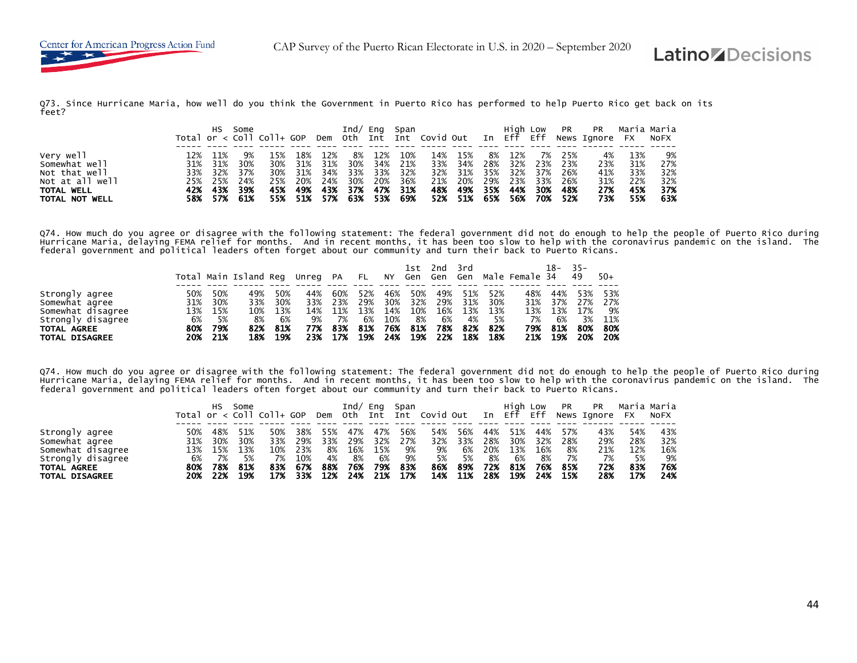Q73. Since Hurricane Maria, how well do you think the Government in Puerto Rico has performed to help Puerto Rico get back on its feet?

|                   | HS -    | Some        |     |       |             |       |     | Ind/ Eng Span |     |                         |     |         |     |       | High Low PR PR Maria Maria<br>Total or < Coll Coll+ GOP Dem Oth Int Int Covid Out In Eff Eff News Ignore FX NoFX |     |     |
|-------------------|---------|-------------|-----|-------|-------------|-------|-----|---------------|-----|-------------------------|-----|---------|-----|-------|------------------------------------------------------------------------------------------------------------------|-----|-----|
|                   |         |             |     |       |             |       |     |               |     |                         |     |         |     |       |                                                                                                                  |     |     |
| Very well         | 11%     | 9%          | 15% | 18%   | 12%         | 8%    | 12% | 10%           | 14% | 15%                     | 8%  | 12%     | 7%  | - 25% | 4%                                                                                                               | 13% | 9%  |
| Somewhat well     | 31% 31% | 30%         | 30% | 31%   | 31%         | 30%   |     | 34% 21%       | 33% | 34%                     |     | 28% 32% | 23% | 23%   | 23%                                                                                                              | 31% | 27% |
| Not that well     |         | 33% 32% 37% | 30% | 31%   | 34%         | 33%   | 33% | 32%           |     | 32% 31%                 | 35% | 32%     | 37% | 26%   | 41%                                                                                                              | 33% | 32% |
| Not at all well   | 25% 25% | 24%         | 25% | 20%   | 24%         | 30%   | 20% | 36%           | 21% | 20%                     |     | 29% 23% | 33% | 26%   | 31%                                                                                                              | 22% | 32% |
| <b>TOTAL WELL</b> | 42% 43% | 39%         | 45% | - 49% | 43%         | - 37% | 47% | 31%           | 48% | 49%                     | 35% | 44%     | 30% | - 48% | 27%                                                                                                              | 45% | 37% |
| TOTAL NOT WELL    | 58% 57% | 61%         |     |       | 55% 51% 57% |       |     | 63% 53% 69%   |     | 52% 51% 65% 56% 70% 52% |     |         |     |       | 73%                                                                                                              | 55% | 63% |

Q74. How much do you agree or disagree with the following statement: The federal government did not do enough to help the people of Puerto Rico during Hurricane Maria, delaying FEMA relief for months. And in recent months, it has been too slow to help with the coronavirus pandemic on the island. The<br>federal government and political leaders often forget about our commun

|                       |     |      | Total Main Island Reg Unreg PA |     |     |     |     |     | 1st. | 2nd | 3rd |      | FL NY Gen Gen Gen Male Female 34 | 18- | $35 -$<br>49 | $50+$ |
|-----------------------|-----|------|--------------------------------|-----|-----|-----|-----|-----|------|-----|-----|------|----------------------------------|-----|--------------|-------|
|                       |     |      |                                |     |     |     |     |     |      |     |     |      |                                  |     |              |       |
| Strongly agree        | 50% | 50%  | 49%                            | 50% | 44% | 60% | 52% | 46% | 50%  | 49% | 51% | 52%  | 48%                              | 44% | 53%          | 53%   |
| Somewhat agree        | 31% | 30%  | 33%                            | 30% | 33% | 23% | 29% | 30% | 32%  | 29% | 31% | 30%  | 31%                              | 37% | 27%          | 27%   |
| Somewhat disagree     | 13% | 15%  | 10%                            | 13% | 14% | 11% | 13% | 14% | 10%  | 16% | 13% | 13%  | 13%                              | 13% | 17%          | 9%    |
| Strongly disagree     | 6%  | - 5% | 8%                             | 6%  | 9%  | 7%  | 6%  | 10% | 8%   | 6%  | 4%  | - 5% | 7%                               | 6%  | 3%           | 11%   |
| TOTAL AGREE           | 80% | 79%  | 82%                            | 81% | 77% | 83% | 81% | 76% | 81%  | 78% | 82% | -82% | 79%                              | 81% | 80%          | 80%   |
| <b>TOTAL DISAGREE</b> | 20% | 21%  | 18%                            | 19% | 23% | 17% | 19% | 24% | 19%  | 22% | 18% | 18%  | 21%                              | 19% | 20%          | 20%   |

Q74. How much do you agree or disagree with the following statement: The federal government did not do enough to help the people of Puerto Rico during<br>Hurricane Maria, delaying FEMA relief for months. And in recent months federal government and political leaders often forget about our community and turn their back to Puerto Ricans.

|                       |     | нs  | Some | Total or $\langle$ Coll Coll+ GOP |     | Dem | Ind/<br>oth | Eng<br>Int | Span | Int Covid Out |     | In Eff | High Low | Eff | PR  | <b>PR</b><br>News Ignore | <b>FX</b> | Maria Maria<br><b>NOFX</b> |
|-----------------------|-----|-----|------|-----------------------------------|-----|-----|-------------|------------|------|---------------|-----|--------|----------|-----|-----|--------------------------|-----------|----------------------------|
| Strongly agree        | 50% | 48% | 51%  | 50%                               | 38% | 55% | 47%         | 47%        | 56%  | 54%           | 56% | 44%    | 51%      | 44% | 57% | 43%                      | 54%       | 43%                        |
| Somewhat agree        | 31% | 30% | 30%  | 33%                               | 29% | 33% | 29%         | 32%        | 27%  | 32%           | 33% | 28%    | 30%      | 32% | 28% | 29%                      | 28%       | 32%                        |
| Somewhat disagree     | 13% | 15% | 13%  | 10%                               | 23% | 8%  | 16%         | 15%        | 9%   | 9%            | 6%  | 20%    | 13%      | 16% | 8%  | 21%                      | 12%       | 16%                        |
| Strongly disagree     | 6%  | 7%  | 5%   | 7%                                | 10% | 4%  | 8%          | 6%         | 9%   | 5%            | 5%  | 8%     | 6%       | 8%  | 7%  | 7%                       | 5%        | 9%                         |
| TOTAL AGREE           | 80% | 78% | 81%  | 83%                               | 67% | 88% | 76%         | 79%        | 83%  | 86%           | 89% | 72%    | 81%      | 76% | 85% | 72%                      | 83%       | 76%                        |
| <b>TOTAL DISAGREE</b> | 20% | 22% | 19%  | 17%                               | 33% | 12% | 24%         | 21%        | 17%  | 14%           | 11% | 28%    | 19%      | 24% | 15% | 28%                      | 17%       | 24%                        |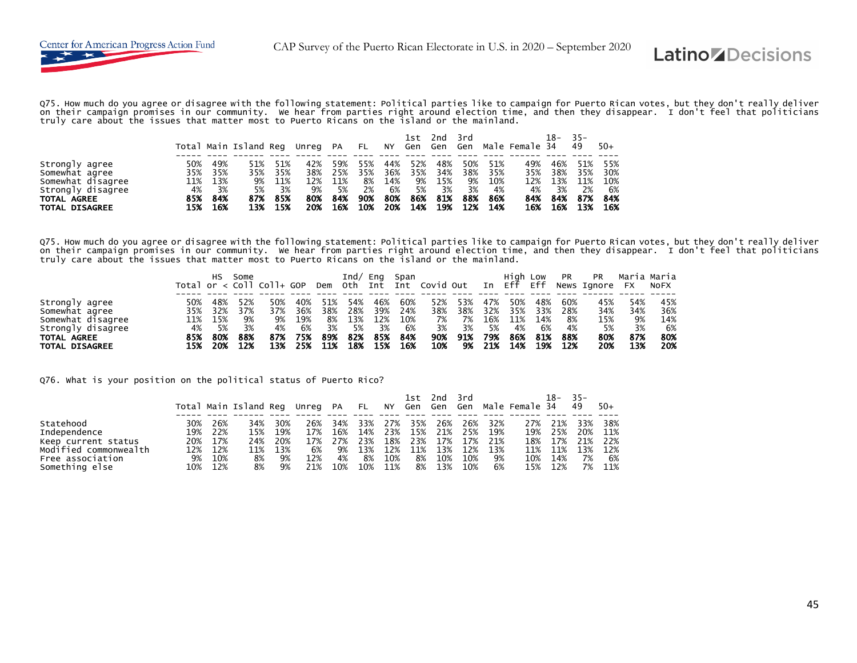

Q75. How much do you agree or disagree with the following statement: Political parties like to campaign for Puerto Rican votes, but they don't really deliver on their campaign promises in our community. We hear from parties right around election time, and then they disappear. I don't feel that politicians<br>truly care about the issues that matter most to Puerto Ricans on the is

|                       |     |     |                       |     |          |     |      |     | 1st     | 2nd | 3rd |     |                | $18 -$ | $35 -$ |       |
|-----------------------|-----|-----|-----------------------|-----|----------|-----|------|-----|---------|-----|-----|-----|----------------|--------|--------|-------|
|                       |     |     | Total Main Island Reg |     | Unreg PA |     | - FL | NY  | Gen Gen |     | Gen |     | Male Female 34 |        | 49     | $50+$ |
|                       |     |     |                       |     |          |     |      |     |         |     |     |     |                |        |        |       |
| Strongly agree        | 50% | 49% |                       |     | 42%      | 59% | 55%  | 44% | 52%     | 48% | 50% | 51% | 49%            | 46%    | 51%    | 55%   |
| Somewhat agree        | 35% | 35% | 35%                   | 35% | 38%      | 25% | 35%  | 36% | 35%     | 34% | 38% | 35% | 35%            | 38%    | 35%    | 30%   |
| Somewhat disagree     | 11% | 13% | 9%                    | 11% | 12%      | 11% | 8%   | 14% | 9%      | 15% | 9%  | 10% | 12%            | 13%    | 11%    | 10%   |
| Strongly disagree     | 4%  | 3%  | 5%                    | 3%  | 9%       | 5%  | 2%   | 6%  | 5%      | 3%  | 3%  | 4%  | 4%             | 3%     | 2%     | 6%    |
| TOTAL AGREE           | 85% | 84% | 87%                   | 85% | 80%      | 84% | 90%  | 80% | 86%     | 81% | 88% | 86% | 84%            | 84%    | 87%    | 84%   |
| <b>TOTAL DISAGREE</b> | 15% | 16% | 13%                   | 15% | 20%      | 16% | 10%  | 20% | 14%     | 19% | 12% | 14% | 16%            | 16%    | 13%    | 16%   |

Q75. How much do you agree or disagree with the following statement: Political parties like to campaign for Puerto Rican votes, but they don't really deliver<br>on their campaign promises in our community. We hear from parti truly care about the issues that matter most to Puerto Ricans on the island or the mainland.

|                       |     | нs  | Some | Total or $\langle$ Coll Coll+ GOP |     | Dem | Ind/<br>oth | Eng<br>Int Int | Span | Covid Out |     | In  | High Low<br>Eff | Eff | <b>PR</b> | <b>PR</b><br>News Ignore | <b>FX</b> | Maria Maria<br>NOFX |
|-----------------------|-----|-----|------|-----------------------------------|-----|-----|-------------|----------------|------|-----------|-----|-----|-----------------|-----|-----------|--------------------------|-----------|---------------------|
|                       |     |     |      |                                   |     |     |             |                |      |           |     |     |                 |     |           |                          |           |                     |
| Strongly agree        | 50% | 48% | 52%  | 50%                               | 40% | 51% | 54%         | 46%            | 60%  | 52%       | 53% | 47% | 50%             | 48% | 60%       | 45%                      | 54%       | 45%                 |
| Somewhat agree        | 35% | 32% | 37%  | 37%                               | 36% | 38% | 28%         | 39%            | 24%  | 38%       | 38% | 32% | 35%             | 33% | 28%       | 34%                      | 34%       | 36%                 |
| Somewhat disagree     | 11% | 15% | 9%   | 9%                                | 19% | 8%  | 13%         | 12%            | 10%  | 7%        | 7%  | 16% | 11%             | 14% | 8%        | 15%                      | 9%        | 14%                 |
| Strongly disagree     | 4%  | 5%  | 3%   | 4%                                | 6%  | 3%  | 5%          | 3%             | 6%   | 3%        | 3%  | 5%  | 4%              | 6%  | 4%        | 5%                       | 3%        | 6%                  |
| TOTAL AGREE           | 85% | 80% | 88%  | 87%                               | 75% | 89% | 82%         | 85%            | 84%  | 90%       | 91% | 79% | 86%             | 81% | 88%       | 80%                      | 87%       | 80%                 |
| <b>TOTAL DISAGREE</b> | 15% | 20% | 12%  | 13%                               | 25% | 11% | 18%         | 15%            | 16%  | 10%       | 9%  | 21% | 14%             | 19% | 12%       | 20%                      | 13%       | 20%                 |

Q76. What is your position on the political status of Puerto Rico?

|                       |     |     | Total Main Island Req |     | Unreg PA |     | <b>FL</b> | NY  | 1st<br>Gen Gen | 2nd | 3rd<br>Gen |     | Male Female 34 | 18- | $35 -$<br>49 | $50+$ |
|-----------------------|-----|-----|-----------------------|-----|----------|-----|-----------|-----|----------------|-----|------------|-----|----------------|-----|--------------|-------|
| Statehood             | 30% | 26% | 34%                   | 30% | 26%      | 34% | 33%       | 27% | 35%            | 26% | 26%        | 32% | 27%            | 21% | 33%          | 38%   |
| Independence          | 19% | 22% | 15%                   | 19% | 17%      | 16% | 14%       | 23% | 15%            | 21% | 25%        | 19% | 19%            | 25% | 20%          | 11%   |
| Keep current status   | 20% | 17% | 24%                   | 20% | 17%      | 27% | 23%       | 18% | 23%            | 17% | 17%        | 21% | 18%            | 17% | 21%          | 22%   |
| Modified commonwealth | 12% | 12% | 11%                   | 13% | 6%       | 9%  | 13%       | 12% | 11%            | 13% | 12%        | 13% | 11%            | 11% | 13%          | 12%   |
| Free association      | 9%  | 10% | 8%                    | 9%  | 12%      | 4%  | 8%        | 10% | 8%             | 10% | 10%        | 9%  | 10%            | 14% | 7%           | 6%    |
| Something else        | 10% | 12% | 8%                    | 9%  | 21%      | 10% | 10%       | 11% | 8%             | 13% | 10%        | 6%  | 15%            | 12% | 7%           | 11%   |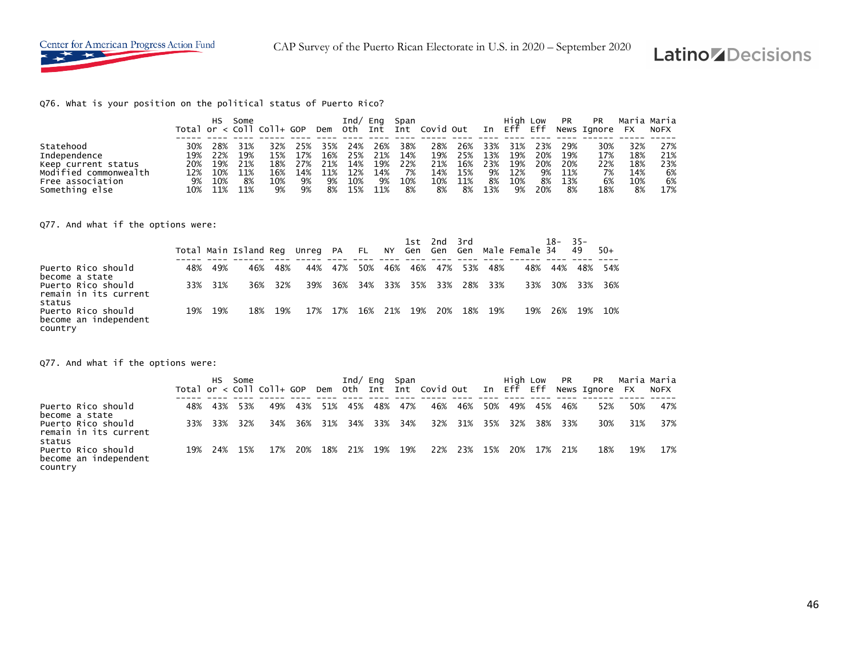

#### Q76. What is your position on the political status of Puerto Rico?

|                       |     | нs  | Some | Total or $<$ Coll Coll+ GOP |     |     | Ind/ | Ena | Span | Dem Oth Int Int Covid Out |     |     | High Low<br>In Eff | Eff | PR  | <b>PR</b><br>News Ignore | <b>FX</b> | Maria Maria<br><b>NOFX</b> |
|-----------------------|-----|-----|------|-----------------------------|-----|-----|------|-----|------|---------------------------|-----|-----|--------------------|-----|-----|--------------------------|-----------|----------------------------|
| Statehood             | 30% | 28% | 31%  | 32%                         | 25% | 35% | 24%  | 26% | 38%  | 28%                       | 26% | 33% | 31%                | 23% | 29% | 30%                      | 32%       | 27%                        |
| Independence          | 19% | 22% | 19%  | 15%                         | 17% | 16% | 25%  | 21% | 14%  | 19%                       | 25% | 13% | 19%                | 20% | 19% | 17%                      | 18%       | 21%                        |
| Keep current status   | 20% | 19% | 21%  | 18%                         | 27% | 21% | 14%  | 19% | 22%  | 21%                       | 16% | 23% | 19%                | 20% | 20% | 22%                      | 18%       | 23%                        |
| Modified commonwealth | 12% | 10% | 11%  | 16%                         | 14% | 11% | 12%  | 14% | 7%   | 14%                       | 15% | 9%  | 12%                | 9%  | 11% | 7%                       | 14%       | 6%                         |
| Free association      | 9%  | 10% | 8%   | 10%                         | 9%  | 9%  | 10%  | 9%  | 10%  | 10%                       | 11% | 8%  | 10%                | 8%  | 13% | 6%                       | 10%       | 6%                         |
| Something else        | 10% | 11% | 11%  | 9%                          | 9%  | 8%  | 15%  | 11% | 8%   | 8%                        | 8%  | 13% | 9%                 | 20% | 8%  | 18%                      | 8%        | 17%                        |

Q77. And what if the options were:

|                                                                  |     |     | Total Main Island Reg |         | Unreg PA |         | <b>FL</b> |     |         | 1st 2nd 3rd |     |         | NY Gen Gen Gen Male-Female-34 | 18– | $-35-$<br>49 | $50+$ |
|------------------------------------------------------------------|-----|-----|-----------------------|---------|----------|---------|-----------|-----|---------|-------------|-----|---------|-------------------------------|-----|--------------|-------|
| Puerto Rico should                                               | 48% | 49% | 46%                   | 48%     | 44%      | 47%     | 50%       | 46% | 46%     | 47%         | 53% | 48%     | 48%                           | 44% | 48%          | 54%   |
| become a state<br>Puerto Rico should<br>remain in its current    | 33% | 31% |                       | 36% 32% | 39%      | 36%     | 34%       |     |         | 33% 35% 33% |     | 28% 33% | 33%                           | 30% | 33%          | 36%   |
| status<br>Puerto Rico should<br>become an independent<br>country | 19% | 19% | 18%                   | 19%     |          | 17% 17% | 16%       |     | 21% 19% | 20%         | 18% | 19%     | 19%                           | 26% | 19%          | 10%   |

Q77. And what if the options were:

|                                                        |     | HS .    | Some | Total or $\lt$ Coll Coll+ GOP |     |     |     | Ind/ Eng Span |     | Dem Oth Int Int Covid-Out In Eff Eff |     |     | High Low |     | <b>PR</b> | PR<br>News Ignore FX |     | Maria Maria<br>NOFX |
|--------------------------------------------------------|-----|---------|------|-------------------------------|-----|-----|-----|---------------|-----|--------------------------------------|-----|-----|----------|-----|-----------|----------------------|-----|---------------------|
| Puerto Rico should<br>become a state                   | 48% | 43%     | 53%  | 49%                           | 43% | 51% | 45% | 48%           | 47% | 46%                                  | 46% | 50% | 49%      | 45% | 46%       | 52%                  | 50% | 47%                 |
| Puerto Rico should<br>remain in its current<br>status  |     | 33% 33% | 32%  | 34%                           | 36% | 31% | 34% | 33%           | 34% | 32%                                  | 31% | 35% | 32%      | 38% | 33%       | 30%                  | 31% | 37%                 |
| Puerto Rico should<br>become an independent<br>country | 19% | 24%     | 15%  | 17%                           | 20% | 18% | 21% | 19%           | 19% | 22%                                  | 23% | 15% | 20%      | 17% | 21%       | 18%                  | 19% | 17%                 |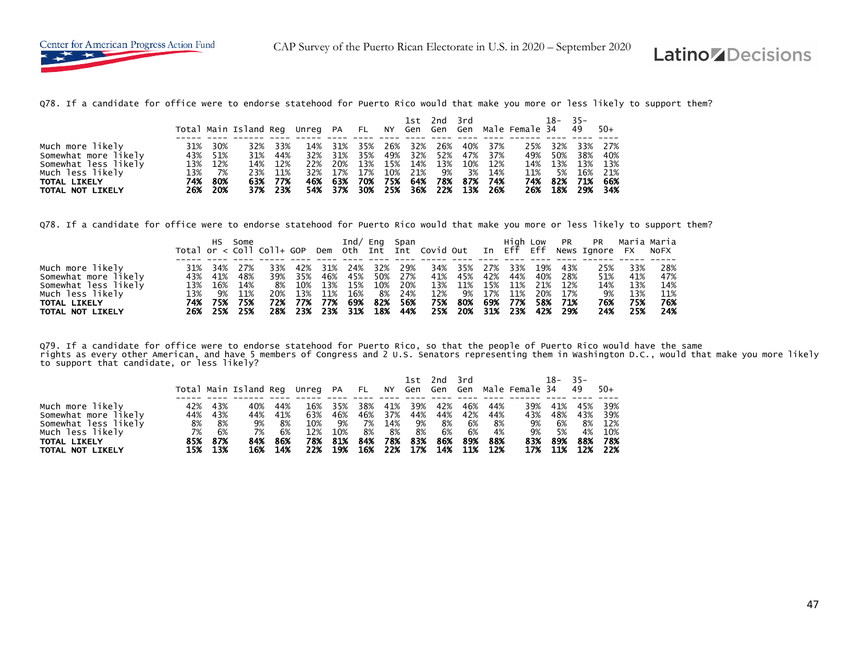Q78. If a candidate for office were to endorse statehood for Puerto Rico would that make you more or less likely to support them?

|                                                                                                                                 |                          |                                               | Total Main Island Reg Unreg PA FL NY Gen Gen Gen Male Female 34 49 |                                                    |            |                                                        |                                        |              |                                                  |           | 1st 2nd 3rd |                                                                                       |                   | 18-                                        | $-35-$                   | $50+$                                              |
|---------------------------------------------------------------------------------------------------------------------------------|--------------------------|-----------------------------------------------|--------------------------------------------------------------------|----------------------------------------------------|------------|--------------------------------------------------------|----------------------------------------|--------------|--------------------------------------------------|-----------|-------------|---------------------------------------------------------------------------------------|-------------------|--------------------------------------------|--------------------------|----------------------------------------------------|
| Much more likely<br>Somewhat more likely<br>Somewhat less likely<br>Much less likely<br><b>TOTAL LIKELY</b><br>TOTAL NOT LIKELY | 31%<br>13%<br>74%<br>26% | 30%<br>43% 51%<br>13% 12%<br>7%<br>80%<br>20% | 32%<br>31%<br>23%                                                  | 33%<br>44%<br>14% 12%<br>11%<br>63% 77%<br>37% 23% | 14%<br>32% | 31%<br>31%<br>22% 20%<br>32% 17%<br>46% 63%<br>54% 37% | 35%<br>$\sim$ 35% $\sim$<br>17%<br>70% | 26%<br>- 75% | 32%<br>49% 32% 52%<br>13% 15% 14% 13%<br>10% 21% | 26%<br>9% |             | 40% 37%<br>47% 37%<br>10% 12%<br>3% 14%<br>64% 78% 87% 74%<br>30% 25% 36% 22% 13% 26% | 25%<br>11%<br>26% | 32%<br>49% 50%<br>14% 13%<br>5%<br>74% 82% | 33%<br>38%<br>16%<br>71% | 27%<br>40%<br>13% 13%<br>21%<br>66%<br>18% 29% 34% |

Q78. If a candidate for office were to endorse statehood for Puerto Rico would that make you more or less likely to support them?

|                      |     |     | Some |                               |     |     | Ind/ $Enq$ |     | Span |                                      |     |     | High Low |     |      | PR PR          |     | Maria Maria |
|----------------------|-----|-----|------|-------------------------------|-----|-----|------------|-----|------|--------------------------------------|-----|-----|----------|-----|------|----------------|-----|-------------|
|                      |     |     |      | Total or $\lt$ Coll Coll+ GOP |     |     |            |     |      | Dem Oth Int Int Covid Out In Eff Eff |     |     |          |     |      | News Ignore FX |     | NOFX        |
|                      |     |     |      |                               |     |     |            |     |      |                                      |     |     |          |     |      |                |     |             |
| Much more likely     | 31% | 34% | 27%  | 33%                           | 42% | 31% | 24%        | 32% | 29%  | 34%                                  | 35% | 27% | 33%      | 19% | 43%  | 25%            | 33% | 28%         |
| Somewhat more likely | 43% | 41% | 48%  | 39%                           | 35% | 46% | 45%        | 50% | 27%  | 41%                                  | 45% | 42% | 44%      | 40% | 28%  | 51%            | 41% | 47%         |
| Somewhat less likely | 13% | 16% | 14%  | 8%                            | 10% | 13% | 15%        | 10% | 20%  | 13%                                  | 11% | 15% | 11%      | 21% | 12%  | 14%            | 13% | 14%         |
| Much less likely     | 13% | 9%  | 11%  | 20%                           | 13% | 11% | 16%        | 8%  | 24%  | 12%                                  | 9%  | 17% | 11%      | 20% | 17%  | 9%             | 13% | 11%         |
| <b>TOTAL LIKELY</b>  | 74% | 75% | 75%  | 72%                           | 77% | 77% | 69%        | 82% | 56%  | 75%                                  | 80% | 69% | 77%      | 58% | 71%  | 76%            | 75% | 76%         |
| TOTAL NOT LIKELY     | 26% | 25% | 25%  | 28%                           | 23% | 23% | 31%        | 18% | 44%  | 25%                                  | 20% |     | 31% 23%  | 42% | -29% | 24%            | 25% | 24%         |

Q79. If a candidate for office were to endorse statehood for Puerto Rico, so that the people of Puerto Rico would have the same<br>rights as every other American, and have 5 members of Congress and 2 U.S. Senators representin to support that candidate, or less likely?

|                                                                  |                  |                    | Total Main Island Reg Unreg PA FL NY Gen Gen Gen Male Female 34 |                  |                   |                   |                  |                   | 1st 2nd              |                  | 3rd              |                        |                  | 18-              | $35 -$<br>49     | $50+$                 |
|------------------------------------------------------------------|------------------|--------------------|-----------------------------------------------------------------|------------------|-------------------|-------------------|------------------|-------------------|----------------------|------------------|------------------|------------------------|------------------|------------------|------------------|-----------------------|
| Much more likely<br>Somewhat more likely<br>Somewhat less likely | 42%<br>44%<br>8% | 43%<br>43%<br>8%   | 40%<br>44%<br>9%                                                | 44%<br>41%<br>8% | 16%<br>63%<br>10% | 35%<br>46%<br>9%  | 38%<br>46%<br>7% | 41%<br>37%<br>14% | 39%<br>44%<br>9%     | 42%<br>44%<br>8% | 46%<br>6%        | 44%<br>42% 44%<br>- 8% | 39%<br>43%<br>9% | 41%<br>48%<br>6% | 45%<br>43%<br>8% | 39%<br>- 39%<br>12%   |
| Much less likely<br>TOTAL LIKELY<br>TOTAL NOT LIKELY             | 7%<br>85%<br>15% | 6%<br>87%<br>- 13% | 7%<br>84%<br>16%                                                | 6%<br>86%<br>14% | 12%<br>78%<br>22% | 10%<br>81%<br>19% | 8%<br>84%<br>16% | -8%<br>78%        | 8%<br>83%<br>22% 17% | 6%<br>86%<br>14% | 6%<br>89%<br>11% | 4%<br>88%<br>12%       | 9%<br>83%<br>17% | 5%<br>89%<br>11% | 4%<br>88%<br>12% | 10%<br>- 78%<br>- 22% |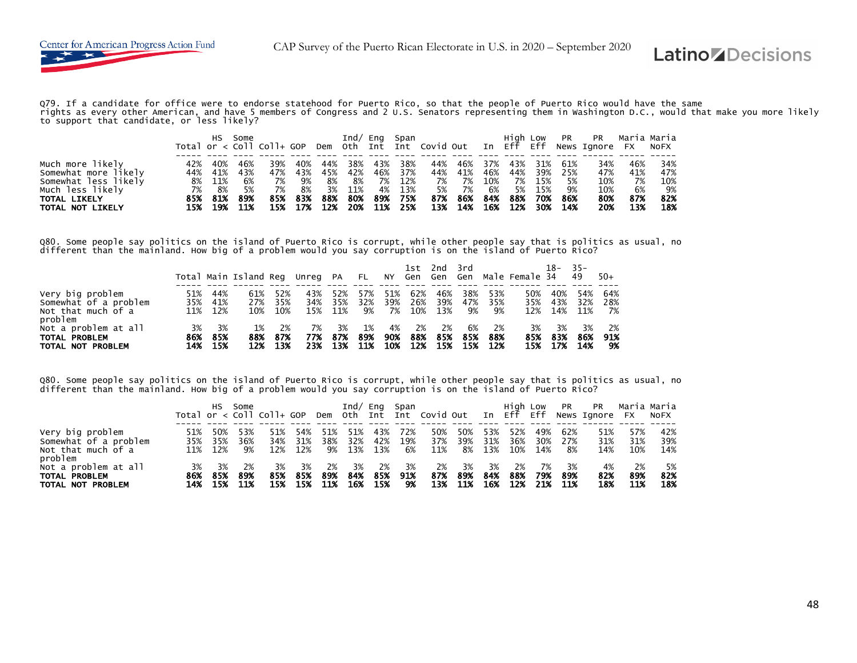

Q79. If a candidate for office were to endorse statehood for Puerto Rico, so that the people of Puerto Rico would have the same<br>rights as every other American, and have 5 members of Congress and 2 U.S. Senators representin

|                      |     | HS.    | Some |     |     |     | Ind/ | Eng | Span |                                                                |     |     | Hiah Low |     | PR  | PR             |     | Maria Maria |
|----------------------|-----|--------|------|-----|-----|-----|------|-----|------|----------------------------------------------------------------|-----|-----|----------|-----|-----|----------------|-----|-------------|
|                      |     |        |      |     |     |     |      |     |      | Total or < Coll Coll+ GOP Dem Oth Int Int Covid Out In Eff Eff |     |     |          |     |     | News Ignore FX |     | NOFX        |
|                      |     |        |      |     |     |     |      |     |      |                                                                |     |     |          |     |     |                |     |             |
| Much more likely     | 42% | 40%    | 46%  | 39% | 40% | 44% | 38%  | 43% | 38%  | 44%                                                            | 46% | 37% | 43%      | 31% | 61% | 34%            | 46% | 34%         |
| Somewhat more likely | 44% | 41%    | 43%  | 47% | 43% | 45% | 42%  | 46% | 37%  | 44%                                                            | 41% | 46% | 44%      | 39% | 25% | 47%            | 41% | 47%         |
| Somewhat less likely |     | 8% 11% | 6%   | 7%  | 9%  | 8%  | 8%   | 7%  | 12%  | 7%                                                             | 7%  | 10% | 7%       | 15% | 5%  | 10%            | 7%  | 10%         |
| Much less likely     | 7%  | 8%     | 5%   | 7%  | 8%  | 3%  | 11%  | 4%  | 13%  | 5%                                                             | 7%  | 6%  | 5%       | 15% | 9%  | 10%            | 6%  | 9%          |
| <b>TOTAL LIKELY</b>  | 85% | 81%    | 89%  | 85% | 83% | 88% | 80%  | 89% | 75%  | 87%                                                            | 86% | 84% | 88%      | 70% | 86% | 80%            | 87% | 82%         |
| TOTAL NOT LIKELY     | 15% | 19%    | 11%  | 15% | 17% | 12% | 20%  | 11% | 25%  | 13%                                                            | 14% | 16% | 12%      | 30% | 14% | 20%            | 13% | 18%         |

Q80. Some people say politics on the island of Puerto Rico is corrupt, while other people say that is politics as usual, no<br>different than the mainland. How big of a problem would you say corruption is on the island of Pue

|                                                                       |                   |                   |                                |                   |                  |                       |                  |                    | 1st 2nd           |                   | 3rd              |                    |                   | $18 -$            | $35-$             |                    |
|-----------------------------------------------------------------------|-------------------|-------------------|--------------------------------|-------------------|------------------|-----------------------|------------------|--------------------|-------------------|-------------------|------------------|--------------------|-------------------|-------------------|-------------------|--------------------|
|                                                                       |                   |                   | Total Main Island Reg Unreg PA |                   |                  |                       | FL.              | NY                 | Gen Gen           |                   | Gen              |                    | Male Female 34    |                   | 49                | $50+$              |
| Very big problem<br>Somewhat of a problem<br>Not that much of a       | 51%<br>35%<br>11% | 44%<br>41%<br>12% | 61%<br>27%<br>10%              | 52%<br>35%<br>10% | 43%<br>34%       | 52%<br>35%<br>15% 11% | 57%<br>32%<br>9% | 51%<br>39%<br>- 7% | 62%<br>26%<br>10% | 46%<br>39%<br>13% | 38%<br>47%<br>9% | 53%<br>35%<br>9%   | 50%<br>35%<br>12% | 40%<br>43%<br>14% | 54%<br>32%<br>11% | 64%<br>28%<br>- 7% |
| problem<br>Not a problem at all<br>TOTAL PROBLEM<br>TOTAL NOT PROBLEM | 3%<br>86%<br>14%  | 3%<br>85%<br>15%  | 1%<br>88%<br>12%               | 2%<br>87%<br>13%  | 7%<br>77%<br>23% | 3%<br>87%<br>13%      | 1%<br>89%<br>11% | 4%<br>90%<br>10%   | 2%<br>88%<br>12%  | 2%<br>85%<br>15%  | 6%<br>85%<br>15% | -2%<br>88%<br>-12% | 3%<br>85%<br>15%  | 3%<br>83%<br>17%  | 3%<br>86%<br>14%  | 2%<br>91%<br>-9%   |

Q80. Some people say politics on the island of Puerto Rico is corrupt, while other people say that is politics as usual, no different than the mainland. How big of a problem would you say corruption is on the island of Puerto Rico?

|                                                                       |                   | HS.               | Some             | Total or $\lt$ Coll Coll+ GOP |                   |                  |                   |                   | Ind/ Eng Span    | Dem Oth Int Int Covid Out In Eff Eff |                  |                   | Hiah Low          |                   | <b>PR</b>         | <b>PR</b><br>News Ignore FX | Maria Maria       | NOFX              |
|-----------------------------------------------------------------------|-------------------|-------------------|------------------|-------------------------------|-------------------|------------------|-------------------|-------------------|------------------|--------------------------------------|------------------|-------------------|-------------------|-------------------|-------------------|-----------------------------|-------------------|-------------------|
| Very big problem<br>Somewhat of a problem<br>Not that much of a       | 51%<br>35%<br>11% | 50%<br>35%<br>12% | 53%<br>36%<br>9% | 51%<br>34%<br>12%             | 54%<br>31%<br>12% | 51%<br>38%<br>9% | 51%<br>32%<br>13% | 43%<br>42%<br>13% | 72%<br>19%<br>6% | 50%<br>37%<br>11%                    | 50%<br>39%<br>8% | 53%<br>31%<br>13% | 52%<br>36%<br>10% | 49%<br>30%<br>14% | 62%<br>27%<br>-8% | 51%<br>31%<br>14%           | 57%<br>31%<br>10% | 42%<br>39%<br>14% |
| problem<br>Not a problem at all<br>TOTAL PROBLEM<br>TOTAL NOT PROBLEM | 3%<br>86%<br>14%  | 3%<br>85%<br>15%  | 2%<br>89%<br>11% | 3%<br>85%<br>15%              | 3%<br>85%<br>15%  | 2%<br>89%<br>11% | 3%<br>84%<br>16%  | 2%<br>85%<br>15%  | 3%<br>91%<br>9%  | 2%<br>87%<br>13%                     | 3%<br>89%<br>11% | 3%<br>84%<br>16%  | 2%<br>88%<br>12%  | 7%<br>79%<br>21%  | 3%<br>89%<br>11%  | 4%<br>82%<br>18%            | 2%<br>89%<br>11%  | 5%<br>82%<br>18%  |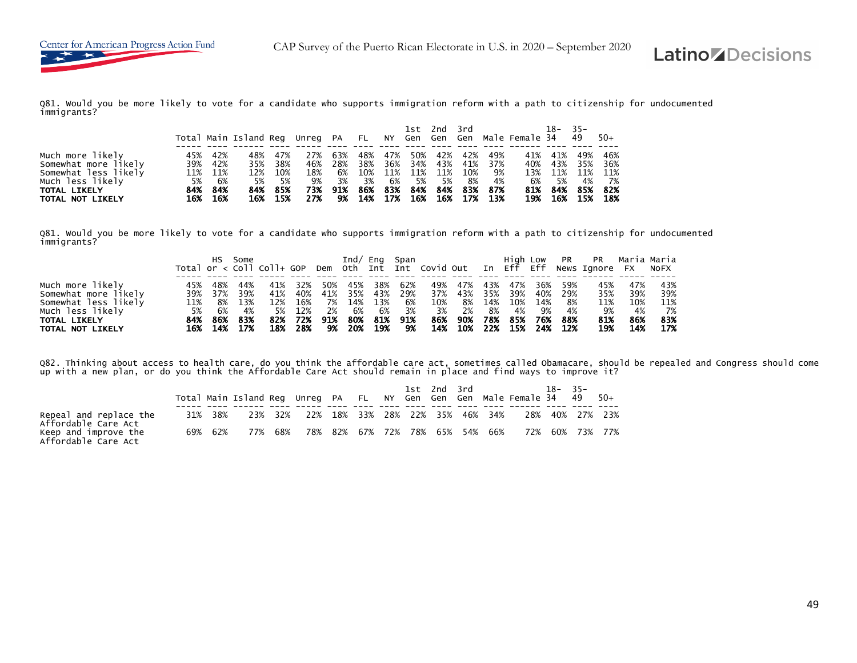Q81. Would you be more likely to vote for a candidate who supports immigration reform with a path to citizenship for undocumented immigrants?

|                                                                                                                                                                          |                                         | Total Main Island Reg Unreg PA FL NY Gen Gen Gen Male Female 34 |                                             |                                       |                                     |                                       |                         |                                                  | 1st 2nd 3rd        |                  |                                                              |                         | 18-                                    | $-35-$<br>49                              | $50+$                                       |
|--------------------------------------------------------------------------------------------------------------------------------------------------------------------------|-----------------------------------------|-----------------------------------------------------------------|---------------------------------------------|---------------------------------------|-------------------------------------|---------------------------------------|-------------------------|--------------------------------------------------|--------------------|------------------|--------------------------------------------------------------|-------------------------|----------------------------------------|-------------------------------------------|---------------------------------------------|
| Much more likely<br>45%<br>Somewhat more likely<br>39%<br>Somewhat less likely<br>11%<br>5%<br>Much less likely<br>84%<br><b>TOTAL LIKELY</b><br>16%<br>TOTAL NOT LIKELY | 42%<br>42%<br>11%<br>6%<br>84%<br>- 16% | 48%<br>35%<br>12%<br>5%<br>84%                                  | 47%<br>38%<br>10%<br>- 5%<br>85%<br>16% 15% | 27%<br>46%<br>18%<br>9%<br>73%<br>27% | 63%<br>28%<br>6%<br>3%<br>91%<br>9% | 48%<br>38%<br>10%<br>3%<br>86%<br>14% | 47%<br>6%<br>83%<br>17% | 50%<br>36% 34% 43%<br>11% 11% 11%<br>- 5%<br>84% | 42%<br>- 5%<br>84% | 42%<br>10%<br>8% | 49%<br>41% 37%<br>- 9%<br>- 4%<br>83% 87%<br>16% 16% 17% 13% | 41%<br>6%<br>81%<br>19% | 41%<br>40% 43%<br>13% 11%<br>5%<br>84% | 49%<br>35%<br>11%<br>4%<br>85%<br>16% 15% | 46%<br>- 36%<br>11%<br>- 7%<br>82%<br>- 18% |

Q81. Would you be more likely to vote for a candidate who supports immigration reform with a path to citizenship for undocumented immigrants?

|                      |     |     | Some |                             |     |     | Ind/ | Ena | Span |                                      |     |     | High Low |     | PR  | PR                  |     | Maria Maria |
|----------------------|-----|-----|------|-----------------------------|-----|-----|------|-----|------|--------------------------------------|-----|-----|----------|-----|-----|---------------------|-----|-------------|
|                      |     |     |      | Total or $<$ Coll Coll+ GOP |     |     |      |     |      | Dem Oth Int Int Covid Out In Eff Eff |     |     |          |     |     | News Ignore FX NoFX |     |             |
|                      |     |     |      |                             |     |     |      |     |      |                                      |     |     |          |     |     |                     |     |             |
| Much more likely     | 45% | 48% | 44%  | 41%                         | 32% | 50% | 45%  | 38% | 62%  | 49%                                  | 47% | 43% | 47%      | 36% | 59% | 45%                 | 47% | 43%         |
| Somewhat more likely | 39% | 37% | 39%  | 41%                         | 40% | 41% | 35%  | 43% | 29%  | 37%                                  | 43% | 35% | 39%      | 40% | 29% | 35%                 | 39% | 39%         |
| Somewhat less likely | 11% | 8%  | 13%  | 12%                         | 16% | 7%  | 14%  | 13% | 6%   | 10%                                  | 8%  | 14% | 10%      | 14% | 8%  | 11%                 | 10% | 11%         |
| Much less likely     | 5%  | 6%  | 4%   | 5%                          | 12% | 2%  | 6%   | 6%  | 3%   | 3%                                   | 2%  | 8%  | 4%       | 9%  | 4%  | 9%                  | 4%  | 7%          |
| <b>TOTAL LIKELY</b>  | 84% | 86% | 83%  | 82%                         | 72% | 91% | 80%  | 81% | 91%  | 86%                                  | 90% | 78% | 85%      | 76% | 88% | 81%                 | 86% | 83%         |
| TOTAL NOT LIKELY     | 16% | 14% | 17%  | 18%                         | 28% | 9%  | 20%  | 19% | 9%   | 14%                                  | 10% | 22% | 15%      | 24% | 12% | 19%                 | 14% | 17%         |

Q82. Thinking about access to health care, do you think the affordable care act, sometimes called Obamacare, should be repealed and Congress should come<br>up with a new plan, or do you think the Affordable Care Act should re

|                                               |         |     |         |                                 |  |  | 1st 2nd 3rd |                                 | Total Main Island Reg Unreg PA FL NY Gen Gen Gen Male Female 34 49 | $18 - 35 -$     | - 50+ |
|-----------------------------------------------|---------|-----|---------|---------------------------------|--|--|-------------|---------------------------------|--------------------------------------------------------------------|-----------------|-------|
| Repeal and replace the<br>Affordable Care Act | 31% 38% |     | 23% 32% | 22% 18% 33% 28% 22% 35% 46% 34% |  |  |             |                                 | 28%                                                                | 40% 27% 23%     |       |
| Keep and improve the<br>Affordable Care Act   | 69% 62% | 77% | 68%     |                                 |  |  |             | 78% 82% 67% 72% 78% 65% 54% 66% |                                                                    | 72% 60% 73% 77% |       |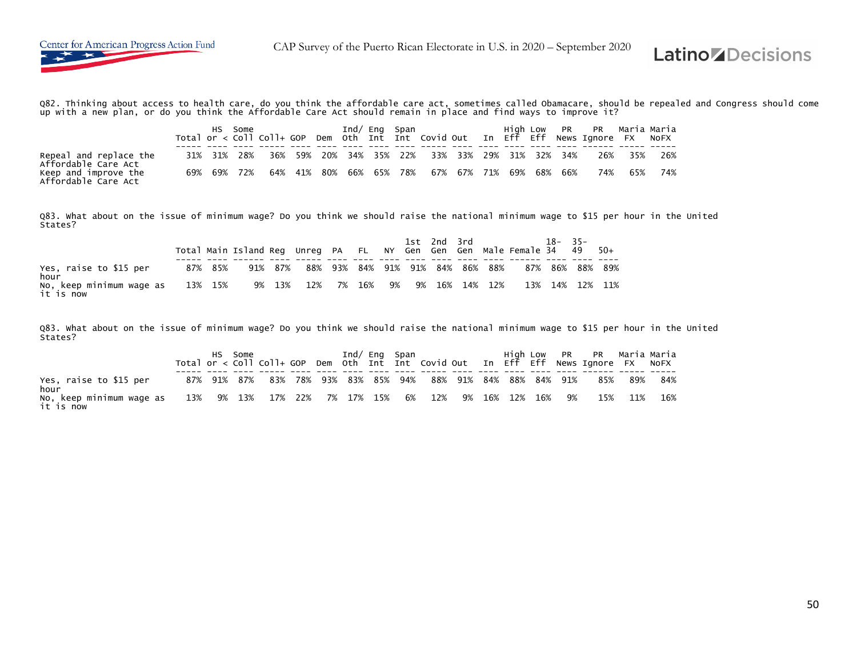

Q82. Thinking about access to health care, do you think the affordable care act, sometimes called Obamacare, should be repealed and Congress should come up with a new plan, or do you think the Affordable Care Act should remain in place and find ways to improve it?

| Repeal and replace the<br>Affordable Care Act |  | 31% 31% 28% |  |  |  | 36% 59% 20% 34% 35% 22% 33% 33% 29% 31% 32% 34% |  |  | 26% 35% 26% |         |     |
|-----------------------------------------------|--|-------------|--|--|--|-------------------------------------------------|--|--|-------------|---------|-----|
| Keep and improve the<br>Affordable Care Act   |  | 69% 69% 72% |  |  |  | 64% 41% 80% 66% 65% 78% 67% 67% 71% 69% 68% 66% |  |  |             | 74% 65% | 74% |

Q83. What about on the issue of minimum wage? Do you think we should raise the national minimum wage to \$15 per hour in the United States?

|                                                   |         | Total Main Island Req Unreq PA FL NY Gen Gen Gen Male Female 34 49 50+ |         |                   |                                 |  |  | 1st 2nd 3rd |                   | $18 - 35 -$ |                 |
|---------------------------------------------------|---------|------------------------------------------------------------------------|---------|-------------------|---------------------------------|--|--|-------------|-------------------|-------------|-----------------|
| Yes, raise to \$15 per<br>hour                    | 87% 85% |                                                                        | 91% 87% |                   | 88% 93% 84% 91% 91% 84% 86% 88% |  |  |             |                   |             | 87% 86% 88% 89% |
| No, keep minimum wage as    13%  15%<br>it is now |         |                                                                        |         | 9% 13% 12% 7% 16% |                                 |  |  |             | 9% 9% 16% 14% 12% |             | 13% 14% 12% 11% |

Q83. What about on the issue of minimum wage? Do you think we should raise the national minimum wage to \$15 per hour in the United States?

| Yes, raise to \$15 per<br>hour        |                                                              |  | 87% 91% 87% 83% 78% 93% 83% 85% 94% 88% 91% 84% 88% 84% 91% |  |  |  |  |  | 85%     | . 89% | 84% |
|---------------------------------------|--------------------------------------------------------------|--|-------------------------------------------------------------|--|--|--|--|--|---------|-------|-----|
| No, keep minimum wage as<br>it is now | $13\%$ 9% $13\%$ 17% 22% 7% 17% 15% 6% 12% 9% 16% 12% 16% 9% |  |                                                             |  |  |  |  |  | 15% 11% |       | 16% |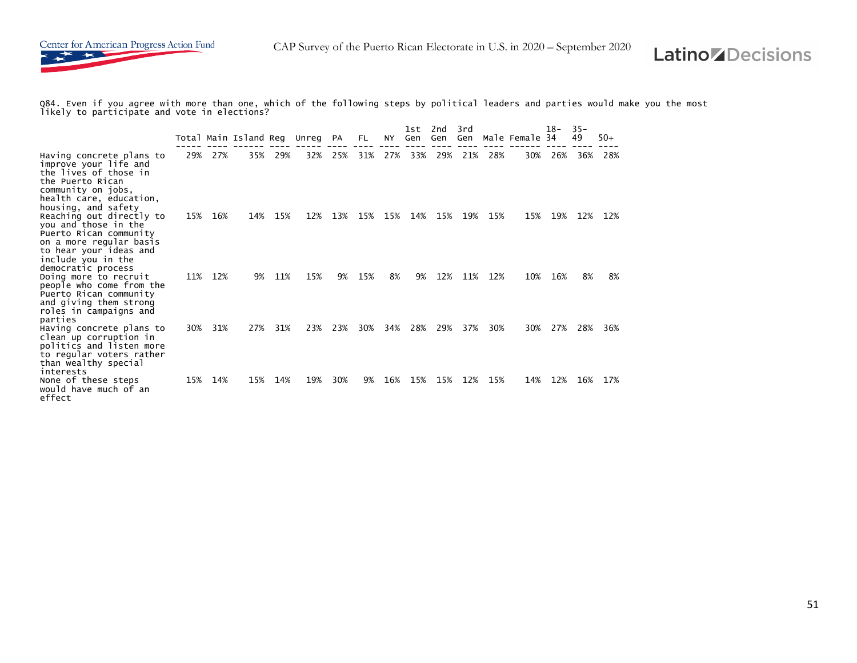

Q84. Even if you agree with more than one, which of the following steps by political leaders and parties would make you the most likely to participate and vote in elections?

|                                                                                                                                                                              |     |     | Total Main Island Reg Unreg PA |     |     |     | FL. | NY. | 1st<br>Gen | 2nd<br>Gen | 3rd<br>Gen |     | Male Female 34 | $18-$ | $35 -$<br>49 | $50+$ |
|------------------------------------------------------------------------------------------------------------------------------------------------------------------------------|-----|-----|--------------------------------|-----|-----|-----|-----|-----|------------|------------|------------|-----|----------------|-------|--------------|-------|
| Having concrete plans to<br>improve your life and<br>the lives of those in<br>the Puerto Rican<br>community on jobs,<br>health care, education,                              | 29% | 27% | 35%                            | 29% | 32% | 25% | 31% | 27% | 33%        | 29%        | 21%        | 28% | 30%            | 26%   | 36%          | 28%   |
| housing, and safety<br>Reaching out directly to<br>you and those in the<br>Puerto Rican community<br>on a more regular basis<br>to hear your ideas and<br>include you in the | 15% | 16% | 14%                            | 15% | 12% | 13% | 15% | 15% | 14%        | 15%        | 19%        | 15% | 15%            | 19%   | 12%          | 12%   |
| democratic process<br>Doing more to recruit<br>people who come from the<br>Puerto Rican community<br>and giving them strong<br>roles in campaigns and<br>parties             | 11% | 12% | 9%                             | 11% | 15% | 9%  | 15% | 8%  | 9%         | 12%        | 11%        | 12% | 10%            | 16%   | 8%           | 8%    |
| Having concrete plans to<br>clean up corruption in<br>politics and listen more<br>to regular voters rather<br>than wealthy special<br>interests                              | 30% | 31% | 27%                            | 31% | 23% | 23% | 30% | 34% | 28%        | 29%        | 37%        | 30% | 30%            | 27%   | 28%          | 36%   |
| None of these steps<br>would have much of an<br>effect                                                                                                                       | 15% | 14% | 15%                            | 14% | 19% | 30% | 9%  | 16% | 15%        | 15%        | 12%        | 15% | 14%            | 12%   | 16%          | 17%   |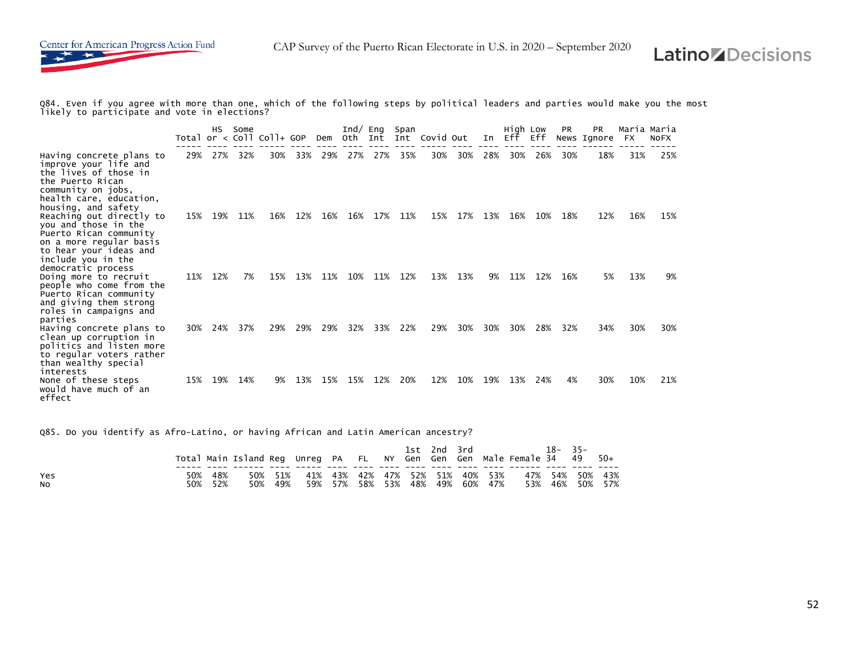

Q84. Even if you agree with more than one, which of the following steps by political leaders and parties would make you the most likely to participate and vote in elections?

|                                                                                                                                                                             |     | НS  | Some | Total or $\langle$ Coll Coll+ GOP |     | Dem | Ind $\sqrt$<br>Oth Int | Eng | Span | Int Covid Out |     | In  | High Low<br>Eff Eff |     | <b>PR</b> | <b>PR</b><br>News Ignore | Maria Maria<br>FX | <b>NOFX</b> |
|-----------------------------------------------------------------------------------------------------------------------------------------------------------------------------|-----|-----|------|-----------------------------------|-----|-----|------------------------|-----|------|---------------|-----|-----|---------------------|-----|-----------|--------------------------|-------------------|-------------|
| Having concrete plans to<br>improve your life and<br>the lives of those in<br>the Puerto Rican<br>community on jobs,<br>health care, education,<br>housing, and safety      | 29% | 27% | 32%  | 30%                               | 33% | 29% | 27%                    | 27% | 35%  | 30%           | 30% | 28% | 30%                 | 26% | 30%       | 18%                      | 31%               | 25%         |
| Reaching out directly to<br>you and those in the<br>Puerto Rican community<br>on a more regular basis<br>to hear your ideas and<br>include you in the<br>democratic process | 15% | 19% | 11%  | 16%                               | 12% | 16% | 16%                    | 17% | 11%  | 15%           | 17% | 13% | 16%                 | 10% | 18%       | 12%                      | 16%               | 15%         |
| Doing more to recruit<br>people who come from the<br>Puerto Rican community<br>and giving them strong<br>roles in campaigns and<br>parties                                  | 11% | 12% | 7%   | 15%                               | 13% | 11% | 10%                    | 11% | 12%  | 13%           | 13% | 9%  | 11%                 | 12% | 16%       | 5%                       | 13%               | 9%          |
| Having concrete plans to<br>clean up corruption in<br>politics and listen more<br>to regular voters rather<br>than wealthy special<br>interests                             | 30% | 24% | 37%  | 29%                               | 29% | 29% | 32%                    | 33% | 22%  | 29%           | 30% | 30% | 30%                 | 28% | 32%       | 34%                      | 30%               | 30%         |
| None of these steps<br>would have much of an<br>effect                                                                                                                      | 15% | 19% | 14%  | 9%                                | 13% | 15% | 15%                    | 12% | 20%  | 12%           | 10% | 19% | 13%                 | 24% | 4%        | 30%                      | 10%               | 21%         |

Q85. Do you identify as Afro-Latino, or having African and Latin American ancestry?

|                       |     |                | Total Main Island Reg Unreg PA FL NY Gen Gen Gen Male Female 34 49 50+ |     |                                         |  |  | 1st 2nd 3rd |                                 | 18–35–                             |  |
|-----------------------|-----|----------------|------------------------------------------------------------------------|-----|-----------------------------------------|--|--|-------------|---------------------------------|------------------------------------|--|
| Yes<br>N <sub>O</sub> | 50% | 48%<br>50% 52% | 50%                                                                    | 49% | 50% 51% 41% 43% 42% 47% 52% 51% 40% 53% |  |  |             | 59% 57% 58% 53% 48% 49% 60% 47% | 47% 54% 50% 43%<br>53% 46% 50% 57% |  |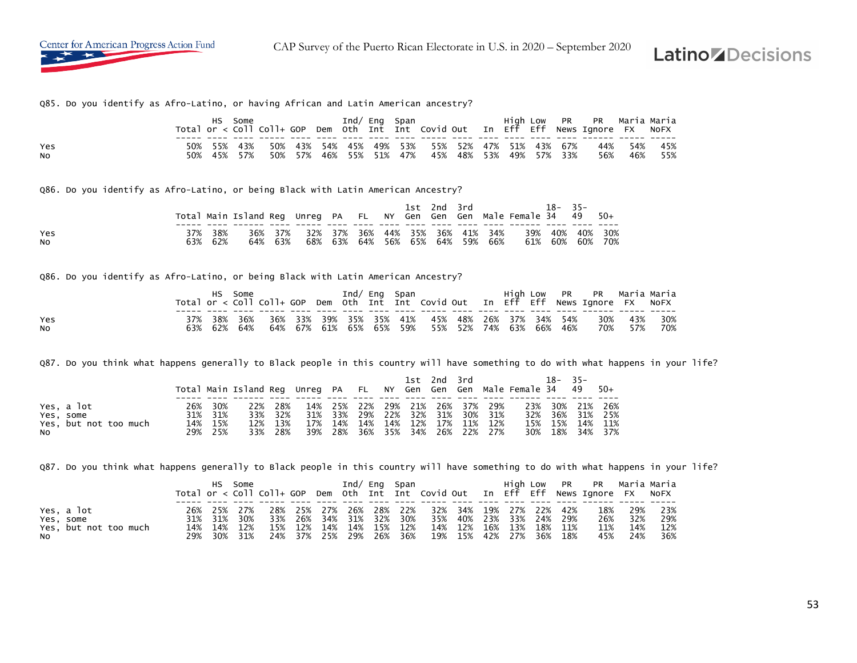Center for American Progress Action Fund

CAP Survey of the Puerto Rican Electorate in U.S. in 2020 – September 2020

# **Latino Decisions**

Q85. Do you identify as Afro-Latino, or having African and Latin American ancestry?

|           |         | Some |       |     |  | Ind/ Eng Span   |                                             |  |  |             | High Low PR PR Maria-Maria<br>Total or < Coll Coll+ GOP Dem Oth Int Int Covid Out In Eff Eff News Ignore FX NoFX |     |     |
|-----------|---------|------|-------|-----|--|-----------------|---------------------------------------------|--|--|-------------|------------------------------------------------------------------------------------------------------------------|-----|-----|
|           |         |      |       |     |  |                 |                                             |  |  |             |                                                                                                                  |     |     |
| Yes       | 55% 43% |      | - 50% |     |  |                 | 43% 54% 45% 49% 53% 55% 52% 47% 51% 43% 67% |  |  |             | 44%                                                                                                              | 54% | 45% |
| <b>NO</b> | 45%     | 57%  | 50%   | 57% |  | 46% 55% 51% 47% | 45% 48% 53%                                 |  |  | 49% 57% 33% | 56%                                                                                                              | 46% | 55% |

Q86. Do you identify as Afro-Latino, or being Black with Latin American Ancestry?

|            |            | Total Main Island Req Unreq PA FL NY Gen Gen Gen Male Female 34 49 50+ |                |     |  |  | 1st 2nd 3rd             |     |                                    |            | $18 - 35 -$ |                |            |
|------------|------------|------------------------------------------------------------------------|----------------|-----|--|--|-------------------------|-----|------------------------------------|------------|-------------|----------------|------------|
| Yes<br>NO. | 38%<br>62% | 64%                                                                    | 36% 37%<br>63% | 32% |  |  | 68% 63% 64% 56% 65% 64% | 59% | 37% 36% 44% 35% 36% 41% 34%<br>66% | 39%<br>61% | 60%         | 40% 40%<br>60% | 30%<br>70% |

Q86. Do you identify as Afro-Latino, or being Black with Latin American Ancestry?

|     |  | HS Some     |  | Ind/ Eng Span |  |                                                 |  |  | High Low PR PR Maria-Maria<br>Total or < Coll Coll+ GOP Dem Oth Int Int Covid Out In Eff Eff News Ignore FX NoFX |         |     |
|-----|--|-------------|--|---------------|--|-------------------------------------------------|--|--|------------------------------------------------------------------------------------------------------------------|---------|-----|
|     |  |             |  |               |  |                                                 |  |  |                                                                                                                  |         |     |
| Yes |  |             |  |               |  |                                                 |  |  | 37% 38% 36% 36% 33% 39% 35% 35% 41% 45% 48% 26% 37% 34% 54% 30% 43% 30%                                          |         |     |
| No  |  | 63% 62% 64% |  |               |  | 64% 67% 61% 65% 65% 59% 55% 52% 74% 63% 66% 46% |  |  |                                                                                                                  | 70% 57% | 70% |

Q87. Do you think what happens generally to Black people in this country will have something to do with what happens in your life?

|                       |     |         | Total Main Island Reg Unreg PA FL NY Gen Gen Gen Male Female 34 49 50+ |         |                                 |  | 1st 2nd 3rd |  |  | $18 - 35 -$ |                 |
|-----------------------|-----|---------|------------------------------------------------------------------------|---------|---------------------------------|--|-------------|--|--|-------------|-----------------|
|                       |     |         |                                                                        |         |                                 |  |             |  |  |             |                 |
| Yes, a lot            | 26% | 30%     |                                                                        | 22% 28% | 14% 25% 22% 29% 21% 26% 37% 29% |  |             |  |  |             | 23% 30% 21% 26% |
| Yes, some             |     | 31% 31% |                                                                        | 33% 32% | 31% 33% 29% 22% 32% 31% 30% 31% |  |             |  |  |             | 32% 36% 31% 25% |
| Yes, but not too much |     | 14% 15% |                                                                        | 12% 13% | 17% 14% 14% 14% 12% 17% 11% 12% |  |             |  |  |             | 15% 15% 14% 11% |
| NO.                   |     | 29% 25% |                                                                        | 33% 28% | 39% 28% 36% 35% 34% 26% 22% 27% |  |             |  |  |             | 30% 18% 34% 37% |

Q87. Do you think what happens generally to Black people in this country will have something to do with what happens in your life?

|                                    |  | HS Some                                   |     |                |  | Ind/ Eng Span                              |                                                                               |  |  | High Low PR PR Maria Maria<br>Total or < Coll Coll+ GOP Dem Oth Int Int Covid Out In Eff Eff News Ignore FX NoFX |                   |                     |
|------------------------------------|--|-------------------------------------------|-----|----------------|--|--------------------------------------------|-------------------------------------------------------------------------------|--|--|------------------------------------------------------------------------------------------------------------------|-------------------|---------------------|
| Yes, a lot<br>Yes, some            |  | 26% 25% 27%<br>31% 31% 30%<br>14% 14% 12% |     | 33% 26%<br>12% |  | 28% 25% 27% 26% 28% 22%<br>34% 31% 32% 30% | 32% 34% 19% 27% 22% 42%<br>35% 40% 23% 33% 24% 29%<br>14% 12% 16% 13% 18% 11% |  |  | 18%<br>26%<br>11%                                                                                                | 29%<br>32%<br>14% | - 23%<br>29%<br>12% |
| Yes, but not too much<br><b>NO</b> |  | 29% 30% 31%                               | 15% |                |  | 14% 14% 15% 12%                            | 24% 37% 25% 29% 26% 36% 19% 15% 42% 27% 36% 18%                               |  |  | 45%                                                                                                              | 24%               | - 36%               |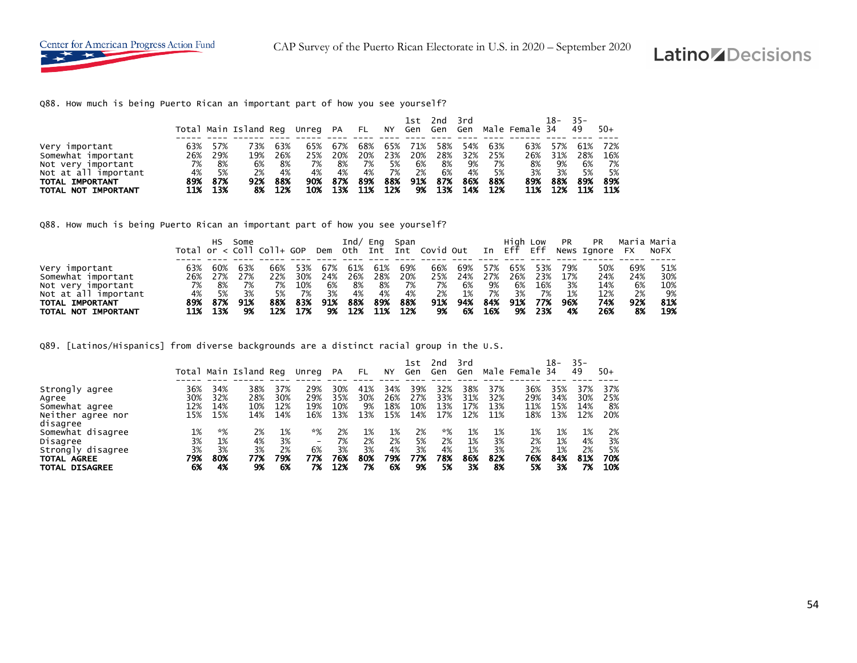Q88. How much is being Puerto Rican an important part of how you see yourself?

|                                                                                    |                        |                        | Total Main Island Reg Unreg PA FL NY Gen Gen Gen Male Female 34 |                        |                        |                        |                          |                        | 1st 2nd                |                        | 3rd             |                              |                        | 18-                    | - 35 –<br>49           | $50+$                    |
|------------------------------------------------------------------------------------|------------------------|------------------------|-----------------------------------------------------------------|------------------------|------------------------|------------------------|--------------------------|------------------------|------------------------|------------------------|-----------------|------------------------------|------------------------|------------------------|------------------------|--------------------------|
| Very important<br>Somewhat important<br>Not very important<br>Not at all important | 63%<br>26%<br>7%<br>4% | 57%<br>29%<br>8%<br>5% | 73%<br>19%<br>6%<br>2%                                          | 63%<br>26%<br>8%<br>4% | 65%<br>25%<br>7%<br>4% | 67%<br>20%<br>8%<br>4% | 68%<br>20%<br>- 7%<br>4% | 65%<br>23%<br>5%<br>7% | 71%<br>20%<br>6%<br>2% | 58%<br>28%<br>8%<br>6% | 54%<br>9%<br>4% | 63%<br>32% 25%<br>7%<br>- 5% | 63%<br>26%<br>8%<br>3% | 57%<br>31%<br>9%<br>3% | 61%<br>28%<br>6%<br>5% | 72%<br>16%<br>- 7%<br>5% |
| TOTAL IMPORTANT<br>TOTAL NOT IMPORTANT                                             | 89%<br>11%             | 87%<br>13%             | 92%<br>8%                                                       | 88%<br>12%             | 90%<br>10%             | 87%<br>13%             | 89%<br>11%               | 88%<br>12%             | 91%<br>9%              | 87%<br>13%             | 86%<br>14%      | 88%<br>- 12%                 | 89%<br>11%             | 88%<br>12%             | 89%<br>11%             | 89%<br>- 11%             |

Q88. How much is being Puerto Rican an important part of how you see yourself?

|                      |     | HS.   | Some |     |         |     |        |       | Ind/ Eng Span |      |     |     |     |        |     | High Low PR PR Maria Maria                                                         |     |     |
|----------------------|-----|-------|------|-----|---------|-----|--------|-------|---------------|------|-----|-----|-----|--------|-----|------------------------------------------------------------------------------------|-----|-----|
|                      |     |       |      |     |         |     |        |       |               |      |     |     |     |        |     | Total or < Coll Coll+ GOP Dem Oth Int Int Covid Out In Eff Eff News Ignore FX NoFX |     |     |
|                      |     |       |      |     |         |     |        |       |               |      |     |     |     |        |     |                                                                                    |     |     |
| Very important       | 63% | 60%   | 63%  | 66% | 53%     | 67% | 61%    | 61%   | 69%           | 66%  | 69% | 57% | 65% | 53%    | 79% | 50%                                                                                | 69% | 51% |
| Somewhat important   | 26% | 27%   | 27%  | 22% | 30%     | 24% | 26%    | 28%   | 20%           | 25%  | 24% | 27% | 26% | 23%    | 17% | 24%                                                                                | 24% | 30% |
| Not very important   | 7%  | 8%    | 7%   | 7%  | 10%     | 6%  | - 8%   | - 8%  | 7%            | - 7% | 6%  | 9%  | 6%  | 16%    | 3%  | 14%                                                                                | 6%  | 10% |
| Not at all important | 4%  | - 5%  | 3%   | 5%  | 7%      | 3%  | 4%     | 4%    | 4%            | 2%   | 1%  | 7%  | 3%  | 7%     | 1%  | 12%                                                                                | 2%  | 9%  |
| TOTAL IMPORTANT      | 89% | - 87% | 91%  | 88% | 83%     | 91% | 88%    | 89%   | 88%           | 91%  | 94% | 84% | 91% | 77%    | 96% | 74%                                                                                | 92% | 81% |
| TOTAL NOT IMPORTANT  | 11% | 13%   | -9%  |     | 12% 17% |     | 9% 12% | - 11% | 12%           | 9%   | 6%  | 16% |     | 9% 23% | 4%  | 26%                                                                                | 8%  | 19% |

Q89. [Latinos/Hispanics] from diverse backgrounds are a distinct racial group in the U.S.

|                                         |           |           | Total Main Island Reg |           | Unreg                    | PA        | FL        | NY        | lst<br>Gen | 2nd<br>Gen | 3rd<br>Gen |           | Male Female 34 | 18-       | $35 -$<br>49 | $50+$     |
|-----------------------------------------|-----------|-----------|-----------------------|-----------|--------------------------|-----------|-----------|-----------|------------|------------|------------|-----------|----------------|-----------|--------------|-----------|
|                                         |           |           |                       |           |                          |           |           |           |            |            |            |           |                |           |              |           |
| Strongly agree                          | 36%       | 34%       | 38%                   | 37%       | 29%                      | 30%       | 41%       | 34%       | 39%        | 32%        | 38%        | 37%       | 36%            | 35%       | 37%          | 37%       |
| Agree                                   | 30%       | 32%       | 28%                   | 30%       | 29%                      | 35%       | 30%       | 26%       | 27%        | 33%        | 31%        | 32%       | 29%            | 34%       | 30%          | 25%       |
| Somewhat agree                          | 12%       | 14%       | 10%                   | 12%       | 19%                      | 10%       | 9%        | 18%       | 10%        | 13%        | 17%        | 13%       | 11%            | 15%       | 14%          | 8%        |
| Neither agree nor<br>disagree           | 15%       | 15%       | 14%                   | 14%       | 16%                      | 13%       | 13%       | 15%       | 14%        | 17%        | 12%        | 11%       | 18%            | 13%       | 12%          | 20%       |
| Somewhat disagree                       | 1%        | *%        | 2%                    | 1%        | *%                       | 2%        | 1%        | 1%        | 2%         | *%         | 1%         | 1%        | 1%             | 1%        | 1%           | 2%        |
| Disagree                                | 3%        | 1%        | 4%                    | 3%        | $\overline{\phantom{a}}$ | 7%        | 2%        | 2%        | 5%         | 2%         | 1%         | 3%        | 2%             | 1%        | 4%           | 3%        |
| Strongly disagree<br><b>TOTAL AGREE</b> | 3%<br>79% | 3%<br>80% | 3%<br>77%             | 2%<br>79% | 6%<br>77%                | 3%<br>76% | 3%<br>80% | 4%<br>79% | 3%<br>77%  | 4%<br>78%  | 1%<br>86%  | 3%<br>82% | 2%<br>76%      | 1%<br>84% | 2%<br>81%    | 5%<br>70% |
| <b>TOTAL DISAGREE</b>                   | 6%        | 4%        | 9%                    | 6%        | 7%                       | 12%       | 7%        | 6%        | 9%         | 5%         | 3%         | 8%        | 5%             | 3%        | 7%           | 10%       |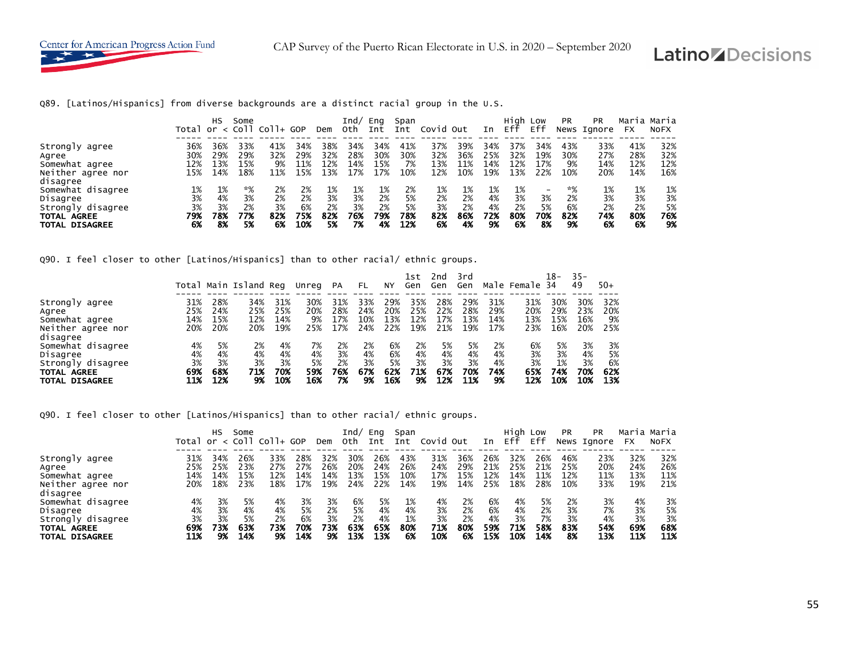

Q89. [Latinos/Hispanics] from diverse backgrounds are a distinct racial group in the U.S.

|                                                                                                        | Total or $\langle$ Coll     | HS                          | Some                          | Coll+ GOP                   |                              | Dem                         | Ind/<br>oth                 | Eng<br>Int                  | Span<br>Int                  | Covid Out                   |                             | In                          | High Low<br>Eff             | Eff                      | <b>PR</b>                   | <b>PR</b><br>News Ignore    | Maria Maria<br><b>FX</b>    | <b>NOFX</b>                 |
|--------------------------------------------------------------------------------------------------------|-----------------------------|-----------------------------|-------------------------------|-----------------------------|------------------------------|-----------------------------|-----------------------------|-----------------------------|------------------------------|-----------------------------|-----------------------------|-----------------------------|-----------------------------|--------------------------|-----------------------------|-----------------------------|-----------------------------|-----------------------------|
| Strongly agree<br>Agree<br>Somewhat agree<br>Neither agree nor                                         | 36%<br>30%<br>12%<br>15%    | 36%<br>29%<br>⊥3%<br>14%    | 33%<br>29%<br>15%<br>18%      | 41%<br>32%<br>9%<br>11%     | 34%<br>29%<br>11%<br>15%     | 38%<br>32%<br>12%<br>13%    | 34%<br>28%<br>14%<br>17%    | 34%<br>30%<br>15%<br>17%    | 41%<br>30%<br>7%<br>10%      | 37%<br>32%<br>13%<br>12%    | 39%<br>36%<br>11%<br>10%    | 34%<br>25%<br>14%<br>19%    | 37%<br>32%<br>12%<br>13%    | 34%<br>19%<br>17%<br>22% | 43%<br>30%<br>9%<br>10%     | 33%<br>27%<br>14%<br>20%    | 41%<br>28%<br>12%<br>14%    | 32%<br>32%<br>12%<br>16%    |
| disagree<br>Somewhat disagree<br>Disagree<br>Strongly disagree<br>TOTAL AGREE<br><b>TOTAL DISAGREE</b> | 1%<br>3%<br>3%<br>79%<br>6% | 1%<br>4%<br>3%<br>78%<br>8% | $*%$<br>3%<br>2%<br>77%<br>5% | 2%<br>2%<br>3%<br>82%<br>6% | 2%<br>2%<br>6%<br>75%<br>10% | 1%<br>3%<br>2%<br>82%<br>5% | 1%<br>3%<br>3%<br>76%<br>7% | 1%<br>2%<br>2%<br>79%<br>4% | 2%<br>5%<br>5%<br>78%<br>12% | 1%<br>2%<br>3%<br>82%<br>6% | 1%<br>2%<br>2%<br>86%<br>4% | 1%<br>4%<br>4%<br>72%<br>9% | 1%<br>3%<br>2%<br>80%<br>6% | 3%<br>5%<br>70%<br>8%    | *%<br>2%<br>6%<br>82%<br>9% | 1%<br>3%<br>2%<br>74%<br>6% | 1%<br>3%<br>2%<br>80%<br>6% | 1%<br>3%<br>5%<br>76%<br>9% |

Q90. I feel closer to other [Latinos/Hispanics] than to other racial/ ethnic groups.

|                       |     |     |                       |     |       |     |     |     | 1st | 2nd | 3rd |     |                | $18-$ | $35 -$ |       |
|-----------------------|-----|-----|-----------------------|-----|-------|-----|-----|-----|-----|-----|-----|-----|----------------|-------|--------|-------|
|                       |     |     | Total Main Island Reg |     | Unreg | PA  | FL  | NΥ  | Gen | Gen | Gen |     | Male Female 34 |       | 49     | $50+$ |
|                       |     |     |                       |     |       |     |     |     |     |     |     |     |                |       |        |       |
| Strongly agree        | 31% | 28% | 34%                   | 31% | 30%   | 31% | 33% | 29% | 35% | 28% | 29% | 31% | 31%            | 30%   | 30%    | 32%   |
| Agree                 | 25% | 24% | 25%                   | 25% | 20%   | 28% | 24% | 20% | 25% | 22% | 28% | 29% | 20%            | 29%   | 23%    | 20%   |
| Somewhat agree        | 14% | 15% | 12%                   | 14% | 9%    | 17% | 10% | 13% | 12% | 17% | 13% | 14% | 13%            | 15%   | 16%    | 9%    |
| Neither agree nor     | 20% | 20% | 20%                   | 19% | 25%   | 17% | 24% | 22% | 19% | 21% | 19% | 17% | 23%            | 16%   | 20%    | 25%   |
| disagree              |     |     |                       |     |       |     |     |     |     |     |     |     |                |       |        |       |
| Somewhat disagree     | 4%  | 5%  | 2%                    | 4%  | 7%    | 2%  | 2%  | 6%  | 2%  | 5%  | 5%  | 2%  | 6%             | 5%    | 3%     | 3%    |
| Disagree              | 4%  | 4%  | 4%                    | 4%  | 4%    | 3%  | 4%  | 6%  | 4%  | 4%  | 4%  | 4%  | 3%             | 3%    | 4%     | 5%    |
| Strongly disagree     | 3%  | 3%  | 3%                    | 3%  | 5%    | 2%  | 3%  | 5%  | 3%  | 3%  | 3%  | 4%  | 3%             | 1%    | 3%     | 6%    |
| <b>TOTAL AGREE</b>    | 69% | 68% | 71%                   | 70% | 59%   | 76% | 67% | 62% | 71% | 67% | 70% | 74% | 65%            | 74%   | 70%    | 62%   |
| <b>TOTAL DISAGREE</b> | 11% | 12% | 9%                    | 10% | 16%   | 7%  | 9%  | 16% | 9%  | 12% | 11% | 9%  | 12%            | 10%   | 10%    | 13%   |

Q90. I feel closer to other [Latinos/Hispanics] than to other racial/ ethnic groups.

|                       |     | нs  | Some | Total or $\langle$ Coll Coll+ GOP |     | Dem | Ind/<br>Oth | Eng<br>Int | Span<br>Int | Covid Out |     | In  | High Low<br>Eff | Eff | <b>PR</b> | <b>PR</b><br>News Ignore | FX  | Maria Maria<br>NOFX |
|-----------------------|-----|-----|------|-----------------------------------|-----|-----|-------------|------------|-------------|-----------|-----|-----|-----------------|-----|-----------|--------------------------|-----|---------------------|
|                       |     |     |      |                                   |     |     |             |            |             |           |     |     |                 |     |           |                          |     |                     |
| Strongly agree        | 31% | 34% | 26%  | 33%                               | 28% | 32% | 30%         | 26%        | 43%         | 31%       | 36% | 26% | 32%             | 26% | 46%       | 23%                      | 32% | 32%                 |
| Agree                 | 25% | 25% | 23%  | 27%                               | 27% | 26% | 20%         | 24%        | 26%         | 24%       | 29% | 21% | 25%             | 21% | 25%       | 20%                      | 24% | 26%                 |
| Somewhat agree        | 14% | 14% | 15%  | 12%                               | 14% | 14% | 13%         | 15%        | 10%         | 17%       | 15% | 12% | 14%             | 11% | 12%       | 11%                      | 13% | 11%                 |
| Neither agree nor     | 20% | 18% | 23%  | 18%                               | 17% | 19% | 24%         | 22%        | 14%         | 19%       | 14% | 25% | 18%             | 28% | 10%       | 33%                      | 19% | 21%                 |
| disagree              |     |     |      |                                   |     |     |             |            |             |           |     |     |                 |     |           |                          |     |                     |
| Somewhat disagree     | 4%  | 3%  | 5%   | 4%                                | 3%  | 3%  | 6%          | 5%         | 1%          | 4%        | 2%  | 6%  | 4%              | 5%  | 2%        | 3%                       | 4%  | 3%                  |
| Disagree              | 4%  | 3%  | 4%   | 4%                                | 5%  | 2%  | 5%          | 4%         | 4%          | 3%        | 2%  | 6%  | 4%              | 2%  | 3%        | 7%                       | 3%  | 5%                  |
| Strongly disagree     | 3%  | 3%  | 5%   | 2%                                | 6%  | 3%  | 2%          | 4%         | 1%          | 3%        | 2%  | 4%  | 3%              | 7%  | 3%        | 4%                       | 3%  | 3%                  |
| TOTAL AGREE           | 69% | 73% | 63%  | 73%                               | 70% | 73% | 63%         | 65%        | 80%         | 71%       | 80% | 59% | 71%             | 58% | 83%       | 54%                      | 69% | 68%                 |
| <b>TOTAL DISAGREE</b> | 11% | 9%  | 14%  | 9%                                | 14% | 9%  | 13%         | 13%        | 6%          | 10%       | 6%  | 15% | 10%             | 14% | 8%        | 13%                      | 11% | 11%                 |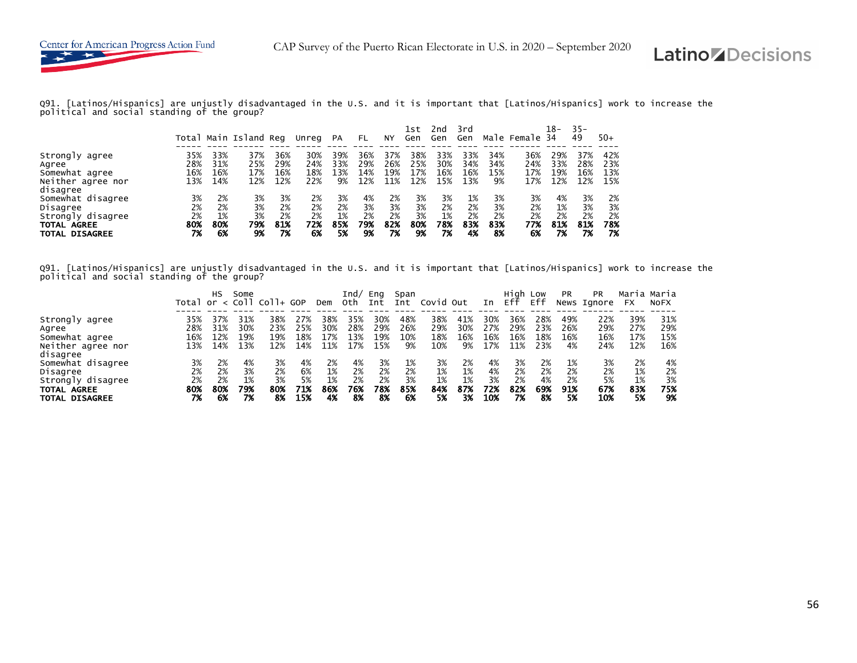

Q91. [Latinos/Hispanics] are unjustly disadvantaged in the U.S. and it is important that [Latinos/Hispanics] work to increase the political and social standing of the group?

|                                                                                                   |                             |                             | Total Main Island Reg       |                             | Unreg                       | PA                          | FL                          | NY                          | lst<br>Gen                  | 2nd<br>Gen                  | 3rd<br>Gen                  |                             | Male Female 34              | 18-                         | $35 -$<br>49                | $50+$                       |
|---------------------------------------------------------------------------------------------------|-----------------------------|-----------------------------|-----------------------------|-----------------------------|-----------------------------|-----------------------------|-----------------------------|-----------------------------|-----------------------------|-----------------------------|-----------------------------|-----------------------------|-----------------------------|-----------------------------|-----------------------------|-----------------------------|
| Strongly agree<br>Agree<br>Somewhat agree<br>Neither agree nor<br>disagree                        | 35%<br>28%<br>16%<br>13%    | 33%<br>31%<br>16%<br>14%    | 37%<br>25%<br>17%<br>12%    | 36%<br>29%<br>16%<br>12%    | 30%<br>24%<br>18%<br>22%    | 39%<br>33%<br>13%<br>9%     | 36%<br>29%<br>14%<br>12%    | 37%<br>26%<br>19%<br>11%    | 38%<br>25%<br>17%<br>12%    | 33%<br>30%<br>16%<br>15%    | 33%<br>34%<br>16%<br>13%    | 34%<br>34%<br>15%<br>9%     | 36%<br>24%<br>17%<br>17%    | 29%<br>33%<br>19%<br>12%    | 37%<br>28%<br>16%<br>12%    | 42%<br>23%<br>13%<br>15%    |
| Somewhat disagree<br>Disagree<br>Strongly disagree<br><b>TOTAL AGREE</b><br><b>TOTAL DISAGREE</b> | 3%<br>2%<br>2%<br>80%<br>7% | 2%<br>2%<br>1%<br>80%<br>6% | 3%<br>3%<br>3%<br>79%<br>9% | 3%<br>2%<br>2%<br>81%<br>7% | 2%<br>2%<br>2%<br>72%<br>6% | 3%<br>2%<br>1%<br>85%<br>5% | 4%<br>3%<br>2%<br>79%<br>9% | 2%<br>3%<br>2%<br>82%<br>7% | 3%<br>3%<br>3%<br>80%<br>9% | 3%<br>2%<br>1%<br>78%<br>7% | 1%<br>2%<br>2%<br>83%<br>4% | 3%<br>3%<br>2%<br>83%<br>8% | 3%<br>2%<br>2%<br>77%<br>6% | 4%<br>1%<br>2%<br>81%<br>7% | 3%<br>3%<br>2%<br>81%<br>7% | 2%<br>3%<br>2%<br>78%<br>7% |

Q91. [Latinos/Hispanics] are unjustly disadvantaged in the U.S. and it is important that [Latinos/Hispanics] work to increase the political and social standing of the group?

|                       |     | нs  | Some |                                   |     |     | Ind/ | Eng | Span |           |     |     | High Low |     | <b>PR</b> | PR.         | Maria Maria |             |
|-----------------------|-----|-----|------|-----------------------------------|-----|-----|------|-----|------|-----------|-----|-----|----------|-----|-----------|-------------|-------------|-------------|
|                       |     |     |      | Total or $\langle$ Coll Coll+ GOP |     | Dem | Oth  | Int | Int  | Covid Out |     | In  | Eff      | Eff |           | News Ignore | FX          | <b>NOFX</b> |
|                       |     |     |      |                                   |     |     |      |     |      |           |     |     |          |     |           |             |             |             |
| Strongly agree        | 35% | 37% | 31%  | 38%                               | 27% | 38% | 35%  | 30% | 48%  | 38%       | 41% | 30% | 36%      | 28% | 49%       | 22%         | 39%         | 31%         |
| Agree                 | 28% | 31% | 30%  | 23%                               | 25% | 30% | 28%  | 29% | 26%  | 29%       | 30% | 27% | 29%      | 23% | 26%       | 29%         | 27%         | 29%         |
| Somewhat agree        | 16% | 12% | 19%  | 19%                               | 18% | 17% | 13%  | 19% | 10%  | 18%       | 16% | 16% | 16%      | 18% | 16%       | 16%         | 17%         | 15%         |
| Neither agree nor     | 13% | 14% | 13%  | 12%                               | 14% | 11% | 17%  | 15% | 9%   | 10%       | 9%  | 17% | 11%      | 23% | 4%        | 24%         | 12%         | 16%         |
| disagree              |     |     |      |                                   |     |     |      |     |      |           |     |     |          |     |           |             |             |             |
| Somewhat disagree     | 3%  | 2%  | 4%   | 3%                                | 4%  | 2%  | 4%   | 3%  | 1%   | 3%        | 2%  | 4%  | 3%       | 2%  | 1%        | 3%          | 2%          | 4%          |
| Disagree              | 2%  | 2%  | 3%   | 2%                                | 6%  | 1%  | 2%   | 2%  | 2%   | 1%        | 1%  | 4%  | 2%       | 2%  | 2%        | 2%          | 1%          | 2%          |
| Strongly disagree     | 2%  | 2%  | 1%   | 3%                                | 5%  | 1%  | 2%   | 2%  | 3%   | 1%        | 1%  | 3%  | 2%       | 4%  | 2%        | 5%          | 1%          | 3%          |
| TOTAL AGREE           | 80% | 80% | 79%  | 80%                               | 71% | 86% | 76%  | 78% | 85%  | 84%       | 87% | 72% | 82%      | 69% | 91%       | 67%         | 83%         | 75%         |
| <b>TOTAL DISAGREE</b> | 7%  | 6%  | 7%   | 8%                                | 15% | 4%  | 8%   | 8%  | 6%   | 5%        | 3%  | 10% | 7%       | 8%  | 5%        | 10%         | 5%          | 9%          |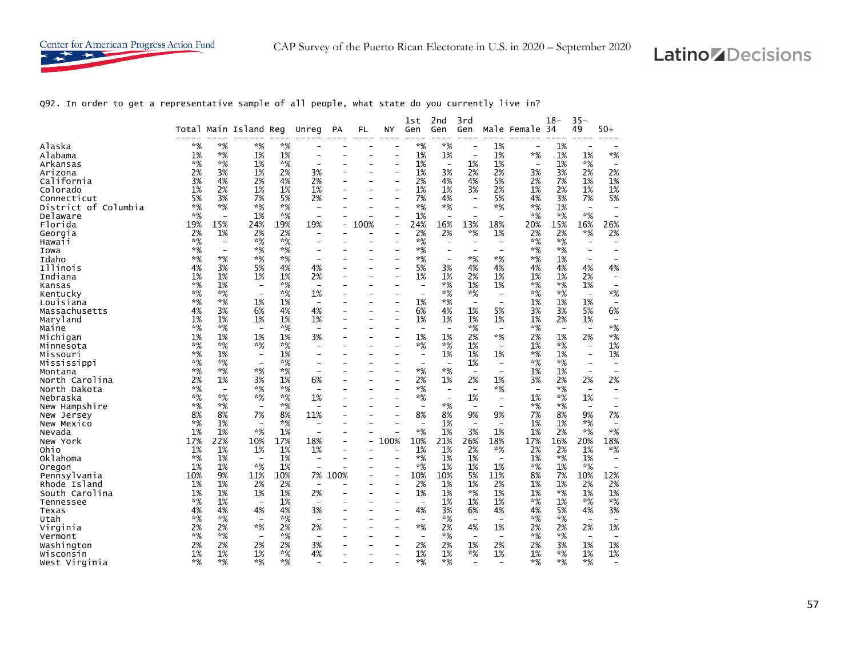

Q92. In order to get a representative sample of all people, what state do you currently live in?

|                      |       |                          | Total Main Island Reg    |       |                          |      | FL                       | NY                       | 1st                      | 2nd<br>Gen                     | 3rd<br>Gen               |                          | Male Female              | $18-$<br>-34             | $35 -$<br>49             | 50+                      |
|----------------------|-------|--------------------------|--------------------------|-------|--------------------------|------|--------------------------|--------------------------|--------------------------|--------------------------------|--------------------------|--------------------------|--------------------------|--------------------------|--------------------------|--------------------------|
|                      |       |                          |                          |       | Unreg                    | PA   |                          |                          | Gen                      |                                |                          |                          |                          |                          |                          |                          |
| Alaska               | $*$ % | $*$ %                    | *%                       | $*%$  |                          |      |                          |                          | $*%$                     | $*%$                           | $\overline{\phantom{0}}$ | 1%                       | $\overline{\phantom{0}}$ | 1%                       |                          |                          |
| Alabama              | 1%    | *%                       | 1%                       | 1%    |                          |      |                          |                          | 1%                       | 1%                             | $\overline{\phantom{0}}$ | 1%                       | *%                       | 1%                       | 1%                       | $*%$                     |
| Arkansas             | $*$ % | $*%$                     | 1%                       | $*$ % |                          |      |                          |                          | 1%                       | $\overline{\phantom{0}}$       | 1%                       | 1%                       | $\qquad \qquad -$        | 1%                       | *%                       |                          |
| Arizona              | 2%    | 3%                       | 1%                       | 2%    | 3%                       |      |                          |                          | 1%                       | 3%                             | 2%                       | 2%                       | 3%                       | 3%                       | 2%                       | 2%                       |
| California           | 3%    | 4%                       | 2%                       | 4%    | 2%                       |      |                          |                          | 2%                       | 4%                             | 4%                       | 5%                       | 2%                       | 7%                       | 1%                       | 1%                       |
| Colorado             | 1%    | 2%                       | 1%                       | 1%    | 1%                       |      |                          |                          | 1%                       | 1%                             | 3%                       | 2%                       | 1%                       | 2%                       | 1%                       | 1%                       |
| Connecticut          | 5%    | 3%                       | 7%                       | 5%    | 2%                       |      |                          |                          | 7%                       | 4%                             | $\overline{\phantom{0}}$ | 5%                       | 4%                       | 3%                       | 7%                       | 5%                       |
| District of Columbia | $*%$  | $*%$                     | *%                       | *%    | $\overline{\phantom{0}}$ |      |                          |                          | $*%$                     | *%                             |                          | *%                       | $*$ %                    | 1%                       | $\overline{\phantom{0}}$ |                          |
| Delaware             | $*%$  | $\overline{a}$           | 1%                       | $*$ % |                          |      |                          |                          | 1%                       | $\overline{\phantom{a}}$       |                          | $\overline{a}$           | $*$ %                    | $*%$                     | $*$ %                    |                          |
| Florida              | 19%   | 15%                      | 24%                      | 19%   | 19%                      |      | 100%                     |                          | 24%                      | 16%                            | 13%                      | 18%                      | 20%                      | 15%                      | 16%                      | 26%                      |
| Georgia              | 2%    | 1%                       | 2%                       | 2%    |                          |      |                          | $\overline{\phantom{0}}$ | 2%                       | 2%                             | $*%$                     | 1%                       | 2%                       | 2%                       | *%                       | 2%                       |
| Hawaii               | $*%$  | $\overline{a}$           | *%                       | *%    |                          |      |                          |                          | *%                       |                                |                          |                          | $*$ %                    | $*%$                     | $\overline{\phantom{a}}$ |                          |
|                      | *%    | $\overline{\phantom{0}}$ | $*$ %                    | $*$ % |                          |      |                          |                          | $*%$                     |                                |                          | $\overline{\phantom{a}}$ | $*$ %                    | $*%$                     |                          |                          |
| Iowa                 | $*$ % | $*%$                     | $*$ %                    | $*%$  |                          |      |                          |                          |                          |                                |                          | $*$ %                    |                          |                          | $\overline{\phantom{0}}$ |                          |
| Idaho                |       | 3%                       |                          |       |                          |      |                          |                          | *%                       | $\overline{\phantom{0}}$<br>3% | *%                       | 4%                       | $*%$                     | 1%                       | $\overline{\phantom{0}}$ |                          |
| Illinois             | 4%    |                          | 5%                       | 4%    | 4%                       |      |                          |                          | 5%                       |                                | 4%                       |                          | 4%                       | 4%                       | 4%                       | 4%                       |
| Indiana              | 1%    | 1%                       | 1%                       | 1%    | 2%                       |      |                          |                          | 1%                       | 1%                             | 2%                       | 1%                       | 1%                       | 1%                       | 2%                       | $\overline{\phantom{0}}$ |
| Kansas               | $*%$  | 1%                       | $\overline{\phantom{0}}$ | *%    | $\overline{\phantom{0}}$ |      |                          |                          | $\overline{\phantom{a}}$ | $*$ %                          | 1%                       | 1%                       | $*%$                     | $*%$                     | 1%                       |                          |
| Kentucky             | $*%$  | *%                       | $\overline{\phantom{a}}$ | *%    | 1%                       |      |                          |                          | $\overline{\phantom{a}}$ | $*%$                           | $*$ %                    | $\overline{\phantom{a}}$ | $*$ %                    | $*%$                     | $\overline{\phantom{a}}$ | $*$ %                    |
| Louisiana            | $*%$  | $*%$                     | 1%                       | 1%    | $\overline{\phantom{a}}$ |      |                          |                          | 1%                       | $*%$                           | $\overline{\phantom{0}}$ | $\overline{\phantom{0}}$ | 1%                       | 1%                       | 1%                       | $\overline{\phantom{a}}$ |
| Massachusetts        | 4%    | 3%                       | 6%                       | 4%    | 4%                       |      |                          | $\overline{\phantom{0}}$ | 6%                       | 4%                             | 1%                       | 5%                       | 3%                       | 3%                       | 5%                       | 6%                       |
| Maryland             | 1%    | 1%                       | 1%                       | 1%    | 1%                       |      |                          |                          | 1%                       | 1%                             | 1%                       | 1%                       | 1%                       | 2%                       | 1%                       | $\overline{\phantom{0}}$ |
| Maine                | $*%$  | $*%$                     | $\overline{\phantom{0}}$ | $*$ % | $\overline{\phantom{a}}$ |      |                          |                          | $\overline{\phantom{a}}$ | $\overline{\phantom{0}}$       | $*$ %                    | $\overline{\phantom{a}}$ | $*$ %                    | $\overline{\phantom{a}}$ | $\overline{\phantom{a}}$ | $*$ %                    |
| Michigan             | 1%    | 1%                       | 1%                       | 1%    | 3%                       |      |                          |                          | 1%                       | 1%                             | 2%                       | $*$ %                    | 2%                       | 1%                       | 2%                       | $*$ %                    |
| Minnesota            | $*%$  | $*%$                     | $*$ %                    | $*%$  |                          |      |                          |                          | $*%$                     | $*%$                           | 1%                       | $\overline{\phantom{a}}$ | 1%                       | $*%$                     | $\overline{\phantom{a}}$ | 1%                       |
| Missouri             | $*$ % | 1%                       | $\overline{\phantom{a}}$ | 1%    |                          |      |                          |                          | $\overline{\phantom{a}}$ | 1%                             | 1%                       | 1%                       | $*%$                     | 1%                       | $\overline{\phantom{a}}$ | 1%                       |
| Mississippi          | $*$ % | $*%$                     |                          | $*$ % |                          |      |                          |                          |                          |                                | 1%                       | $\overline{\phantom{0}}$ | $*%$                     | $*%$                     | $\overline{\phantom{0}}$ |                          |
| Montana              | *%    | $*%$                     | *%                       | $*%$  |                          |      |                          |                          | $*%$                     | $*%$                           | $\overline{\phantom{a}}$ | $\overline{\phantom{a}}$ | 1%                       | 1%                       | $\overline{\phantom{a}}$ |                          |
| North Carolina       | 2%    | 1%                       | 3%                       | 1%    | 6%                       |      |                          |                          | 2%                       | 1%                             | 2%                       | 1%                       | 3%                       | 2%                       | 2%                       | 2%                       |
| North Dakota         | $*$ % | $\overline{a}$           | $*$ %                    | $*$ % |                          |      |                          |                          | *%                       |                                |                          | *%                       | $\overline{\phantom{a}}$ | $*%$                     | $\overline{\phantom{a}}$ |                          |
| Nebraska             | $*%$  | $*%$                     | *%                       | $*%$  | 1%                       |      |                          |                          | *%                       | $\qquad \qquad -$              | 1%                       | $\qquad \qquad -$        | 1%                       | *%                       | 1%                       |                          |
| New Hampshire        | $*%$  | $*%$                     | $\overline{\phantom{a}}$ | *%    |                          |      |                          |                          | $\overline{\phantom{a}}$ | $*%$                           |                          | $\overline{\phantom{0}}$ | $*$ %                    | $*%$                     | $\overline{\phantom{0}}$ |                          |
| New Jersey           | 8%    | 8%                       | 7%                       | 8%    | 11%                      |      |                          |                          | 8%                       | 8%                             | 9%                       | 9%                       | 7%                       | 8%                       | 9%                       | 7%                       |
| New Mexico           | $*%$  | 1%                       |                          | $*$ % |                          |      |                          |                          |                          | 1%                             |                          |                          | 1%                       | 1%                       | *%                       |                          |
| Nevada               | 1%    | 1%                       | $*%$                     | 1%    |                          |      |                          |                          | *%                       | 1%                             | 3%                       | 1%                       | 1%                       | 2%                       | $*%$                     | $*$ %                    |
| New York             | 17%   | 22%                      | 10%                      | 17%   | 18%                      |      |                          | 100%                     | 10%                      | 21%                            | 26%                      | 18%                      | 17%                      | 16%                      | 20%                      | 18%                      |
| Ohio                 | 1%    | 1%                       | 1%                       | 1%    | 1%                       |      |                          |                          | 1%                       | 1%                             | 2%                       | *%                       | 2%                       | 2%                       | 1%                       | *%                       |
| Oklahoma             | $*$ % | 1%                       | $\overline{\phantom{0}}$ | 1%    |                          |      |                          |                          | $*%$                     | 1%                             | 1%                       | $\overline{a}$           | 1%                       | $*%$                     | 1%                       |                          |
| Oregon               | 1%    | 1%                       | *%                       | 1%    |                          |      |                          |                          | $*%$                     | 1%                             | 1%                       | 1%                       | $*%$                     | 1%                       | $*$ %                    |                          |
| Pennsylvania         | 10%   | 9%                       | 11%                      | 10%   | 7%                       | 100% |                          | $\overline{\phantom{a}}$ | 10%                      | 10%                            | 5%                       | 11%                      | 8%                       | 7%                       | 10%                      | 12%                      |
| Rhode Island         | 1%    | 1%                       | 2%                       | 2%    | $\overline{\phantom{0}}$ |      |                          |                          | 2%                       | 1%                             | 1%                       | 2%                       | 1%                       | 1%                       | 2%                       | 2%                       |
| South Carolina       | 1%    | 1%                       | 1%                       | 1%    | 2%                       |      |                          |                          | 1%                       | 1%                             | *%                       | 1%                       | 1%                       | $*%$                     | 1%                       | 1%                       |
| Tennessee            | $*$ % | 1%                       | $\overline{\phantom{0}}$ | 1%    | $\overline{\phantom{0}}$ |      |                          |                          | $\overline{\phantom{a}}$ | 1%                             | 1%                       | 1%                       | *%                       | 1%                       | *%                       | *%                       |
| Texas                | 4%    | 4%                       | 4%                       | 4%    | 3%                       |      |                          |                          | 4%                       | 3%                             | 6%                       | 4%                       | 4%                       | 5%                       | 4%                       | 3%                       |
| Utah                 | $*%$  | $*%$                     | $\overline{\phantom{0}}$ | $*%$  | $\overline{\phantom{a}}$ |      |                          |                          | $\overline{\phantom{a}}$ | $*%$                           |                          | $\overline{a}$           | $*%$                     | $*%$                     | $\overline{\phantom{a}}$ |                          |
| Virginia             | 2%    | 2%                       | *%                       | 2%    | 2%                       |      |                          |                          | *%                       | 2%                             | 4%                       | 1%                       | 2%                       | 2%                       | 2%                       | 1%                       |
| Vermont              | $*%$  | $*$ %                    | $\overline{\phantom{0}}$ | $*$ % | $\overline{\phantom{0}}$ |      |                          |                          | $\overline{\phantom{a}}$ | $*$ %                          | $\overline{\phantom{0}}$ | $\overline{\phantom{0}}$ | $*%$                     | $*%$                     | $\overline{\phantom{a}}$ | $\overline{\phantom{0}}$ |
| Washington           | 2%    | 2%                       | 2%                       | 2%    | 3%                       |      |                          |                          | 2%                       | 2%                             | 1%                       | 2%                       | 2%                       | 3%                       | 1%                       | 1%                       |
| Wisconsin            | 1%    | 1%                       | 1%                       | $*%$  | 4%                       |      | $\overline{\phantom{0}}$ | $\overline{\phantom{0}}$ | 1%                       | 1%                             | $*$ %                    | 1%                       | 1%                       | $*%$                     | 1%                       | 1%                       |
| West Virginia        | $*%$  | $*%$                     | *%                       | *%    |                          |      |                          |                          | *%                       | $*%$                           | $\overline{a}$           |                          | $*%$                     | $*%$                     | *%                       |                          |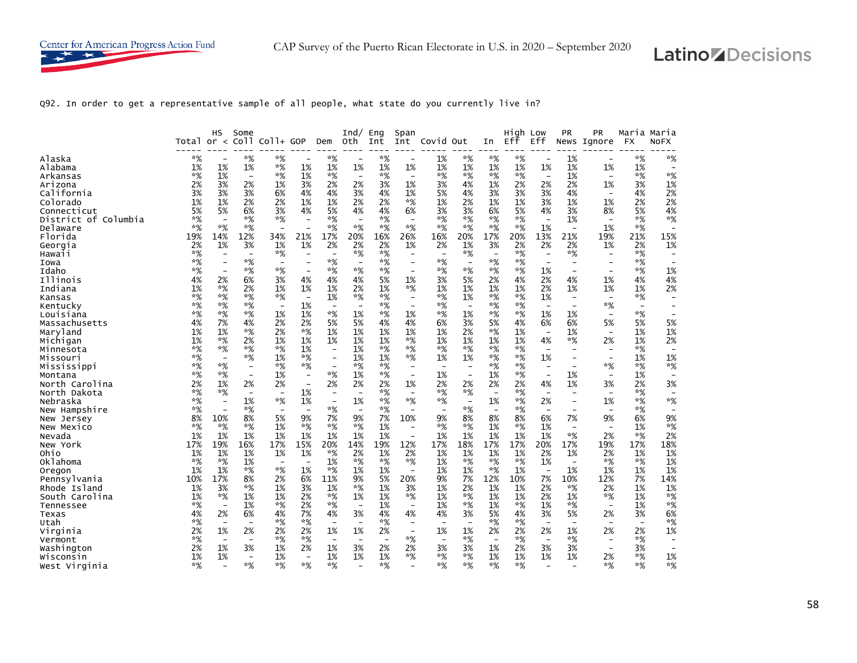

Q92. In order to get a representative sample of all people, what state do you currently live in?

|                        | Total or $\lt$ | нs                       | Some<br>Co <sub>11</sub> | $CO1+ GOP$                        |                                | Dem                      | Ind/<br>0th.             | Eng<br>Int               | Span<br>Int              | Covid Out                |                          | In                       | High Low<br>Eff | Eff                            | <b>PR</b><br>News              | <b>PR</b><br>Ignore            | <b>FX</b>                | Maria Maria<br><b>NOFX</b>     |
|------------------------|----------------|--------------------------|--------------------------|-----------------------------------|--------------------------------|--------------------------|--------------------------|--------------------------|--------------------------|--------------------------|--------------------------|--------------------------|-----------------|--------------------------------|--------------------------------|--------------------------------|--------------------------|--------------------------------|
|                        | *%             |                          |                          |                                   |                                |                          |                          |                          |                          |                          |                          |                          |                 |                                |                                |                                | $*%$                     |                                |
| Alaska<br>Alabama      | 1%             | 1%                       | *%<br>1%                 | *%<br>*%                          | 1%                             | *%<br>1%                 | 1%                       | *%<br>1%                 | 1%                       | 1%<br>1%                 | *%<br>1%                 | *%<br>1%                 | *%<br>1%        | 1%                             | 1%<br>1%                       | 1%                             | 1%                       | *%<br>$\overline{\phantom{0}}$ |
| Arkansas               | *%             | 1%                       | $\overline{\phantom{a}}$ | $*%$                              | 1%                             | $*$ %                    | $\overline{\phantom{a}}$ | $*%$                     | $\overline{\phantom{a}}$ | $*%$                     | $*%$                     | $*$ %                    | $*$ %           | $\overline{\phantom{a}}$       | 1%                             | $\overline{\phantom{a}}$       | $*%$                     | $*%$                           |
| Arizona                | 2%             | 3%                       | 2%                       | 1%                                | 3%                             | 2%                       | 2%                       | 3%                       | 1%                       | 3%                       | 4%                       | 1%                       | 2%              | 2%                             | 2%                             | 1%                             | 3%                       | 1%                             |
| California             | 3%             | 3%                       | 3%                       | 6%                                | 4%                             | 4%                       | 3%                       | 4%                       | 1%                       | 5%                       | 4%                       | 3%                       | 3%              | 3%                             | 4%                             | $\overline{\phantom{a}}$       | 4%                       | 2%                             |
| Colorado               | 1%             | 1%                       | 2%                       | 2%                                | 1%                             | 1%                       | 2%                       | 2%                       | $*$ %                    | 1%                       | 2%                       | 1%                       | 1%              | 3%                             | 1%                             | 1%                             | 2%                       | 2%                             |
| Connecticut            | 5%             | 5%                       | 6%                       | 3%                                | 4%                             | 5%                       | 4%                       | 4%                       | 6%                       | 3%                       | 3%                       | 6%                       | 5%              | 4%                             | 3%                             | 8%                             | 5%                       | 4%                             |
| District of Columbia   | $*%$           | $\overline{\phantom{a}}$ | $*$ %                    | $*$ %                             | $\qquad \qquad -$              | $*$ %                    | $\overline{\phantom{a}}$ | $*%$                     | $\overline{\phantom{a}}$ | $*%$                     | $*%$                     | $*%$                     | $*%$            | $\overline{\phantom{a}}$       | 1%                             | $\overline{\phantom{a}}$       | *%                       | *%                             |
| Delaware               | $*%$           | $*$ %                    | $*%$                     | $\overline{\phantom{0}}$          |                                | $*$ %                    | $*%$                     | $*%$                     | $*%$                     | $*$ %                    | $*%$                     | $*%$                     | $*$ %           | 1%                             | $\overline{\phantom{a}}$       | 1%                             | $*%$                     |                                |
| Florida                | 19%            | 14%                      | 12%                      | 34%                               | 21%                            | 17%                      | 20%                      | 16%                      | 26%                      | 16%                      | 20%                      | 17%                      | 20%             | 13%                            | 21%                            | 19%                            | 21%                      | 15%                            |
| Georgia                | 2%             | 1%                       | 3%                       | 1%                                | 1%                             | 2%                       | 2%                       | 2%                       | 1%                       | 2%                       | 1%                       | 3%                       | 2%              | 2%                             | 2%                             | 1%                             | 2%                       | 1%                             |
| Hawaii                 | $*%$           | $\overline{\phantom{a}}$ | $\overline{\phantom{a}}$ | $*$ %                             | $\overline{\phantom{a}}$       | $\overline{\phantom{a}}$ | $*%$                     | $*%$                     | $\overline{\phantom{a}}$ | $\overline{\phantom{0}}$ | $*%$                     | $\overline{\phantom{a}}$ | $*$ %           | $\overline{\phantom{a}}$       | $*%$                           | $\overline{\phantom{a}}$       | $*%$                     |                                |
| Iowa                   | $*%$           |                          | $*%$                     | $\overline{\phantom{a}}$          |                                | $*$ %                    |                          | $*%$                     |                          | $*%$                     | $\overline{\phantom{a}}$ | $*$ %                    | $*$ %           |                                | $\overline{\phantom{a}}$       |                                | $*%$                     |                                |
| Idaho                  | *%             | $\overline{\phantom{0}}$ | $*$ %                    | $*$ %                             | $\overline{\phantom{a}}$       | $*$ %                    | $*%$                     | *%                       | $\overline{\phantom{0}}$ | $*%$                     | $*%$                     | $*$ %                    | $*$ %           | 1%                             | $\overline{\phantom{a}}$       | $\overline{\phantom{0}}$       | $*%$                     | 1%                             |
| Illinois               | 4%             | 2%                       | 6%                       | 3%                                | 4%                             | 4%                       | 4%                       | 5%                       | 1%                       | 3%                       | 5%                       | 2%                       | 4%              | 2%                             | 4%                             | 1%                             | 4%                       | 4%                             |
| Indiana                | 1%             | $*%$                     | 2%                       | 1%                                | 1%                             | 1%                       | 2%                       | 1%                       | $*%$                     | 1%                       | 1%                       | 1%                       | 1%              | 2%                             | 1%                             | 1%                             | 1%                       | 2%                             |
| Kansas                 | $*%$           | $*$ %                    | $*%$                     | $*$ %                             | $\overline{\phantom{a}}$       | 1%                       | $*%$                     | $*%$                     | $\overline{\phantom{a}}$ | $*%$                     | 1%                       | $*$ %                    | $*$ %           | 1%                             | $\overline{\phantom{a}}$       | $\overline{\phantom{a}}$       | $*$ %                    |                                |
| Kentucky               | *%             | $*$ %                    | $*$ %                    | $\overline{\phantom{a}}$          | 1%                             | $\overline{\phantom{a}}$ | $\overline{\phantom{0}}$ | *%                       | $\overline{\phantom{a}}$ | $*%$                     | $\overline{\phantom{a}}$ | $*%$                     | *%              | $\overline{\phantom{0}}$       | $\overline{\phantom{0}}$       | $*%$                           | $\overline{\phantom{0}}$ |                                |
| Louisiana              | $*%$           | $*$ %                    | $*%$                     | 1%                                | 1%                             | $*$ %                    | 1%                       | *%                       | 1%                       | *%                       | 1%                       | $*%$                     | *%              | 1%                             | 1%                             | $\qquad \qquad -$              | $*%$                     |                                |
| Massachusetts          | 4%             | 7%                       | 4%                       | 2%                                | 2%                             | 5%                       | 5%                       | 4%                       | 4%                       | 6%                       | 3%                       | 5%                       | 4%              | 6%                             | 6%                             | 5%                             | 5%                       | 5%                             |
| Maryland               | 1%<br>1%       | 1%<br>$*$ %              | *%<br>2%                 | 2%<br>1%                          | $*$ %<br>1%                    | 1%<br>1%                 | 1%<br>1%                 | 1%<br>1%                 | 1%<br>$*$ %              | 1%<br>1%                 | 2%<br>1%                 | $*%$<br>1%               | 1%<br>1%        | $\overline{\phantom{a}}$<br>4% | 1%<br>*%                       | $\overline{\phantom{a}}$<br>2% | 1%<br>1%                 | 1%<br>2%                       |
| Michigan<br>Minnesota  | $*%$           | $*%$                     | $*%$                     | $*$ %                             | 1%                             | $\overline{\phantom{a}}$ | 1%                       | $*%$                     | $*$ %                    | $*%$                     | $*%$                     | $*$ %                    | $*$ %           | $\overline{\phantom{0}}$       | $\overline{\phantom{0}}$       | $\overline{\phantom{0}}$       | $*$ %                    | $\overline{\phantom{0}}$       |
| Missouri               | $*%$           | $\overline{\phantom{0}}$ | $*%$                     | 1%                                | $*%$                           | $\overline{\phantom{a}}$ | 1%                       | 1%                       | *%                       | 1%                       | 1%                       | $*%$                     | $*$ %           | 1%                             | $\overline{\phantom{a}}$       | $\overline{\phantom{0}}$       | 1%                       | 1%                             |
| Mississippi            | *%             | $*$ %                    | $\overline{\phantom{a}}$ | $*$ %                             | $*%$                           | $\overline{\phantom{a}}$ | $*%$                     | $*%$                     | $\overline{\phantom{a}}$ | $\overline{\phantom{a}}$ | $\overline{\phantom{a}}$ | $*%$                     | $*$ %           | $\overline{\phantom{a}}$       | $\overline{\phantom{a}}$       | $*%$                           | $*$ %                    | $*%$                           |
| Montana                | $*%$           | $*$ %                    |                          | 1%                                |                                | $*%$                     | 1%                       | *%                       |                          | 1%                       | $\overline{\phantom{a}}$ | 1%                       | $*$ %           |                                | 1%                             | $\overline{\phantom{a}}$       | 1%                       |                                |
| North Carolina         | 2%             | 1%                       | 2%                       | 2%                                | $\overline{\phantom{a}}$       | 2%                       | 2%                       | 2%                       | 1%                       | 2%                       | 2%                       | 2%                       | 2%              | 4%                             | 1%                             | 3%                             | 2%                       | 3%                             |
| North Dakota           | $*%$           | $*$ %                    | $\overline{\phantom{a}}$ | $\overline{\phantom{a}}$          | 1%                             | $\overline{\phantom{a}}$ |                          | *%                       |                          | $*%$                     | $*%$                     | $\overline{\phantom{0}}$ | $*%$            |                                | $\overline{\phantom{0}}$       | $\overline{\phantom{a}}$       | $*%$                     | $\overline{\phantom{a}}$       |
| Nebraska               | $*%$           | $\overline{\phantom{0}}$ | 1%                       | $*$ %                             | 1%                             | $\overline{\phantom{a}}$ | 1%                       | $*%$                     | $*$ %                    | $*%$                     | $\overline{\phantom{a}}$ | 1%                       | $*$ %           | 2%                             | $\qquad \qquad -$              | 1%                             | $*$ %                    | $*%$                           |
| New Hampshire          | *%             |                          | $*$ %                    | $\overline{\phantom{a}}$          | $\overline{\phantom{a}}$       | $*%$                     | $\overline{\phantom{a}}$ | *%                       | $\overline{\phantom{0}}$ | $\overline{\phantom{0}}$ | $*%$                     | $\overline{\phantom{a}}$ | $*$ %           | $\overline{\phantom{0}}$       |                                | $\overline{\phantom{a}}$       | $*$ %                    |                                |
| New Jersey             | 8%             | 10%                      | 8%                       | 5%                                | 9%                             | 7%                       | 9%                       | 7%                       | 10%                      | 9%                       | 8%                       | 8%                       | 8%              | 6%                             | 7%                             | 9%                             | 6%                       | 9%                             |
| New Mexico             | $*%$           | *%                       | $*%$                     | 1%                                | $*%$                           | $*$ %                    | $*%$                     | 1%                       |                          | $*%$                     | $*%$                     | 1%                       | *%              | 1%                             | $\overline{\phantom{a}}$       | $\overline{\phantom{a}}$       | 1%                       | $*%$                           |
| Nevada                 | 1%             | 1%                       | 1%                       | 1%                                | 1%                             | 1%                       | 1%                       | 1%                       | $\overline{\phantom{0}}$ | 1%                       | 1%                       | 1%                       | 1%              | 1%                             | $*%$                           | 2%                             | $*%$                     | 2%                             |
| New York               | 17%            | 19%                      | 16%                      | 17%                               | 15%                            | 20%                      | 14%                      | 19%                      | 12%                      | 17%                      | 18%                      | 17%                      | 17%             | 20%                            | 17%                            | 19%                            | 17%                      | 18%                            |
| Ohio                   | 1%<br>$*%$     | 1%<br>$*$ %              | 1%                       | 1%                                | 1%                             | $*%$                     | 2%<br>$*%$               | 1%<br>$*%$               | 2%<br>$*%$               | 1%                       | 1%<br>$*%$               | 1%<br>$*%$               | 1%<br>$*%$      | 2%                             | 1%                             | 2%<br>$*%$                     | 1%<br>$*%$               | 1%                             |
| <b>Oklahoma</b>        | 1%             | 1%                       | 1%<br>$*%$               | $\overline{\phantom{a}}$<br>$*$ % | $\overline{\phantom{a}}$<br>1% | 1%<br>$*$ %              | 1%                       | 1%                       | $\overline{\phantom{0}}$ | 1%<br>1%                 | 1%                       | $*$ %                    | 1%              | 1%<br>$\overline{\phantom{a}}$ | $\overline{\phantom{a}}$<br>1% | 1%                             | 1%                       | 1%<br>1%                       |
| Oregon<br>Pennsylvania | 10%            | 17%                      | 8%                       | 2%                                | 6%                             | 11%                      | 9%                       | 5%                       | 20%                      | 9%                       | 7%                       | 12%                      | 10%             | 7%                             | 10%                            | 12%                            | 7%                       | 14%                            |
| Rhode Island           | 1%             | 3%                       | $*%$                     | 1%                                | 3%                             | 1%                       | $*%$                     | 1%                       | 3%                       | 1%                       | 2%                       | 1%                       | 1%              | 2%                             | $*%$                           | 2%                             | 1%                       | 1%                             |
| South Carolina         | 1%             | $*$ %                    | 1%                       | 1%                                | 2%                             | $*$ %                    | 1%                       | 1%                       | *%                       | 1%                       | $*%$                     | 1%                       | 1%              | 2%                             | 1%                             | $*%$                           | 1%                       | $*%$                           |
| Tennessee              | $*%$           | $\overline{\phantom{a}}$ | 1%                       | $*%$                              | 2%                             | $*$ %                    | $\overline{\phantom{a}}$ | 1%                       | $\overline{\phantom{a}}$ | 1%                       | $*%$                     | 1%                       | $*$ %           | 1%                             | $*%$                           | $\overline{\phantom{m}}$       | 1%                       | $*%$                           |
| Texas                  | 4%             | 2%                       | 6%                       | 4%                                | 7%                             | 4%                       | 3%                       | 4%                       | 4%                       | 4%                       | 3%                       | 5%                       | 4%              | 3%                             | 5%                             | 2%                             | 3%                       | 6%                             |
| Utah                   | *%             | $\overline{\phantom{0}}$ | $\overline{\phantom{0}}$ | $*$ %                             | $*%$                           | $\overline{\phantom{a}}$ | $\overline{\phantom{0}}$ | $*%$                     |                          |                          |                          | $*%$                     | $*$ %           |                                | $\overline{\phantom{0}}$       | $\overline{\phantom{0}}$       | $\overline{\phantom{0}}$ | $*%$                           |
| Virginia               | 2%             | 1%                       | 2%                       | 2%                                | 2%                             | 1%                       | 1%                       | 2%                       | $\overline{\phantom{a}}$ | 1%                       | 1%                       | 2%                       | 2%              | 2%                             | 1%                             | 2%                             | 2%                       | 1%                             |
| Vermont                | $*%$           | $\overline{\phantom{a}}$ | $\overline{\phantom{0}}$ | $*%$                              | $*%$                           | $\overline{\phantom{a}}$ | $\overline{\phantom{0}}$ | $\overline{\phantom{a}}$ | $*$ %                    | $\overline{\phantom{0}}$ | $*%$                     | $\overline{\phantom{a}}$ | $*$ %           | $\overline{\phantom{a}}$       | $*%$                           | $\overline{\phantom{0}}$       | $*%$                     |                                |
| Washington             | 2%             | 1%                       | 3%                       | 1%                                | 2%                             | 1%                       | 3%                       | 2%                       | 2%                       | 3%                       | 3%                       | 1%                       | 2%              | 3%                             | 3%                             | $\overline{\phantom{a}}$       | 3%                       |                                |
| Wisconsin              | 1%             | 1%                       | $\overline{\phantom{a}}$ | 1%                                | $\overline{\phantom{a}}$       | 1%                       | 1%                       | 1%                       | *%                       | *%                       | $*%$                     | 1%                       | 1%              | 1%                             | 1%                             | 2%                             | $*%$                     | 1%                             |
| West Virginia          | $*%$           |                          | $*%$                     | $*$ %                             | $*%$                           | $*%$                     | $\overline{a}$           | $*%$                     | $\overline{a}$           | *%                       | $*%$                     | $*$ %                    | $*%$            | $\overline{\phantom{0}}$       | $\overline{\phantom{0}}$       | $*%$                           | $*%$                     | $*%$                           |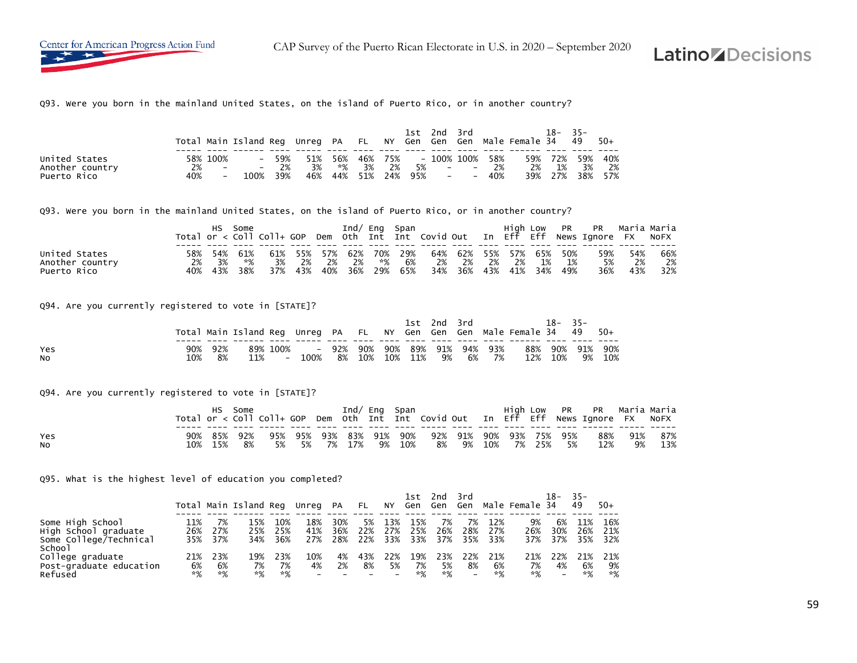CAP Survey of the Puerto Rican Electorate in U.S. in 2020 – September 2020

# **Latino** *Z* Decisions

Q93. Were you born in the mainland United States, on the island of Puerto Rico, or in another country?

|                                                 |           |                                      |                           |                     |                  |    |                   |    |    | 1st 2nd 3rd |             |                                             | Total Main Island Reg Unreg PA FL NY Gen Gen Gen Male Female 34 49 50+ | 18– | $-35-$                             |       |
|-------------------------------------------------|-----------|--------------------------------------|---------------------------|---------------------|------------------|----|-------------------|----|----|-------------|-------------|---------------------------------------------|------------------------------------------------------------------------|-----|------------------------------------|-------|
| United States<br>Another country<br>Puerto Rico | 2%<br>40% | 58% 100%<br>$\overline{\phantom{a}}$ | $-$<br>$\sim$ $-$<br>100% | 59%<br>$2\%$<br>39% | 51%<br>3%<br>46% | *% | 56% 46% 75%<br>3% | 2% | 5% |             | - 100% 100% | 58%<br>$- - 2\%$<br>44% 51% 24% 95% - - 40% | 2%                                                                     | 1%  | 59% 72% 59% 40%<br>39% 27% 38% 57% | 3% 2% |

Q93. Were you born in the mainland United States, on the island of Puerto Rico, or in another country?

|                 |     | нs  | Some  |     |     |         |         |         | Ind/ Eng Span |     |             |    |     |       |         | High Low PR PR Maria Maria                                                         |     |     |
|-----------------|-----|-----|-------|-----|-----|---------|---------|---------|---------------|-----|-------------|----|-----|-------|---------|------------------------------------------------------------------------------------|-----|-----|
|                 |     |     |       |     |     |         |         |         |               |     |             |    |     |       |         | Total or < Coll Coll+ GOP Dem Oth Int Int Covid Out In Eff Eff News Ignore FX NoFX |     |     |
|                 |     |     |       |     |     |         |         |         |               |     |             |    |     |       |         |                                                                                    |     |     |
| United States   | 58% | 54% | 61%   | 61% |     | 55% 57% |         | 62% 70% | - 29%         | 64% | 62% 55% 57% |    |     |       | 65% 50% | 59%                                                                                | 54% | 66% |
| Another country | 2%  | 3%  | *%    | 3%  | -2% | -2%     | - 2%    | *%      | 6%            | 2%  | 2%          | 2% | 2%  | 1%    | 1%      | 5%                                                                                 | 2%  | 2%  |
| Puerto Rico     | 40% | 43% | - 38% | 37% | 43% | 40%     | 36% 29% |         | 65%           | 34% | 36% 43%     |    | 41% | - 34% | 49%     | 36%                                                                                | 43% | 32% |

Q94. Are you currently registered to vote in [STATE]?

|           |     |      | Total Main Island Reg Unreg PA FL NY Gen Gen Gen Male Female 34 49 50+ |                                        |  |  | 1st 2nd 3rd |  |                 | 18-     | $35 -$ |        |
|-----------|-----|------|------------------------------------------------------------------------|----------------------------------------|--|--|-------------|--|-----------------|---------|--------|--------|
|           |     |      |                                                                        |                                        |  |  |             |  |                 |         |        |        |
| Yes       | 90% | -92% |                                                                        | 89% 100% - 92% 90% 90% 89% 91% 94% 93% |  |  |             |  | 88% 90% 91% 90% |         |        |        |
| <b>NO</b> | 10% | 8%   | 11%                                                                    | 100% 8% 10% 10% 11% 9% 6% 7%           |  |  |             |  |                 | 12% 10% |        | 9% 10% |

Q94. Are you currently registered to vote in [STATE]?

|            |  | Some |                                                    |  |  |  |  |  | Total or < Coll Coll+ GOP Dem Oth Int Int Covid Out In Eff Eff News Ignore FX NoFX |        |
|------------|--|------|----------------------------------------------------|--|--|--|--|--|------------------------------------------------------------------------------------|--------|
| Yes<br>NO. |  |      | 10% 15% 8% 5% 5% 7% 17% 9% 10% 8% 9% 10% 7% 25% 5% |  |  |  |  |  | 90% 85% 92% 95% 95% 93% 83% 91% 90% 92% 91% 90% 93% 75% 95% 88% 91% 87%<br>12%     | 9% 13% |

Q95. What is the highest level of education you completed?

|                                                                              |                   |                   | Total Main Island Req |                   | Unreg             | PA                | FL.              | NY                                    | 1st<br>Gen        | 2nd<br>Gen        | 3rd<br>Gen                            |                   | Male Female 34    | 18-                                   | - 35 –<br>49      | $50+$             |
|------------------------------------------------------------------------------|-------------------|-------------------|-----------------------|-------------------|-------------------|-------------------|------------------|---------------------------------------|-------------------|-------------------|---------------------------------------|-------------------|-------------------|---------------------------------------|-------------------|-------------------|
| Some High School<br>High School graduate<br>Some College/Technical<br>School | 11%<br>26%<br>35% | 27%<br>37%        | 15%<br>25%<br>34%     | 10%<br>25%<br>36% | 18%<br>41%<br>27% | 30%<br>36%<br>28% | 5%<br>22%<br>22% | 13%<br>27%<br>33%                     | 15%<br>25%<br>33% | 7%<br>26%<br>37%  | 7%<br>28%<br>35%                      | 12%<br>27%<br>33% | 9%<br>26%<br>37%  | 6%<br>30%<br>37%                      | 11%<br>26%<br>35% | 16%<br>21%<br>32% |
| College graduate<br>Post-graduate education<br>Refused                       | 21%<br>6%<br>*%   | 23%<br>6%<br>$*%$ | 19%<br>7%<br>*%       | 23%<br>7%<br>$*%$ | 10%<br>4%         | 4%<br>2%          | 43%<br>8%        | 22%<br>5%<br>$\overline{\phantom{0}}$ | 19%<br>7%<br>$*%$ | 23%<br>5%<br>$*%$ | 22%<br>8%<br>$\overline{\phantom{0}}$ | 21%<br>6%<br>$*%$ | 21%<br>7%<br>$*%$ | 22%<br>4%<br>$\overline{\phantom{0}}$ | 21%<br>6%<br>*%   | 21%<br>9%<br>$*%$ |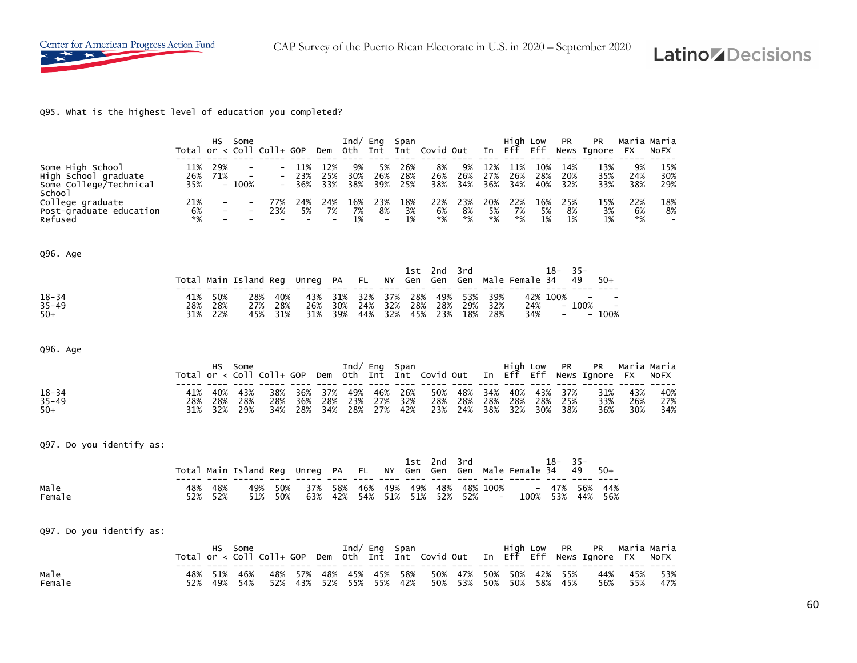

CAP Survey of the Puerto Rican Electorate in U.S. in 2020 – September 2020

# **Latino** *ADecisions*

Q95. What is the highest level of education you completed?

|                                                                              |                     | HS.               | Some<br>Total or $\langle$ Coll Coll+ GOP |                          |                   |                   | Dem Oth Int       | $Ind/$ Eng                            | Span              | Int Covid Out                          |                   | In                                   | High Low<br>Eff   | Eff                    | PR                       | PR<br>News Ignore        | FX                       | Maria Maria<br>NOFX |
|------------------------------------------------------------------------------|---------------------|-------------------|-------------------------------------------|--------------------------|-------------------|-------------------|-------------------|---------------------------------------|-------------------|----------------------------------------|-------------------|--------------------------------------|-------------------|------------------------|--------------------------|--------------------------|--------------------------|---------------------|
| Some High School<br>High School graduate<br>Some College/Technical<br>School | 11%<br>26%<br>35%   | 29%<br>71%<br>$-$ | 100%                                      | $\overline{\phantom{a}}$ | 11%<br>23%<br>36% | 12%<br>25%<br>33% | 9%<br>30%<br>38%  | 5%<br>26%<br>39%                      | 26%<br>28%<br>25% | 8%<br>26%<br>38%                       | 9%<br>26%<br>34%  | 12%<br>27%<br>36%                    | 11%<br>26%<br>34% | 10%<br>28%<br>40%      | 14%<br>20%<br>32%        | 13%<br>35%<br>33%        | 9%<br>24%<br>38%         | 15%<br>30%<br>29%   |
| College graduate<br>Post-graduate education<br>Refused                       | 21%<br>6%<br>*%     |                   |                                           | 77%<br>23%               | 24%<br>5%         | 24%<br>7%         | 16%<br>7%<br>1%   | 23%<br>8%<br>$\overline{\phantom{0}}$ | 18%<br>3%<br>1%   | 22%<br>6%<br>$*%$                      | 23%<br>8%<br>$*%$ | 20%<br>5%<br>*%                      | 22%<br>7%<br>*%   | 16%<br>5%<br>1%        | 25%<br>8%<br>1%          | 15%<br>3%<br>1%          | 22%<br>6%<br>*%          | 18%<br>8%           |
| Q96. Age                                                                     |                     |                   |                                           |                          |                   |                   |                   |                                       |                   |                                        |                   |                                      |                   |                        |                          |                          |                          |                     |
|                                                                              |                     |                   | Total Main Island Req                     |                          | Unreg             | PA                |                   | FL<br>ΝY                              | 1st<br>Gen        | 2 <sub>nd</sub><br>Gen                 | 3rd<br>Gen        |                                      |                   | Male Female 34         | $18-$<br>49              | $35 -$<br>$50+$          |                          |                     |
| $18 - 34$<br>$35 - 49$<br>$50+$                                              | 41%<br>28%<br>31%   | 50%<br>28%<br>22% | 28%<br>27%<br>45%                         | 40%<br>28%<br>31%        |                   | 43%<br>26%<br>31% | 31%<br>30%<br>39% | 32%<br>24%<br>44%                     | 37%<br>32%<br>32% | 28%<br>49%<br>28%<br>28%<br>45%<br>23% | 53%<br>29%<br>18% | 39%<br>32%<br>28%                    |                   | 42% 100%<br>24%<br>34% | $\overline{\phantom{0}}$ | 100%<br>100%             | $\overline{\phantom{a}}$ |                     |
| Q96. Age                                                                     |                     |                   |                                           |                          |                   |                   |                   |                                       |                   |                                        |                   |                                      |                   |                        |                          |                          |                          |                     |
|                                                                              | Total or $\lt$ Coll | нs                | Some                                      | $CO1$ + $GOP$            |                   | Dem               | Oth               | $Ind/$ Eng<br>Int                     | Span              | Int Covid Out                          |                   | In                                   | High Low<br>Eff   | Eff                    | <b>PR</b>                | PR<br>News Ignore        | FX.                      | Maria Maria<br>NOFX |
|                                                                              |                     |                   |                                           |                          |                   |                   |                   |                                       |                   |                                        |                   |                                      |                   |                        |                          |                          |                          |                     |
| $18 - 34$<br>$35 - 49$<br>$50+$                                              | 41%<br>28%<br>31%   | 40%<br>28%<br>32% | 43%<br>28%<br>29%                         | 38%<br>28%<br>34%        | 36%<br>36%<br>28% | 37%<br>28%<br>34% | 49%<br>23%<br>28% | 46%<br>27%<br>27%                     | 26%<br>32%<br>42% | 50%<br>28%<br>23%                      | 48%<br>28%<br>24% | 34%<br>28%<br>38%                    | 40%<br>28%<br>32% | 43%<br>28%<br>30%      | 37%<br>25%<br>38%        | 31%<br>33%<br>36%        | 43%<br>26%<br>30%        | 40%<br>27%<br>34%   |
| Q97. Do you identify as:                                                     |                     |                   |                                           |                          |                   |                   |                   |                                       |                   |                                        |                   |                                      |                   |                        |                          |                          |                          |                     |
|                                                                              |                     |                   | Total Main Island Reg                     |                          | Unreg             | PA                |                   | FL                                    | 1st<br>NΥ<br>Gen  | 2nd<br>Gen                             | 3rd<br>Gen        |                                      |                   | Male Female 34         | 18-<br>49                | $35 -$<br>$50+$          |                          |                     |
| Male<br>Female                                                               | 48%<br>52%          | 48%<br>52%        | 49%<br>51%                                | 50%<br>50%               |                   | 37%<br>63%        | 58%<br>42%        | 46%<br>54%                            | 49%<br>51%        | 49%<br>48%<br>51%<br>52%               | 52%               | 48% 100%<br>$\overline{\phantom{0}}$ |                   | 100%                   | 47%<br>53%               | 44%<br>56%<br>56%<br>44% |                          |                     |
| Q97. Do you identify as:                                                     |                     |                   |                                           |                          |                   |                   |                   |                                       |                   |                                        |                   |                                      |                   |                        |                          |                          |                          |                     |
|                                                                              | Total or $\lt$ Coll | HS.               | Some                                      | $CO1 + GOP$              |                   | Dem               | Oth               | $Ind/$ Eng<br>Int                     | Span<br>Int       | Covid Out                              |                   | In                                   | High Low<br>Eff   | Eff                    | PR                       | PR<br>News Ignore        | FX.                      | Maria Maria<br>NOFX |

60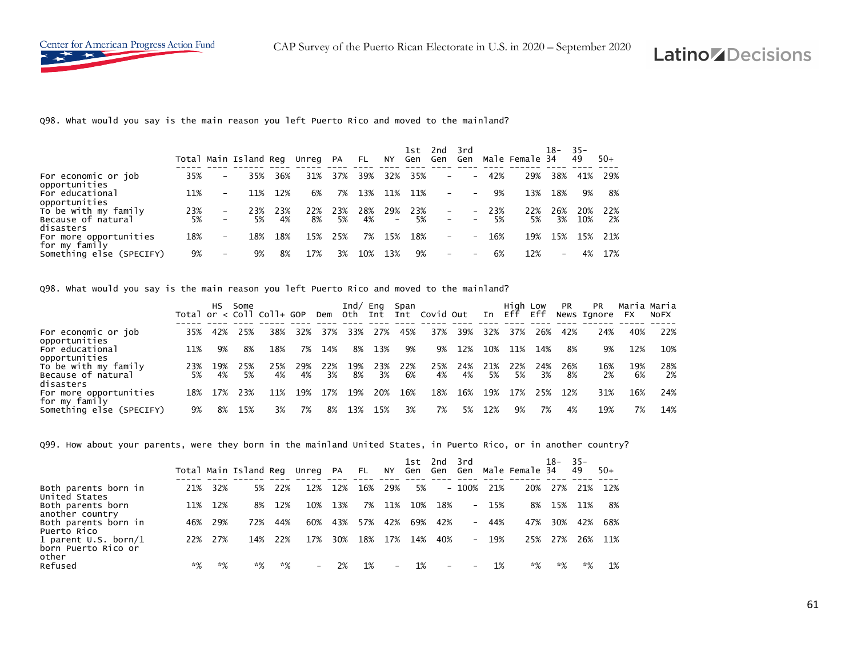

Q98. What would you say is the main reason you left Puerto Rico and moved to the mainland?

|                                         |     |                          | Total Main Island Reg |     | Unreg PA |     | FL . | NY                | 1st<br>Gen | 2nd<br>Gen               | 3rd<br>Gen               |        | Male Female 34 | 18-                      | $35 -$<br>49 | $50+$ |
|-----------------------------------------|-----|--------------------------|-----------------------|-----|----------|-----|------|-------------------|------------|--------------------------|--------------------------|--------|----------------|--------------------------|--------------|-------|
| For economic or job<br>opportunities    | 35% | -                        | 35%                   | 36% | 31%      | 37% | 39%  | 32%               | 35%        | $-$                      | $\overline{\phantom{0}}$ | 42%    | 29%            | 38%                      | 41%          | 29%   |
| For educational<br>opportunities        | 11% | -                        | 11%                   | 12% | 6%       | 7%  | 13%  | 11%               | 11%        | $\overline{\phantom{a}}$ |                          | 9%     | 13%            | 18%                      | 9%           | 8%    |
| To be with my family                    | 23% | $\overline{\phantom{0}}$ | 23%                   | 23% | 22%      | 23% | 28%  | 29%               | 23%        |                          | $\sim$ $-$               | $-23%$ | 22%            | 26%                      | 20%          | 22%   |
| Because of natural<br>disasters         | 5%  | -                        | 5%                    | 4%  | 8%       | 5%  | 4%   | $\qquad \qquad -$ | 5%         | $\overline{\phantom{a}}$ |                          | 5%     | 5%             | 3%                       | 10%          | 2%    |
| For more opportunities<br>for my family | 18% | -                        | 18%                   | 18% | 15%      | 25% | 7%   | 15%               | 18%        | $\overline{\phantom{0}}$ | $\overline{\phantom{0}}$ | 16%    | 19%            | 15%                      | 15%          | 21%   |
| Something else (SPECIFY)                | 9%  | -                        | 9%                    | 8%  | 17%      | 3%  | 10%  | 13%               | 9%         | $\overline{\phantom{0}}$ |                          | 6%     | 12%            | $\overline{\phantom{a}}$ | 4%           | 17%   |

Q98. What would you say is the main reason you left Puerto Rico and moved to the mainland?

|                                                      |           | HS.       | Some      | Total or $\lt$ Coll Coll+ GOP |           | Dem       | Ind/ $Eng$ | Oth Int   | Span      | Int Covid Out |           |           | High Low<br>In Eff | Eff       | <b>PR</b> | <b>PR</b><br>News Ignore | <b>FX</b> | Maria Maria<br><b>NOFX</b> |
|------------------------------------------------------|-----------|-----------|-----------|-------------------------------|-----------|-----------|------------|-----------|-----------|---------------|-----------|-----------|--------------------|-----------|-----------|--------------------------|-----------|----------------------------|
| For economic or job<br>opportunities                 | 35%       |           | 25%       | 38%                           | 32%       | 37%       | 33%        | 27%       | 45%       | 37%           | 39%       | 32%       | 37%                | 26%       | 42%       | 24%                      | 40%       | 22%                        |
| For educational<br>opportunities                     | 11%       | 9%        | 8%        | 18%                           | 7%        | 14%       | 8%         | 13%       | 9%        | 9%            | 12%       | 10%       | 11%                | 14%       | 8%        | 9%                       | 12%       | 10%                        |
| To be with my family<br>Because of natural           | 23%<br>5% | 19%<br>4% | 25%<br>5% | 25%<br>4%                     | 29%<br>4% | 22%<br>3% | 19%<br>8%  | 23%<br>3% | 22%<br>6% | 25%<br>4%     | 24%<br>4% | 21%<br>5% | 22%<br>5%          | 24%<br>3% | 26%<br>8% | 16%<br>2%                | 19%<br>6% | 28%<br>2%                  |
| disasters<br>For more opportunities<br>for my family | 18%       | 17%       | 23%       | 11%                           | 19%       | 17%       | 19%        | 20%       | 16%       | 18%           | 16%       | 19%       | 17%                | 25%       | 12%       | 31%                      | 16%       | 24%                        |
| Something else (SPECIFY)                             | 9%        | 8%        | 15%       | 3%                            | 7%        | 8%        | 13%        | 15%       | 3%        | 7%            | 5%        | 12%       | 9%                 | 7%        | 4%        | 19%                      | 7%        | 14%                        |

Q99. How about your parents, were they born in the mainland United States, in Puerto Rico, or in another country?

|                                                        |      |     | Total Main Island Reg |      | Unreg PA                 |     | <b>FL</b> | NY                       | 1st.<br>Gen | 2nd 3rd<br>Gen           | Gen     |        | Male Female 34 | 18- | -35-<br>49 | $50+$ |
|--------------------------------------------------------|------|-----|-----------------------|------|--------------------------|-----|-----------|--------------------------|-------------|--------------------------|---------|--------|----------------|-----|------------|-------|
| Both parents born in<br>United States                  | 21%  | 32% | 5%                    | 22%  | 12%                      | 12% | 16%       | 29%                      | 5%          |                          | $-100%$ | 21%    | 20%            | 27% | 21%        | 12%   |
| Both parents born<br>another country                   | 11%  | 12% | 8%                    | 12%  | 10%                      | 13% | 7%        | 11%                      | 10%         | 18%                      |         | $-15%$ | 8%             | 15% | 11%        | 8%    |
| Both parents born in<br>Puerto Rico                    | 46%  | 29% | 72%                   | 44%  | 60%                      | 43% | 57%       | 42%                      | 69%         | 42%                      | $ -$    | 44%    | 47%            | 30% | 42%        | 68%   |
| 1 parent $U.S.$ born/1<br>born Puerto Rico or<br>other | 22%  | 27% | 14%                   | 22%  | 17%                      | 30% | 18%       | 17%                      | 14%         | 40%                      |         | $-19%$ | 25%            | 27% | 26%        | 11%   |
| Refused                                                | $*%$ | *%  | $*%$                  | $*%$ | $\overline{\phantom{0}}$ | 2%  | 1%        | $\overline{\phantom{0}}$ | 1%          | $\overline{\phantom{a}}$ |         | 1%     | *%             | *%  | *%         | 1%    |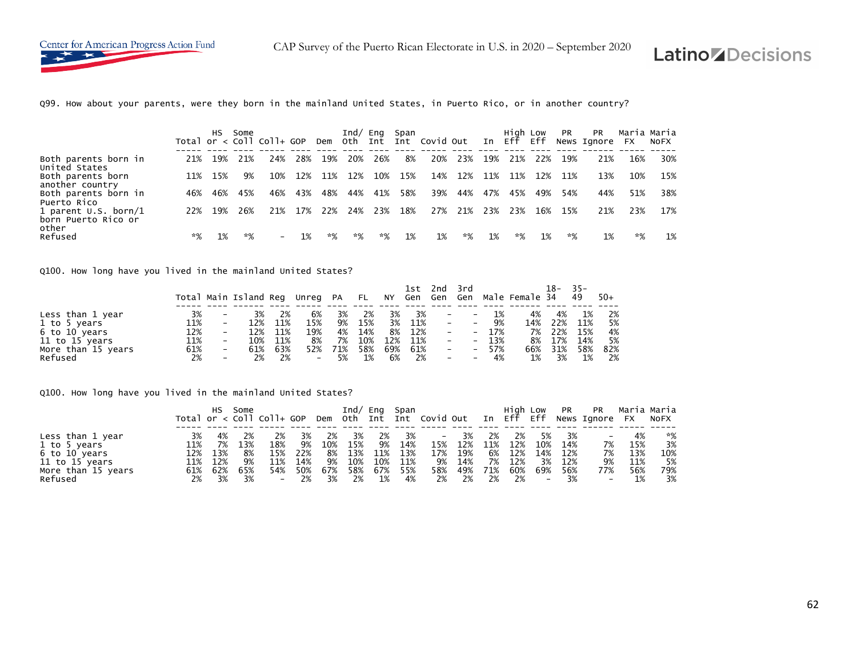

CAP Survey of the Puerto Rican Electorate in U.S. in 2020 – September 2020

## **Latino** *ADecisions*

Q99. How about your parents, were they born in the mainland United States, in Puerto Rico, or in another country?

|                                               |      | HS. | Some | Total or $\lt$ Coll Coll+ GOP |     |     | Ind/<br>Dem Oth Int | Eng  | Span | Int Covid Out |     | In  | Hiah Low<br>Eff | Eff | <b>PR</b> | <b>PR</b><br>News Ignore | Maria Maria<br><b>FX</b> | <b>NOFX</b> |
|-----------------------------------------------|------|-----|------|-------------------------------|-----|-----|---------------------|------|------|---------------|-----|-----|-----------------|-----|-----------|--------------------------|--------------------------|-------------|
| Both parents born in<br>United States         | 21%  | 19% | 21%  | 24%                           | 28% | 19% | 20%                 | 26%  | 8%   | 20%           | 23% | 19% | 21%             | 22% | 19%       | 21%                      | 16%                      | 30%         |
| Both parents born<br>another country          | 11%  | 15% | 9%   | 10%                           | 12% | 11% | 12%                 | 10%  | 15%  | 14%           | 12% | 11% | 11%             | 12% | 11%       | 13%                      | 10%                      | 15%         |
| Both parents born in<br>Puerto Rico           | 46%  | 46% | 45%  | 46%                           | 43% | 48% | 44%                 | 41%  | 58%  | 39%           | 44% | 47% | 45%             | 49% | 54%       | 44%                      | 51%                      | 38%         |
| 1 parent $U.S.$ born/1<br>born Puerto Rico or | 22%  | 19% | 26%  | 21%                           | 17% | 22% | 24%                 | 23%  | 18%  | 27%           | 21% | 23% | 23%             | 16% | 15%       | 21%                      | 23%                      | 17%         |
| other<br>Refused                              | $*%$ | 1%  | $*%$ | $\overline{\phantom{0}}$      | 1%  | *%  | $*%$                | $*%$ | 1%   | 1%            | *%  | 1%  | *%              | 1%  | *%        | 1%                       | *%                       | 1%          |

Q100. How long have you lived in the mainland United States?

|                    |     |                          | Total Main Island Reg Unreg PA FL |     |                   |     |     |     | 1st | 2nd                      | 3rd                      |     | NY Gen Gen Gen Male Female 34 | 18- | $-35-$<br>49 | $50+$ |
|--------------------|-----|--------------------------|-----------------------------------|-----|-------------------|-----|-----|-----|-----|--------------------------|--------------------------|-----|-------------------------------|-----|--------------|-------|
| Less than 1 year   | 3%  |                          | 3%                                | 2%  | 6%                | 3%  | 2%  | 3%  | 3%  | $\overline{\phantom{m}}$ | $\qquad \qquad -$        | 1%  | 4%                            | 4%  | 1%           | 2%    |
| 1 to 5 years       | 11% | $\qquad \qquad -$        | 12%                               | 11% | 15%               | 9%  | 15% | 3%  | 11% | $\overline{\phantom{a}}$ | $\overline{\phantom{a}}$ | 9%  | 14%                           | 22% | 11%          | 5%    |
| 6 to 10 years      | 12% | -                        | 12%                               | 11% | 19%               | 4%  | 14% | 8%  | 12% | $\overline{\phantom{a}}$ | $\overline{\phantom{0}}$ | 17% | 7%                            | 22% | 15%          | 4%    |
| 11 to 15 years     | 11% | $\overline{\phantom{0}}$ | 10%                               | 11% | 8%                | 7%  | 10% | 12% | 11% | $\overline{\phantom{a}}$ | $-$                      | 13% | 8%                            | 17% | 14%          | 5%    |
| More than 15 years | 61% | $\overline{\phantom{0}}$ | 61%                               | 63% | 52%               | 71% | 58% | 69% | 61% | $\overline{\phantom{a}}$ | $\overline{\phantom{0}}$ | 57% | 66%                           | 31% | 58%          | 82%   |
| Refused            | 2%  | $\overline{\phantom{0}}$ | 2%                                | 2%  | $\qquad \qquad -$ | 5%  | 1%  | 6%  | 2%  | $\overline{\phantom{a}}$ | $\overline{\phantom{a}}$ | 4%  | 1%                            | 3%  | $1\%$        | 2%    |

Q100. How long have you lived in the mainland United States?

|                    |     |     | Some |     |     |     |     | Ind/ Eng Span |     |       |     |     | Hiah Low |                          | <b>PR</b> | PR<br>Total or < Coll Coll+ GOP Dem Oth Int Int Covid Out In Eff Eff News Ignore FX NoFX | Maria Maria |     |
|--------------------|-----|-----|------|-----|-----|-----|-----|---------------|-----|-------|-----|-----|----------|--------------------------|-----------|------------------------------------------------------------------------------------------|-------------|-----|
|                    |     |     |      |     |     |     |     |               |     |       |     |     |          |                          |           |                                                                                          |             |     |
| Less than 1 year   | 3%  | 4%  | 2%   | 2%  | 3%  | 2%  | 3%  | 2%            | 3%  | $ \,$ | 3%  | 2%  | 2%       | 5%                       | 3%        |                                                                                          | 4%          | *%  |
| 1 to 5 years       | 11% | 7%  | 13%  | 18% | 9%  | 10% | 15% | 9%            | 14% | 15%   | 12% | 11% | 12%      | 10%                      | 14%       | 7%                                                                                       | 15%         | 3%  |
| 6 to 10 years      | 12% | 13% | 8%   | 15% | 22% | 8%  | 13% | 11%           | 13% | 17%   | 19% | 6%  | 12%      | 14%                      | 12%       | 7%                                                                                       | 13%         | 10% |
| 11 to 15 years     | 11% | 12% | 9%   | 11% | 14% | 9%  | 10% | 10%           | 11% | 9%    | 14% | 7%  | 12%      | 3%                       | 12%       | 9%                                                                                       | 11%         | 5%  |
| More than 15 years | 61% | 62% | 65%  | 54% | 50% | 67% | 58% | 67%           | 55% | 58%   | 49% | 71% | 60%      | 69%                      | 56%       | 77%                                                                                      | 56%         | 79% |
| Refused            | 2%  | 3%  | 3%   | $-$ | 2%  | 3%  | 2%  | 1%            | 4%  | 2%    | 2%  | 2%  | 2%       | $\overline{\phantom{a}}$ | 3%        | $\overline{\phantom{a}}$                                                                 | 1%          | 3%  |